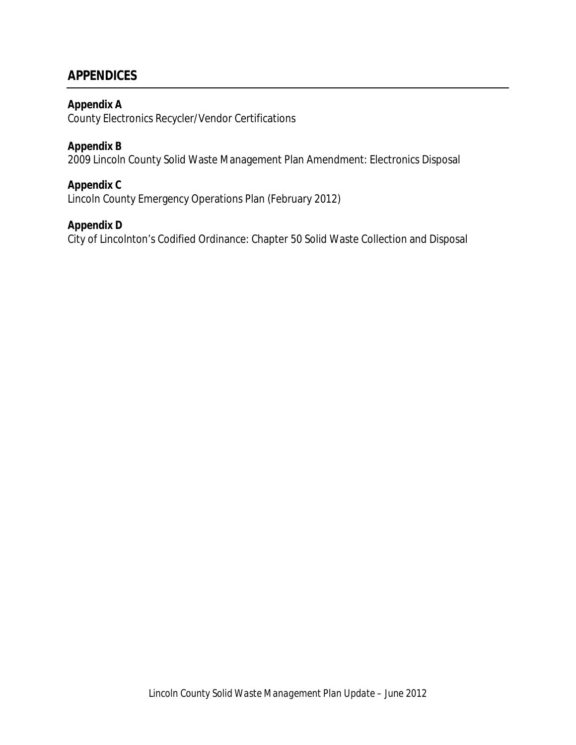# **APPENDICES**

# **Appendix A**

County Electronics Recycler/Vendor Certifications

# **Appendix B**

2009 Lincoln County Solid Waste Management Plan Amendment: Electronics Disposal

# **Appendix C**

Lincoln County Emergency Operations Plan (February 2012)

# **Appendix D**

City of Lincolnton's Codified Ordinance: Chapter 50 Solid Waste Collection and Disposal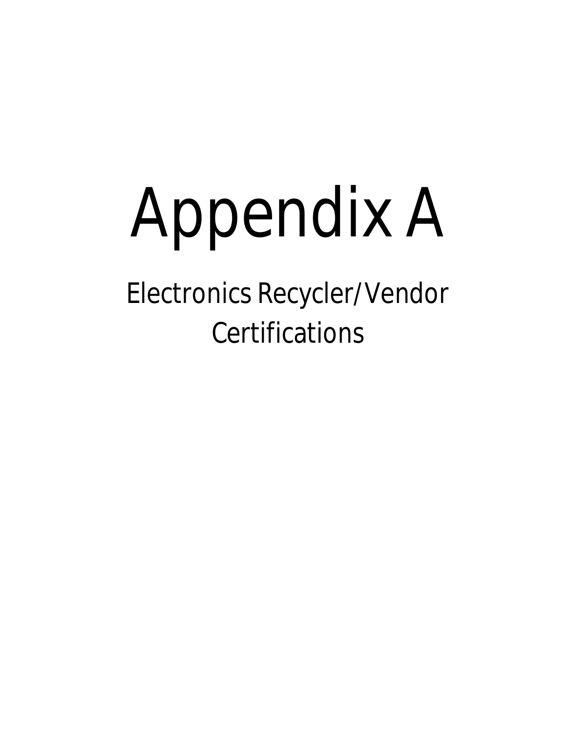# Appendix A

Electronics Recycler/Vendor **Certifications**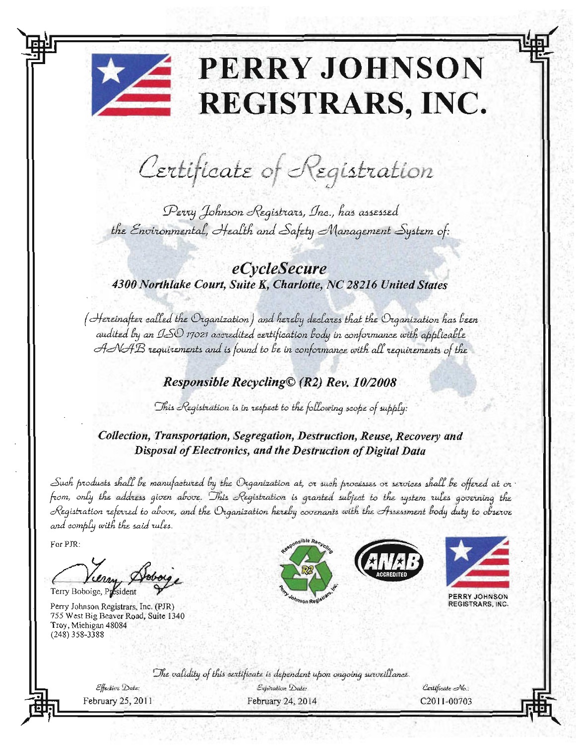# **PERRY JOHNSON REGISTRARS, INC.**

Certificate of Registration

Perry Johnson Registrars, Inc., has assessed the Environmental, Health and Safety Management System of:

# eCycleSecure 4300 Northlake Court, Suite K, Charlotte, NC 28216 United States

(Hereinafter called the Organization) and hereby declares that the Organization has been audited by an ISO 17021 accredited certification body in conformance with applicable ANAB requirements and is found to be in conformance with all requirements of the

# Responsible Recycling© (R2) Rev. 10/2008

This Registration is in respect to the following scope of supply:

Collection, Transportation, Segregation, Destruction, Reuse, Recovery and Disposal of Electronics, and the Destruction of Digital Data

Such products shall be manufactured by the Organization at, or such processes or services shall be offered at or from, only the address given above. This Registration is granted subject to the system rules governing the Registration referred to above, and the Organization hereby covenants with the Assessment body duty to observe and comply with the said rules.

For PJR:

Terry Boboige, President

Perry Johnson Registrars, Inc. (PJR) 755 West Big Beaver Road, Suite 1340 Troy, Michigan 48084  $(248)$  358-3388







PERRY JOHNSON **EGISTRARS, INC.** 

The validity of this extificate is dependent upon ongoing surveillance.

Effective Date: February 25, 2011

Expiration Date: February 24, 2014

Certificate No.: C<sub>2011-00703</sub>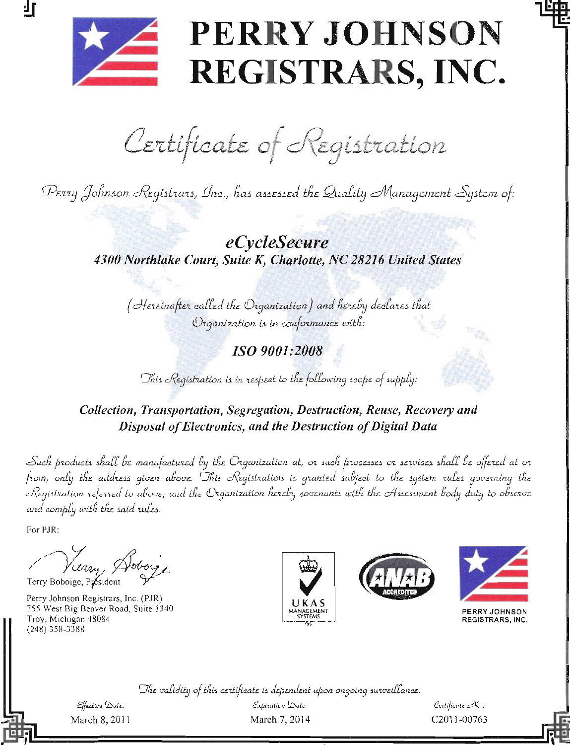

打

# PERRY JOHNSON REGISTRARS, INC.

Certificate of Registration

Perry Johnson Registrars, Inc., has assessed the Quality Management System of:

eCycleSecure 4300 Northlake Court, Suite K, Charlotte, NC 28216 United States

(Hereinafter called the Organization) and hereby declares that Organization is in conformance with:

ISO 9001:2008

This Registration is in respect to the following scope of supply:

Collection, Transportation, Segregation, Destruction, Reuse, Recovery and Disposal of Electronics, and the Destruction of Digital Data

Such products shall be manufactured by the Organization at, or such processes or services shall be offered at or from, only the address given above. This Registration is granted subject to the system rules governing the Registration referred to above, and the Organization hereby covenants with the Assessment body duty to observe and comply with the said rules.

For PJR:

Vierry Hoborg Terry Boboige, Présiden

Perry Johnson Registrars, Inc. (PJR) 755 West Big Beaver Road, Suite 1340 Troy, Michigan 48084  $(248)$  358-3388







PERRY JOHNSON REGISTRARS, INC.

The validity of this certificate is dependent upon ongoing surveillance.

 $E$ ffective  $\triangle$ ate: March 8, 2011

Expiration Date: March 7, 2014

 $\mathcal{C}$ ertificate  $\mathcal{N}$ o.: C2011-00763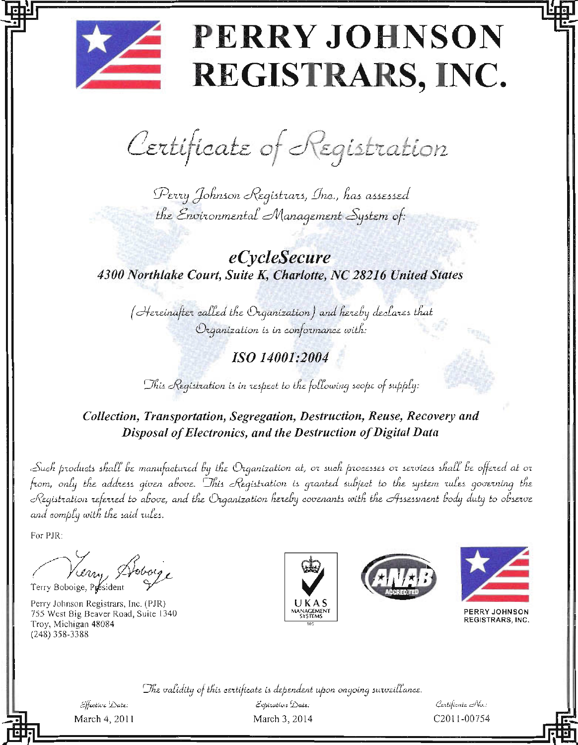# PERRY JOHNSON REGISTRARS, INC.

Certificate of Registration

Perry Johnson Registrars, Inc., has assessed the Environmental Management System of:

*eCycleSecure* 4300 Northlake Court, Suite K, Charlotte, NC 28216 United States

(Hereinafter called the Organization) and hereby declares that Organization is in conformance with:

ISO 14001:2004

This Registration is in respect to the following scope of supply:

# Collection, Transportation, Segregation, Destruction, Reuse, Recovery and Disposal of Electronics, and the Destruction of Digital Data

Such products shall be manufactured by the Organization at, or such processes or services shall be offered at or from, only the address given above. This Registration is granted subject to the system rules governing the Registration referred to above, and the Organization hereby covenants with the Assessment body duty to observe and comply with the said rules.

For PJR:

Lerry Hoboy Terry Boboige, President

Perry Johnson Registrars, Inc. (PJR) 755 West Big Beaver Road, Suite 1340 Troy, Michigan 48084 (248) 358-3388







PERRY JOHNSON REGISTRARS, INC.

The validity of this certificate is dependent upon ongoing surveillance.

Effective Date: March 4, 2011

 $\mathcal{E}$ xpitation  $\mathcal{D}$ ate: March 3, 2014

Certificate No.: C2011-00754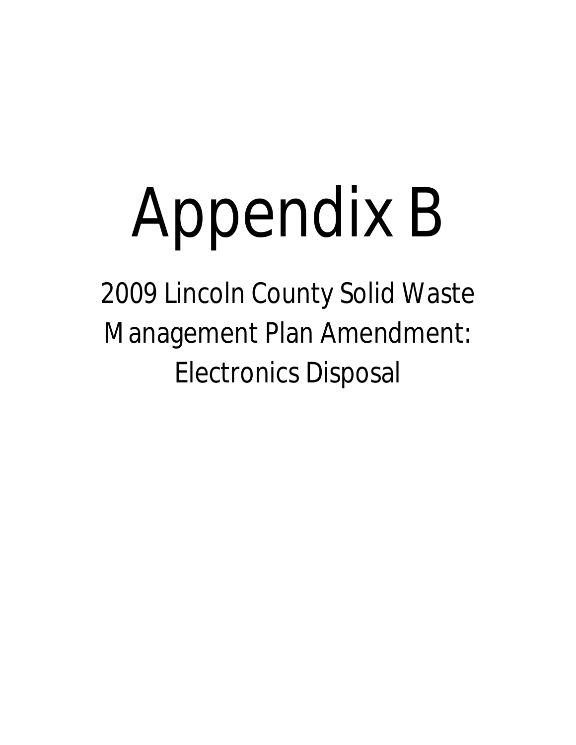# Appendix B

2009 Lincoln County Solid Waste Management Plan Amendment: Electronics Disposal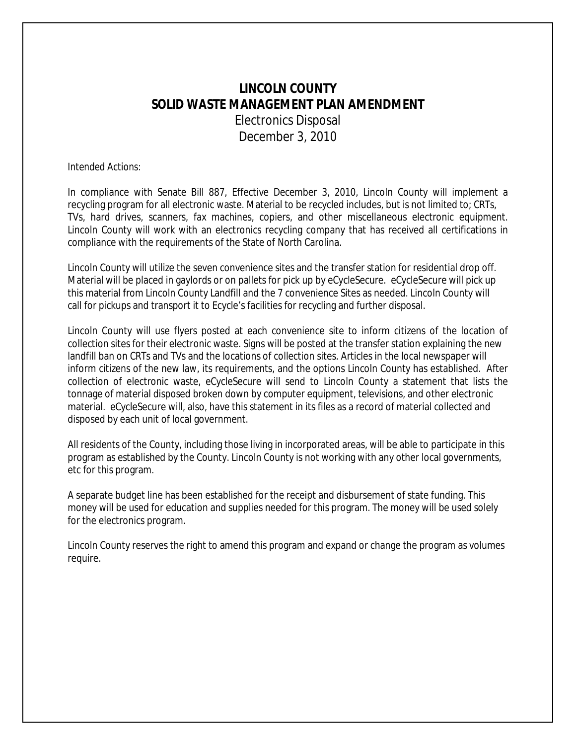# **LINCOLN COUNTY SOLID WASTE MANAGEMENT PLAN AMENDMENT** Electronics Disposal December 3, 2010

#### *Intended Actions:*

In compliance with Senate Bill 887, Effective December 3, 2010, Lincoln County will implement a recycling program for all electronic waste. Material to be recycled includes, but is not limited to; CRTs, TVs, hard drives, scanners, fax machines, copiers, and other miscellaneous electronic equipment. Lincoln County will work with an electronics recycling company that has received all certifications in compliance with the requirements of the State of North Carolina.

Lincoln County will utilize the seven convenience sites and the transfer station for residential drop off. Material will be placed in gaylords or on pallets for pick up by eCycleSecure. eCycleSecure will pick up this material from Lincoln County Landfill and the 7 convenience Sites as needed. Lincoln County will call for pickups and transport it to Ecycle's facilities for recycling and further disposal.

Lincoln County will use flyers posted at each convenience site to inform citizens of the location of collection sites for their electronic waste. Signs will be posted at the transfer station explaining the new landfill ban on CRTs and TVs and the locations of collection sites. Articles in the local newspaper will inform citizens of the new law, its requirements, and the options Lincoln County has established. After collection of electronic waste, eCycleSecure will send to Lincoln County a statement that lists the tonnage of material disposed broken down by computer equipment, televisions, and other electronic material. eCycleSecure will, also, have this statement in its files as a record of material collected and disposed by each unit of local government.

All residents of the County, including those living in incorporated areas, will be able to participate in this program as established by the County. Lincoln County is not working with any other local governments, etc for this program.

A separate budget line has been established for the receipt and disbursement of state funding. This money will be used for education and supplies needed for this program. The money will be used solely for the electronics program.

Lincoln County reserves the right to amend this program and expand or change the program as volumes require.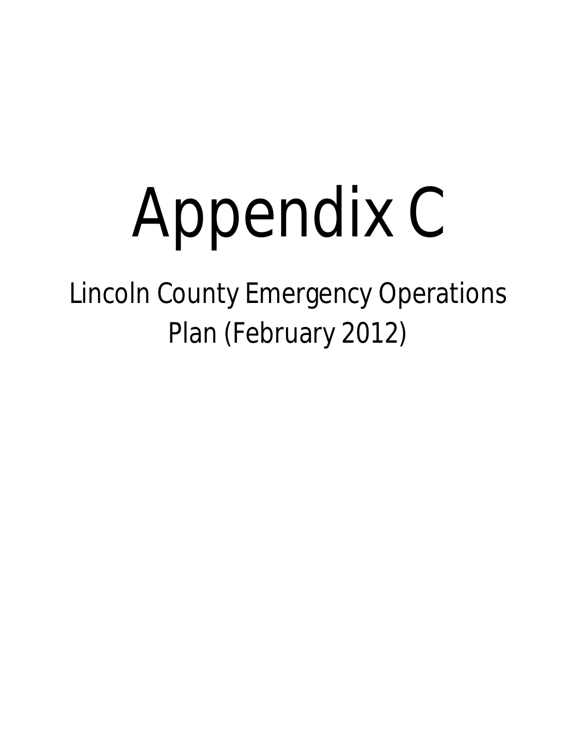# Appendix C

Lincoln County Emergency Operations Plan (February 2012)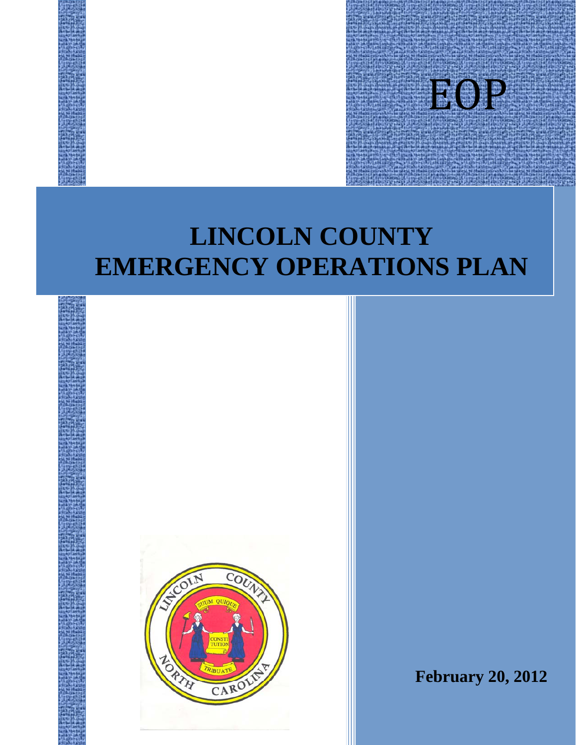

# **LINCOLN COUNTY EMERGENCY OPERATIONS PLAN**



**February 20, 2012**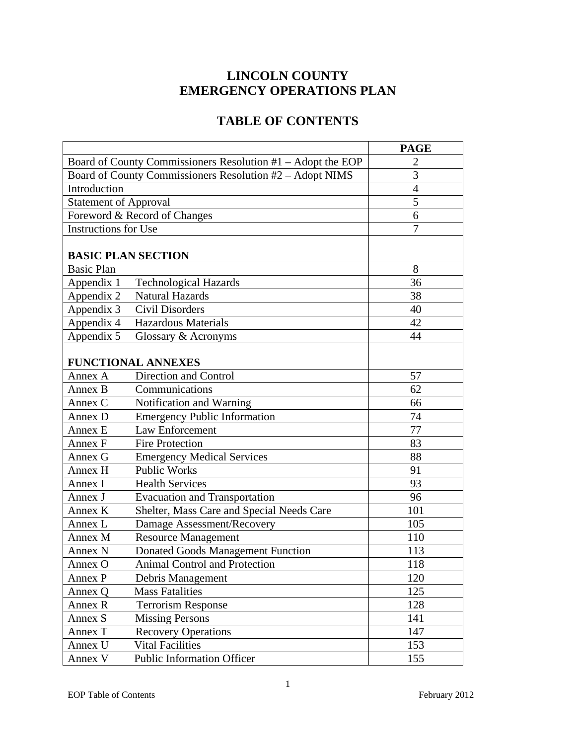# **LINCOLN COUNTY EMERGENCY OPERATIONS PLAN**

# **TABLE OF CONTENTS**

|                                                             |                                           | <b>PAGE</b> |
|-------------------------------------------------------------|-------------------------------------------|-------------|
| Board of County Commissioners Resolution #1 - Adopt the EOP | $\overline{2}$                            |             |
| Board of County Commissioners Resolution #2 – Adopt NIMS    | 3                                         |             |
| Introduction                                                | $\overline{4}$                            |             |
| <b>Statement of Approval</b>                                | 5                                         |             |
| Foreword & Record of Changes                                | 6                                         |             |
| <b>Instructions for Use</b>                                 |                                           | 7           |
|                                                             |                                           |             |
| <b>BASIC PLAN SECTION</b>                                   |                                           |             |
| <b>Basic Plan</b>                                           |                                           | 8           |
| Appendix 1                                                  | <b>Technological Hazards</b>              | 36          |
| Appendix 2                                                  | <b>Natural Hazards</b>                    | 38          |
| Appendix 3                                                  | Civil Disorders                           | 40          |
| Appendix 4                                                  | <b>Hazardous Materials</b>                | 42          |
| Appendix 5                                                  | Glossary & Acronyms                       | 44          |
|                                                             |                                           |             |
|                                                             | <b>FUNCTIONAL ANNEXES</b>                 |             |
| Annex A                                                     | Direction and Control                     | 57          |
| Annex B                                                     | Communications                            | 62          |
| Annex C                                                     | Notification and Warning                  | 66          |
| Annex D                                                     | <b>Emergency Public Information</b>       | 74          |
| Annex E                                                     | Law Enforcement                           | 77          |
| Annex F                                                     | <b>Fire Protection</b>                    | 83          |
| Annex G                                                     | <b>Emergency Medical Services</b>         | 88          |
| Annex H                                                     | <b>Public Works</b>                       | 91          |
| Annex I                                                     | <b>Health Services</b>                    | 93          |
| Annex J                                                     | <b>Evacuation and Transportation</b>      | 96          |
| Annex K                                                     | Shelter, Mass Care and Special Needs Care | 101         |
| Annex L                                                     | Damage Assessment/Recovery                | 105         |
| Annex M                                                     | <b>Resource Management</b>                | 110         |
| Annex N                                                     | <b>Donated Goods Management Function</b>  | 113         |
| Annex O                                                     | Animal Control and Protection             | 118         |
| Annex P                                                     | Debris Management                         | 120         |
| Annex Q                                                     | <b>Mass Fatalities</b>                    | 125         |
| Annex R                                                     | <b>Terrorism Response</b>                 | 128         |
| Annex S                                                     | <b>Missing Persons</b>                    | 141         |
| Annex T                                                     | <b>Recovery Operations</b>                | 147         |
| Annex U                                                     | <b>Vital Facilities</b>                   | 153         |
| Annex V                                                     | <b>Public Information Officer</b>         | 155         |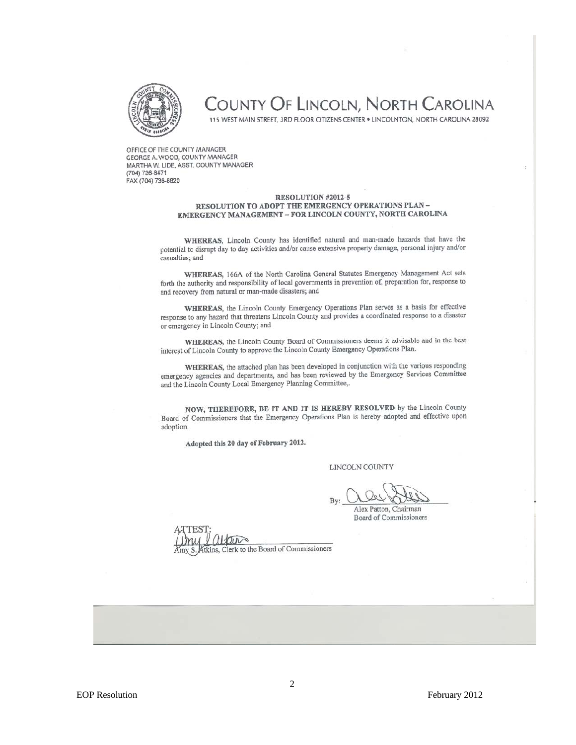

# COUNTY OF LINCOLN, NORTH CAROLINA

115 WEST MAIN STREET, 3RD FLOOR CITIZENS CENTER . LINCOLNTON, NORTH CAROLINA 28092

OFFICE OF THE COUNTY MANAGER GEORGE A. WOOD, COUNTY MANAGER MARTHA W. LIDE, ASST. COUNTY MANAGER (704) 736-8471 FAX (704) 736-8820

#### RESOLUTION #2012-5 RESOLUTION TO ADOPT THE EMERGENCY OPERATIONS PLAN-EMERGENCY MANAGEMENT - FOR LINCOLN COUNTY, NORTH CAROLINA

WHEREAS, Lincoln County has identified natural and man-made hazards that have the potential to disrupt day to day activities and/or cause extensive property damage, personal injury and/or casualties; and

WHEREAS, 166A of the North Carolina General Statutes Emergency Management Act sets forth the authority and responsibility of local governments in prevention of, preparation for, response to and recovery from natural or man-made disasters; and

WHEREAS, the Lincoln County Emergency Operations Plan serves as a basis for effective response to any hazard that threatens Lincoln County and provides a coordinated response to a disaster or emergency in Lincoln County; and

WHEREAS, the Lincoln County Board of Commissioners deems it advisable and in the best interest of Lincoln County to approve the Lincoln County Emergency Operations Plan.

WHEREAS, the attached plan has been developed in conjunction with the various responding emergency agencies and departments, and has been reviewed by the Emergency Services Committee and the Lincoln County Local Emergency Planning Committee,.

NOW, THEREFORE, BE IT AND IT IS HEREBY RESOLVED by the Lincoln County Board of Commissioners that the Emergency Operations Plan is hereby adopted and effective upon adoption.

Adopted this 20 day of February 2012.

LINCOLN COUNTY

Alex Patton, Chairman

**Board of Commissioners** 

Amy S. Atkins, Clerk to the Board of Commissioners

2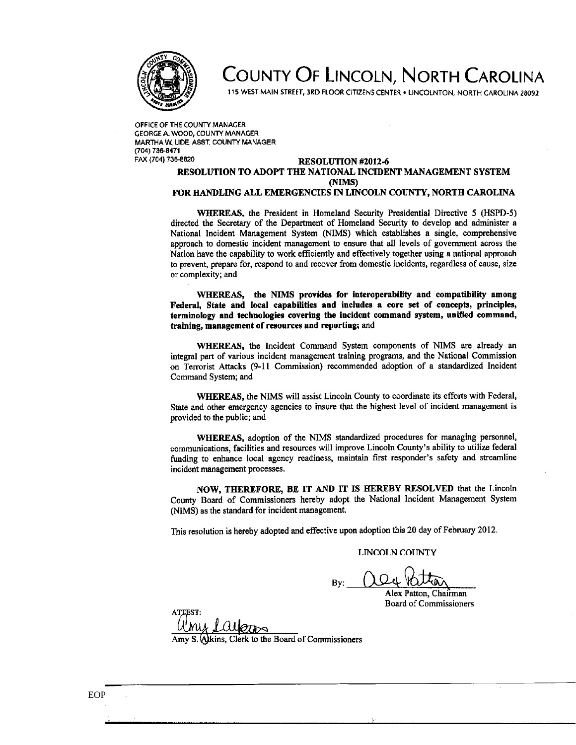

# COUNTY OF LINCOLN, NORTH CAROLINA

115 WEST MAIN STREET, 3RD FLOOR CITIZENS CENTER . LINCOLNTON, NORTH CAROLINA 28092

OFFICE OF THE COUNTY MANAGER GEORGE A. WOOD, COUNTY MANAGER MARTHA W. LIDE, ASST, COUNTY MANAGER (704) 736-8471 FAX (704) 736-8820

#### RESOLUTION #2012-6 RESOLUTION TO ADOPT THE NATIONAL INCIDENT MANAGEMENT SYSTEM (NIMS)

#### FOR HANDLING ALL EMERGENCIES IN LINCOLN COUNTY, NORTH CAROLINA

WHEREAS, the President in Homeland Security Presidential Directive 5 (HSPD-5) directed the Secretary of the Department of Homeland Security to develop and administer a National Incident Management System (NIMS) which establishes a single, comprehensive approach to domestic incident management to ensure that all levels of government across the Nation have the capability to work efficiently and effectively together using a national approach to prevent, prepare for, respond to and recover from domestic incidents, regardless of cause, size or complexity; and

WHEREAS, the NIMS provides for interoperability and compatibility among Federal, State and local capabilities and includes a core set of concepts, principles, terminology and technologies covering the incident command system, unified command, training, management of resources and reporting; and

WHEREAS, the Incident Command System components of NIMS are already an integral part of various incident management training programs, and the National Commission on Terrorist Attacks (9-11 Commission) recommended adoption of a standardized Incident Command System; and

WHEREAS, the NIMS will assist Lincoln County to coordinate its efforts with Federal, State and other emergency agencies to insure that the highest level of incident management is provided to the public; and

WHEREAS, adoption of the NIMS standardized procedures for managing personnel, communications, facilities and resources will improve Lincoln County's ability to utilize federal funding to enhance local agency readiness, maintain first responder's safety and streamline incident management processes.

NOW, THEREFORE, BE IT AND IT IS HEREBY RESOLVED that the Lincoln County Board of Commissioners hereby adopt the National Incident Management System (NIMS) as the standard for incident management.

This resolution is hereby adopted and effective upon adoption this 20 day of February 2012.

#### **LINCOLN COUNTY**

Rv:

Alex Patton, Chairman Board of Commissioners

Alkins, Clerk to the Board of Commissioners

3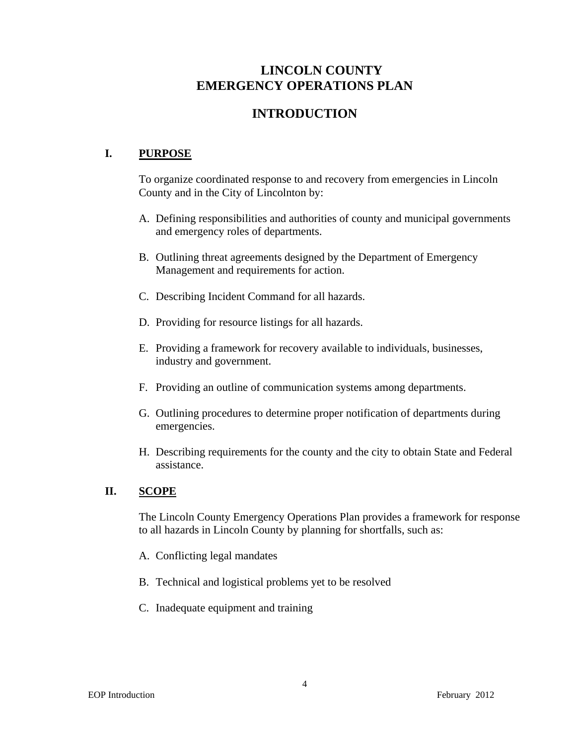# **LINCOLN COUNTY EMERGENCY OPERATIONS PLAN**

# **INTRODUCTION**

# **I. PURPOSE**

To organize coordinated response to and recovery from emergencies in Lincoln County and in the City of Lincolnton by:

- A. Defining responsibilities and authorities of county and municipal governments and emergency roles of departments.
- B. Outlining threat agreements designed by the Department of Emergency Management and requirements for action.
- C. Describing Incident Command for all hazards.
- D. Providing for resource listings for all hazards.
- E. Providing a framework for recovery available to individuals, businesses, industry and government.
- F. Providing an outline of communication systems among departments.
- G. Outlining procedures to determine proper notification of departments during emergencies.
- H. Describing requirements for the county and the city to obtain State and Federal assistance.

# **II. SCOPE**

The Lincoln County Emergency Operations Plan provides a framework for response to all hazards in Lincoln County by planning for shortfalls, such as:

- A. Conflicting legal mandates
- B. Technical and logistical problems yet to be resolved
- C. Inadequate equipment and training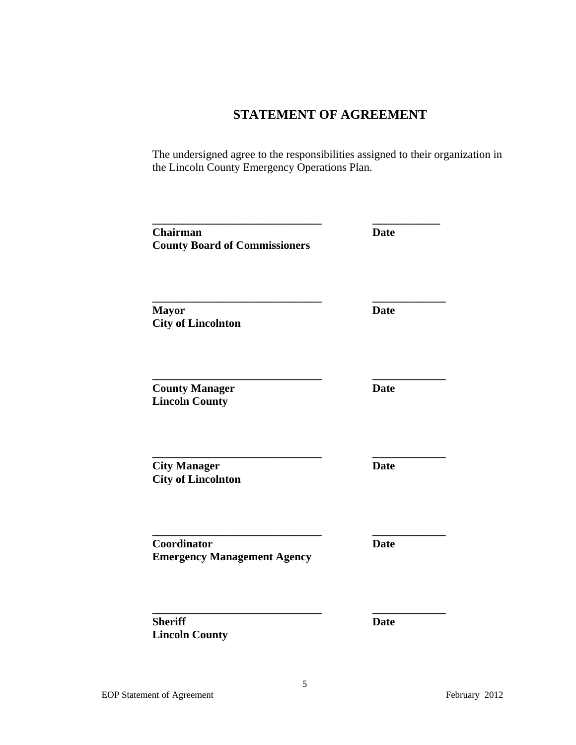# **STATEMENT OF AGREEMENT**

The undersigned agree to the responsibilities assigned to their organization in the Lincoln County Emergency Operations Plan.

| <b>Chairman</b><br><b>County Board of Commissioners</b> | <b>Date</b> |
|---------------------------------------------------------|-------------|
| <b>Mayor</b><br><b>City of Lincolnton</b>               | <b>Date</b> |
| <b>County Manager</b><br><b>Lincoln County</b>          | <b>Date</b> |
| <b>City Manager</b><br><b>City of Lincolnton</b>        | <b>Date</b> |
| Coordinator<br><b>Emergency Management Agency</b>       | <b>Date</b> |
| <b>Sheriff</b><br><b>Lincoln County</b>                 | <b>Date</b> |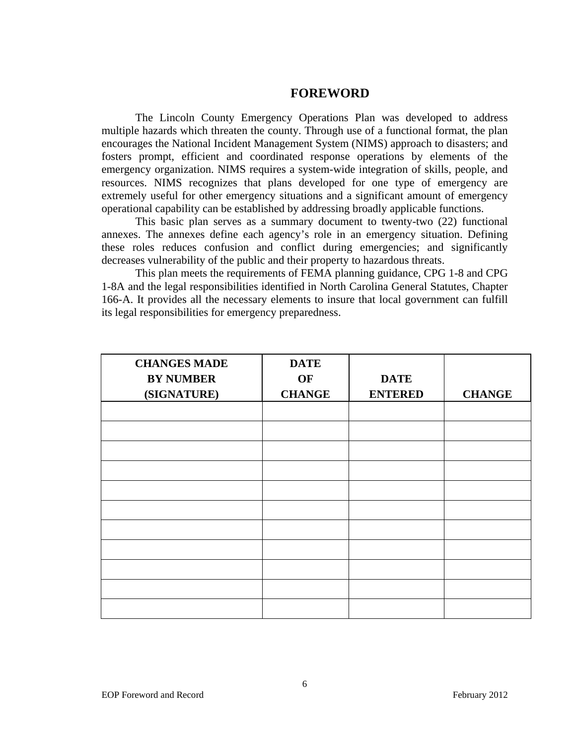### **FOREWORD**

The Lincoln County Emergency Operations Plan was developed to address multiple hazards which threaten the county. Through use of a functional format, the plan encourages the National Incident Management System (NIMS) approach to disasters; and fosters prompt, efficient and coordinated response operations by elements of the emergency organization. NIMS requires a system-wide integration of skills, people, and resources. NIMS recognizes that plans developed for one type of emergency are extremely useful for other emergency situations and a significant amount of emergency operational capability can be established by addressing broadly applicable functions.

This basic plan serves as a summary document to twenty-two (22) functional annexes. The annexes define each agency's role in an emergency situation. Defining these roles reduces confusion and conflict during emergencies; and significantly decreases vulnerability of the public and their property to hazardous threats.

This plan meets the requirements of FEMA planning guidance, CPG 1-8 and CPG 1-8A and the legal responsibilities identified in North Carolina General Statutes, Chapter 166-A. It provides all the necessary elements to insure that local government can fulfill its legal responsibilities for emergency preparedness.

| <b>CHANGES MADE</b> | <b>DATE</b>   |                |               |
|---------------------|---------------|----------------|---------------|
| <b>BY NUMBER</b>    | OF            | <b>DATE</b>    |               |
| (SIGNATURE)         | <b>CHANGE</b> | <b>ENTERED</b> | <b>CHANGE</b> |
|                     |               |                |               |
|                     |               |                |               |
|                     |               |                |               |
|                     |               |                |               |
|                     |               |                |               |
|                     |               |                |               |
|                     |               |                |               |
|                     |               |                |               |
|                     |               |                |               |
|                     |               |                |               |
|                     |               |                |               |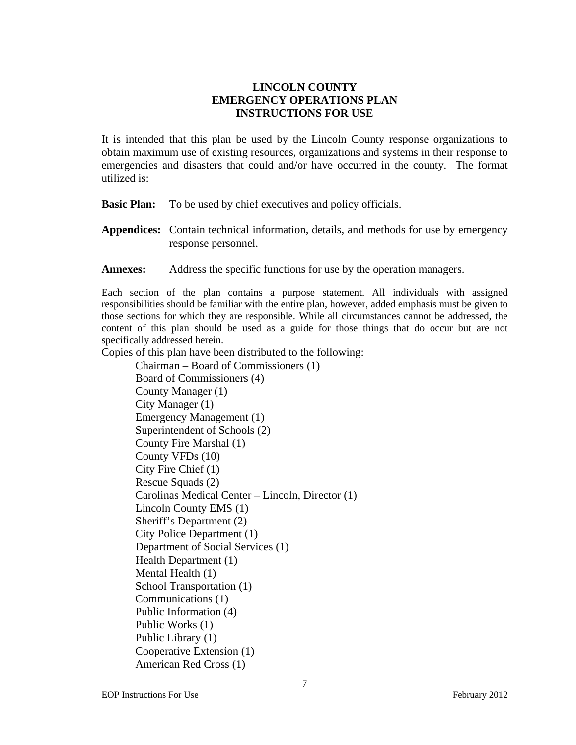## **LINCOLN COUNTY EMERGENCY OPERATIONS PLAN INSTRUCTIONS FOR USE**

It is intended that this plan be used by the Lincoln County response organizations to obtain maximum use of existing resources, organizations and systems in their response to emergencies and disasters that could and/or have occurred in the county. The format utilized is:

**Basic Plan:** To be used by chief executives and policy officials.

- **Appendices:** Contain technical information, details, and methods for use by emergency response personnel.
- **Annexes:** Address the specific functions for use by the operation managers.

Each section of the plan contains a purpose statement. All individuals with assigned responsibilities should be familiar with the entire plan, however, added emphasis must be given to those sections for which they are responsible. While all circumstances cannot be addressed, the content of this plan should be used as a guide for those things that do occur but are not specifically addressed herein.

Copies of this plan have been distributed to the following:

Chairman – Board of Commissioners (1) Board of Commissioners (4) County Manager (1) City Manager (1) Emergency Management (1) Superintendent of Schools (2) County Fire Marshal (1) County VFDs (10) City Fire Chief (1) Rescue Squads (2) Carolinas Medical Center – Lincoln, Director (1) Lincoln County EMS (1) Sheriff's Department (2) City Police Department (1) Department of Social Services (1) Health Department (1) Mental Health (1) School Transportation (1) Communications (1) Public Information (4) Public Works (1) Public Library (1) Cooperative Extension (1) American Red Cross (1)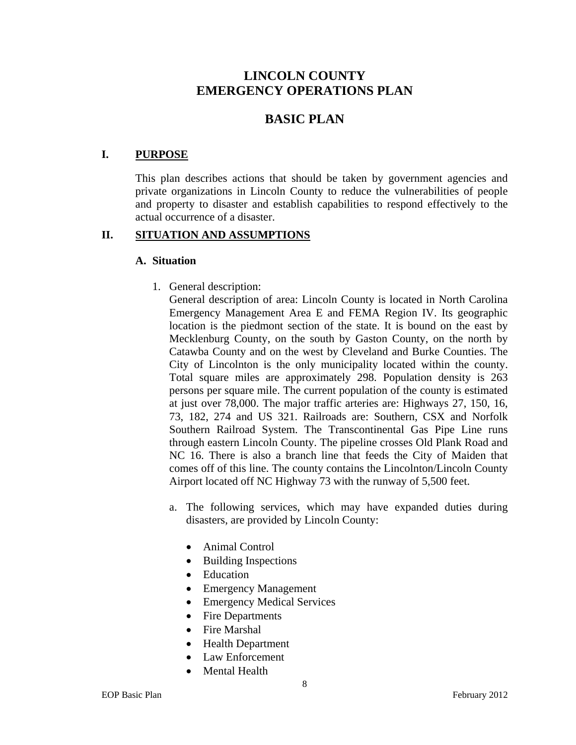# **LINCOLN COUNTY EMERGENCY OPERATIONS PLAN**

# **BASIC PLAN**

### **I. PURPOSE**

 This plan describes actions that should be taken by government agencies and private organizations in Lincoln County to reduce the vulnerabilities of people and property to disaster and establish capabilities to respond effectively to the actual occurrence of a disaster.

#### **II. SITUATION AND ASSUMPTIONS**

#### **A. Situation**

1. General description:

General description of area: Lincoln County is located in North Carolina Emergency Management Area E and FEMA Region IV. Its geographic location is the piedmont section of the state. It is bound on the east by Mecklenburg County, on the south by Gaston County, on the north by Catawba County and on the west by Cleveland and Burke Counties. The City of Lincolnton is the only municipality located within the county. Total square miles are approximately 298. Population density is 263 persons per square mile. The current population of the county is estimated at just over 78,000. The major traffic arteries are: Highways 27, 150, 16, 73, 182, 274 and US 321. Railroads are: Southern, CSX and Norfolk Southern Railroad System. The Transcontinental Gas Pipe Line runs through eastern Lincoln County. The pipeline crosses Old Plank Road and NC 16. There is also a branch line that feeds the City of Maiden that comes off of this line. The county contains the Lincolnton/Lincoln County Airport located off NC Highway 73 with the runway of 5,500 feet.

- a. The following services, which may have expanded duties during disasters, are provided by Lincoln County:
	- Animal Control
	- Building Inspections
	- Education
	- Emergency Management
	- Emergency Medical Services
	- Fire Departments
	- Fire Marshal
	- Health Department
	- Law Enforcement
	- Mental Health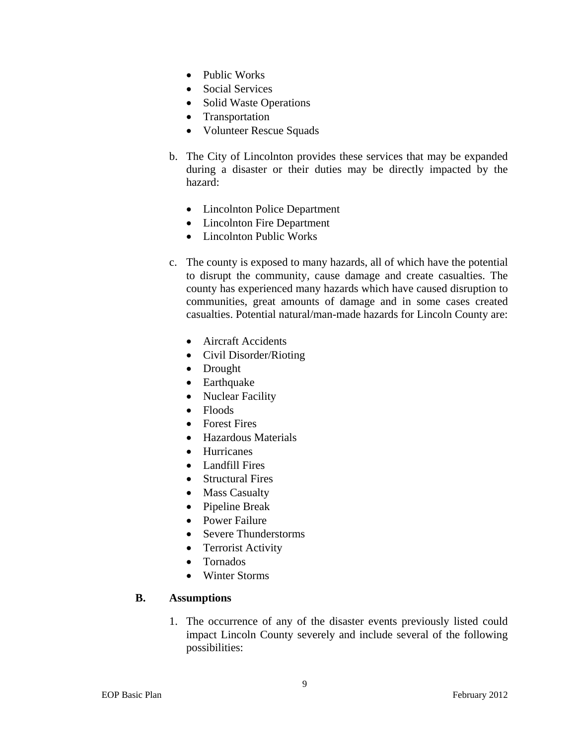- Public Works
- Social Services
- Solid Waste Operations
- Transportation
- Volunteer Rescue Squads
- b. The City of Lincolnton provides these services that may be expanded during a disaster or their duties may be directly impacted by the hazard:
	- Lincolnton Police Department
	- Lincolnton Fire Department
	- Lincolnton Public Works
- c. The county is exposed to many hazards, all of which have the potential to disrupt the community, cause damage and create casualties. The county has experienced many hazards which have caused disruption to communities, great amounts of damage and in some cases created casualties. Potential natural/man-made hazards for Lincoln County are:
	- Aircraft Accidents
	- Civil Disorder/Rioting
	- Drought
	- Earthquake
	- Nuclear Facility
	- Floods
	- Forest Fires
	- Hazardous Materials
	- Hurricanes
	- Landfill Fires
	- Structural Fires
	- Mass Casualty
	- Pipeline Break
	- Power Failure
	- Severe Thunderstorms
	- Terrorist Activity
	- Tornados
	- Winter Storms

#### **B. Assumptions**

1. The occurrence of any of the disaster events previously listed could impact Lincoln County severely and include several of the following possibilities: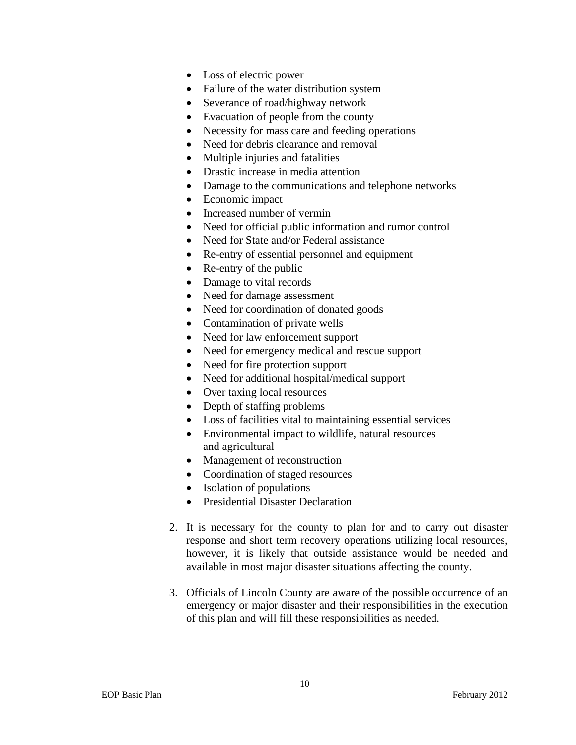- Loss of electric power
- Failure of the water distribution system
- Severance of road/highway network
- Evacuation of people from the county
- Necessity for mass care and feeding operations
- Need for debris clearance and removal
- Multiple injuries and fatalities
- Drastic increase in media attention
- Damage to the communications and telephone networks
- Economic impact
- Increased number of vermin
- Need for official public information and rumor control
- Need for State and/or Federal assistance
- Re-entry of essential personnel and equipment
- Re-entry of the public
- Damage to vital records
- Need for damage assessment
- Need for coordination of donated goods
- Contamination of private wells
- Need for law enforcement support
- Need for emergency medical and rescue support
- Need for fire protection support
- Need for additional hospital/medical support
- Over taxing local resources
- Depth of staffing problems
- Loss of facilities vital to maintaining essential services
- Environmental impact to wildlife, natural resources and agricultural
- Management of reconstruction
- Coordination of staged resources
- Isolation of populations
- Presidential Disaster Declaration
- 2. It is necessary for the county to plan for and to carry out disaster response and short term recovery operations utilizing local resources, however, it is likely that outside assistance would be needed and available in most major disaster situations affecting the county.
- 3. Officials of Lincoln County are aware of the possible occurrence of an emergency or major disaster and their responsibilities in the execution of this plan and will fill these responsibilities as needed.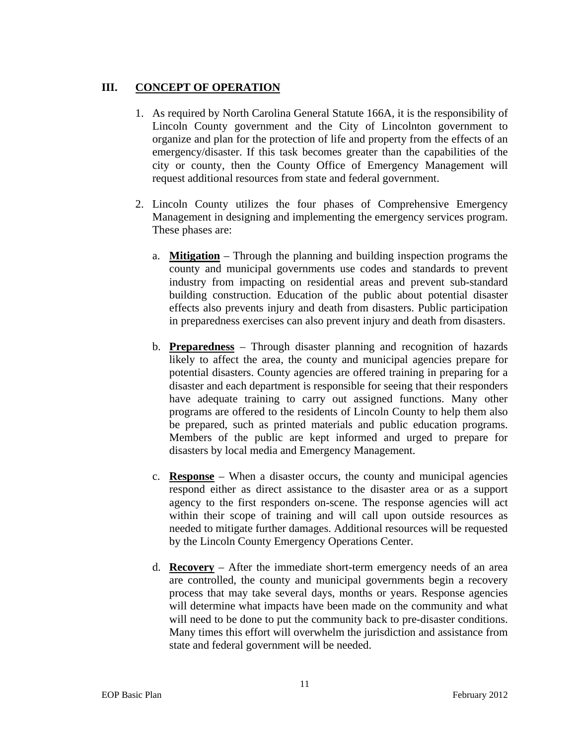# **III. CONCEPT OF OPERATION**

- 1. As required by North Carolina General Statute 166A, it is the responsibility of Lincoln County government and the City of Lincolnton government to organize and plan for the protection of life and property from the effects of an emergency/disaster. If this task becomes greater than the capabilities of the city or county, then the County Office of Emergency Management will request additional resources from state and federal government.
- 2. Lincoln County utilizes the four phases of Comprehensive Emergency Management in designing and implementing the emergency services program. These phases are:
	- a. **Mitigation** Through the planning and building inspection programs the county and municipal governments use codes and standards to prevent industry from impacting on residential areas and prevent sub-standard building construction. Education of the public about potential disaster effects also prevents injury and death from disasters. Public participation in preparedness exercises can also prevent injury and death from disasters.
	- b. **Preparedness** Through disaster planning and recognition of hazards likely to affect the area, the county and municipal agencies prepare for potential disasters. County agencies are offered training in preparing for a disaster and each department is responsible for seeing that their responders have adequate training to carry out assigned functions. Many other programs are offered to the residents of Lincoln County to help them also be prepared, such as printed materials and public education programs. Members of the public are kept informed and urged to prepare for disasters by local media and Emergency Management.
	- c. **Response**  When a disaster occurs, the county and municipal agencies respond either as direct assistance to the disaster area or as a support agency to the first responders on-scene. The response agencies will act within their scope of training and will call upon outside resources as needed to mitigate further damages. Additional resources will be requested by the Lincoln County Emergency Operations Center.
	- d. **Recovery**  After the immediate short-term emergency needs of an area are controlled, the county and municipal governments begin a recovery process that may take several days, months or years. Response agencies will determine what impacts have been made on the community and what will need to be done to put the community back to pre-disaster conditions. Many times this effort will overwhelm the jurisdiction and assistance from state and federal government will be needed.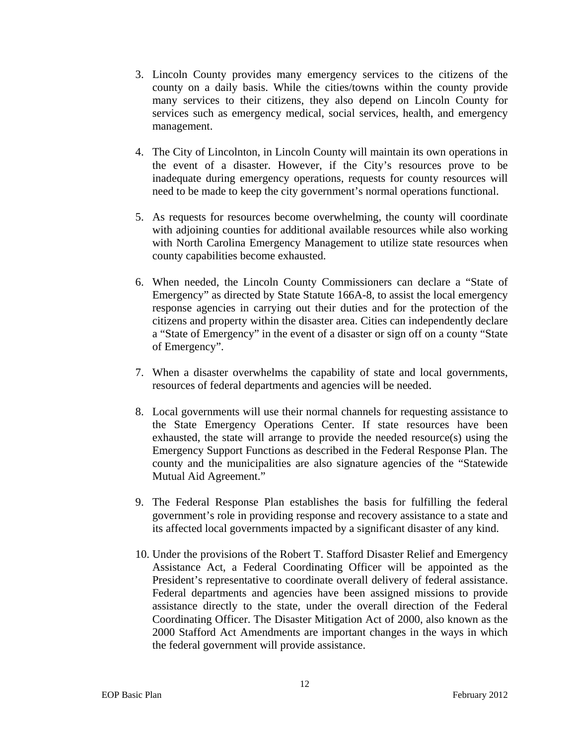- 3. Lincoln County provides many emergency services to the citizens of the county on a daily basis. While the cities/towns within the county provide many services to their citizens, they also depend on Lincoln County for services such as emergency medical, social services, health, and emergency management.
- 4. The City of Lincolnton, in Lincoln County will maintain its own operations in the event of a disaster. However, if the City's resources prove to be inadequate during emergency operations, requests for county resources will need to be made to keep the city government's normal operations functional.
- 5. As requests for resources become overwhelming, the county will coordinate with adjoining counties for additional available resources while also working with North Carolina Emergency Management to utilize state resources when county capabilities become exhausted.
- 6. When needed, the Lincoln County Commissioners can declare a "State of Emergency" as directed by State Statute 166A-8, to assist the local emergency response agencies in carrying out their duties and for the protection of the citizens and property within the disaster area. Cities can independently declare a "State of Emergency" in the event of a disaster or sign off on a county "State of Emergency".
- 7. When a disaster overwhelms the capability of state and local governments, resources of federal departments and agencies will be needed.
- 8. Local governments will use their normal channels for requesting assistance to the State Emergency Operations Center. If state resources have been exhausted, the state will arrange to provide the needed resource(s) using the Emergency Support Functions as described in the Federal Response Plan. The county and the municipalities are also signature agencies of the "Statewide Mutual Aid Agreement."
- 9. The Federal Response Plan establishes the basis for fulfilling the federal government's role in providing response and recovery assistance to a state and its affected local governments impacted by a significant disaster of any kind.
- 10. Under the provisions of the Robert T. Stafford Disaster Relief and Emergency Assistance Act, a Federal Coordinating Officer will be appointed as the President's representative to coordinate overall delivery of federal assistance. Federal departments and agencies have been assigned missions to provide assistance directly to the state, under the overall direction of the Federal Coordinating Officer. The Disaster Mitigation Act of 2000, also known as the 2000 Stafford Act Amendments are important changes in the ways in which the federal government will provide assistance.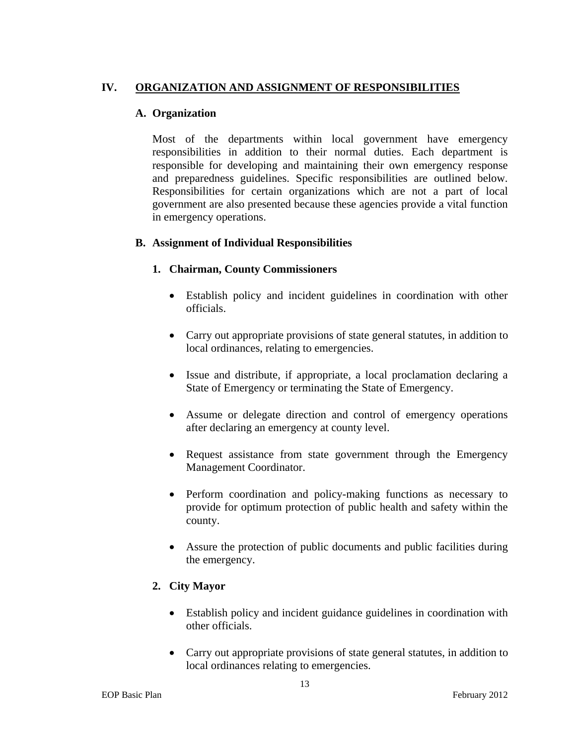# **IV. ORGANIZATION AND ASSIGNMENT OF RESPONSIBILITIES**

## **A. Organization**

Most of the departments within local government have emergency responsibilities in addition to their normal duties. Each department is responsible for developing and maintaining their own emergency response and preparedness guidelines. Specific responsibilities are outlined below. Responsibilities for certain organizations which are not a part of local government are also presented because these agencies provide a vital function in emergency operations.

# **B. Assignment of Individual Responsibilities**

### **1. Chairman, County Commissioners**

- Establish policy and incident guidelines in coordination with other officials.
- Carry out appropriate provisions of state general statutes, in addition to local ordinances, relating to emergencies.
- Issue and distribute, if appropriate, a local proclamation declaring a State of Emergency or terminating the State of Emergency.
- Assume or delegate direction and control of emergency operations after declaring an emergency at county level.
- Request assistance from state government through the Emergency Management Coordinator.
- Perform coordination and policy-making functions as necessary to provide for optimum protection of public health and safety within the county.
- Assure the protection of public documents and public facilities during the emergency.

# **2. City Mayor**

- Establish policy and incident guidance guidelines in coordination with other officials.
- Carry out appropriate provisions of state general statutes, in addition to local ordinances relating to emergencies.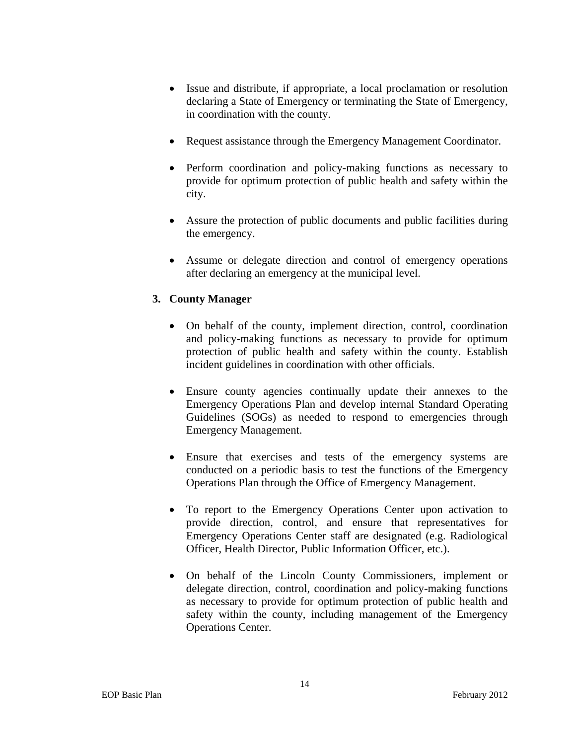- Issue and distribute, if appropriate, a local proclamation or resolution declaring a State of Emergency or terminating the State of Emergency, in coordination with the county.
- Request assistance through the Emergency Management Coordinator.
- Perform coordination and policy-making functions as necessary to provide for optimum protection of public health and safety within the city.
- Assure the protection of public documents and public facilities during the emergency.
- Assume or delegate direction and control of emergency operations after declaring an emergency at the municipal level.

# **3. County Manager**

- On behalf of the county, implement direction, control, coordination and policy-making functions as necessary to provide for optimum protection of public health and safety within the county. Establish incident guidelines in coordination with other officials.
- Ensure county agencies continually update their annexes to the Emergency Operations Plan and develop internal Standard Operating Guidelines (SOGs) as needed to respond to emergencies through Emergency Management.
- Ensure that exercises and tests of the emergency systems are conducted on a periodic basis to test the functions of the Emergency Operations Plan through the Office of Emergency Management.
- To report to the Emergency Operations Center upon activation to provide direction, control, and ensure that representatives for Emergency Operations Center staff are designated (e.g. Radiological Officer, Health Director, Public Information Officer, etc.).
- On behalf of the Lincoln County Commissioners, implement or delegate direction, control, coordination and policy-making functions as necessary to provide for optimum protection of public health and safety within the county, including management of the Emergency Operations Center.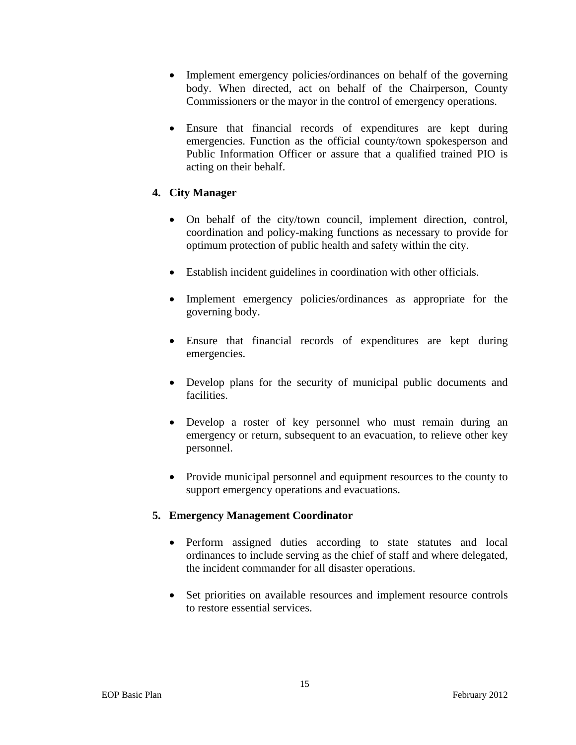- Implement emergency policies/ordinances on behalf of the governing body. When directed, act on behalf of the Chairperson, County Commissioners or the mayor in the control of emergency operations.
- Ensure that financial records of expenditures are kept during emergencies. Function as the official county/town spokesperson and Public Information Officer or assure that a qualified trained PIO is acting on their behalf.

# **4. City Manager**

- On behalf of the city/town council, implement direction, control, coordination and policy-making functions as necessary to provide for optimum protection of public health and safety within the city.
- Establish incident guidelines in coordination with other officials.
- Implement emergency policies/ordinances as appropriate for the governing body.
- Ensure that financial records of expenditures are kept during emergencies.
- Develop plans for the security of municipal public documents and facilities.
- Develop a roster of key personnel who must remain during an emergency or return, subsequent to an evacuation, to relieve other key personnel.
- Provide municipal personnel and equipment resources to the county to support emergency operations and evacuations.

#### **5. Emergency Management Coordinator**

- Perform assigned duties according to state statutes and local ordinances to include serving as the chief of staff and where delegated, the incident commander for all disaster operations.
- Set priorities on available resources and implement resource controls to restore essential services.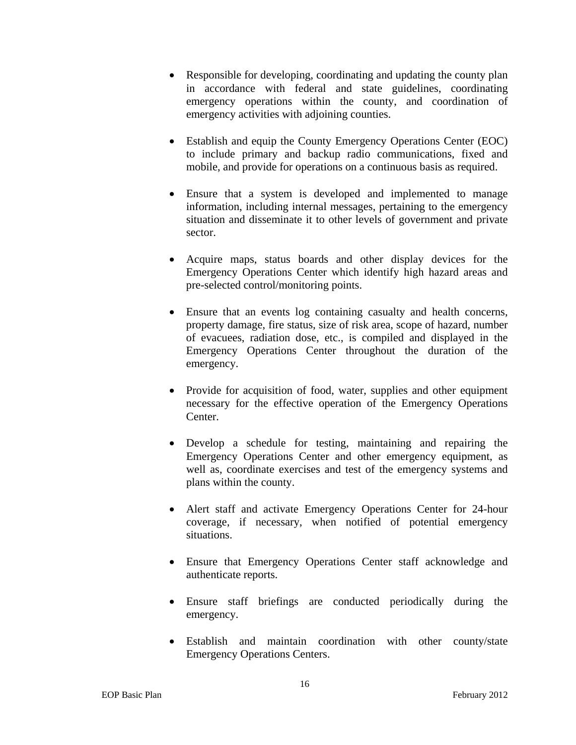- Responsible for developing, coordinating and updating the county plan in accordance with federal and state guidelines, coordinating emergency operations within the county, and coordination of emergency activities with adjoining counties.
- Establish and equip the County Emergency Operations Center (EOC) to include primary and backup radio communications, fixed and mobile, and provide for operations on a continuous basis as required.
- Ensure that a system is developed and implemented to manage information, including internal messages, pertaining to the emergency situation and disseminate it to other levels of government and private sector.
- Acquire maps, status boards and other display devices for the Emergency Operations Center which identify high hazard areas and pre-selected control/monitoring points.
- Ensure that an events log containing casualty and health concerns, property damage, fire status, size of risk area, scope of hazard, number of evacuees, radiation dose, etc., is compiled and displayed in the Emergency Operations Center throughout the duration of the emergency.
- Provide for acquisition of food, water, supplies and other equipment necessary for the effective operation of the Emergency Operations Center.
- Develop a schedule for testing, maintaining and repairing the Emergency Operations Center and other emergency equipment, as well as, coordinate exercises and test of the emergency systems and plans within the county.
- Alert staff and activate Emergency Operations Center for 24-hour coverage, if necessary, when notified of potential emergency situations.
- Ensure that Emergency Operations Center staff acknowledge and authenticate reports.
- Ensure staff briefings are conducted periodically during the emergency.
- Establish and maintain coordination with other county/state Emergency Operations Centers.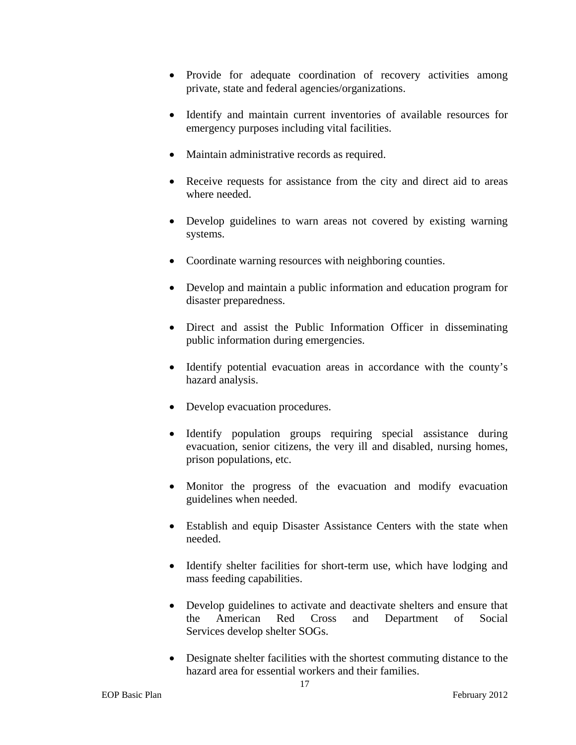- Provide for adequate coordination of recovery activities among private, state and federal agencies/organizations.
- Identify and maintain current inventories of available resources for emergency purposes including vital facilities.
- Maintain administrative records as required.
- Receive requests for assistance from the city and direct aid to areas where needed.
- Develop guidelines to warn areas not covered by existing warning systems.
- Coordinate warning resources with neighboring counties.
- Develop and maintain a public information and education program for disaster preparedness.
- Direct and assist the Public Information Officer in disseminating public information during emergencies.
- Identify potential evacuation areas in accordance with the county's hazard analysis.
- Develop evacuation procedures.
- Identify population groups requiring special assistance during evacuation, senior citizens, the very ill and disabled, nursing homes, prison populations, etc.
- Monitor the progress of the evacuation and modify evacuation guidelines when needed.
- Establish and equip Disaster Assistance Centers with the state when needed.
- Identify shelter facilities for short-term use, which have lodging and mass feeding capabilities.
- Develop guidelines to activate and deactivate shelters and ensure that the American Red Cross and Department of Social Services develop shelter SOGs.
- Designate shelter facilities with the shortest commuting distance to the hazard area for essential workers and their families.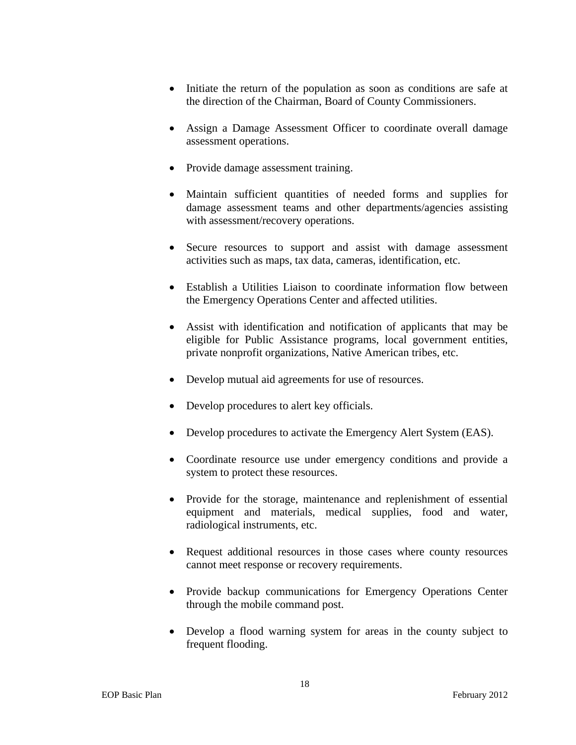- Initiate the return of the population as soon as conditions are safe at the direction of the Chairman, Board of County Commissioners.
- Assign a Damage Assessment Officer to coordinate overall damage assessment operations.
- Provide damage assessment training.
- Maintain sufficient quantities of needed forms and supplies for damage assessment teams and other departments/agencies assisting with assessment/recovery operations.
- Secure resources to support and assist with damage assessment activities such as maps, tax data, cameras, identification, etc.
- Establish a Utilities Liaison to coordinate information flow between the Emergency Operations Center and affected utilities.
- Assist with identification and notification of applicants that may be eligible for Public Assistance programs, local government entities, private nonprofit organizations, Native American tribes, etc.
- Develop mutual aid agreements for use of resources.
- Develop procedures to alert key officials.
- Develop procedures to activate the Emergency Alert System (EAS).
- Coordinate resource use under emergency conditions and provide a system to protect these resources.
- Provide for the storage, maintenance and replenishment of essential equipment and materials, medical supplies, food and water, radiological instruments, etc.
- Request additional resources in those cases where county resources cannot meet response or recovery requirements.
- Provide backup communications for Emergency Operations Center through the mobile command post.
- Develop a flood warning system for areas in the county subject to frequent flooding.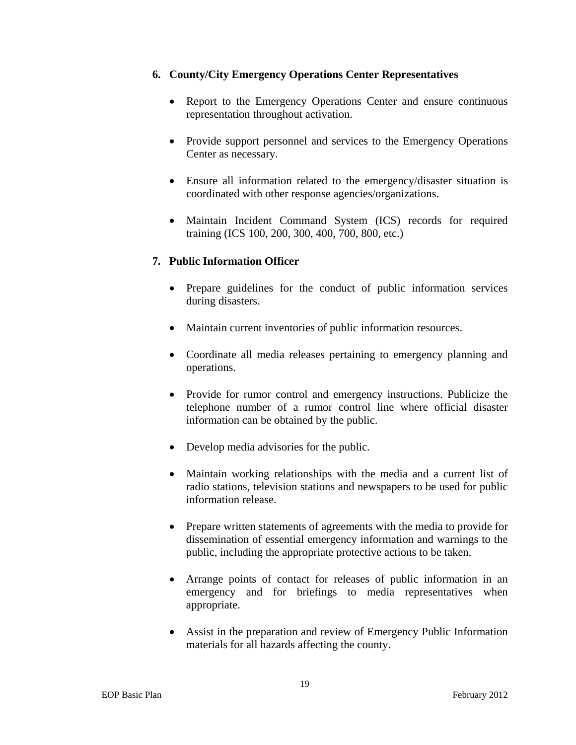# **6. County/City Emergency Operations Center Representatives**

- Report to the Emergency Operations Center and ensure continuous representation throughout activation.
- Provide support personnel and services to the Emergency Operations Center as necessary.
- Ensure all information related to the emergency/disaster situation is coordinated with other response agencies/organizations.
- Maintain Incident Command System (ICS) records for required training (ICS 100, 200, 300, 400, 700, 800, etc.)

# **7. Public Information Officer**

- Prepare guidelines for the conduct of public information services during disasters.
- Maintain current inventories of public information resources.
- Coordinate all media releases pertaining to emergency planning and operations.
- Provide for rumor control and emergency instructions. Publicize the telephone number of a rumor control line where official disaster information can be obtained by the public.
- Develop media advisories for the public.
- Maintain working relationships with the media and a current list of radio stations, television stations and newspapers to be used for public information release.
- Prepare written statements of agreements with the media to provide for dissemination of essential emergency information and warnings to the public, including the appropriate protective actions to be taken.
- Arrange points of contact for releases of public information in an emergency and for briefings to media representatives when appropriate.
- Assist in the preparation and review of Emergency Public Information materials for all hazards affecting the county.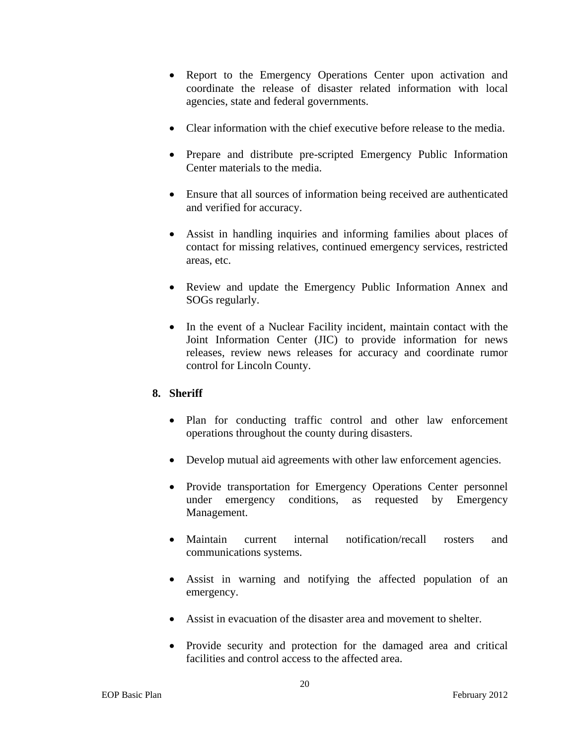- Report to the Emergency Operations Center upon activation and coordinate the release of disaster related information with local agencies, state and federal governments.
- Clear information with the chief executive before release to the media.
- Prepare and distribute pre-scripted Emergency Public Information Center materials to the media.
- Ensure that all sources of information being received are authenticated and verified for accuracy.
- Assist in handling inquiries and informing families about places of contact for missing relatives, continued emergency services, restricted areas, etc.
- Review and update the Emergency Public Information Annex and SOGs regularly.
- In the event of a Nuclear Facility incident, maintain contact with the Joint Information Center (JIC) to provide information for news releases, review news releases for accuracy and coordinate rumor control for Lincoln County.

# **8. Sheriff**

- Plan for conducting traffic control and other law enforcement operations throughout the county during disasters.
- Develop mutual aid agreements with other law enforcement agencies.
- Provide transportation for Emergency Operations Center personnel under emergency conditions, as requested by Emergency Management.
- Maintain current internal notification/recall rosters and communications systems.
- Assist in warning and notifying the affected population of an emergency.
- Assist in evacuation of the disaster area and movement to shelter.
- Provide security and protection for the damaged area and critical facilities and control access to the affected area.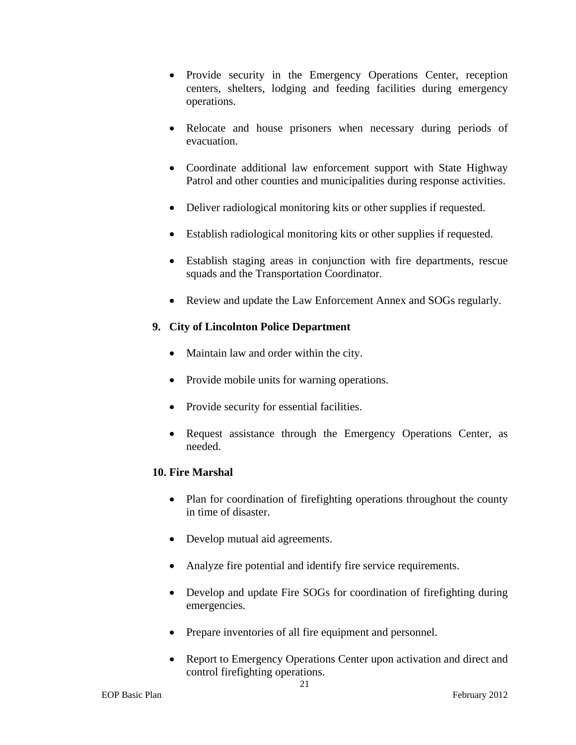- Provide security in the Emergency Operations Center, reception centers, shelters, lodging and feeding facilities during emergency operations.
- Relocate and house prisoners when necessary during periods of evacuation.
- Coordinate additional law enforcement support with State Highway Patrol and other counties and municipalities during response activities.
- Deliver radiological monitoring kits or other supplies if requested.
- Establish radiological monitoring kits or other supplies if requested.
- Establish staging areas in conjunction with fire departments, rescue squads and the Transportation Coordinator.
- Review and update the Law Enforcement Annex and SOGs regularly.

# **9. City of Lincolnton Police Department**

- Maintain law and order within the city.
- Provide mobile units for warning operations.
- Provide security for essential facilities.
- Request assistance through the Emergency Operations Center, as needed.

# **10. Fire Marshal**

- Plan for coordination of firefighting operations throughout the county in time of disaster.
- Develop mutual aid agreements.
- Analyze fire potential and identify fire service requirements.
- Develop and update Fire SOGs for coordination of firefighting during emergencies.
- Prepare inventories of all fire equipment and personnel.
- Report to Emergency Operations Center upon activation and direct and control firefighting operations.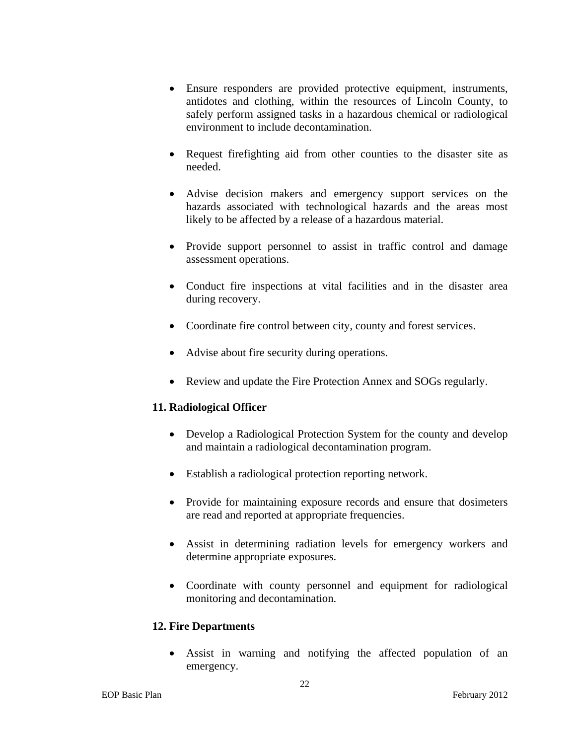- Ensure responders are provided protective equipment, instruments, antidotes and clothing, within the resources of Lincoln County, to safely perform assigned tasks in a hazardous chemical or radiological environment to include decontamination.
- Request firefighting aid from other counties to the disaster site as needed.
- Advise decision makers and emergency support services on the hazards associated with technological hazards and the areas most likely to be affected by a release of a hazardous material.
- Provide support personnel to assist in traffic control and damage assessment operations.
- Conduct fire inspections at vital facilities and in the disaster area during recovery.
- Coordinate fire control between city, county and forest services.
- Advise about fire security during operations.
- Review and update the Fire Protection Annex and SOGs regularly.

# **11. Radiological Officer**

- Develop a Radiological Protection System for the county and develop and maintain a radiological decontamination program.
- Establish a radiological protection reporting network.
- Provide for maintaining exposure records and ensure that dosimeters are read and reported at appropriate frequencies.
- Assist in determining radiation levels for emergency workers and determine appropriate exposures.
- Coordinate with county personnel and equipment for radiological monitoring and decontamination.

# **12. Fire Departments**

 Assist in warning and notifying the affected population of an emergency.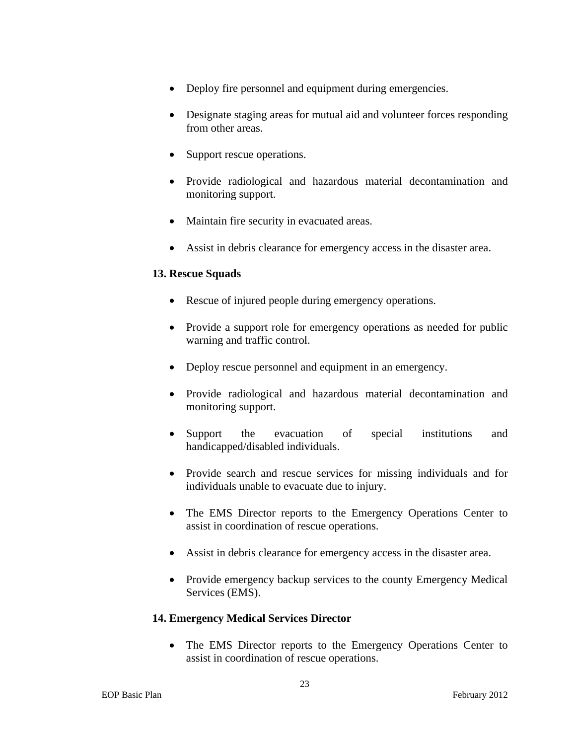- Deploy fire personnel and equipment during emergencies.
- Designate staging areas for mutual aid and volunteer forces responding from other areas.
- Support rescue operations.
- Provide radiological and hazardous material decontamination and monitoring support.
- Maintain fire security in evacuated areas.
- Assist in debris clearance for emergency access in the disaster area.

### **13. Rescue Squads**

- Rescue of injured people during emergency operations.
- Provide a support role for emergency operations as needed for public warning and traffic control.
- Deploy rescue personnel and equipment in an emergency.
- Provide radiological and hazardous material decontamination and monitoring support.
- Support the evacuation of special institutions and handicapped/disabled individuals.
- Provide search and rescue services for missing individuals and for individuals unable to evacuate due to injury.
- The EMS Director reports to the Emergency Operations Center to assist in coordination of rescue operations.
- Assist in debris clearance for emergency access in the disaster area.
- Provide emergency backup services to the county Emergency Medical Services (EMS).

#### **14. Emergency Medical Services Director**

• The EMS Director reports to the Emergency Operations Center to assist in coordination of rescue operations.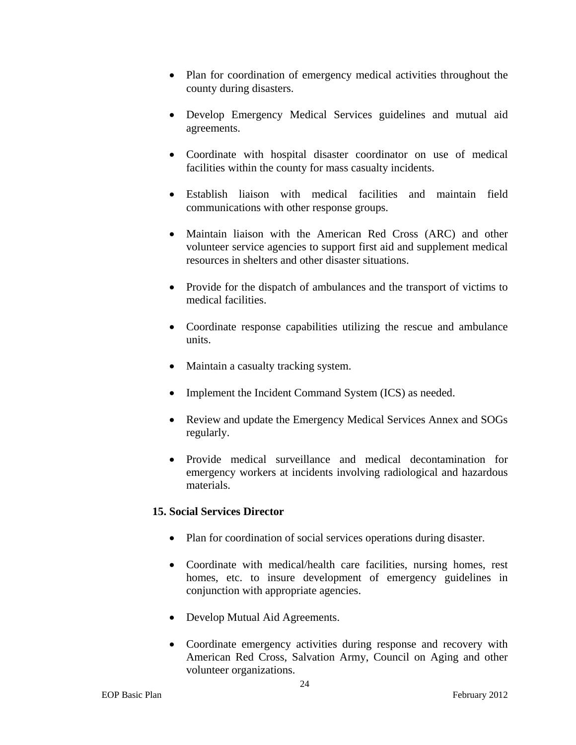- Plan for coordination of emergency medical activities throughout the county during disasters.
- Develop Emergency Medical Services guidelines and mutual aid agreements.
- Coordinate with hospital disaster coordinator on use of medical facilities within the county for mass casualty incidents.
- Establish liaison with medical facilities and maintain field communications with other response groups.
- Maintain liaison with the American Red Cross (ARC) and other volunteer service agencies to support first aid and supplement medical resources in shelters and other disaster situations.
- Provide for the dispatch of ambulances and the transport of victims to medical facilities.
- Coordinate response capabilities utilizing the rescue and ambulance units.
- Maintain a casualty tracking system.
- Implement the Incident Command System (ICS) as needed.
- Review and update the Emergency Medical Services Annex and SOGs regularly.
- Provide medical surveillance and medical decontamination for emergency workers at incidents involving radiological and hazardous materials.

# **15. Social Services Director**

- Plan for coordination of social services operations during disaster.
- Coordinate with medical/health care facilities, nursing homes, rest homes, etc. to insure development of emergency guidelines in conjunction with appropriate agencies.
- Develop Mutual Aid Agreements.
- Coordinate emergency activities during response and recovery with American Red Cross, Salvation Army, Council on Aging and other volunteer organizations.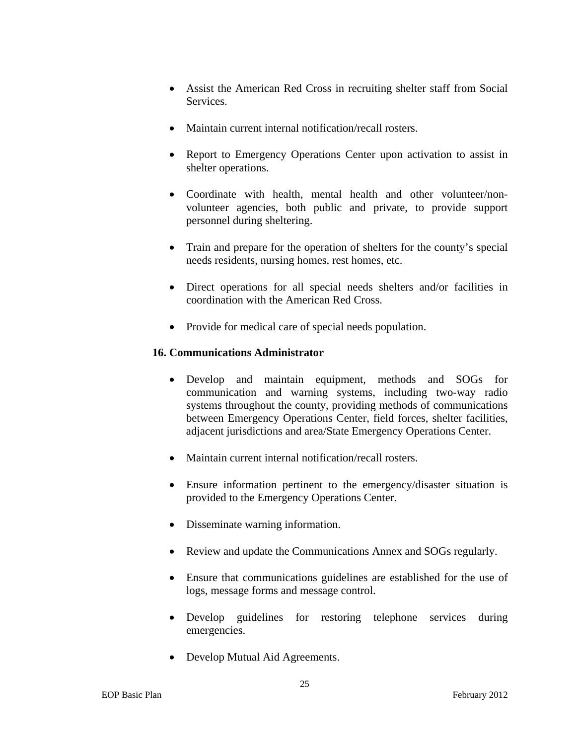- Assist the American Red Cross in recruiting shelter staff from Social Services.
- Maintain current internal notification/recall rosters.
- Report to Emergency Operations Center upon activation to assist in shelter operations.
- Coordinate with health, mental health and other volunteer/nonvolunteer agencies, both public and private, to provide support personnel during sheltering.
- Train and prepare for the operation of shelters for the county's special needs residents, nursing homes, rest homes, etc.
- Direct operations for all special needs shelters and/or facilities in coordination with the American Red Cross.
- Provide for medical care of special needs population.

# **16. Communications Administrator**

- Develop and maintain equipment, methods and SOGs for communication and warning systems, including two-way radio systems throughout the county, providing methods of communications between Emergency Operations Center, field forces, shelter facilities, adjacent jurisdictions and area/State Emergency Operations Center.
- Maintain current internal notification/recall rosters.
- Ensure information pertinent to the emergency/disaster situation is provided to the Emergency Operations Center.
- Disseminate warning information.
- Review and update the Communications Annex and SOGs regularly.
- Ensure that communications guidelines are established for the use of logs, message forms and message control.
- Develop guidelines for restoring telephone services during emergencies.
- Develop Mutual Aid Agreements.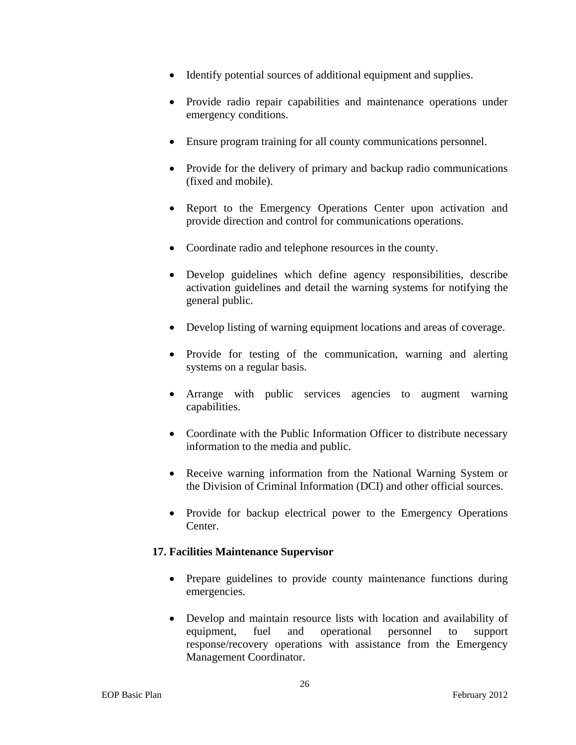- Identify potential sources of additional equipment and supplies.
- Provide radio repair capabilities and maintenance operations under emergency conditions.
- Ensure program training for all county communications personnel.
- Provide for the delivery of primary and backup radio communications (fixed and mobile).
- Report to the Emergency Operations Center upon activation and provide direction and control for communications operations.
- Coordinate radio and telephone resources in the county.
- Develop guidelines which define agency responsibilities, describe activation guidelines and detail the warning systems for notifying the general public.
- Develop listing of warning equipment locations and areas of coverage.
- Provide for testing of the communication, warning and alerting systems on a regular basis.
- Arrange with public services agencies to augment warning capabilities.
- Coordinate with the Public Information Officer to distribute necessary information to the media and public.
- Receive warning information from the National Warning System or the Division of Criminal Information (DCI) and other official sources.
- Provide for backup electrical power to the Emergency Operations Center.

# **17. Facilities Maintenance Supervisor**

- Prepare guidelines to provide county maintenance functions during emergencies.
- Develop and maintain resource lists with location and availability of equipment, fuel and operational personnel to support response/recovery operations with assistance from the Emergency Management Coordinator.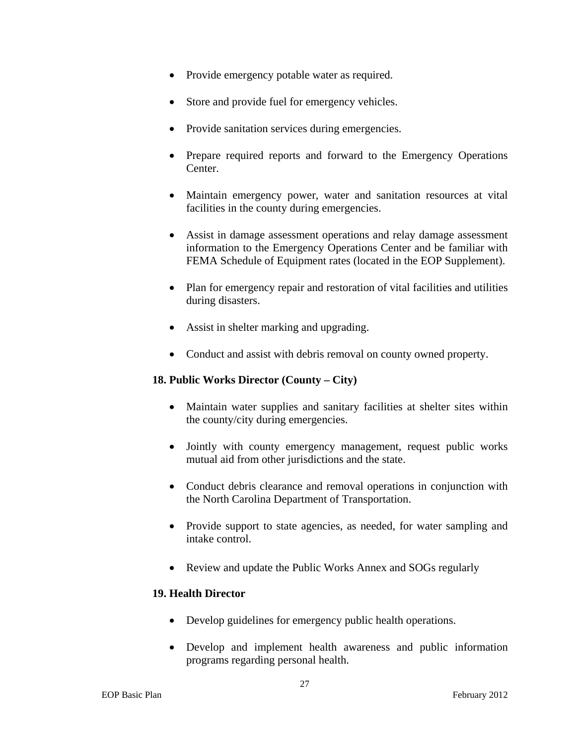- Provide emergency potable water as required.
- Store and provide fuel for emergency vehicles.
- Provide sanitation services during emergencies.
- Prepare required reports and forward to the Emergency Operations Center.
- Maintain emergency power, water and sanitation resources at vital facilities in the county during emergencies.
- Assist in damage assessment operations and relay damage assessment information to the Emergency Operations Center and be familiar with FEMA Schedule of Equipment rates (located in the EOP Supplement).
- Plan for emergency repair and restoration of vital facilities and utilities during disasters.
- Assist in shelter marking and upgrading.
- Conduct and assist with debris removal on county owned property.

#### **18. Public Works Director (County – City)**

- Maintain water supplies and sanitary facilities at shelter sites within the county/city during emergencies.
- Jointly with county emergency management, request public works mutual aid from other jurisdictions and the state.
- Conduct debris clearance and removal operations in conjunction with the North Carolina Department of Transportation.
- Provide support to state agencies, as needed, for water sampling and intake control.
- Review and update the Public Works Annex and SOGs regularly

#### **19. Health Director**

- Develop guidelines for emergency public health operations.
- Develop and implement health awareness and public information programs regarding personal health.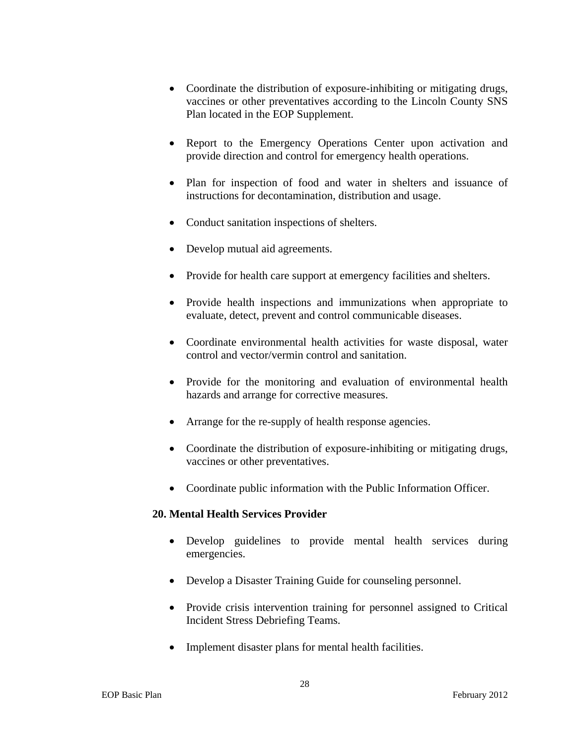- Coordinate the distribution of exposure-inhibiting or mitigating drugs, vaccines or other preventatives according to the Lincoln County SNS Plan located in the EOP Supplement.
- Report to the Emergency Operations Center upon activation and provide direction and control for emergency health operations.
- Plan for inspection of food and water in shelters and issuance of instructions for decontamination, distribution and usage.
- Conduct sanitation inspections of shelters.
- Develop mutual aid agreements.
- Provide for health care support at emergency facilities and shelters.
- Provide health inspections and immunizations when appropriate to evaluate, detect, prevent and control communicable diseases.
- Coordinate environmental health activities for waste disposal, water control and vector/vermin control and sanitation.
- Provide for the monitoring and evaluation of environmental health hazards and arrange for corrective measures.
- Arrange for the re-supply of health response agencies.
- Coordinate the distribution of exposure-inhibiting or mitigating drugs, vaccines or other preventatives.
- Coordinate public information with the Public Information Officer.

#### **20. Mental Health Services Provider**

- Develop guidelines to provide mental health services during emergencies.
- Develop a Disaster Training Guide for counseling personnel.
- Provide crisis intervention training for personnel assigned to Critical Incident Stress Debriefing Teams.
- Implement disaster plans for mental health facilities.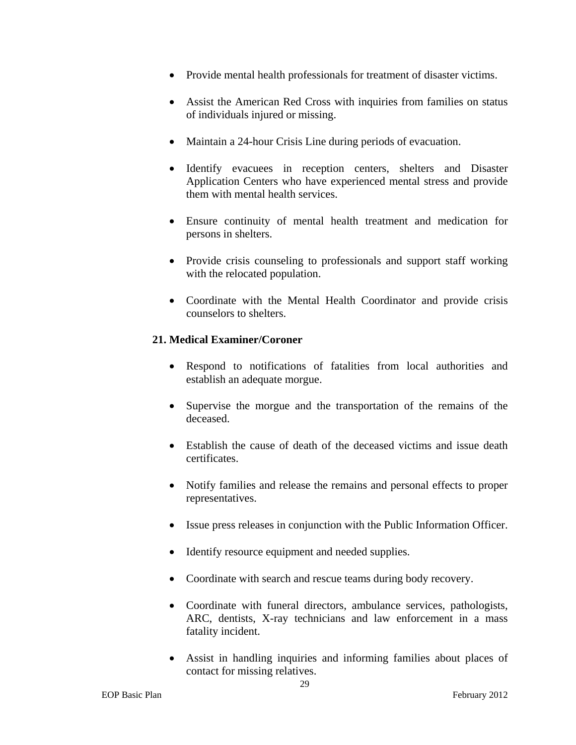- Provide mental health professionals for treatment of disaster victims.
- Assist the American Red Cross with inquiries from families on status of individuals injured or missing.
- Maintain a 24-hour Crisis Line during periods of evacuation.
- Identify evacuees in reception centers, shelters and Disaster Application Centers who have experienced mental stress and provide them with mental health services.
- Ensure continuity of mental health treatment and medication for persons in shelters.
- Provide crisis counseling to professionals and support staff working with the relocated population.
- Coordinate with the Mental Health Coordinator and provide crisis counselors to shelters.

### **21. Medical Examiner/Coroner**

- Respond to notifications of fatalities from local authorities and establish an adequate morgue.
- Supervise the morgue and the transportation of the remains of the deceased.
- Establish the cause of death of the deceased victims and issue death certificates.
- Notify families and release the remains and personal effects to proper representatives.
- Issue press releases in conjunction with the Public Information Officer.
- Identify resource equipment and needed supplies.
- Coordinate with search and rescue teams during body recovery.
- Coordinate with funeral directors, ambulance services, pathologists, ARC, dentists, X-ray technicians and law enforcement in a mass fatality incident.
- Assist in handling inquiries and informing families about places of contact for missing relatives.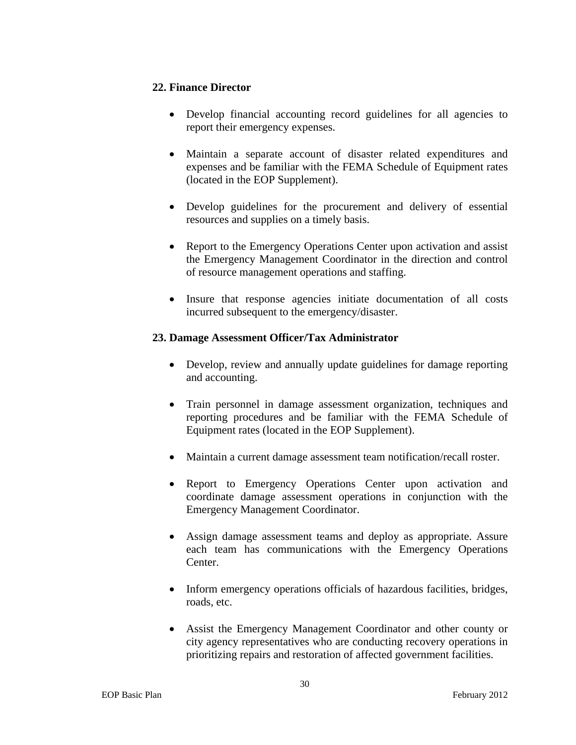### **22. Finance Director**

- Develop financial accounting record guidelines for all agencies to report their emergency expenses.
- Maintain a separate account of disaster related expenditures and expenses and be familiar with the FEMA Schedule of Equipment rates (located in the EOP Supplement).
- Develop guidelines for the procurement and delivery of essential resources and supplies on a timely basis.
- Report to the Emergency Operations Center upon activation and assist the Emergency Management Coordinator in the direction and control of resource management operations and staffing.
- Insure that response agencies initiate documentation of all costs incurred subsequent to the emergency/disaster.

### **23. Damage Assessment Officer/Tax Administrator**

- Develop, review and annually update guidelines for damage reporting and accounting.
- Train personnel in damage assessment organization, techniques and reporting procedures and be familiar with the FEMA Schedule of Equipment rates (located in the EOP Supplement).
- Maintain a current damage assessment team notification/recall roster.
- Report to Emergency Operations Center upon activation and coordinate damage assessment operations in conjunction with the Emergency Management Coordinator.
- Assign damage assessment teams and deploy as appropriate. Assure each team has communications with the Emergency Operations Center.
- Inform emergency operations officials of hazardous facilities, bridges, roads, etc.
- Assist the Emergency Management Coordinator and other county or city agency representatives who are conducting recovery operations in prioritizing repairs and restoration of affected government facilities.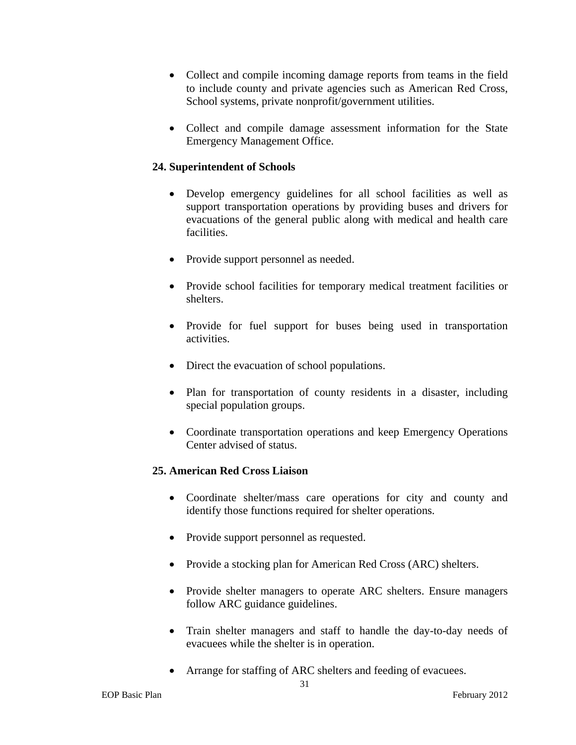- Collect and compile incoming damage reports from teams in the field to include county and private agencies such as American Red Cross, School systems, private nonprofit/government utilities.
- Collect and compile damage assessment information for the State Emergency Management Office.

### **24. Superintendent of Schools**

- Develop emergency guidelines for all school facilities as well as support transportation operations by providing buses and drivers for evacuations of the general public along with medical and health care facilities.
- Provide support personnel as needed.
- Provide school facilities for temporary medical treatment facilities or shelters.
- Provide for fuel support for buses being used in transportation activities.
- Direct the evacuation of school populations.
- Plan for transportation of county residents in a disaster, including special population groups.
- Coordinate transportation operations and keep Emergency Operations Center advised of status.

### **25. American Red Cross Liaison**

- Coordinate shelter/mass care operations for city and county and identify those functions required for shelter operations.
- Provide support personnel as requested.
- Provide a stocking plan for American Red Cross (ARC) shelters.
- Provide shelter managers to operate ARC shelters. Ensure managers follow ARC guidance guidelines.
- Train shelter managers and staff to handle the day-to-day needs of evacuees while the shelter is in operation.
- Arrange for staffing of ARC shelters and feeding of evacuees.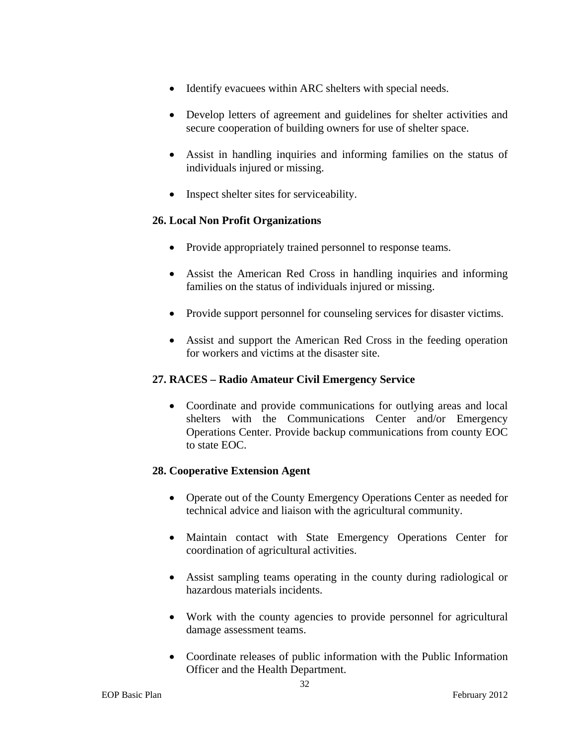- Identify evacuees within ARC shelters with special needs.
- Develop letters of agreement and guidelines for shelter activities and secure cooperation of building owners for use of shelter space.
- Assist in handling inquiries and informing families on the status of individuals injured or missing.
- Inspect shelter sites for serviceability.

### **26. Local Non Profit Organizations**

- Provide appropriately trained personnel to response teams.
- Assist the American Red Cross in handling inquiries and informing families on the status of individuals injured or missing.
- Provide support personnel for counseling services for disaster victims.
- Assist and support the American Red Cross in the feeding operation for workers and victims at the disaster site.

### **27. RACES – Radio Amateur Civil Emergency Service**

 Coordinate and provide communications for outlying areas and local shelters with the Communications Center and/or Emergency Operations Center. Provide backup communications from county EOC to state EOC.

### **28. Cooperative Extension Agent**

- Operate out of the County Emergency Operations Center as needed for technical advice and liaison with the agricultural community.
- Maintain contact with State Emergency Operations Center for coordination of agricultural activities.
- Assist sampling teams operating in the county during radiological or hazardous materials incidents.
- Work with the county agencies to provide personnel for agricultural damage assessment teams.
- Coordinate releases of public information with the Public Information Officer and the Health Department.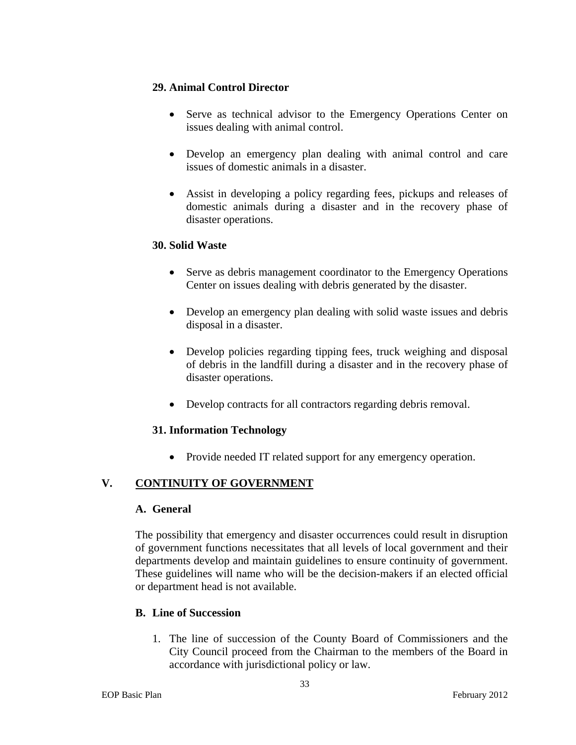### **29. Animal Control Director**

- Serve as technical advisor to the Emergency Operations Center on issues dealing with animal control.
- Develop an emergency plan dealing with animal control and care issues of domestic animals in a disaster.
- Assist in developing a policy regarding fees, pickups and releases of domestic animals during a disaster and in the recovery phase of disaster operations.

### **30. Solid Waste**

- Serve as debris management coordinator to the Emergency Operations Center on issues dealing with debris generated by the disaster.
- Develop an emergency plan dealing with solid waste issues and debris disposal in a disaster.
- Develop policies regarding tipping fees, truck weighing and disposal of debris in the landfill during a disaster and in the recovery phase of disaster operations.
- Develop contracts for all contractors regarding debris removal.

### **31. Information Technology**

• Provide needed IT related support for any emergency operation.

## **V. CONTINUITY OF GOVERNMENT**

#### **A. General**

The possibility that emergency and disaster occurrences could result in disruption of government functions necessitates that all levels of local government and their departments develop and maintain guidelines to ensure continuity of government. These guidelines will name who will be the decision-makers if an elected official or department head is not available.

### **B. Line of Succession**

1. The line of succession of the County Board of Commissioners and the City Council proceed from the Chairman to the members of the Board in accordance with jurisdictional policy or law.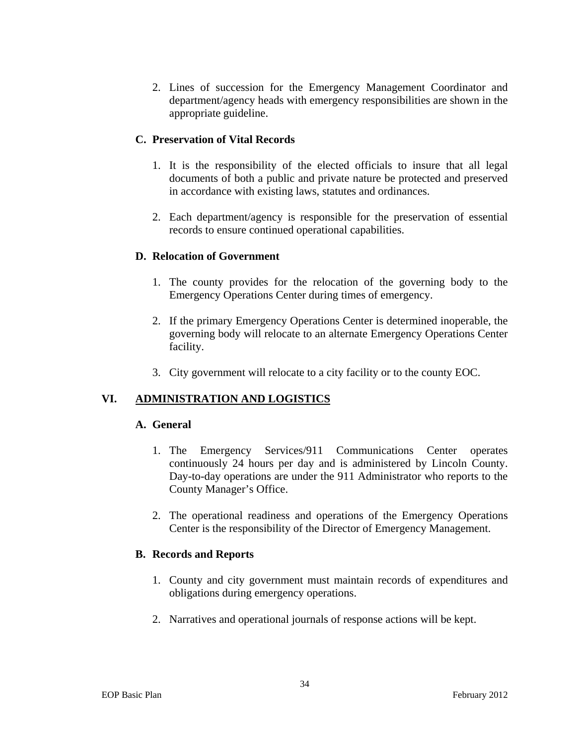2. Lines of succession for the Emergency Management Coordinator and department/agency heads with emergency responsibilities are shown in the appropriate guideline.

### **C. Preservation of Vital Records**

- 1. It is the responsibility of the elected officials to insure that all legal documents of both a public and private nature be protected and preserved in accordance with existing laws, statutes and ordinances.
- 2. Each department/agency is responsible for the preservation of essential records to ensure continued operational capabilities.

### **D. Relocation of Government**

- 1. The county provides for the relocation of the governing body to the Emergency Operations Center during times of emergency.
- 2. If the primary Emergency Operations Center is determined inoperable, the governing body will relocate to an alternate Emergency Operations Center facility.
- 3. City government will relocate to a city facility or to the county EOC.

## **VI. ADMINISTRATION AND LOGISTICS**

#### **A. General**

- 1. The Emergency Services/911 Communications Center operates continuously 24 hours per day and is administered by Lincoln County. Day-to-day operations are under the 911 Administrator who reports to the County Manager's Office.
- 2. The operational readiness and operations of the Emergency Operations Center is the responsibility of the Director of Emergency Management.

#### **B. Records and Reports**

- 1. County and city government must maintain records of expenditures and obligations during emergency operations.
- 2. Narratives and operational journals of response actions will be kept.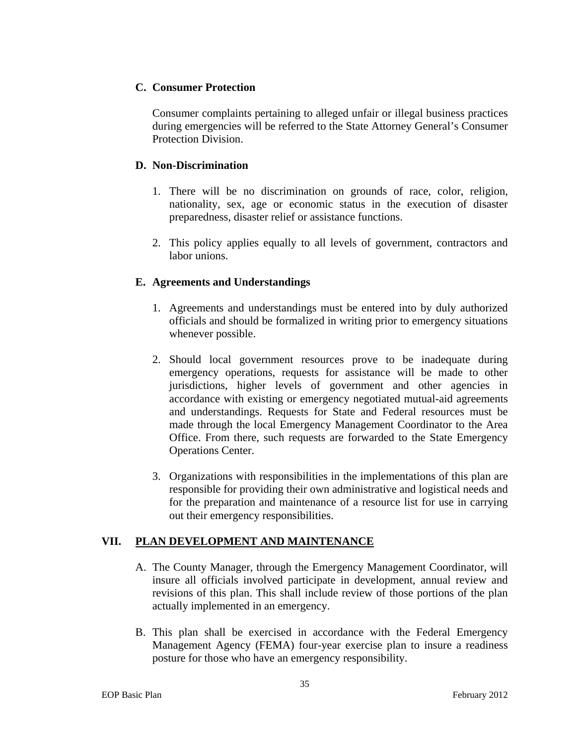### **C. Consumer Protection**

Consumer complaints pertaining to alleged unfair or illegal business practices during emergencies will be referred to the State Attorney General's Consumer Protection Division.

### **D. Non-Discrimination**

- 1. There will be no discrimination on grounds of race, color, religion, nationality, sex, age or economic status in the execution of disaster preparedness, disaster relief or assistance functions.
- 2. This policy applies equally to all levels of government, contractors and labor unions.

### **E. Agreements and Understandings**

- 1. Agreements and understandings must be entered into by duly authorized officials and should be formalized in writing prior to emergency situations whenever possible.
- 2. Should local government resources prove to be inadequate during emergency operations, requests for assistance will be made to other jurisdictions, higher levels of government and other agencies in accordance with existing or emergency negotiated mutual-aid agreements and understandings. Requests for State and Federal resources must be made through the local Emergency Management Coordinator to the Area Office. From there, such requests are forwarded to the State Emergency Operations Center.
- 3. Organizations with responsibilities in the implementations of this plan are responsible for providing their own administrative and logistical needs and for the preparation and maintenance of a resource list for use in carrying out their emergency responsibilities.

## **VII. PLAN DEVELOPMENT AND MAINTENANCE**

- A. The County Manager, through the Emergency Management Coordinator, will insure all officials involved participate in development, annual review and revisions of this plan. This shall include review of those portions of the plan actually implemented in an emergency.
- B. This plan shall be exercised in accordance with the Federal Emergency Management Agency (FEMA) four-year exercise plan to insure a readiness posture for those who have an emergency responsibility.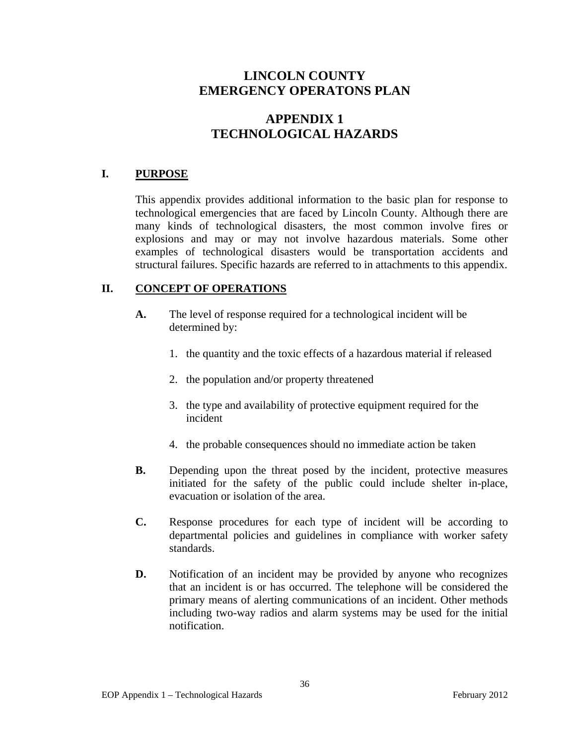# **APPENDIX 1 TECHNOLOGICAL HAZARDS**

### **I. PURPOSE**

This appendix provides additional information to the basic plan for response to technological emergencies that are faced by Lincoln County. Although there are many kinds of technological disasters, the most common involve fires or explosions and may or may not involve hazardous materials. Some other examples of technological disasters would be transportation accidents and structural failures. Specific hazards are referred to in attachments to this appendix.

### **II. CONCEPT OF OPERATIONS**

- **A.** The level of response required for a technological incident will be determined by:
	- 1. the quantity and the toxic effects of a hazardous material if released
	- 2. the population and/or property threatened
	- 3. the type and availability of protective equipment required for the incident
	- 4. the probable consequences should no immediate action be taken
- **B.** Depending upon the threat posed by the incident, protective measures initiated for the safety of the public could include shelter in-place, evacuation or isolation of the area.
- **C.** Response procedures for each type of incident will be according to departmental policies and guidelines in compliance with worker safety standards.
- **D.** Notification of an incident may be provided by anyone who recognizes that an incident is or has occurred. The telephone will be considered the primary means of alerting communications of an incident. Other methods including two-way radios and alarm systems may be used for the initial notification.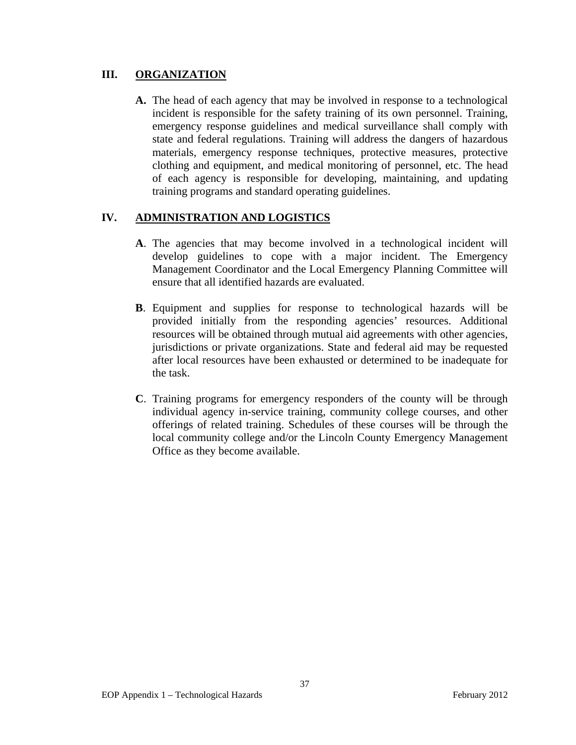### **III. ORGANIZATION**

**A.** The head of each agency that may be involved in response to a technological incident is responsible for the safety training of its own personnel. Training, emergency response guidelines and medical surveillance shall comply with state and federal regulations. Training will address the dangers of hazardous materials, emergency response techniques, protective measures, protective clothing and equipment, and medical monitoring of personnel, etc. The head of each agency is responsible for developing, maintaining, and updating training programs and standard operating guidelines.

### **IV. ADMINISTRATION AND LOGISTICS**

- **A**. The agencies that may become involved in a technological incident will develop guidelines to cope with a major incident. The Emergency Management Coordinator and the Local Emergency Planning Committee will ensure that all identified hazards are evaluated.
- **B**. Equipment and supplies for response to technological hazards will be provided initially from the responding agencies' resources. Additional resources will be obtained through mutual aid agreements with other agencies, jurisdictions or private organizations. State and federal aid may be requested after local resources have been exhausted or determined to be inadequate for the task.
- **C**. Training programs for emergency responders of the county will be through individual agency in-service training, community college courses, and other offerings of related training. Schedules of these courses will be through the local community college and/or the Lincoln County Emergency Management Office as they become available.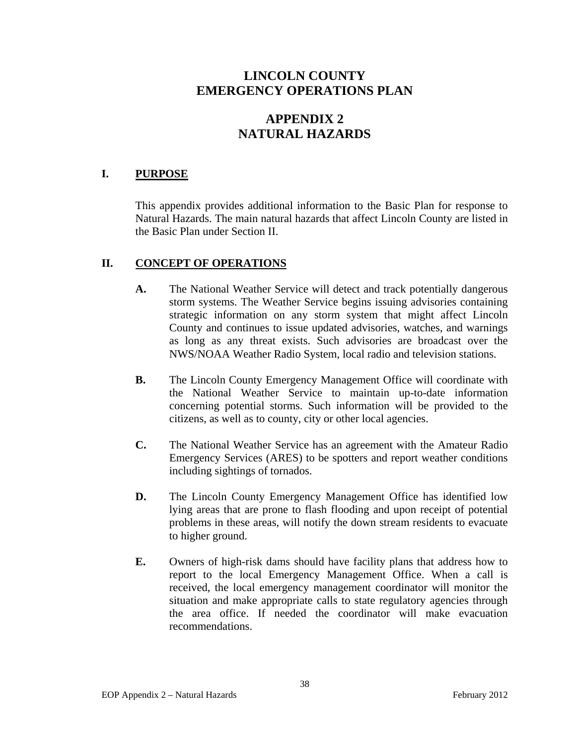# **APPENDIX 2 NATURAL HAZARDS**

### **I. PURPOSE**

This appendix provides additional information to the Basic Plan for response to Natural Hazards. The main natural hazards that affect Lincoln County are listed in the Basic Plan under Section II.

### **II. CONCEPT OF OPERATIONS**

- **A.** The National Weather Service will detect and track potentially dangerous storm systems. The Weather Service begins issuing advisories containing strategic information on any storm system that might affect Lincoln County and continues to issue updated advisories, watches, and warnings as long as any threat exists. Such advisories are broadcast over the NWS/NOAA Weather Radio System, local radio and television stations.
- **B.** The Lincoln County Emergency Management Office will coordinate with the National Weather Service to maintain up-to-date information concerning potential storms. Such information will be provided to the citizens, as well as to county, city or other local agencies.
- **C.** The National Weather Service has an agreement with the Amateur Radio Emergency Services (ARES) to be spotters and report weather conditions including sightings of tornados.
- **D.** The Lincoln County Emergency Management Office has identified low lying areas that are prone to flash flooding and upon receipt of potential problems in these areas, will notify the down stream residents to evacuate to higher ground.
- **E.** Owners of high-risk dams should have facility plans that address how to report to the local Emergency Management Office. When a call is received, the local emergency management coordinator will monitor the situation and make appropriate calls to state regulatory agencies through the area office. If needed the coordinator will make evacuation recommendations.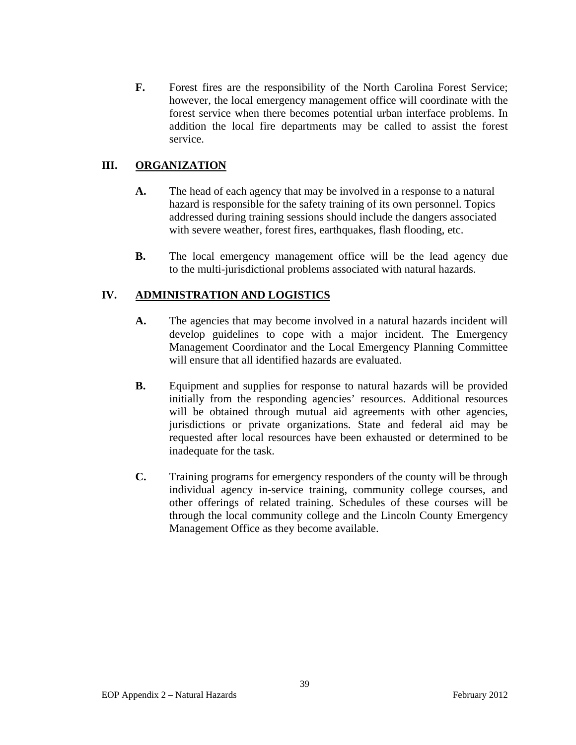**F.** Forest fires are the responsibility of the North Carolina Forest Service; however, the local emergency management office will coordinate with the forest service when there becomes potential urban interface problems. In addition the local fire departments may be called to assist the forest service.

### III. ORGANIZATION

- **A.** The head of each agency that may be involved in a response to a natural hazard is responsible for the safety training of its own personnel. Topics addressed during training sessions should include the dangers associated with severe weather, forest fires, earthquakes, flash flooding, etc.
- **B.** The local emergency management office will be the lead agency due to the multi-jurisdictional problems associated with natural hazards.

### **IV. ADMINISTRATION AND LOGISTICS**

- **A.** The agencies that may become involved in a natural hazards incident will develop guidelines to cope with a major incident. The Emergency Management Coordinator and the Local Emergency Planning Committee will ensure that all identified hazards are evaluated.
- **B.** Equipment and supplies for response to natural hazards will be provided initially from the responding agencies' resources. Additional resources will be obtained through mutual aid agreements with other agencies, jurisdictions or private organizations. State and federal aid may be requested after local resources have been exhausted or determined to be inadequate for the task.
- **C.** Training programs for emergency responders of the county will be through individual agency in-service training, community college courses, and other offerings of related training. Schedules of these courses will be through the local community college and the Lincoln County Emergency Management Office as they become available.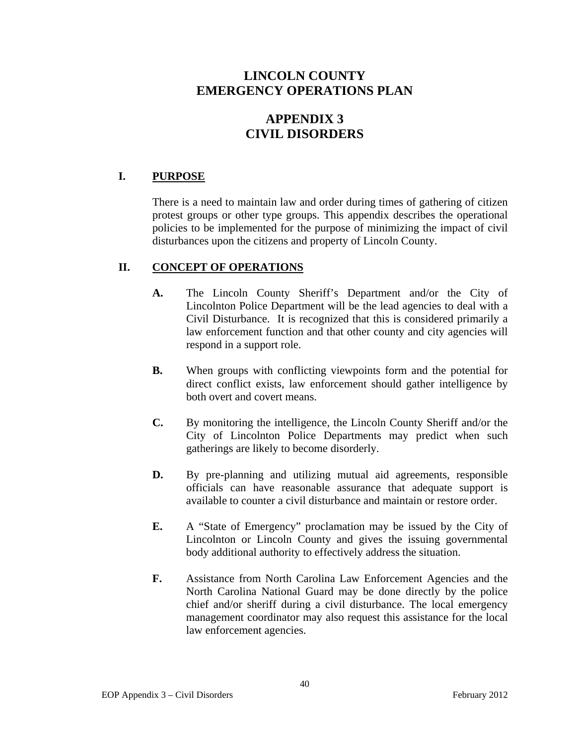# **APPENDIX 3 CIVIL DISORDERS**

## **I. PURPOSE**

There is a need to maintain law and order during times of gathering of citizen protest groups or other type groups. This appendix describes the operational policies to be implemented for the purpose of minimizing the impact of civil disturbances upon the citizens and property of Lincoln County.

### **II. CONCEPT OF OPERATIONS**

- **A.** The Lincoln County Sheriff's Department and/or the City of Lincolnton Police Department will be the lead agencies to deal with a Civil Disturbance. It is recognized that this is considered primarily a law enforcement function and that other county and city agencies will respond in a support role.
- **B.** When groups with conflicting viewpoints form and the potential for direct conflict exists, law enforcement should gather intelligence by both overt and covert means.
- **C.** By monitoring the intelligence, the Lincoln County Sheriff and/or the City of Lincolnton Police Departments may predict when such gatherings are likely to become disorderly.
- **D.** By pre-planning and utilizing mutual aid agreements, responsible officials can have reasonable assurance that adequate support is available to counter a civil disturbance and maintain or restore order.
- **E.** A "State of Emergency" proclamation may be issued by the City of Lincolnton or Lincoln County and gives the issuing governmental body additional authority to effectively address the situation.
- **F.** Assistance from North Carolina Law Enforcement Agencies and the North Carolina National Guard may be done directly by the police chief and/or sheriff during a civil disturbance. The local emergency management coordinator may also request this assistance for the local law enforcement agencies.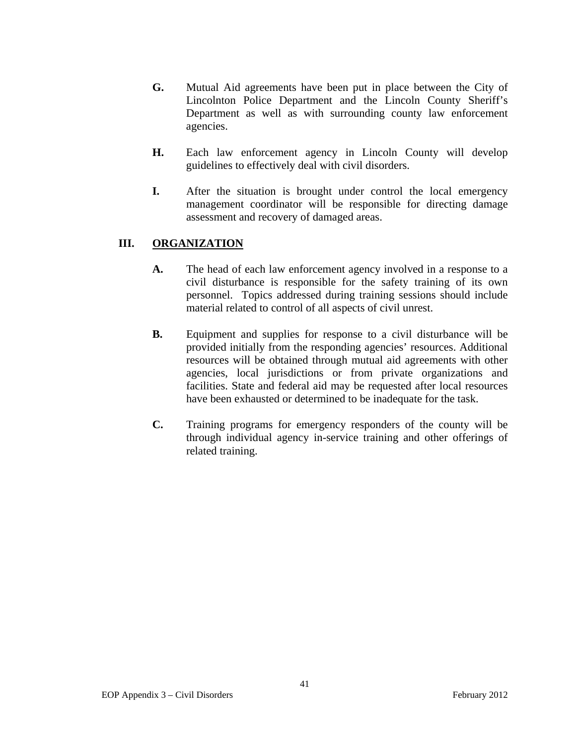- **G.** Mutual Aid agreements have been put in place between the City of Lincolnton Police Department and the Lincoln County Sheriff's Department as well as with surrounding county law enforcement agencies.
- **H.** Each law enforcement agency in Lincoln County will develop guidelines to effectively deal with civil disorders.
- **I.** After the situation is brought under control the local emergency management coordinator will be responsible for directing damage assessment and recovery of damaged areas.

## **III. ORGANIZATION**

- **A.** The head of each law enforcement agency involved in a response to a civil disturbance is responsible for the safety training of its own personnel. Topics addressed during training sessions should include material related to control of all aspects of civil unrest.
- **B.** Equipment and supplies for response to a civil disturbance will be provided initially from the responding agencies' resources. Additional resources will be obtained through mutual aid agreements with other agencies, local jurisdictions or from private organizations and facilities. State and federal aid may be requested after local resources have been exhausted or determined to be inadequate for the task.
- **C.** Training programs for emergency responders of the county will be through individual agency in-service training and other offerings of related training.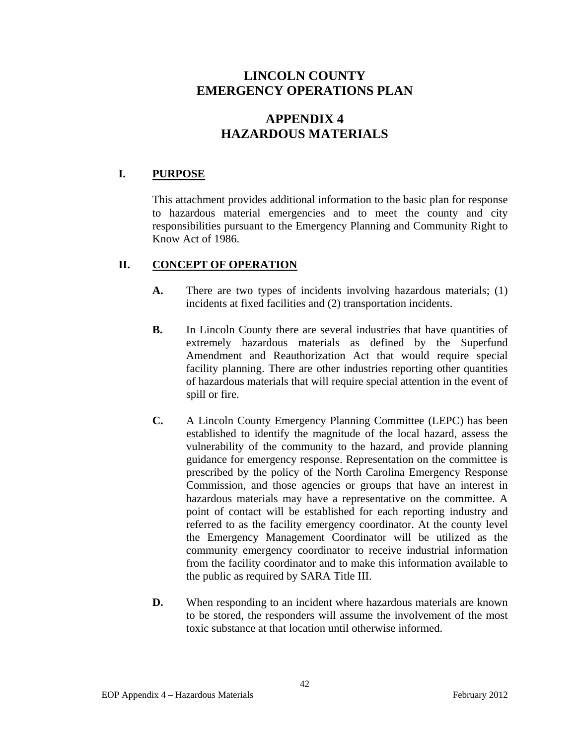# **APPENDIX 4 HAZARDOUS MATERIALS**

### **I. PURPOSE**

This attachment provides additional information to the basic plan for response to hazardous material emergencies and to meet the county and city responsibilities pursuant to the Emergency Planning and Community Right to Know Act of 1986.

### **II. CONCEPT OF OPERATION**

- **A.** There are two types of incidents involving hazardous materials; (1) incidents at fixed facilities and (2) transportation incidents.
- **B.** In Lincoln County there are several industries that have quantities of extremely hazardous materials as defined by the Superfund Amendment and Reauthorization Act that would require special facility planning. There are other industries reporting other quantities of hazardous materials that will require special attention in the event of spill or fire.
- **C.** A Lincoln County Emergency Planning Committee (LEPC) has been established to identify the magnitude of the local hazard, assess the vulnerability of the community to the hazard, and provide planning guidance for emergency response. Representation on the committee is prescribed by the policy of the North Carolina Emergency Response Commission, and those agencies or groups that have an interest in hazardous materials may have a representative on the committee. A point of contact will be established for each reporting industry and referred to as the facility emergency coordinator. At the county level the Emergency Management Coordinator will be utilized as the community emergency coordinator to receive industrial information from the facility coordinator and to make this information available to the public as required by SARA Title III.
- **D.** When responding to an incident where hazardous materials are known to be stored, the responders will assume the involvement of the most toxic substance at that location until otherwise informed.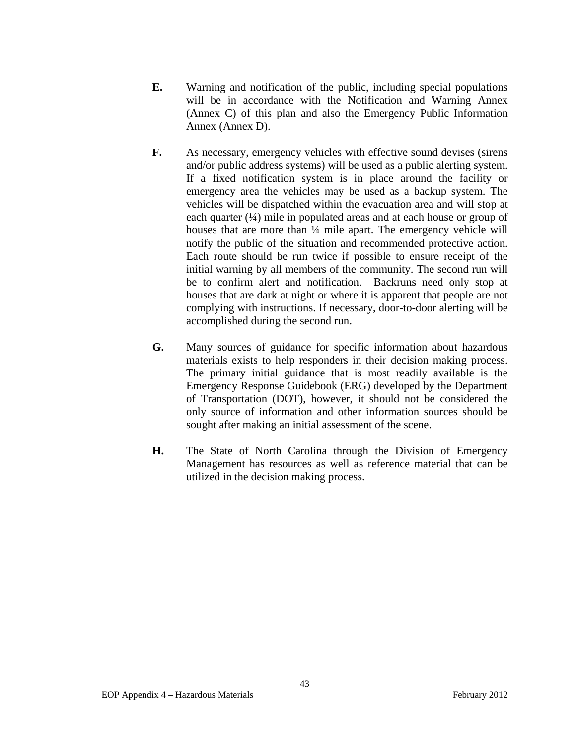- **E.** Warning and notification of the public, including special populations will be in accordance with the Notification and Warning Annex (Annex C) of this plan and also the Emergency Public Information Annex (Annex D).
- **F.** As necessary, emergency vehicles with effective sound devises (sirens and/or public address systems) will be used as a public alerting system. If a fixed notification system is in place around the facility or emergency area the vehicles may be used as a backup system. The vehicles will be dispatched within the evacuation area and will stop at each quarter (¼) mile in populated areas and at each house or group of houses that are more than  $\frac{1}{4}$  mile apart. The emergency vehicle will notify the public of the situation and recommended protective action. Each route should be run twice if possible to ensure receipt of the initial warning by all members of the community. The second run will be to confirm alert and notification. Backruns need only stop at houses that are dark at night or where it is apparent that people are not complying with instructions. If necessary, door-to-door alerting will be accomplished during the second run.
- **G.** Many sources of guidance for specific information about hazardous materials exists to help responders in their decision making process. The primary initial guidance that is most readily available is the Emergency Response Guidebook (ERG) developed by the Department of Transportation (DOT), however, it should not be considered the only source of information and other information sources should be sought after making an initial assessment of the scene.
- **H.** The State of North Carolina through the Division of Emergency Management has resources as well as reference material that can be utilized in the decision making process.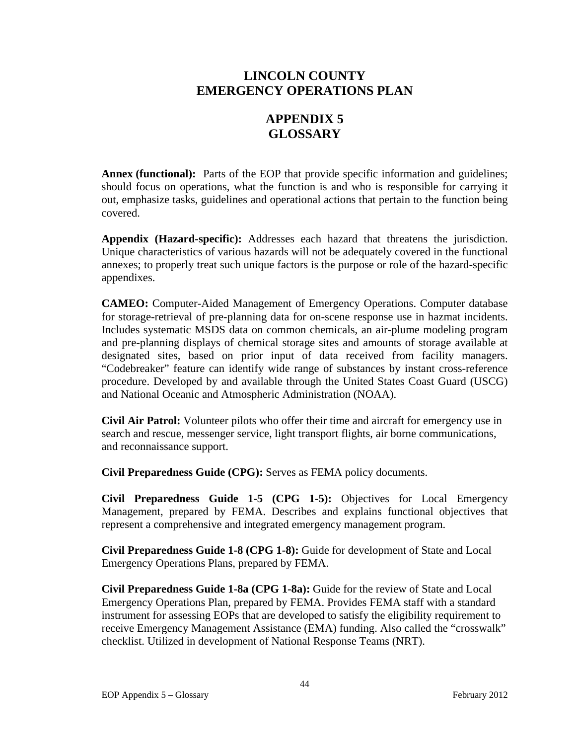# **APPENDIX 5 GLOSSARY**

**Annex (functional):** Parts of the EOP that provide specific information and guidelines; should focus on operations, what the function is and who is responsible for carrying it out, emphasize tasks, guidelines and operational actions that pertain to the function being covered.

**Appendix (Hazard-specific):** Addresses each hazard that threatens the jurisdiction. Unique characteristics of various hazards will not be adequately covered in the functional annexes; to properly treat such unique factors is the purpose or role of the hazard-specific appendixes.

**CAMEO:** Computer-Aided Management of Emergency Operations. Computer database for storage-retrieval of pre-planning data for on-scene response use in hazmat incidents. Includes systematic MSDS data on common chemicals, an air-plume modeling program and pre-planning displays of chemical storage sites and amounts of storage available at designated sites, based on prior input of data received from facility managers. "Codebreaker" feature can identify wide range of substances by instant cross-reference procedure. Developed by and available through the United States Coast Guard (USCG) and National Oceanic and Atmospheric Administration (NOAA).

**Civil Air Patrol:** Volunteer pilots who offer their time and aircraft for emergency use in search and rescue, messenger service, light transport flights, air borne communications, and reconnaissance support.

**Civil Preparedness Guide (CPG):** Serves as FEMA policy documents.

**Civil Preparedness Guide 1-5 (CPG 1-5):** Objectives for Local Emergency Management, prepared by FEMA. Describes and explains functional objectives that represent a comprehensive and integrated emergency management program.

**Civil Preparedness Guide 1-8 (CPG 1-8):** Guide for development of State and Local Emergency Operations Plans, prepared by FEMA.

**Civil Preparedness Guide 1-8a (CPG 1-8a):** Guide for the review of State and Local Emergency Operations Plan, prepared by FEMA. Provides FEMA staff with a standard instrument for assessing EOPs that are developed to satisfy the eligibility requirement to receive Emergency Management Assistance (EMA) funding. Also called the "crosswalk" checklist. Utilized in development of National Response Teams (NRT).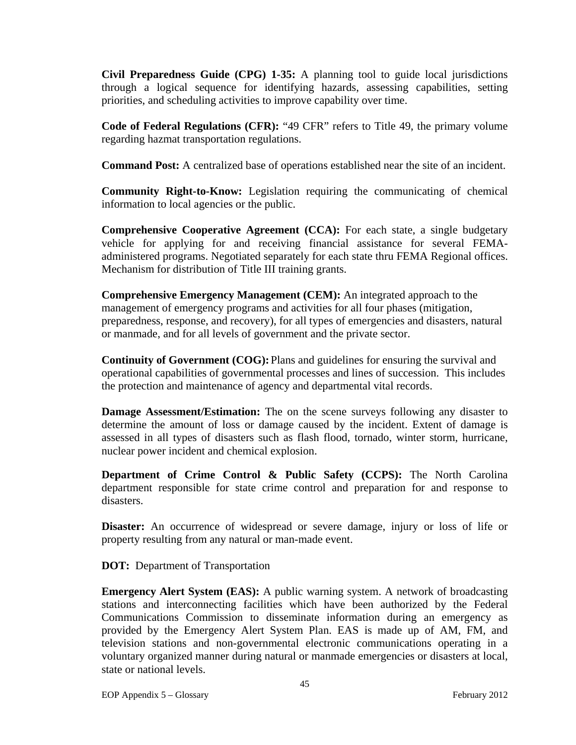**Civil Preparedness Guide (CPG) 1-35:** A planning tool to guide local jurisdictions through a logical sequence for identifying hazards, assessing capabilities, setting priorities, and scheduling activities to improve capability over time.

**Code of Federal Regulations (CFR):** "49 CFR" refers to Title 49, the primary volume regarding hazmat transportation regulations.

**Command Post:** A centralized base of operations established near the site of an incident.

**Community Right-to-Know:** Legislation requiring the communicating of chemical information to local agencies or the public.

**Comprehensive Cooperative Agreement (CCA):** For each state, a single budgetary vehicle for applying for and receiving financial assistance for several FEMAadministered programs. Negotiated separately for each state thru FEMA Regional offices. Mechanism for distribution of Title III training grants.

**Comprehensive Emergency Management (CEM):** An integrated approach to the management of emergency programs and activities for all four phases (mitigation, preparedness, response, and recovery), for all types of emergencies and disasters, natural or manmade, and for all levels of government and the private sector.

**Continuity of Government (COG):** Plans and guidelines for ensuring the survival and operational capabilities of governmental processes and lines of succession. This includes the protection and maintenance of agency and departmental vital records.

**Damage Assessment/Estimation:** The on the scene surveys following any disaster to determine the amount of loss or damage caused by the incident. Extent of damage is assessed in all types of disasters such as flash flood, tornado, winter storm, hurricane, nuclear power incident and chemical explosion.

**Department of Crime Control & Public Safety (CCPS):** The North Carolina department responsible for state crime control and preparation for and response to disasters.

**Disaster:** An occurrence of widespread or severe damage, injury or loss of life or property resulting from any natural or man-made event.

**DOT:** Department of Transportation

**Emergency Alert System (EAS):** A public warning system. A network of broadcasting stations and interconnecting facilities which have been authorized by the Federal Communications Commission to disseminate information during an emergency as provided by the Emergency Alert System Plan. EAS is made up of AM, FM, and television stations and non-governmental electronic communications operating in a voluntary organized manner during natural or manmade emergencies or disasters at local, state or national levels.

EOP Appendix 5 – Glossary February 2012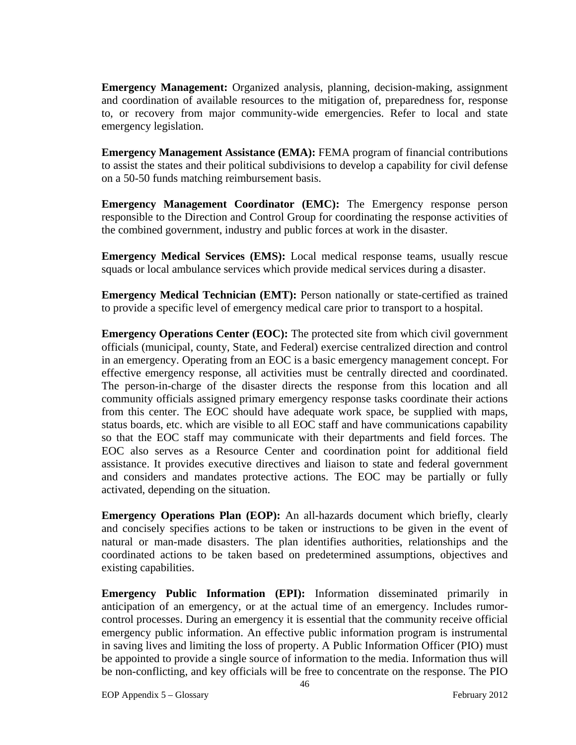**Emergency Management:** Organized analysis, planning, decision-making, assignment and coordination of available resources to the mitigation of, preparedness for, response to, or recovery from major community-wide emergencies. Refer to local and state emergency legislation.

**Emergency Management Assistance (EMA):** FEMA program of financial contributions to assist the states and their political subdivisions to develop a capability for civil defense on a 50-50 funds matching reimbursement basis.

**Emergency Management Coordinator (EMC):** The Emergency response person responsible to the Direction and Control Group for coordinating the response activities of the combined government, industry and public forces at work in the disaster.

**Emergency Medical Services (EMS):** Local medical response teams, usually rescue squads or local ambulance services which provide medical services during a disaster.

**Emergency Medical Technician (EMT):** Person nationally or state-certified as trained to provide a specific level of emergency medical care prior to transport to a hospital.

**Emergency Operations Center (EOC):** The protected site from which civil government officials (municipal, county, State, and Federal) exercise centralized direction and control in an emergency. Operating from an EOC is a basic emergency management concept. For effective emergency response, all activities must be centrally directed and coordinated. The person-in-charge of the disaster directs the response from this location and all community officials assigned primary emergency response tasks coordinate their actions from this center. The EOC should have adequate work space, be supplied with maps, status boards, etc. which are visible to all EOC staff and have communications capability so that the EOC staff may communicate with their departments and field forces. The EOC also serves as a Resource Center and coordination point for additional field assistance. It provides executive directives and liaison to state and federal government and considers and mandates protective actions. The EOC may be partially or fully activated, depending on the situation.

**Emergency Operations Plan (EOP):** An all-hazards document which briefly, clearly and concisely specifies actions to be taken or instructions to be given in the event of natural or man-made disasters. The plan identifies authorities, relationships and the coordinated actions to be taken based on predetermined assumptions, objectives and existing capabilities.

**Emergency Public Information (EPI):** Information disseminated primarily in anticipation of an emergency, or at the actual time of an emergency. Includes rumorcontrol processes. During an emergency it is essential that the community receive official emergency public information. An effective public information program is instrumental in saving lives and limiting the loss of property. A Public Information Officer (PIO) must be appointed to provide a single source of information to the media. Information thus will be non-conflicting, and key officials will be free to concentrate on the response. The PIO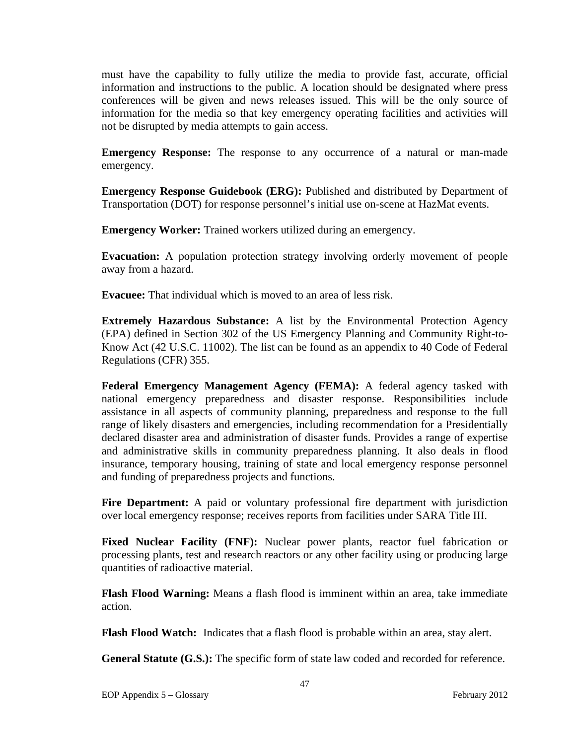must have the capability to fully utilize the media to provide fast, accurate, official information and instructions to the public. A location should be designated where press conferences will be given and news releases issued. This will be the only source of information for the media so that key emergency operating facilities and activities will not be disrupted by media attempts to gain access.

**Emergency Response:** The response to any occurrence of a natural or man-made emergency.

**Emergency Response Guidebook (ERG):** Published and distributed by Department of Transportation (DOT) for response personnel's initial use on-scene at HazMat events.

**Emergency Worker:** Trained workers utilized during an emergency.

**Evacuation:** A population protection strategy involving orderly movement of people away from a hazard.

**Evacuee:** That individual which is moved to an area of less risk.

**Extremely Hazardous Substance:** A list by the Environmental Protection Agency (EPA) defined in Section 302 of the US Emergency Planning and Community Right-to-Know Act (42 U.S.C. 11002). The list can be found as an appendix to 40 Code of Federal Regulations (CFR) 355.

**Federal Emergency Management Agency (FEMA):** A federal agency tasked with national emergency preparedness and disaster response. Responsibilities include assistance in all aspects of community planning, preparedness and response to the full range of likely disasters and emergencies, including recommendation for a Presidentially declared disaster area and administration of disaster funds. Provides a range of expertise and administrative skills in community preparedness planning. It also deals in flood insurance, temporary housing, training of state and local emergency response personnel and funding of preparedness projects and functions.

**Fire Department:** A paid or voluntary professional fire department with jurisdiction over local emergency response; receives reports from facilities under SARA Title III.

Fixed Nuclear Facility (FNF): Nuclear power plants, reactor fuel fabrication or processing plants, test and research reactors or any other facility using or producing large quantities of radioactive material.

**Flash Flood Warning:** Means a flash flood is imminent within an area, take immediate action.

**Flash Flood Watch:** Indicates that a flash flood is probable within an area, stay alert.

**General Statute (G.S.):** The specific form of state law coded and recorded for reference.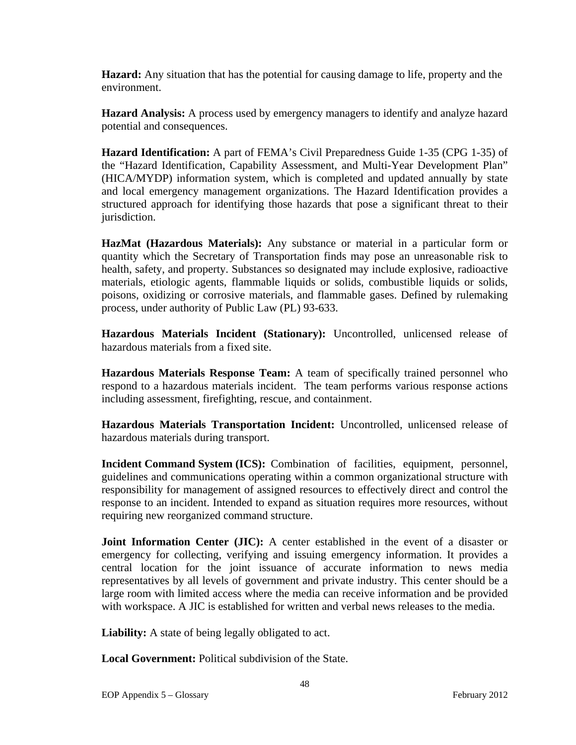**Hazard:** Any situation that has the potential for causing damage to life, property and the environment.

**Hazard Analysis:** A process used by emergency managers to identify and analyze hazard potential and consequences.

**Hazard Identification:** A part of FEMA's Civil Preparedness Guide 1-35 (CPG 1-35) of the "Hazard Identification, Capability Assessment, and Multi-Year Development Plan" (HICA/MYDP) information system, which is completed and updated annually by state and local emergency management organizations. The Hazard Identification provides a structured approach for identifying those hazards that pose a significant threat to their jurisdiction.

**HazMat (Hazardous Materials):** Any substance or material in a particular form or quantity which the Secretary of Transportation finds may pose an unreasonable risk to health, safety, and property. Substances so designated may include explosive, radioactive materials, etiologic agents, flammable liquids or solids, combustible liquids or solids, poisons, oxidizing or corrosive materials, and flammable gases. Defined by rulemaking process, under authority of Public Law (PL) 93-633.

**Hazardous Materials Incident (Stationary):** Uncontrolled, unlicensed release of hazardous materials from a fixed site.

**Hazardous Materials Response Team:** A team of specifically trained personnel who respond to a hazardous materials incident. The team performs various response actions including assessment, firefighting, rescue, and containment.

**Hazardous Materials Transportation Incident:** Uncontrolled, unlicensed release of hazardous materials during transport.

**Incident Command System (ICS):** Combination of facilities, equipment, personnel, guidelines and communications operating within a common organizational structure with responsibility for management of assigned resources to effectively direct and control the response to an incident. Intended to expand as situation requires more resources, without requiring new reorganized command structure.

**Joint Information Center (JIC):** A center established in the event of a disaster or emergency for collecting, verifying and issuing emergency information. It provides a central location for the joint issuance of accurate information to news media representatives by all levels of government and private industry. This center should be a large room with limited access where the media can receive information and be provided with workspace. A JIC is established for written and verbal news releases to the media.

**Liability:** A state of being legally obligated to act.

**Local Government:** Political subdivision of the State.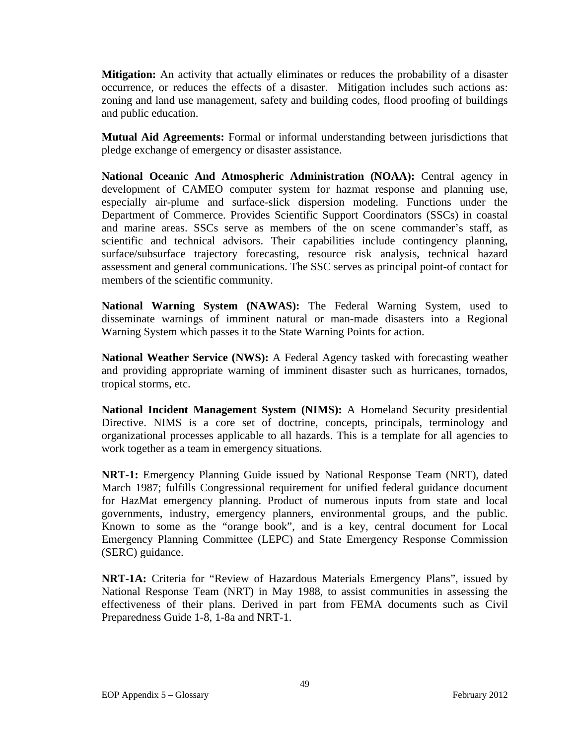**Mitigation:** An activity that actually eliminates or reduces the probability of a disaster occurrence, or reduces the effects of a disaster. Mitigation includes such actions as: zoning and land use management, safety and building codes, flood proofing of buildings and public education.

**Mutual Aid Agreements:** Formal or informal understanding between jurisdictions that pledge exchange of emergency or disaster assistance.

**National Oceanic And Atmospheric Administration (NOAA):** Central agency in development of CAMEO computer system for hazmat response and planning use, especially air-plume and surface-slick dispersion modeling. Functions under the Department of Commerce. Provides Scientific Support Coordinators (SSCs) in coastal and marine areas. SSCs serve as members of the on scene commander's staff, as scientific and technical advisors. Their capabilities include contingency planning, surface/subsurface trajectory forecasting, resource risk analysis, technical hazard assessment and general communications. The SSC serves as principal point-of contact for members of the scientific community.

**National Warning System (NAWAS):** The Federal Warning System, used to disseminate warnings of imminent natural or man-made disasters into a Regional Warning System which passes it to the State Warning Points for action.

**National Weather Service (NWS):** A Federal Agency tasked with forecasting weather and providing appropriate warning of imminent disaster such as hurricanes, tornados, tropical storms, etc.

**National Incident Management System (NIMS):** A Homeland Security presidential Directive. NIMS is a core set of doctrine, concepts, principals, terminology and organizational processes applicable to all hazards. This is a template for all agencies to work together as a team in emergency situations.

**NRT-1:** Emergency Planning Guide issued by National Response Team (NRT), dated March 1987; fulfills Congressional requirement for unified federal guidance document for HazMat emergency planning. Product of numerous inputs from state and local governments, industry, emergency planners, environmental groups, and the public. Known to some as the "orange book", and is a key, central document for Local Emergency Planning Committee (LEPC) and State Emergency Response Commission (SERC) guidance.

**NRT-1A:** Criteria for "Review of Hazardous Materials Emergency Plans", issued by National Response Team (NRT) in May 1988, to assist communities in assessing the effectiveness of their plans. Derived in part from FEMA documents such as Civil Preparedness Guide 1-8, 1-8a and NRT-1.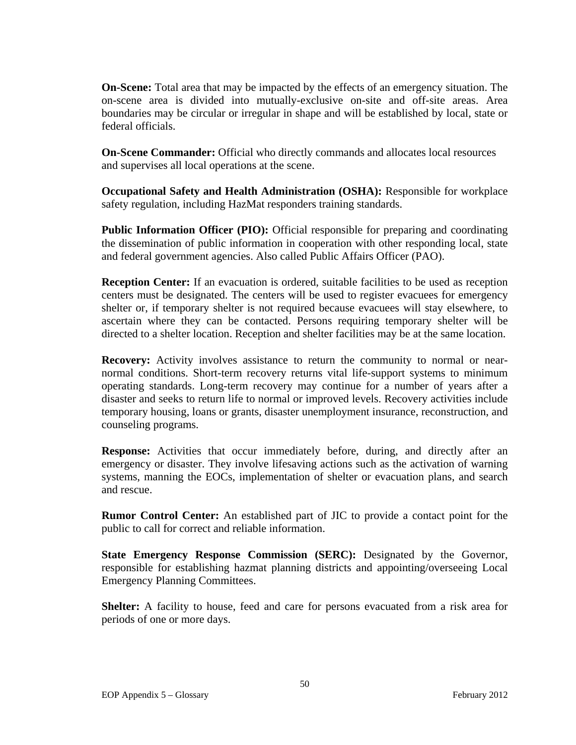**On-Scene:** Total area that may be impacted by the effects of an emergency situation. The on-scene area is divided into mutually-exclusive on-site and off-site areas. Area boundaries may be circular or irregular in shape and will be established by local, state or federal officials.

**On-Scene Commander:** Official who directly commands and allocates local resources and supervises all local operations at the scene.

**Occupational Safety and Health Administration (OSHA):** Responsible for workplace safety regulation, including HazMat responders training standards.

**Public Information Officer (PIO):** Official responsible for preparing and coordinating the dissemination of public information in cooperation with other responding local, state and federal government agencies. Also called Public Affairs Officer (PAO).

**Reception Center:** If an evacuation is ordered, suitable facilities to be used as reception centers must be designated. The centers will be used to register evacuees for emergency shelter or, if temporary shelter is not required because evacuees will stay elsewhere, to ascertain where they can be contacted. Persons requiring temporary shelter will be directed to a shelter location. Reception and shelter facilities may be at the same location.

**Recovery:** Activity involves assistance to return the community to normal or nearnormal conditions. Short-term recovery returns vital life-support systems to minimum operating standards. Long-term recovery may continue for a number of years after a disaster and seeks to return life to normal or improved levels. Recovery activities include temporary housing, loans or grants, disaster unemployment insurance, reconstruction, and counseling programs.

**Response:** Activities that occur immediately before, during, and directly after an emergency or disaster. They involve lifesaving actions such as the activation of warning systems, manning the EOCs, implementation of shelter or evacuation plans, and search and rescue.

**Rumor Control Center:** An established part of JIC to provide a contact point for the public to call for correct and reliable information.

**State Emergency Response Commission (SERC):** Designated by the Governor, responsible for establishing hazmat planning districts and appointing/overseeing Local Emergency Planning Committees.

**Shelter:** A facility to house, feed and care for persons evacuated from a risk area for periods of one or more days.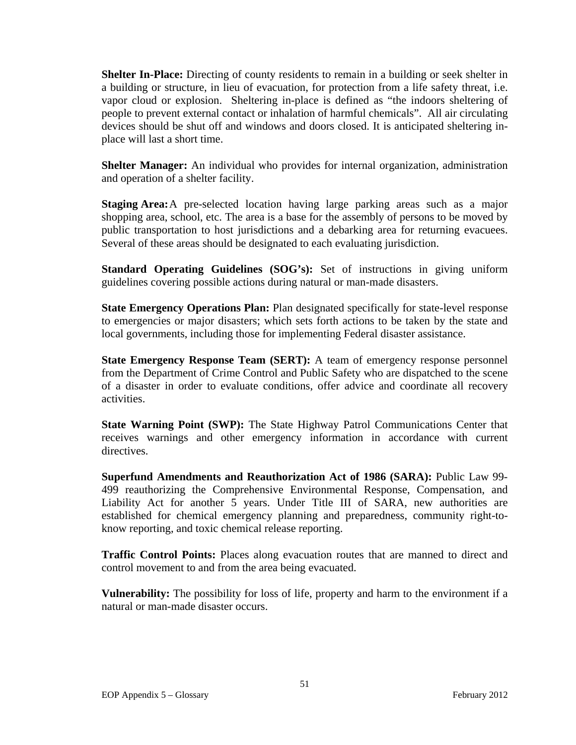**Shelter In-Place:** Directing of county residents to remain in a building or seek shelter in a building or structure, in lieu of evacuation, for protection from a life safety threat, i.e. vapor cloud or explosion. Sheltering in-place is defined as "the indoors sheltering of people to prevent external contact or inhalation of harmful chemicals". All air circulating devices should be shut off and windows and doors closed. It is anticipated sheltering inplace will last a short time.

**Shelter Manager:** An individual who provides for internal organization, administration and operation of a shelter facility.

**Staging Area:** A pre-selected location having large parking areas such as a major shopping area, school, etc. The area is a base for the assembly of persons to be moved by public transportation to host jurisdictions and a debarking area for returning evacuees. Several of these areas should be designated to each evaluating jurisdiction.

**Standard Operating Guidelines (SOG's):** Set of instructions in giving uniform guidelines covering possible actions during natural or man-made disasters.

**State Emergency Operations Plan:** Plan designated specifically for state-level response to emergencies or major disasters; which sets forth actions to be taken by the state and local governments, including those for implementing Federal disaster assistance.

**State Emergency Response Team (SERT):** A team of emergency response personnel from the Department of Crime Control and Public Safety who are dispatched to the scene of a disaster in order to evaluate conditions, offer advice and coordinate all recovery activities.

**State Warning Point (SWP):** The State Highway Patrol Communications Center that receives warnings and other emergency information in accordance with current directives.

**Superfund Amendments and Reauthorization Act of 1986 (SARA):** Public Law 99- 499 reauthorizing the Comprehensive Environmental Response, Compensation, and Liability Act for another 5 years. Under Title III of SARA, new authorities are established for chemical emergency planning and preparedness, community right-toknow reporting, and toxic chemical release reporting.

**Traffic Control Points:** Places along evacuation routes that are manned to direct and control movement to and from the area being evacuated.

**Vulnerability:** The possibility for loss of life, property and harm to the environment if a natural or man-made disaster occurs.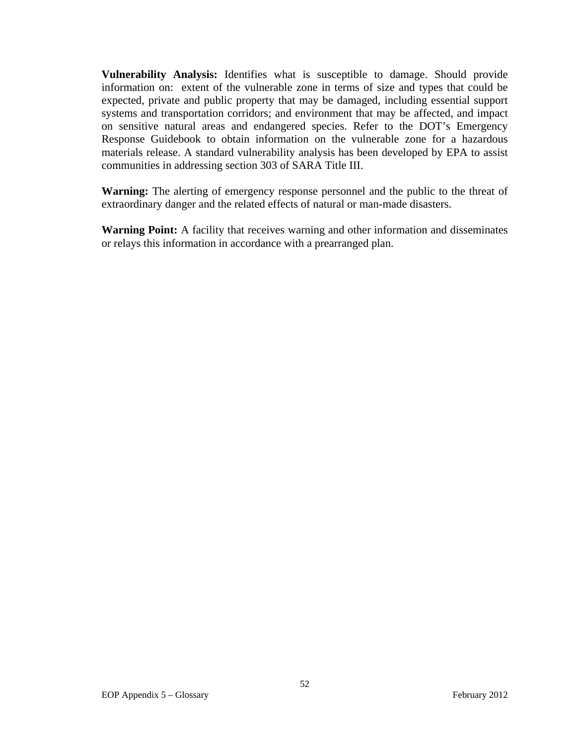**Vulnerability Analysis:** Identifies what is susceptible to damage. Should provide information on: extent of the vulnerable zone in terms of size and types that could be expected, private and public property that may be damaged, including essential support systems and transportation corridors; and environment that may be affected, and impact on sensitive natural areas and endangered species. Refer to the DOT's Emergency Response Guidebook to obtain information on the vulnerable zone for a hazardous materials release. A standard vulnerability analysis has been developed by EPA to assist communities in addressing section 303 of SARA Title III.

**Warning:** The alerting of emergency response personnel and the public to the threat of extraordinary danger and the related effects of natural or man-made disasters.

**Warning Point:** A facility that receives warning and other information and disseminates or relays this information in accordance with a prearranged plan.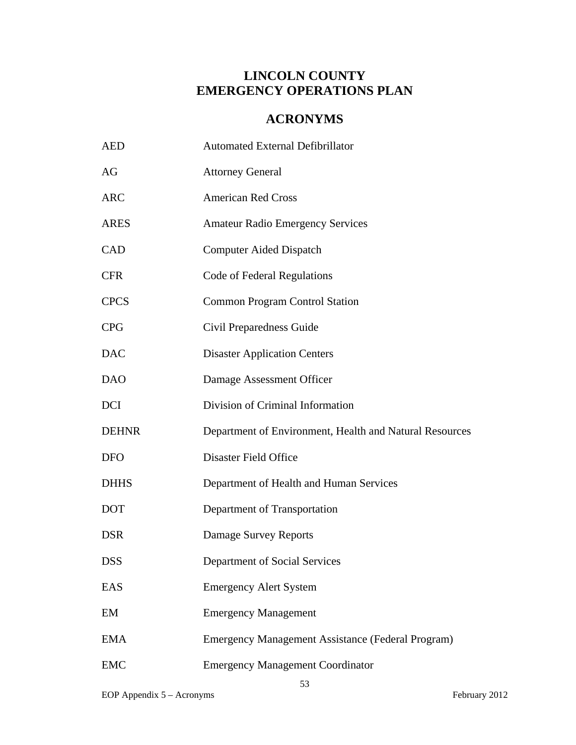## **ACRONYMS**

| <b>AED</b>   | <b>Automated External Defibrillator</b>                  |
|--------------|----------------------------------------------------------|
| AG           | <b>Attorney General</b>                                  |
| <b>ARC</b>   | <b>American Red Cross</b>                                |
| <b>ARES</b>  | <b>Amateur Radio Emergency Services</b>                  |
| CAD          | <b>Computer Aided Dispatch</b>                           |
| <b>CFR</b>   | Code of Federal Regulations                              |
| <b>CPCS</b>  | <b>Common Program Control Station</b>                    |
| <b>CPG</b>   | Civil Preparedness Guide                                 |
| <b>DAC</b>   | <b>Disaster Application Centers</b>                      |
| <b>DAO</b>   | Damage Assessment Officer                                |
| <b>DCI</b>   | Division of Criminal Information                         |
| <b>DEHNR</b> | Department of Environment, Health and Natural Resources  |
| <b>DFO</b>   | <b>Disaster Field Office</b>                             |
| <b>DHHS</b>  | Department of Health and Human Services                  |
| <b>DOT</b>   | Department of Transportation                             |
| <b>DSR</b>   | Damage Survey Reports                                    |
| <b>DSS</b>   | Department of Social Services                            |
| EAS          | <b>Emergency Alert System</b>                            |
| EM           | <b>Emergency Management</b>                              |
| <b>EMA</b>   | <b>Emergency Management Assistance (Federal Program)</b> |
| <b>EMC</b>   | <b>Emergency Management Coordinator</b>                  |

53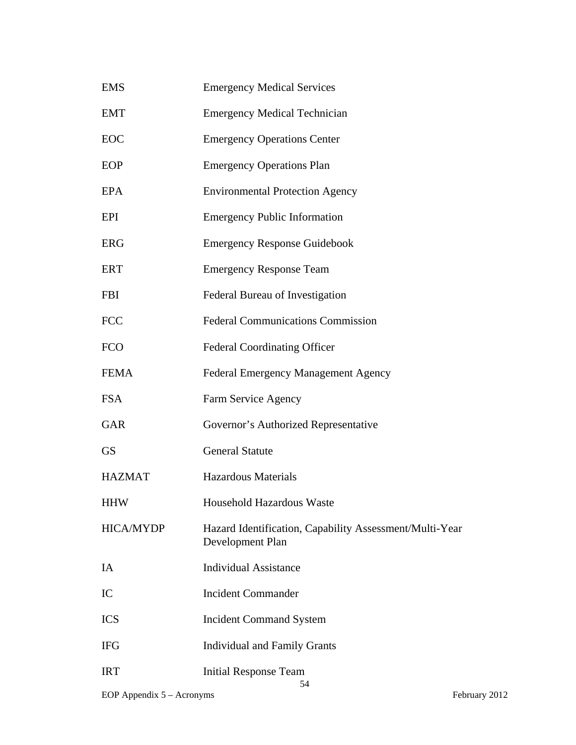| <b>EMS</b>       | <b>Emergency Medical Services</b>                                           |
|------------------|-----------------------------------------------------------------------------|
| <b>EMT</b>       | <b>Emergency Medical Technician</b>                                         |
| EOC              | <b>Emergency Operations Center</b>                                          |
| EOP              | <b>Emergency Operations Plan</b>                                            |
| <b>EPA</b>       | <b>Environmental Protection Agency</b>                                      |
| EPI              | <b>Emergency Public Information</b>                                         |
| <b>ERG</b>       | <b>Emergency Response Guidebook</b>                                         |
| <b>ERT</b>       | <b>Emergency Response Team</b>                                              |
| <b>FBI</b>       | Federal Bureau of Investigation                                             |
| <b>FCC</b>       | <b>Federal Communications Commission</b>                                    |
| <b>FCO</b>       | <b>Federal Coordinating Officer</b>                                         |
| <b>FEMA</b>      | Federal Emergency Management Agency                                         |
| <b>FSA</b>       | Farm Service Agency                                                         |
| <b>GAR</b>       | Governor's Authorized Representative                                        |
| <b>GS</b>        | <b>General Statute</b>                                                      |
| <b>HAZMAT</b>    | <b>Hazardous Materials</b>                                                  |
| <b>HHW</b>       | <b>Household Hazardous Waste</b>                                            |
| <b>HICA/MYDP</b> | Hazard Identification, Capability Assessment/Multi-Year<br>Development Plan |
| IA               | <b>Individual Assistance</b>                                                |
| IC               | <b>Incident Commander</b>                                                   |
| <b>ICS</b>       | <b>Incident Command System</b>                                              |
| <b>IFG</b>       | <b>Individual and Family Grants</b>                                         |
| <b>IRT</b>       | <b>Initial Response Team</b><br>54                                          |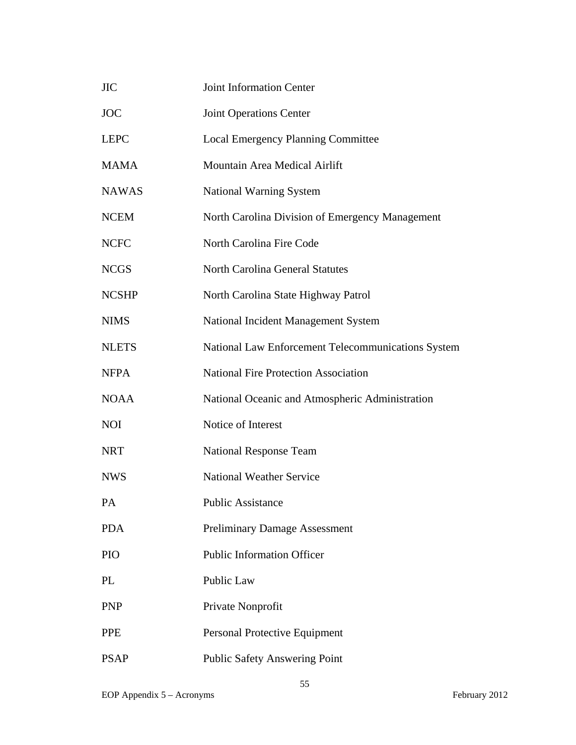| <b>JIC</b>   | <b>Joint Information Center</b>                    |
|--------------|----------------------------------------------------|
| <b>JOC</b>   | <b>Joint Operations Center</b>                     |
| <b>LEPC</b>  | <b>Local Emergency Planning Committee</b>          |
| <b>MAMA</b>  | Mountain Area Medical Airlift                      |
| <b>NAWAS</b> | <b>National Warning System</b>                     |
| <b>NCEM</b>  | North Carolina Division of Emergency Management    |
| <b>NCFC</b>  | North Carolina Fire Code                           |
| <b>NCGS</b>  | <b>North Carolina General Statutes</b>             |
| <b>NCSHP</b> | North Carolina State Highway Patrol                |
| <b>NIMS</b>  | National Incident Management System                |
| <b>NLETS</b> | National Law Enforcement Telecommunications System |
| <b>NFPA</b>  | <b>National Fire Protection Association</b>        |
| <b>NOAA</b>  | National Oceanic and Atmospheric Administration    |
| <b>NOI</b>   | Notice of Interest                                 |
| <b>NRT</b>   | <b>National Response Team</b>                      |
| <b>NWS</b>   | <b>National Weather Service</b>                    |
| PA           | <b>Public Assistance</b>                           |
| <b>PDA</b>   | <b>Preliminary Damage Assessment</b>               |
| PIO          | <b>Public Information Officer</b>                  |
| PL           | Public Law                                         |
| <b>PNP</b>   | Private Nonprofit                                  |
| <b>PPE</b>   | Personal Protective Equipment                      |
| <b>PSAP</b>  | <b>Public Safety Answering Point</b>               |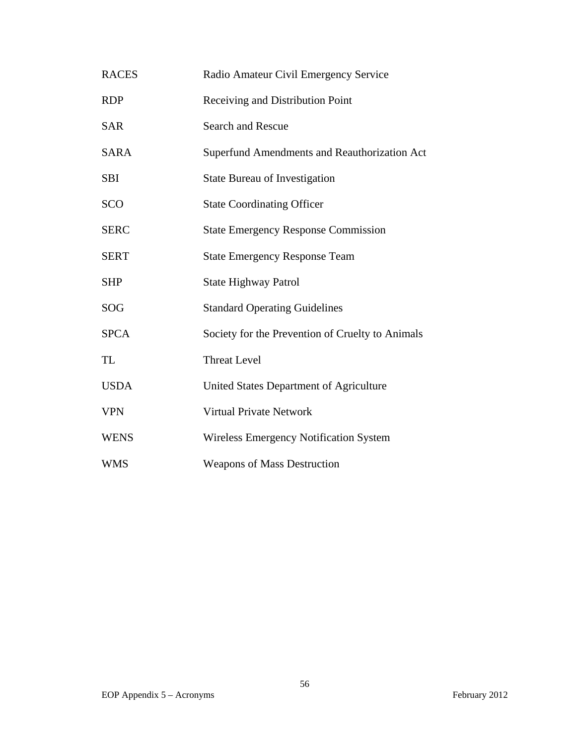| <b>RACES</b> | Radio Amateur Civil Emergency Service            |
|--------------|--------------------------------------------------|
| <b>RDP</b>   | Receiving and Distribution Point                 |
| <b>SAR</b>   | <b>Search and Rescue</b>                         |
| <b>SARA</b>  | Superfund Amendments and Reauthorization Act     |
| <b>SBI</b>   | <b>State Bureau of Investigation</b>             |
| <b>SCO</b>   | <b>State Coordinating Officer</b>                |
| <b>SERC</b>  | <b>State Emergency Response Commission</b>       |
| <b>SERT</b>  | <b>State Emergency Response Team</b>             |
| <b>SHP</b>   | <b>State Highway Patrol</b>                      |
| SOG          | <b>Standard Operating Guidelines</b>             |
| <b>SPCA</b>  | Society for the Prevention of Cruelty to Animals |
| TL           | <b>Threat Level</b>                              |
| <b>USDA</b>  | United States Department of Agriculture          |
| <b>VPN</b>   | <b>Virtual Private Network</b>                   |
| <b>WENS</b>  | <b>Wireless Emergency Notification System</b>    |
| WMS          | <b>Weapons of Mass Destruction</b>               |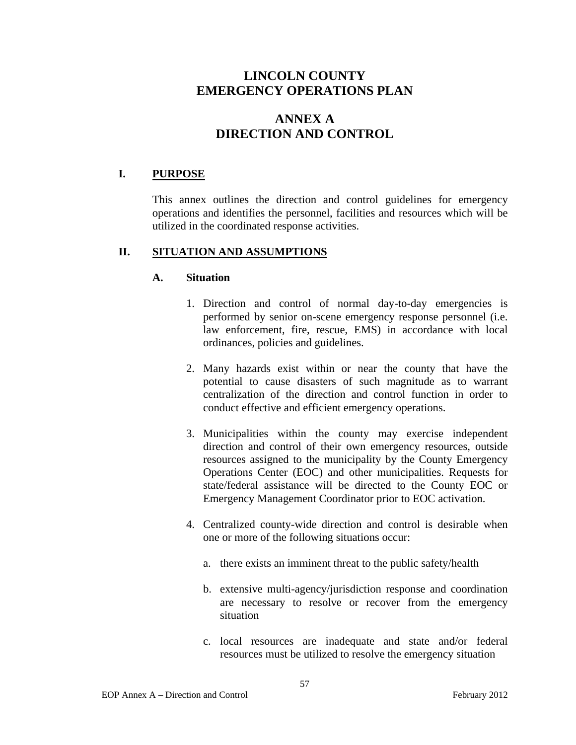# **ANNEX A DIRECTION AND CONTROL**

### **I. PURPOSE**

This annex outlines the direction and control guidelines for emergency operations and identifies the personnel, facilities and resources which will be utilized in the coordinated response activities.

### **II. SITUATION AND ASSUMPTIONS**

### **A. Situation**

- 1. Direction and control of normal day-to-day emergencies is performed by senior on-scene emergency response personnel (i.e. law enforcement, fire, rescue, EMS) in accordance with local ordinances, policies and guidelines.
- 2. Many hazards exist within or near the county that have the potential to cause disasters of such magnitude as to warrant centralization of the direction and control function in order to conduct effective and efficient emergency operations.
- 3. Municipalities within the county may exercise independent direction and control of their own emergency resources, outside resources assigned to the municipality by the County Emergency Operations Center (EOC) and other municipalities. Requests for state/federal assistance will be directed to the County EOC or Emergency Management Coordinator prior to EOC activation.
- 4. Centralized county-wide direction and control is desirable when one or more of the following situations occur:
	- a. there exists an imminent threat to the public safety/health
	- b. extensive multi-agency/jurisdiction response and coordination are necessary to resolve or recover from the emergency situation
	- c. local resources are inadequate and state and/or federal resources must be utilized to resolve the emergency situation

57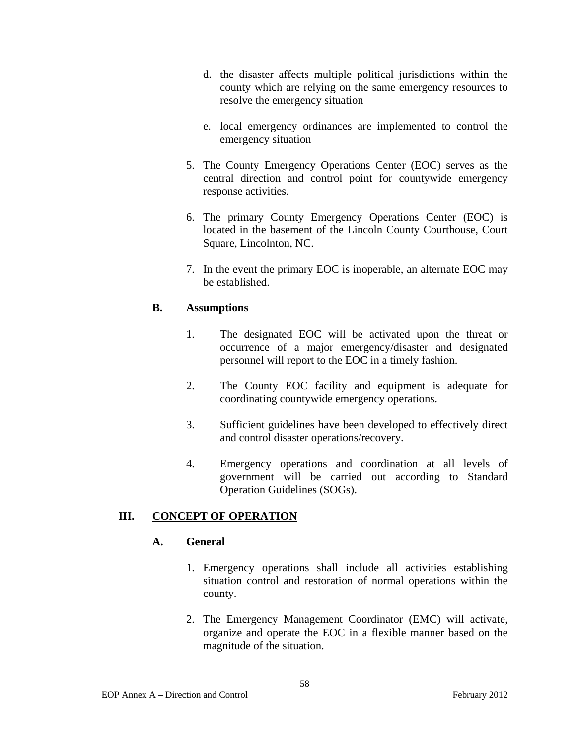- d. the disaster affects multiple political jurisdictions within the county which are relying on the same emergency resources to resolve the emergency situation
- e. local emergency ordinances are implemented to control the emergency situation
- 5. The County Emergency Operations Center (EOC) serves as the central direction and control point for countywide emergency response activities.
- 6. The primary County Emergency Operations Center (EOC) is located in the basement of the Lincoln County Courthouse, Court Square, Lincolnton, NC.
- 7. In the event the primary EOC is inoperable, an alternate EOC may be established.

### **B. Assumptions**

- 1. The designated EOC will be activated upon the threat or occurrence of a major emergency/disaster and designated personnel will report to the EOC in a timely fashion.
- 2. The County EOC facility and equipment is adequate for coordinating countywide emergency operations.
- 3. Sufficient guidelines have been developed to effectively direct and control disaster operations/recovery.
- 4. Emergency operations and coordination at all levels of government will be carried out according to Standard Operation Guidelines (SOGs).

## **III. CONCEPT OF OPERATION**

### **A. General**

- 1. Emergency operations shall include all activities establishing situation control and restoration of normal operations within the county.
- 2. The Emergency Management Coordinator (EMC) will activate, organize and operate the EOC in a flexible manner based on the magnitude of the situation.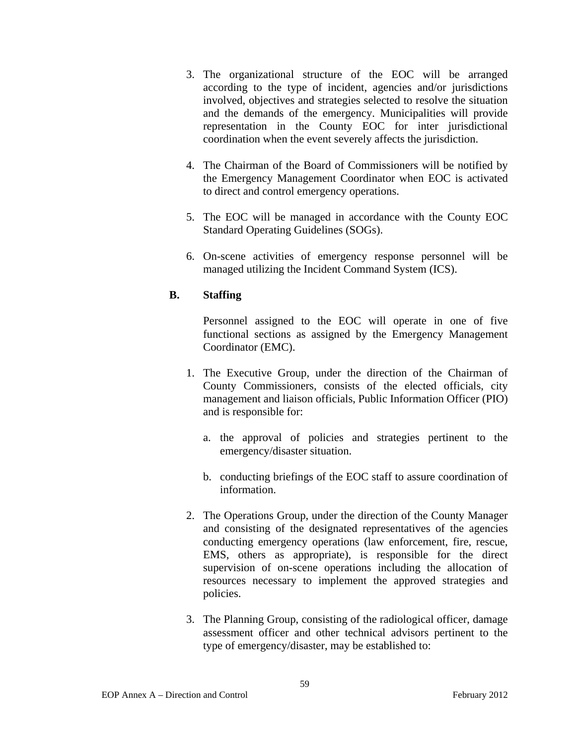- 3. The organizational structure of the EOC will be arranged according to the type of incident, agencies and/or jurisdictions involved, objectives and strategies selected to resolve the situation and the demands of the emergency. Municipalities will provide representation in the County EOC for inter jurisdictional coordination when the event severely affects the jurisdiction.
- 4. The Chairman of the Board of Commissioners will be notified by the Emergency Management Coordinator when EOC is activated to direct and control emergency operations.
- 5. The EOC will be managed in accordance with the County EOC Standard Operating Guidelines (SOGs).
- 6. On-scene activities of emergency response personnel will be managed utilizing the Incident Command System (ICS).

### **B. Staffing**

Personnel assigned to the EOC will operate in one of five functional sections as assigned by the Emergency Management Coordinator (EMC).

- 1. The Executive Group, under the direction of the Chairman of County Commissioners, consists of the elected officials, city management and liaison officials, Public Information Officer (PIO) and is responsible for:
	- a. the approval of policies and strategies pertinent to the emergency/disaster situation.
	- b. conducting briefings of the EOC staff to assure coordination of information.
- 2. The Operations Group, under the direction of the County Manager and consisting of the designated representatives of the agencies conducting emergency operations (law enforcement, fire, rescue, EMS, others as appropriate), is responsible for the direct supervision of on-scene operations including the allocation of resources necessary to implement the approved strategies and policies.
- 3. The Planning Group, consisting of the radiological officer, damage assessment officer and other technical advisors pertinent to the type of emergency/disaster, may be established to: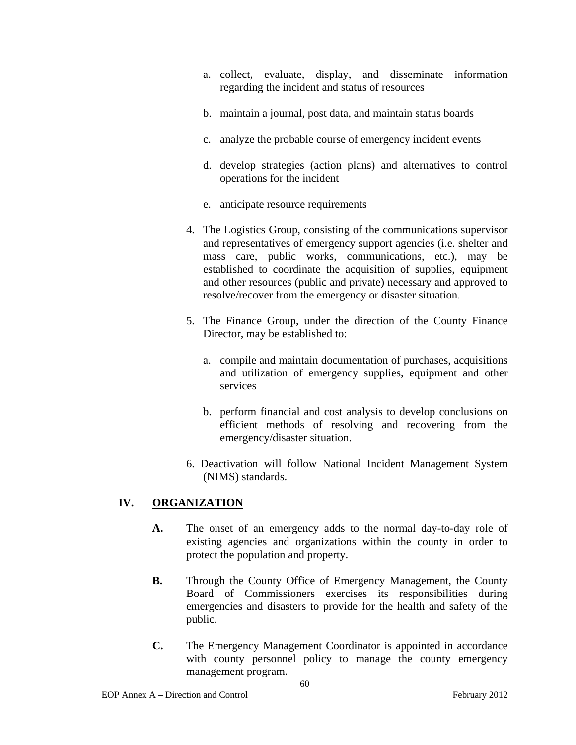- a. collect, evaluate, display, and disseminate information regarding the incident and status of resources
- b. maintain a journal, post data, and maintain status boards
- c. analyze the probable course of emergency incident events
- d. develop strategies (action plans) and alternatives to control operations for the incident
- e. anticipate resource requirements
- 4. The Logistics Group, consisting of the communications supervisor and representatives of emergency support agencies (i.e. shelter and mass care, public works, communications, etc.), may be established to coordinate the acquisition of supplies, equipment and other resources (public and private) necessary and approved to resolve/recover from the emergency or disaster situation.
- 5. The Finance Group, under the direction of the County Finance Director, may be established to:
	- a. compile and maintain documentation of purchases, acquisitions and utilization of emergency supplies, equipment and other services
	- b. perform financial and cost analysis to develop conclusions on efficient methods of resolving and recovering from the emergency/disaster situation.
- 6. Deactivation will follow National Incident Management System (NIMS) standards.

## **IV. ORGANIZATION**

- **A.** The onset of an emergency adds to the normal day-to-day role of existing agencies and organizations within the county in order to protect the population and property.
- **B.** Through the County Office of Emergency Management, the County Board of Commissioners exercises its responsibilities during emergencies and disasters to provide for the health and safety of the public.
- **C.** The Emergency Management Coordinator is appointed in accordance with county personnel policy to manage the county emergency management program.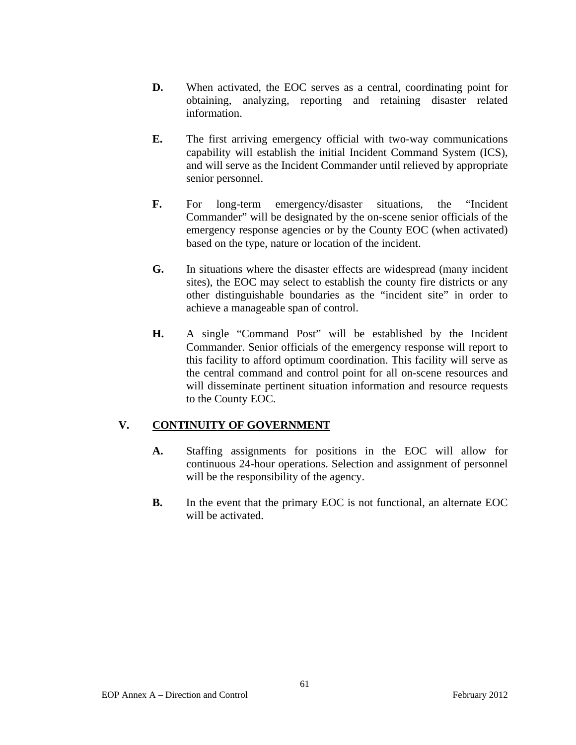- **D.** When activated, the EOC serves as a central, coordinating point for obtaining, analyzing, reporting and retaining disaster related information.
- **E.** The first arriving emergency official with two-way communications capability will establish the initial Incident Command System (ICS), and will serve as the Incident Commander until relieved by appropriate senior personnel.
- **F.** For long-term emergency/disaster situations, the "Incident" Commander" will be designated by the on-scene senior officials of the emergency response agencies or by the County EOC (when activated) based on the type, nature or location of the incident.
- **G.** In situations where the disaster effects are widespread (many incident sites), the EOC may select to establish the county fire districts or any other distinguishable boundaries as the "incident site" in order to achieve a manageable span of control.
- **H.** A single "Command Post" will be established by the Incident Commander. Senior officials of the emergency response will report to this facility to afford optimum coordination. This facility will serve as the central command and control point for all on-scene resources and will disseminate pertinent situation information and resource requests to the County EOC.

## **V. CONTINUITY OF GOVERNMENT**

- **A.** Staffing assignments for positions in the EOC will allow for continuous 24-hour operations. Selection and assignment of personnel will be the responsibility of the agency.
- **B.** In the event that the primary EOC is not functional, an alternate EOC will be activated.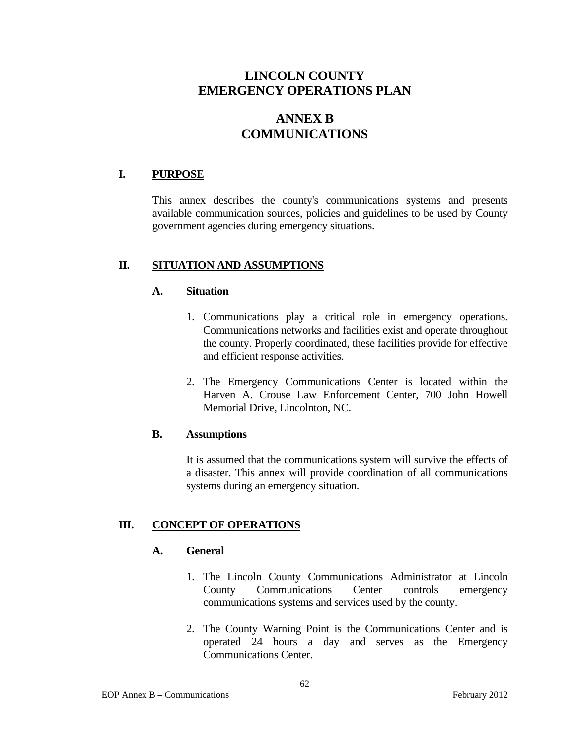# **ANNEX B COMMUNICATIONS**

### **I. PURPOSE**

This annex describes the county's communications systems and presents available communication sources, policies and guidelines to be used by County government agencies during emergency situations.

### **II. SITUATION AND ASSUMPTIONS**

### **A. Situation**

- 1. Communications play a critical role in emergency operations. Communications networks and facilities exist and operate throughout the county. Properly coordinated, these facilities provide for effective and efficient response activities.
- 2. The Emergency Communications Center is located within the Harven A. Crouse Law Enforcement Center, 700 John Howell Memorial Drive, Lincolnton, NC.

### **B. Assumptions**

 It is assumed that the communications system will survive the effects of a disaster. This annex will provide coordination of all communications systems during an emergency situation.

### **III. CONCEPT OF OPERATIONS**

### **A. General**

- 1. The Lincoln County Communications Administrator at Lincoln County Communications Center controls emergency communications systems and services used by the county.
- 2. The County Warning Point is the Communications Center and is operated 24 hours a day and serves as the Emergency Communications Center.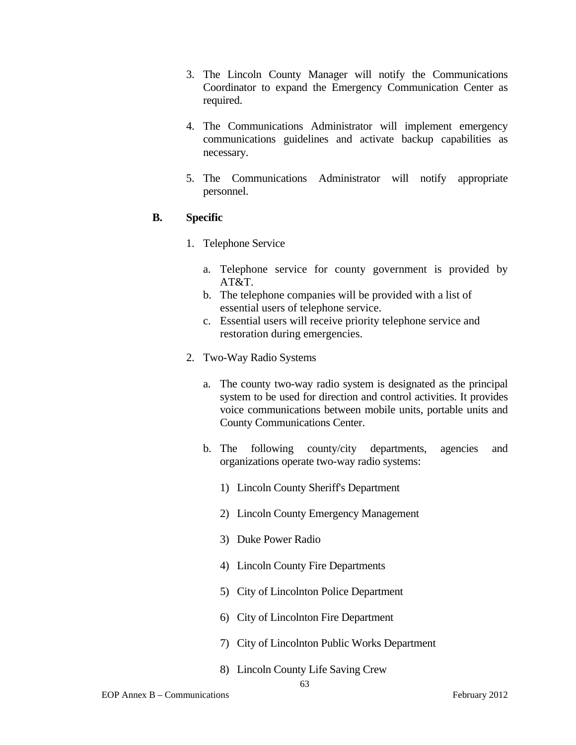- 3. The Lincoln County Manager will notify the Communications Coordinator to expand the Emergency Communication Center as required.
- 4. The Communications Administrator will implement emergency communications guidelines and activate backup capabilities as necessary.
- 5. The Communications Administrator will notify appropriate personnel.

### **B. Specific**

- 1. Telephone Service
	- a. Telephone service for county government is provided by AT&T.
	- b. The telephone companies will be provided with a list of essential users of telephone service.
	- c. Essential users will receive priority telephone service and restoration during emergencies.
- 2. Two-Way Radio Systems
	- a. The county two-way radio system is designated as the principal system to be used for direction and control activities. It provides voice communications between mobile units, portable units and County Communications Center.
	- b. The following county/city departments, agencies and organizations operate two-way radio systems:
		- 1) Lincoln County Sheriff's Department
		- 2) Lincoln County Emergency Management
		- 3) Duke Power Radio
		- 4) Lincoln County Fire Departments
		- 5) City of Lincolnton Police Department
		- 6) City of Lincolnton Fire Department
		- 7) City of Lincolnton Public Works Department
		- 8) Lincoln County Life Saving Crew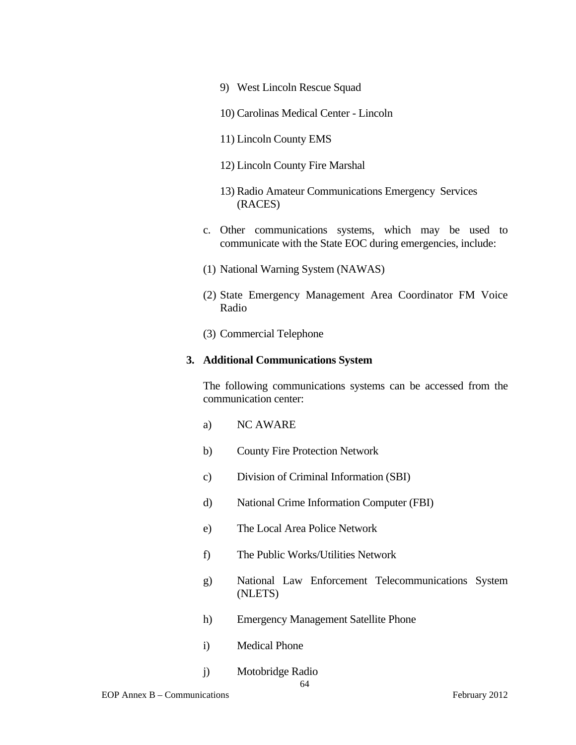- 9) West Lincoln Rescue Squad
- 10) Carolinas Medical Center Lincoln
- 11) Lincoln County EMS
- 12) Lincoln County Fire Marshal
- 13) Radio Amateur Communications Emergency Services (RACES)
- c. Other communications systems, which may be used to communicate with the State EOC during emergencies, include:
- (1) National Warning System (NAWAS)
- (2) State Emergency Management Area Coordinator FM Voice Radio
- (3) Commercial Telephone

#### **3. Additional Communications System**

The following communications systems can be accessed from the communication center:

- a) NC AWARE
- b) County Fire Protection Network
- c) Division of Criminal Information (SBI)
- d) National Crime Information Computer (FBI)
- e) The Local Area Police Network
- f) The Public Works/Utilities Network
- g) National Law Enforcement Telecommunications System (NLETS)
- h) Emergency Management Satellite Phone
- i) Medical Phone
- j) Motobridge Radio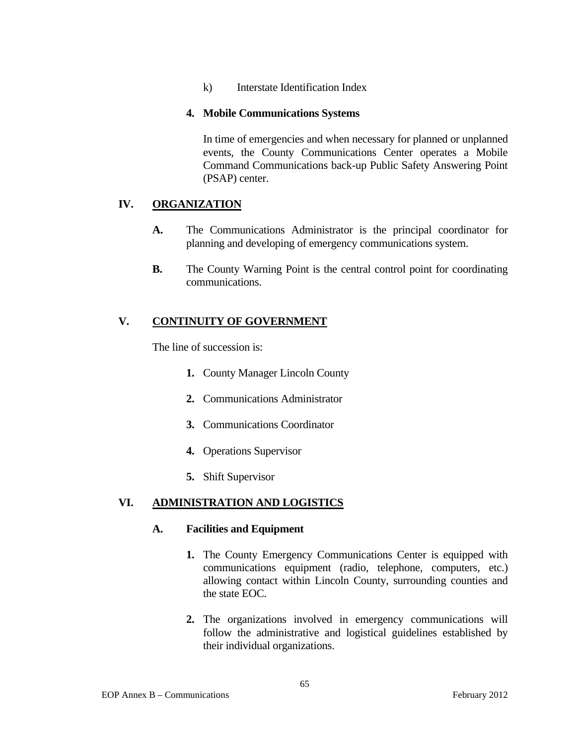k) Interstate Identification Index

### **4. Mobile Communications Systems**

In time of emergencies and when necessary for planned or unplanned events, the County Communications Center operates a Mobile Command Communications back-up Public Safety Answering Point (PSAP) center.

# **IV. ORGANIZATION**

- **A.** The Communications Administrator is the principal coordinator for planning and developing of emergency communications system.
- **B.** The County Warning Point is the central control point for coordinating communications.

# **V. CONTINUITY OF GOVERNMENT**

The line of succession is:

- **1.** County Manager Lincoln County
- **2.** Communications Administrator
- **3.** Communications Coordinator
- **4.** Operations Supervisor
- **5.** Shift Supervisor

# **VI. ADMINISTRATION AND LOGISTICS**

### **A. Facilities and Equipment**

- **1.** The County Emergency Communications Center is equipped with communications equipment (radio, telephone, computers, etc.) allowing contact within Lincoln County, surrounding counties and the state EOC.
- **2.** The organizations involved in emergency communications will follow the administrative and logistical guidelines established by their individual organizations.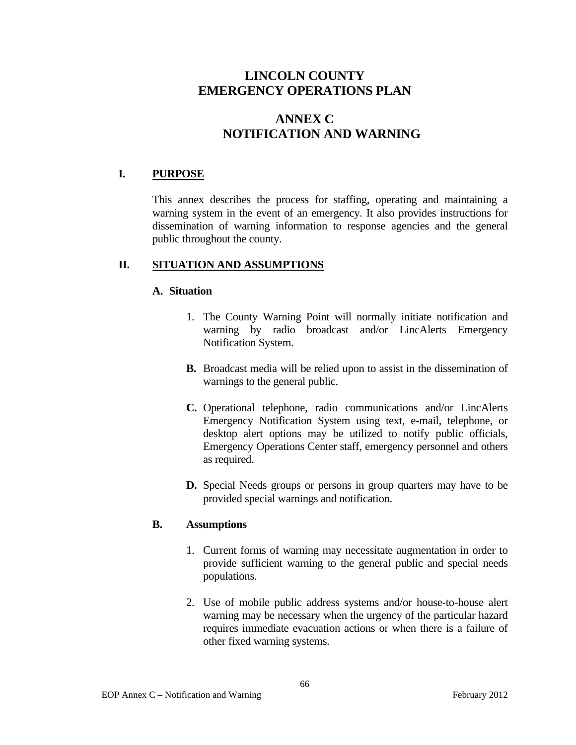# **ANNEX C NOTIFICATION AND WARNING**

# **I. PURPOSE**

This annex describes the process for staffing, operating and maintaining a warning system in the event of an emergency. It also provides instructions for dissemination of warning information to response agencies and the general public throughout the county.

# **II. SITUATION AND ASSUMPTIONS**

# **A. Situation**

- 1. The County Warning Point will normally initiate notification and warning by radio broadcast and/or LincAlerts Emergency Notification System.
- **B.** Broadcast media will be relied upon to assist in the dissemination of warnings to the general public.
- **C.** Operational telephone, radio communications and/or LincAlerts Emergency Notification System using text, e-mail, telephone, or desktop alert options may be utilized to notify public officials, Emergency Operations Center staff, emergency personnel and others as required.
- **D.** Special Needs groups or persons in group quarters may have to be provided special warnings and notification.

# **B. Assumptions**

- 1. Current forms of warning may necessitate augmentation in order to provide sufficient warning to the general public and special needs populations.
- 2. Use of mobile public address systems and/or house-to-house alert warning may be necessary when the urgency of the particular hazard requires immediate evacuation actions or when there is a failure of other fixed warning systems.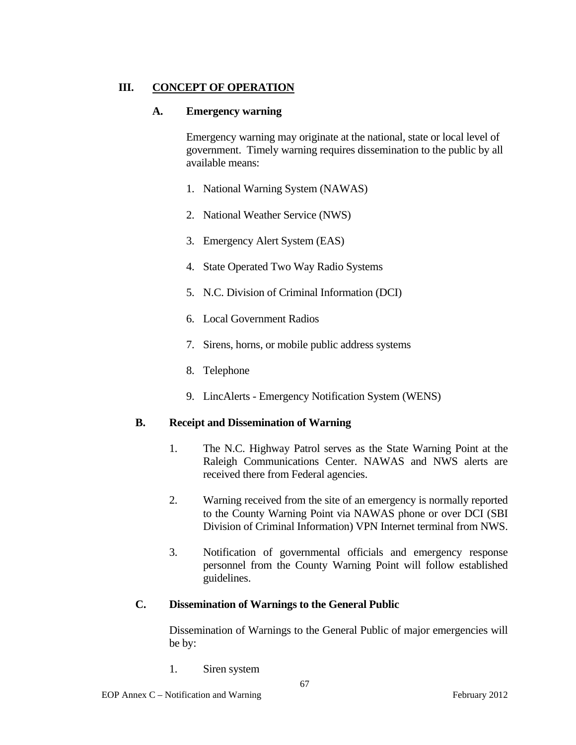# **III. CONCEPT OF OPERATION**

### **A. Emergency warning**

Emergency warning may originate at the national, state or local level of government. Timely warning requires dissemination to the public by all available means:

- 1. National Warning System (NAWAS)
- 2. National Weather Service (NWS)
- 3. Emergency Alert System (EAS)
- 4. State Operated Two Way Radio Systems
- 5. N.C. Division of Criminal Information (DCI)
- 6. Local Government Radios
- 7. Sirens, horns, or mobile public address systems
- 8. Telephone
- 9. LincAlerts Emergency Notification System (WENS)

### **B. Receipt and Dissemination of Warning**

- 1. The N.C. Highway Patrol serves as the State Warning Point at the Raleigh Communications Center. NAWAS and NWS alerts are received there from Federal agencies.
- 2. Warning received from the site of an emergency is normally reported to the County Warning Point via NAWAS phone or over DCI (SBI Division of Criminal Information) VPN Internet terminal from NWS.
- 3. Notification of governmental officials and emergency response personnel from the County Warning Point will follow established guidelines.

# **C. Dissemination of Warnings to the General Public**

 Dissemination of Warnings to the General Public of major emergencies will be by:

1. Siren system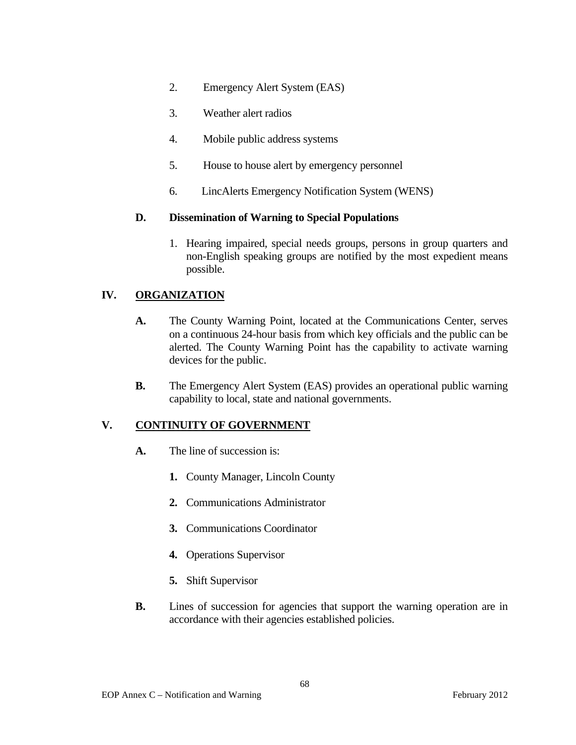- 2. Emergency Alert System (EAS)
- 3. Weather alert radios
- 4. Mobile public address systems
- 5. House to house alert by emergency personnel
- 6. LincAlerts Emergency Notification System (WENS)

### **D. Dissemination of Warning to Special Populations**

1. Hearing impaired, special needs groups, persons in group quarters and non-English speaking groups are notified by the most expedient means possible.

# **IV. ORGANIZATION**

- **A.** The County Warning Point, located at the Communications Center, serves on a continuous 24-hour basis from which key officials and the public can be alerted. The County Warning Point has the capability to activate warning devices for the public.
- **B.** The Emergency Alert System (EAS) provides an operational public warning capability to local, state and national governments.

# **V. CONTINUITY OF GOVERNMENT**

- **A.** The line of succession is:
	- **1.** County Manager, Lincoln County
	- **2.** Communications Administrator
	- **3.** Communications Coordinator
	- **4.** Operations Supervisor
	- **5.** Shift Supervisor
- **B.** Lines of succession for agencies that support the warning operation are in accordance with their agencies established policies.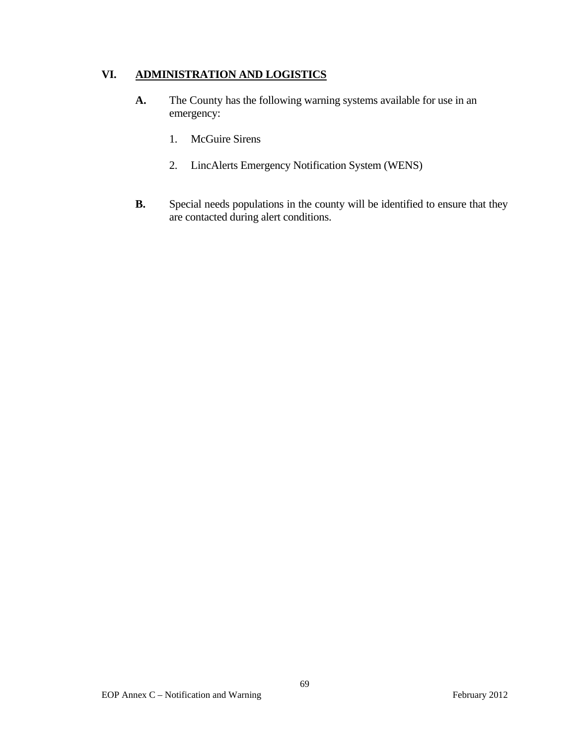# **VI. ADMINISTRATION AND LOGISTICS**

- **A.** The County has the following warning systems available for use in an emergency:
	- 1. McGuire Sirens
	- 2. LincAlerts Emergency Notification System (WENS)
- **B.** Special needs populations in the county will be identified to ensure that they are contacted during alert conditions.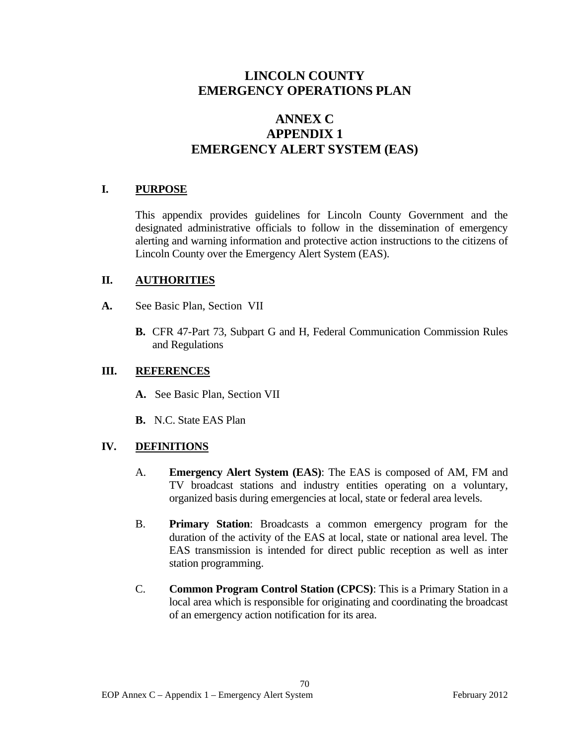# **ANNEX C APPENDIX 1 EMERGENCY ALERT SYSTEM (EAS)**

# **I. PURPOSE**

 This appendix provides guidelines for Lincoln County Government and the designated administrative officials to follow in the dissemination of emergency alerting and warning information and protective action instructions to the citizens of Lincoln County over the Emergency Alert System (EAS).

# **II. AUTHORITIES**

- **A.** See Basic Plan, Section VII
	- **B.** CFR 47-Part 73, Subpart G and H, Federal Communication Commission Rules and Regulations

### **III. REFERENCES**

- **A.** See Basic Plan, Section VII
- **B.** N.C. State EAS Plan

# **IV. DEFINITIONS**

- A. **Emergency Alert System (EAS)**: The EAS is composed of AM, FM and TV broadcast stations and industry entities operating on a voluntary, organized basis during emergencies at local, state or federal area levels.
- B. **Primary Station**: Broadcasts a common emergency program for the duration of the activity of the EAS at local, state or national area level. The EAS transmission is intended for direct public reception as well as inter station programming.
- C. **Common Program Control Station (CPCS)**: This is a Primary Station in a local area which is responsible for originating and coordinating the broadcast of an emergency action notification for its area.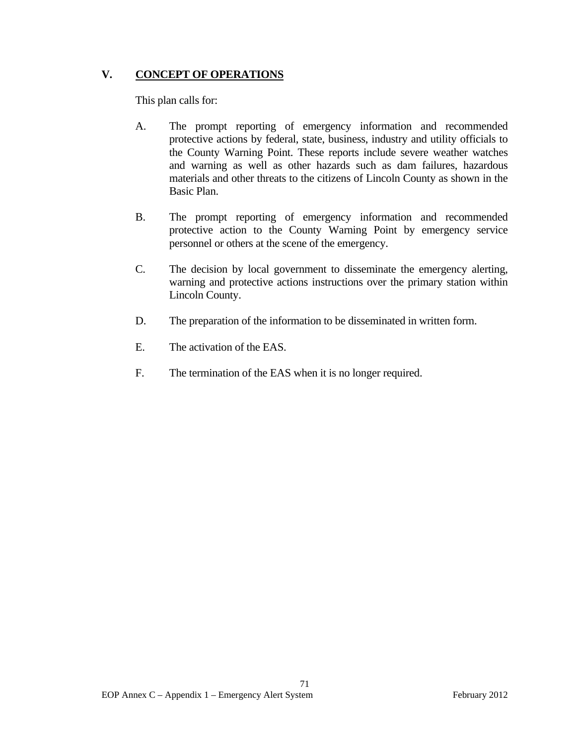# **V. CONCEPT OF OPERATIONS**

This plan calls for:

- A. The prompt reporting of emergency information and recommended protective actions by federal, state, business, industry and utility officials to the County Warning Point. These reports include severe weather watches and warning as well as other hazards such as dam failures, hazardous materials and other threats to the citizens of Lincoln County as shown in the Basic Plan.
- B. The prompt reporting of emergency information and recommended protective action to the County Warning Point by emergency service personnel or others at the scene of the emergency.
- C. The decision by local government to disseminate the emergency alerting, warning and protective actions instructions over the primary station within Lincoln County.
- D. The preparation of the information to be disseminated in written form.
- E. The activation of the EAS.
- F. The termination of the EAS when it is no longer required.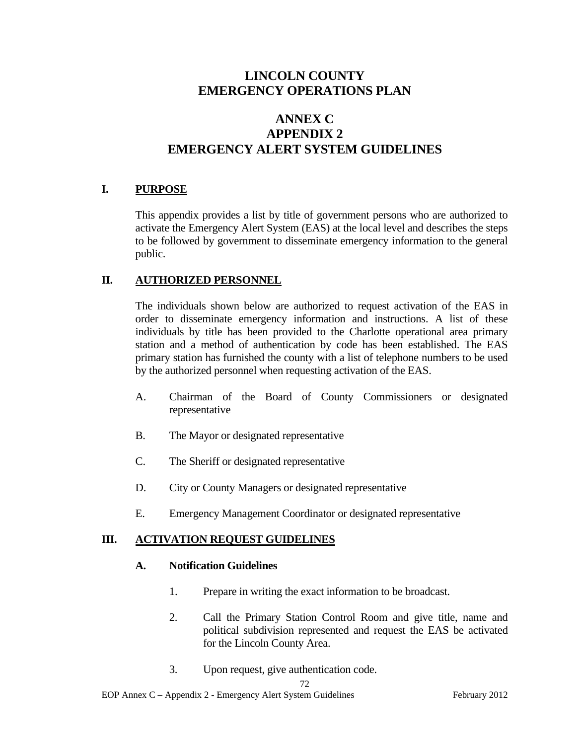# **ANNEX C APPENDIX 2 EMERGENCY ALERT SYSTEM GUIDELINES**

# **I. PURPOSE**

 This appendix provides a list by title of government persons who are authorized to activate the Emergency Alert System (EAS) at the local level and describes the steps to be followed by government to disseminate emergency information to the general public.

# **II. AUTHORIZED PERSONNEL**

 The individuals shown below are authorized to request activation of the EAS in order to disseminate emergency information and instructions. A list of these individuals by title has been provided to the Charlotte operational area primary station and a method of authentication by code has been established. The EAS primary station has furnished the county with a list of telephone numbers to be used by the authorized personnel when requesting activation of the EAS.

- A. Chairman of the Board of County Commissioners or designated representative
- B. The Mayor or designated representative
- C. The Sheriff or designated representative
- D. City or County Managers or designated representative
- E. Emergency Management Coordinator or designated representative

# **III. ACTIVATION REQUEST GUIDELINES**

# **A. Notification Guidelines**

- 1. Prepare in writing the exact information to be broadcast.
- 2. Call the Primary Station Control Room and give title, name and political subdivision represented and request the EAS be activated for the Lincoln County Area.
- 3. Upon request, give authentication code.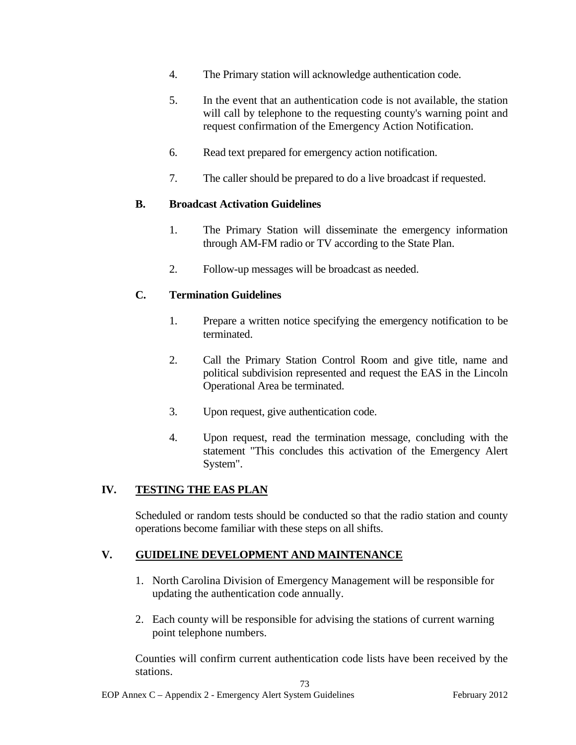- 4. The Primary station will acknowledge authentication code.
- 5. In the event that an authentication code is not available, the station will call by telephone to the requesting county's warning point and request confirmation of the Emergency Action Notification.
- 6. Read text prepared for emergency action notification.
- 7. The caller should be prepared to do a live broadcast if requested.

### **B. Broadcast Activation Guidelines**

- 1. The Primary Station will disseminate the emergency information through AM-FM radio or TV according to the State Plan.
- 2. Follow-up messages will be broadcast as needed.

# **C. Termination Guidelines**

- 1. Prepare a written notice specifying the emergency notification to be terminated.
- 2. Call the Primary Station Control Room and give title, name and political subdivision represented and request the EAS in the Lincoln Operational Area be terminated.
- 3. Upon request, give authentication code.
- 4. Upon request, read the termination message, concluding with the statement "This concludes this activation of the Emergency Alert System".

### **IV. TESTING THE EAS PLAN**

 Scheduled or random tests should be conducted so that the radio station and county operations become familiar with these steps on all shifts.

### **V. GUIDELINE DEVELOPMENT AND MAINTENANCE**

- 1. North Carolina Division of Emergency Management will be responsible for updating the authentication code annually.
- 2. Each county will be responsible for advising the stations of current warning point telephone numbers.

 Counties will confirm current authentication code lists have been received by the stations.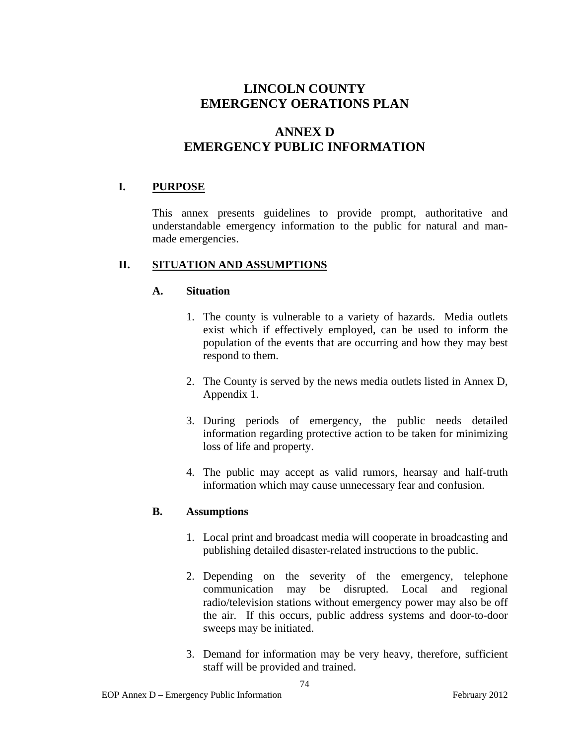# **ANNEX D EMERGENCY PUBLIC INFORMATION**

# **I. PURPOSE**

This annex presents guidelines to provide prompt, authoritative and understandable emergency information to the public for natural and manmade emergencies.

### **II. SITUATION AND ASSUMPTIONS**

### **A. Situation**

- 1. The county is vulnerable to a variety of hazards. Media outlets exist which if effectively employed, can be used to inform the population of the events that are occurring and how they may best respond to them.
- 2. The County is served by the news media outlets listed in Annex D, Appendix 1.
- 3. During periods of emergency, the public needs detailed information regarding protective action to be taken for minimizing loss of life and property.
- 4. The public may accept as valid rumors, hearsay and half-truth information which may cause unnecessary fear and confusion.

# **B. Assumptions**

- 1. Local print and broadcast media will cooperate in broadcasting and publishing detailed disaster-related instructions to the public.
- 2. Depending on the severity of the emergency, telephone communication may be disrupted. Local and regional radio/television stations without emergency power may also be off the air. If this occurs, public address systems and door-to-door sweeps may be initiated.
- 3. Demand for information may be very heavy, therefore, sufficient staff will be provided and trained.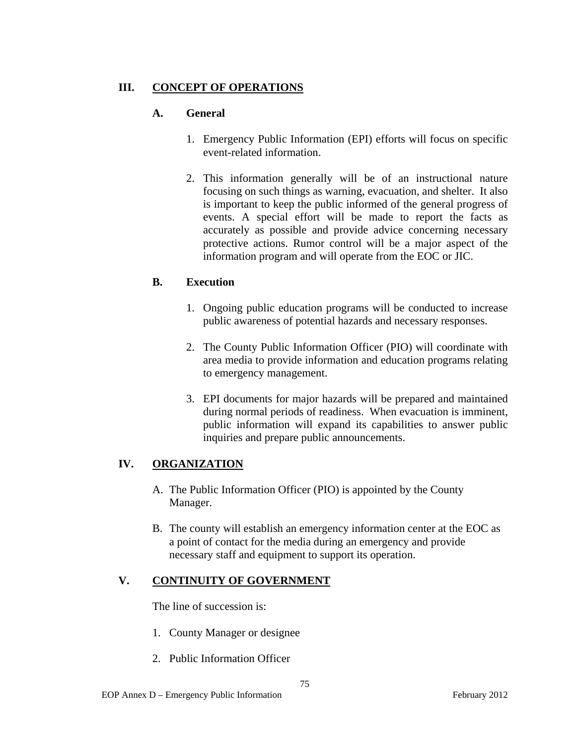# **III. CONCEPT OF OPERATIONS**

# **A. General**

- 1. Emergency Public Information (EPI) efforts will focus on specific event-related information.
- 2. This information generally will be of an instructional nature focusing on such things as warning, evacuation, and shelter. It also is important to keep the public informed of the general progress of events. A special effort will be made to report the facts as accurately as possible and provide advice concerning necessary protective actions. Rumor control will be a major aspect of the information program and will operate from the EOC or JIC.

# **B. Execution**

- 1. Ongoing public education programs will be conducted to increase public awareness of potential hazards and necessary responses.
- 2. The County Public Information Officer (PIO) will coordinate with area media to provide information and education programs relating to emergency management.
- 3. EPI documents for major hazards will be prepared and maintained during normal periods of readiness. When evacuation is imminent, public information will expand its capabilities to answer public inquiries and prepare public announcements.

# **IV. ORGANIZATION**

- A. The Public Information Officer (PIO) is appointed by the County Manager.
- B. The county will establish an emergency information center at the EOC as a point of contact for the media during an emergency and provide necessary staff and equipment to support its operation.

# **V. CONTINUITY OF GOVERNMENT**

The line of succession is:

- 1. County Manager or designee
- 2. Public Information Officer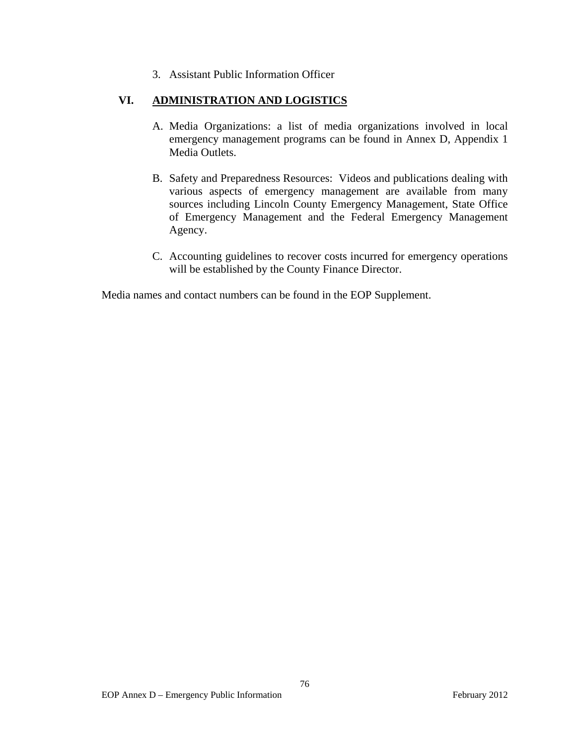3. Assistant Public Information Officer

# **VI. ADMINISTRATION AND LOGISTICS**

- A. Media Organizations: a list of media organizations involved in local emergency management programs can be found in Annex D, Appendix 1 Media Outlets.
- B. Safety and Preparedness Resources: Videos and publications dealing with various aspects of emergency management are available from many sources including Lincoln County Emergency Management, State Office of Emergency Management and the Federal Emergency Management Agency.
- C. Accounting guidelines to recover costs incurred for emergency operations will be established by the County Finance Director.

Media names and contact numbers can be found in the EOP Supplement.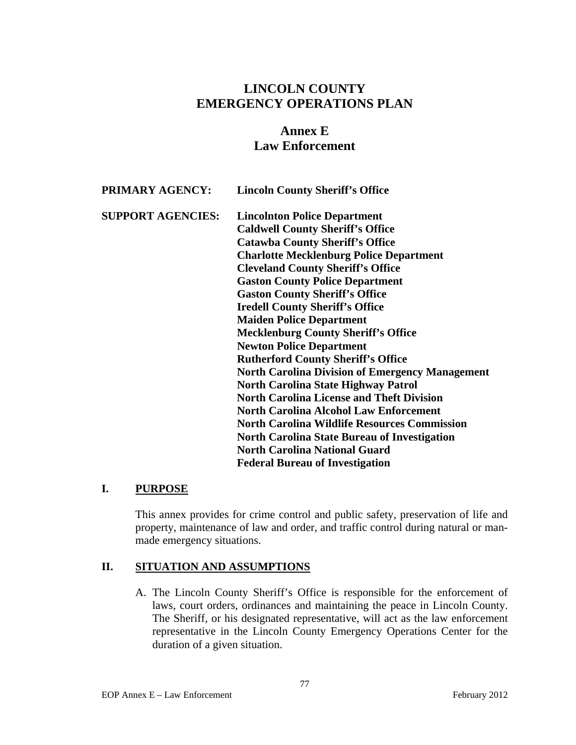# **Annex E Law Enforcement**

| <b>PRIMARY AGENCY:</b>   | <b>Lincoln County Sheriff's Office</b>                 |
|--------------------------|--------------------------------------------------------|
| <b>SUPPORT AGENCIES:</b> | <b>Lincolnton Police Department</b>                    |
|                          | <b>Caldwell County Sheriff's Office</b>                |
|                          | <b>Catawba County Sheriff's Office</b>                 |
|                          | <b>Charlotte Mecklenburg Police Department</b>         |
|                          | <b>Cleveland County Sheriff's Office</b>               |
|                          | <b>Gaston County Police Department</b>                 |
|                          | <b>Gaston County Sheriff's Office</b>                  |
|                          | <b>Iredell County Sheriff's Office</b>                 |
|                          | <b>Maiden Police Department</b>                        |
|                          | <b>Mecklenburg County Sheriff's Office</b>             |
|                          | <b>Newton Police Department</b>                        |
|                          | <b>Rutherford County Sheriff's Office</b>              |
|                          | <b>North Carolina Division of Emergency Management</b> |
|                          | <b>North Carolina State Highway Patrol</b>             |
|                          | <b>North Carolina License and Theft Division</b>       |
|                          | <b>North Carolina Alcohol Law Enforcement</b>          |
|                          | <b>North Carolina Wildlife Resources Commission</b>    |
|                          | <b>North Carolina State Bureau of Investigation</b>    |
|                          | <b>North Carolina National Guard</b>                   |
|                          | <b>Federal Bureau of Investigation</b>                 |

# **I. PURPOSE**

This annex provides for crime control and public safety, preservation of life and property, maintenance of law and order, and traffic control during natural or manmade emergency situations.

# **II. SITUATION AND ASSUMPTIONS**

A. The Lincoln County Sheriff's Office is responsible for the enforcement of laws, court orders, ordinances and maintaining the peace in Lincoln County. The Sheriff, or his designated representative, will act as the law enforcement representative in the Lincoln County Emergency Operations Center for the duration of a given situation.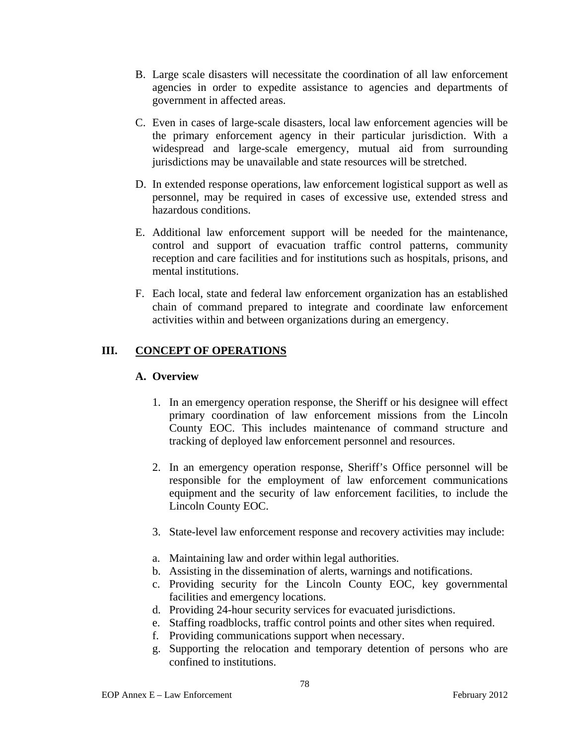- B. Large scale disasters will necessitate the coordination of all law enforcement agencies in order to expedite assistance to agencies and departments of government in affected areas.
- C. Even in cases of large-scale disasters, local law enforcement agencies will be the primary enforcement agency in their particular jurisdiction. With a widespread and large-scale emergency, mutual aid from surrounding jurisdictions may be unavailable and state resources will be stretched.
- D. In extended response operations, law enforcement logistical support as well as personnel, may be required in cases of excessive use, extended stress and hazardous conditions.
- E. Additional law enforcement support will be needed for the maintenance, control and support of evacuation traffic control patterns, community reception and care facilities and for institutions such as hospitals, prisons, and mental institutions.
- F. Each local, state and federal law enforcement organization has an established chain of command prepared to integrate and coordinate law enforcement activities within and between organizations during an emergency.

# **III. CONCEPT OF OPERATIONS**

### **A. Overview**

- 1. In an emergency operation response, the Sheriff or his designee will effect primary coordination of law enforcement missions from the Lincoln County EOC. This includes maintenance of command structure and tracking of deployed law enforcement personnel and resources.
- 2. In an emergency operation response, Sheriff's Office personnel will be responsible for the employment of law enforcement communications equipment and the security of law enforcement facilities, to include the Lincoln County EOC.
- 3. State-level law enforcement response and recovery activities may include:
- a. Maintaining law and order within legal authorities.
- b. Assisting in the dissemination of alerts, warnings and notifications.
- c. Providing security for the Lincoln County EOC, key governmental facilities and emergency locations.
- d. Providing 24-hour security services for evacuated jurisdictions.
- e. Staffing roadblocks, traffic control points and other sites when required.
- f. Providing communications support when necessary.
- g. Supporting the relocation and temporary detention of persons who are confined to institutions.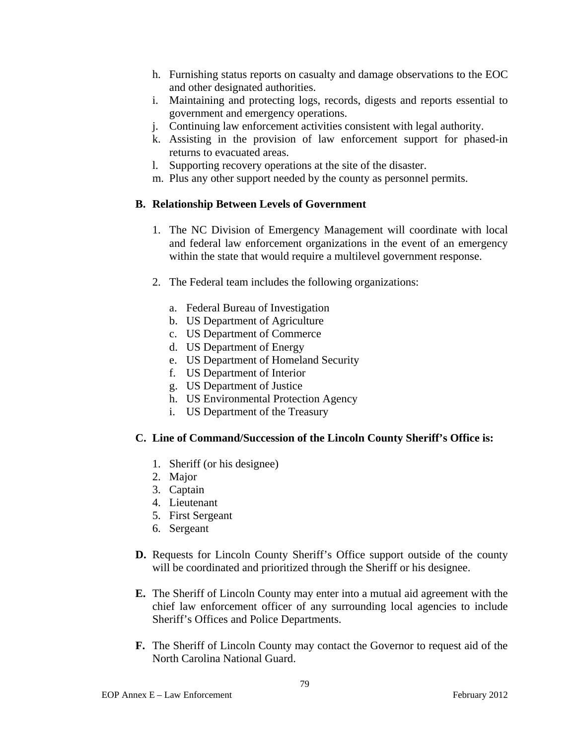- h. Furnishing status reports on casualty and damage observations to the EOC and other designated authorities.
- i. Maintaining and protecting logs, records, digests and reports essential to government and emergency operations.
- j. Continuing law enforcement activities consistent with legal authority.
- k. Assisting in the provision of law enforcement support for phased-in returns to evacuated areas.
- l. Supporting recovery operations at the site of the disaster.
- m. Plus any other support needed by the county as personnel permits.

### **B. Relationship Between Levels of Government**

- 1. The NC Division of Emergency Management will coordinate with local and federal law enforcement organizations in the event of an emergency within the state that would require a multilevel government response.
- 2. The Federal team includes the following organizations:
	- a. Federal Bureau of Investigation
	- b. US Department of Agriculture
	- c. US Department of Commerce
	- d. US Department of Energy
	- e. US Department of Homeland Security
	- f. US Department of Interior
	- g. US Department of Justice
	- h. US Environmental Protection Agency
	- i. US Department of the Treasury

### **C. Line of Command/Succession of the Lincoln County Sheriff's Office is:**

- 1. Sheriff (or his designee)
- 2. Major
- 3. Captain
- 4. Lieutenant
- 5. First Sergeant
- 6. Sergeant
- **D.** Requests for Lincoln County Sheriff's Office support outside of the county will be coordinated and prioritized through the Sheriff or his designee.
- **E.** The Sheriff of Lincoln County may enter into a mutual aid agreement with the chief law enforcement officer of any surrounding local agencies to include Sheriff's Offices and Police Departments.
- **F.** The Sheriff of Lincoln County may contact the Governor to request aid of the North Carolina National Guard.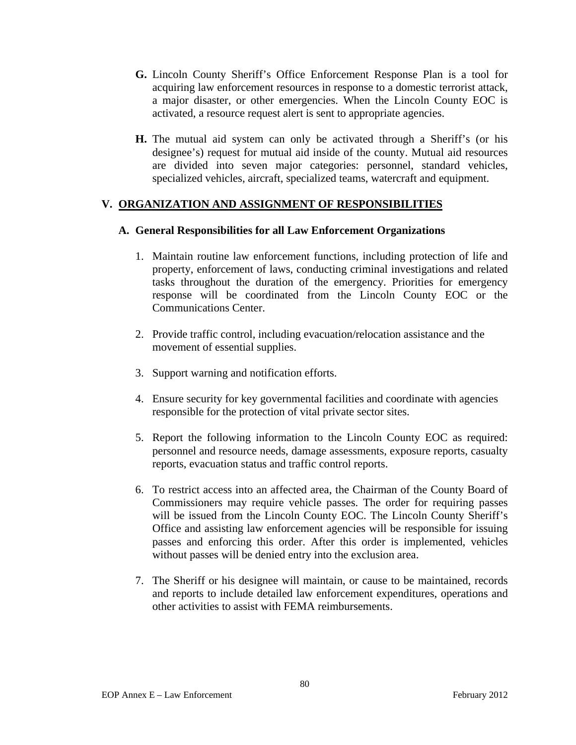- **G.** Lincoln County Sheriff's Office Enforcement Response Plan is a tool for acquiring law enforcement resources in response to a domestic terrorist attack, a major disaster, or other emergencies. When the Lincoln County EOC is activated, a resource request alert is sent to appropriate agencies.
- **H.** The mutual aid system can only be activated through a Sheriff's (or his designee's) request for mutual aid inside of the county. Mutual aid resources are divided into seven major categories: personnel, standard vehicles, specialized vehicles, aircraft, specialized teams, watercraft and equipment.

# **V. ORGANIZATION AND ASSIGNMENT OF RESPONSIBILITIES**

### **A. General Responsibilities for all Law Enforcement Organizations**

- 1. Maintain routine law enforcement functions, including protection of life and property, enforcement of laws, conducting criminal investigations and related tasks throughout the duration of the emergency. Priorities for emergency response will be coordinated from the Lincoln County EOC or the Communications Center.
- 2. Provide traffic control, including evacuation/relocation assistance and the movement of essential supplies.
- 3. Support warning and notification efforts.
- 4. Ensure security for key governmental facilities and coordinate with agencies responsible for the protection of vital private sector sites.
- 5. Report the following information to the Lincoln County EOC as required: personnel and resource needs, damage assessments, exposure reports, casualty reports, evacuation status and traffic control reports.
- 6. To restrict access into an affected area, the Chairman of the County Board of Commissioners may require vehicle passes. The order for requiring passes will be issued from the Lincoln County EOC. The Lincoln County Sheriff's Office and assisting law enforcement agencies will be responsible for issuing passes and enforcing this order. After this order is implemented, vehicles without passes will be denied entry into the exclusion area.
- 7. The Sheriff or his designee will maintain, or cause to be maintained, records and reports to include detailed law enforcement expenditures, operations and other activities to assist with FEMA reimbursements.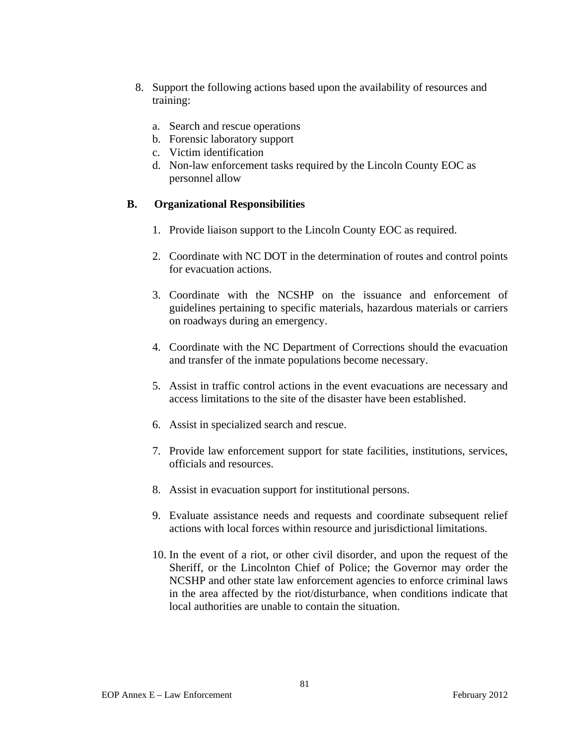- 8. Support the following actions based upon the availability of resources and training:
	- a. Search and rescue operations
	- b. Forensic laboratory support
	- c. Victim identification
	- d. Non-law enforcement tasks required by the Lincoln County EOC as personnel allow

### **B. Organizational Responsibilities**

- 1. Provide liaison support to the Lincoln County EOC as required.
- 2. Coordinate with NC DOT in the determination of routes and control points for evacuation actions.
- 3. Coordinate with the NCSHP on the issuance and enforcement of guidelines pertaining to specific materials, hazardous materials or carriers on roadways during an emergency.
- 4. Coordinate with the NC Department of Corrections should the evacuation and transfer of the inmate populations become necessary.
- 5. Assist in traffic control actions in the event evacuations are necessary and access limitations to the site of the disaster have been established.
- 6. Assist in specialized search and rescue.
- 7. Provide law enforcement support for state facilities, institutions, services, officials and resources.
- 8. Assist in evacuation support for institutional persons.
- 9. Evaluate assistance needs and requests and coordinate subsequent relief actions with local forces within resource and jurisdictional limitations.
- 10. In the event of a riot, or other civil disorder, and upon the request of the Sheriff, or the Lincolnton Chief of Police; the Governor may order the NCSHP and other state law enforcement agencies to enforce criminal laws in the area affected by the riot/disturbance, when conditions indicate that local authorities are unable to contain the situation.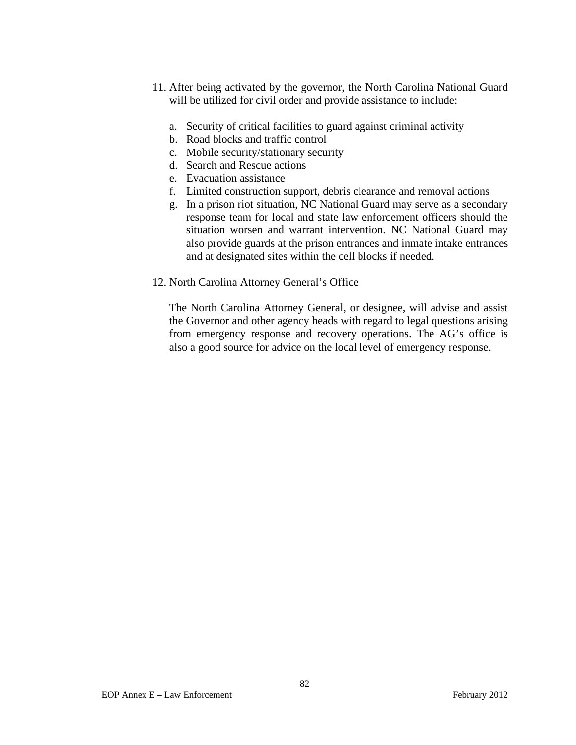- 11. After being activated by the governor, the North Carolina National Guard will be utilized for civil order and provide assistance to include:
	- a. Security of critical facilities to guard against criminal activity
	- b. Road blocks and traffic control
	- c. Mobile security/stationary security
	- d. Search and Rescue actions
	- e. Evacuation assistance
	- f. Limited construction support, debris clearance and removal actions
	- g. In a prison riot situation, NC National Guard may serve as a secondary response team for local and state law enforcement officers should the situation worsen and warrant intervention. NC National Guard may also provide guards at the prison entrances and inmate intake entrances and at designated sites within the cell blocks if needed.
- 12. North Carolina Attorney General's Office

The North Carolina Attorney General, or designee, will advise and assist the Governor and other agency heads with regard to legal questions arising from emergency response and recovery operations. The AG's office is also a good source for advice on the local level of emergency response.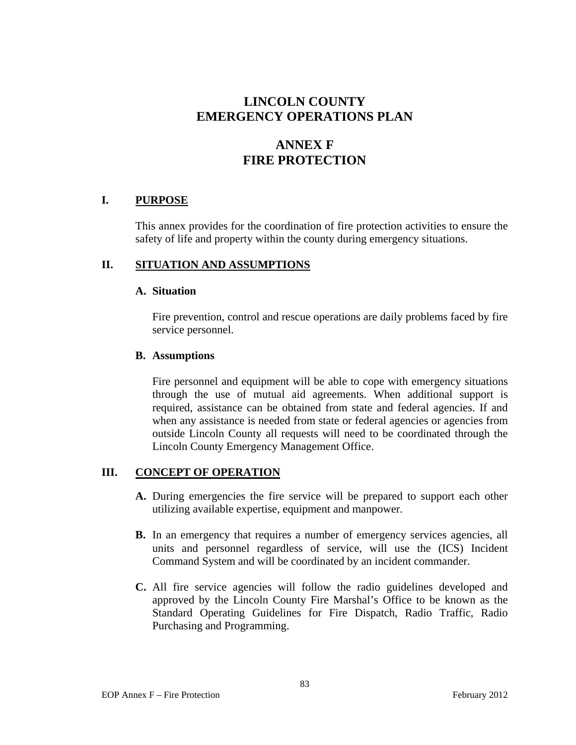# **ANNEX F FIRE PROTECTION**

### **I. PURPOSE**

This annex provides for the coordination of fire protection activities to ensure the safety of life and property within the county during emergency situations.

### **II. SITUATION AND ASSUMPTIONS**

### **A. Situation**

Fire prevention, control and rescue operations are daily problems faced by fire service personnel.

### **B. Assumptions**

Fire personnel and equipment will be able to cope with emergency situations through the use of mutual aid agreements. When additional support is required, assistance can be obtained from state and federal agencies. If and when any assistance is needed from state or federal agencies or agencies from outside Lincoln County all requests will need to be coordinated through the Lincoln County Emergency Management Office.

# **III. CONCEPT OF OPERATION**

- **A.** During emergencies the fire service will be prepared to support each other utilizing available expertise, equipment and manpower.
- **B.** In an emergency that requires a number of emergency services agencies, all units and personnel regardless of service, will use the (ICS) Incident Command System and will be coordinated by an incident commander.
- **C.** All fire service agencies will follow the radio guidelines developed and approved by the Lincoln County Fire Marshal's Office to be known as the Standard Operating Guidelines for Fire Dispatch, Radio Traffic, Radio Purchasing and Programming.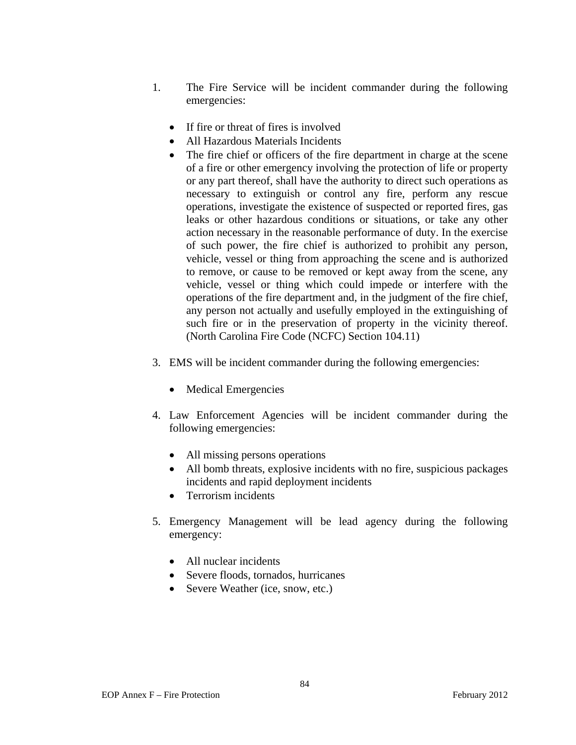- 1. The Fire Service will be incident commander during the following emergencies:
	- If fire or threat of fires is involved
	- All Hazardous Materials Incidents
	- The fire chief or officers of the fire department in charge at the scene of a fire or other emergency involving the protection of life or property or any part thereof, shall have the authority to direct such operations as necessary to extinguish or control any fire, perform any rescue operations, investigate the existence of suspected or reported fires, gas leaks or other hazardous conditions or situations, or take any other action necessary in the reasonable performance of duty. In the exercise of such power, the fire chief is authorized to prohibit any person, vehicle, vessel or thing from approaching the scene and is authorized to remove, or cause to be removed or kept away from the scene, any vehicle, vessel or thing which could impede or interfere with the operations of the fire department and, in the judgment of the fire chief, any person not actually and usefully employed in the extinguishing of such fire or in the preservation of property in the vicinity thereof. (North Carolina Fire Code (NCFC) Section 104.11)
- 3. EMS will be incident commander during the following emergencies:
	- Medical Emergencies
- 4. Law Enforcement Agencies will be incident commander during the following emergencies:
	- All missing persons operations
	- All bomb threats, explosive incidents with no fire, suspicious packages incidents and rapid deployment incidents
	- Terrorism incidents
- 5. Emergency Management will be lead agency during the following emergency:
	- All nuclear incidents
	- Severe floods, tornados, hurricanes
	- Severe Weather (ice, snow, etc.)

84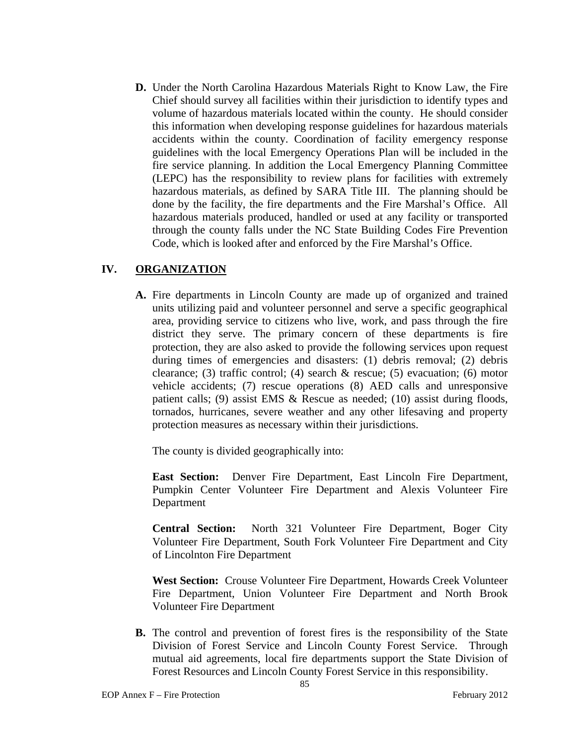**D.** Under the North Carolina Hazardous Materials Right to Know Law, the Fire Chief should survey all facilities within their jurisdiction to identify types and volume of hazardous materials located within the county. He should consider this information when developing response guidelines for hazardous materials accidents within the county. Coordination of facility emergency response guidelines with the local Emergency Operations Plan will be included in the fire service planning. In addition the Local Emergency Planning Committee (LEPC) has the responsibility to review plans for facilities with extremely hazardous materials, as defined by SARA Title III. The planning should be done by the facility, the fire departments and the Fire Marshal's Office. All hazardous materials produced, handled or used at any facility or transported through the county falls under the NC State Building Codes Fire Prevention Code, which is looked after and enforced by the Fire Marshal's Office.

### **IV. ORGANIZATION**

**A.** Fire departments in Lincoln County are made up of organized and trained units utilizing paid and volunteer personnel and serve a specific geographical area, providing service to citizens who live, work, and pass through the fire district they serve. The primary concern of these departments is fire protection, they are also asked to provide the following services upon request during times of emergencies and disasters: (1) debris removal; (2) debris clearance; (3) traffic control; (4) search  $\&$  rescue; (5) evacuation; (6) motor vehicle accidents; (7) rescue operations (8) AED calls and unresponsive patient calls; (9) assist EMS & Rescue as needed; (10) assist during floods, tornados, hurricanes, severe weather and any other lifesaving and property protection measures as necessary within their jurisdictions.

The county is divided geographically into:

**East Section:** Denver Fire Department, East Lincoln Fire Department, Pumpkin Center Volunteer Fire Department and Alexis Volunteer Fire Department

**Central Section:** North 321 Volunteer Fire Department, Boger City Volunteer Fire Department, South Fork Volunteer Fire Department and City of Lincolnton Fire Department

**West Section:** Crouse Volunteer Fire Department, Howards Creek Volunteer Fire Department, Union Volunteer Fire Department and North Brook Volunteer Fire Department

**B.** The control and prevention of forest fires is the responsibility of the State Division of Forest Service and Lincoln County Forest Service. Through mutual aid agreements, local fire departments support the State Division of Forest Resources and Lincoln County Forest Service in this responsibility.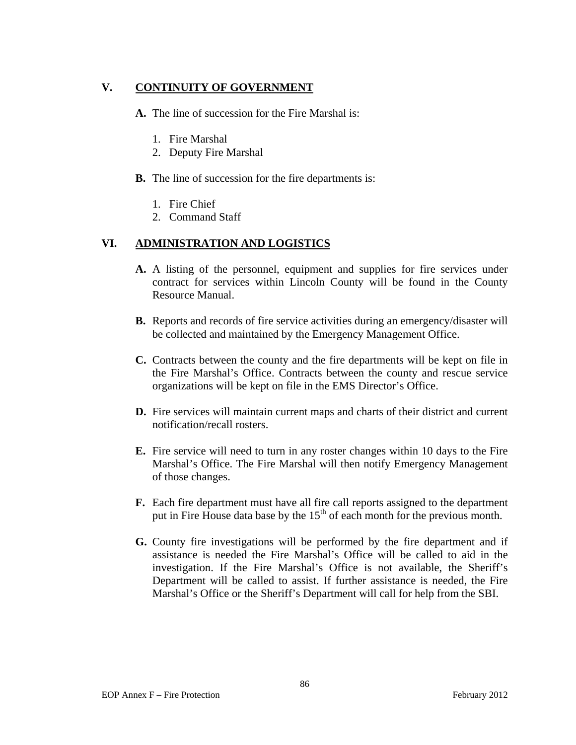# **V. CONTINUITY OF GOVERNMENT**

**A.** The line of succession for the Fire Marshal is:

- 1. Fire Marshal
- 2. Deputy Fire Marshal
- **B.** The line of succession for the fire departments is:
	- 1. Fire Chief
	- 2. Command Staff

# **VI. ADMINISTRATION AND LOGISTICS**

- **A.** A listing of the personnel, equipment and supplies for fire services under contract for services within Lincoln County will be found in the County Resource Manual.
- **B.** Reports and records of fire service activities during an emergency/disaster will be collected and maintained by the Emergency Management Office.
- **C.** Contracts between the county and the fire departments will be kept on file in the Fire Marshal's Office. Contracts between the county and rescue service organizations will be kept on file in the EMS Director's Office.
- **D.** Fire services will maintain current maps and charts of their district and current notification/recall rosters.
- **E.** Fire service will need to turn in any roster changes within 10 days to the Fire Marshal's Office. The Fire Marshal will then notify Emergency Management of those changes.
- **F.** Each fire department must have all fire call reports assigned to the department put in Fire House data base by the  $15<sup>th</sup>$  of each month for the previous month.
- **G.** County fire investigations will be performed by the fire department and if assistance is needed the Fire Marshal's Office will be called to aid in the investigation. If the Fire Marshal's Office is not available, the Sheriff's Department will be called to assist. If further assistance is needed, the Fire Marshal's Office or the Sheriff's Department will call for help from the SBI.

86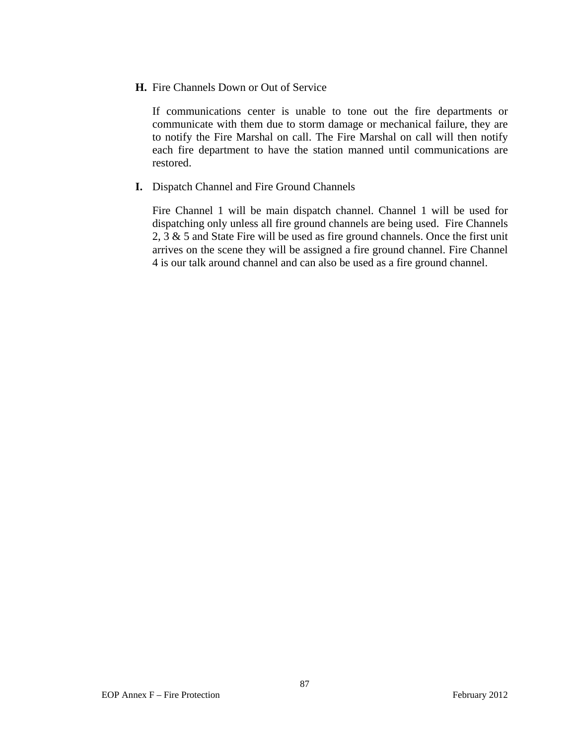### **H.** Fire Channels Down or Out of Service

If communications center is unable to tone out the fire departments or communicate with them due to storm damage or mechanical failure, they are to notify the Fire Marshal on call. The Fire Marshal on call will then notify each fire department to have the station manned until communications are restored.

### **I.** Dispatch Channel and Fire Ground Channels

Fire Channel 1 will be main dispatch channel. Channel 1 will be used for dispatching only unless all fire ground channels are being used. Fire Channels 2, 3 & 5 and State Fire will be used as fire ground channels. Once the first unit arrives on the scene they will be assigned a fire ground channel. Fire Channel 4 is our talk around channel and can also be used as a fire ground channel.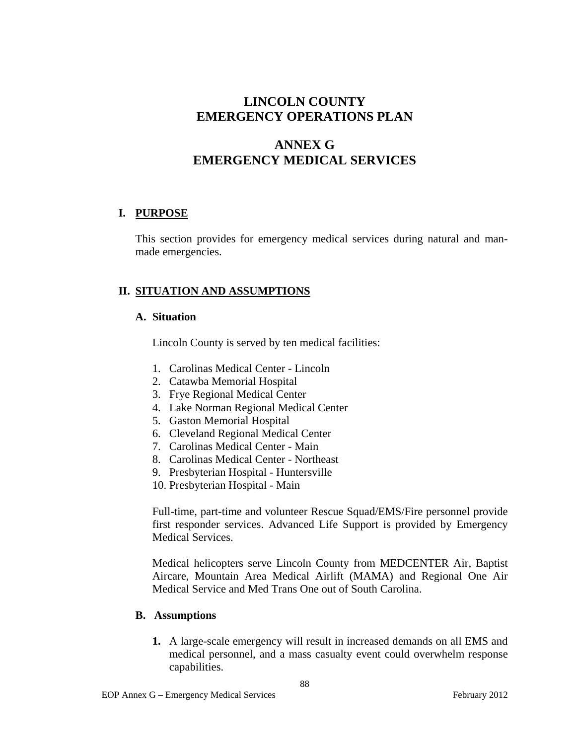# **ANNEX G EMERGENCY MEDICAL SERVICES**

# **I. PURPOSE**

This section provides for emergency medical services during natural and manmade emergencies.

# **II. SITUATION AND ASSUMPTIONS**

# **A. Situation**

Lincoln County is served by ten medical facilities:

- 1. Carolinas Medical Center Lincoln
- 2. Catawba Memorial Hospital
- 3. Frye Regional Medical Center
- 4. Lake Norman Regional Medical Center
- 5. Gaston Memorial Hospital
- 6. Cleveland Regional Medical Center
- 7. Carolinas Medical Center Main
- 8. Carolinas Medical Center Northeast
- 9. Presbyterian Hospital Huntersville
- 10. Presbyterian Hospital Main

Full-time, part-time and volunteer Rescue Squad/EMS/Fire personnel provide first responder services. Advanced Life Support is provided by Emergency Medical Services.

Medical helicopters serve Lincoln County from MEDCENTER Air, Baptist Aircare, Mountain Area Medical Airlift (MAMA) and Regional One Air Medical Service and Med Trans One out of South Carolina.

# **B. Assumptions**

**1.** A large-scale emergency will result in increased demands on all EMS and medical personnel, and a mass casualty event could overwhelm response capabilities.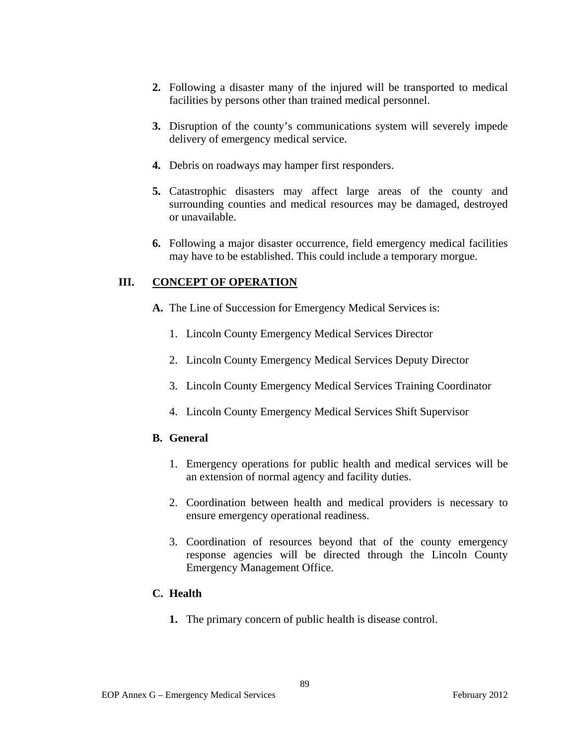- **2.** Following a disaster many of the injured will be transported to medical facilities by persons other than trained medical personnel.
- **3.** Disruption of the county's communications system will severely impede delivery of emergency medical service.
- **4.** Debris on roadways may hamper first responders.
- **5.** Catastrophic disasters may affect large areas of the county and surrounding counties and medical resources may be damaged, destroyed or unavailable.
- **6.** Following a major disaster occurrence, field emergency medical facilities may have to be established. This could include a temporary morgue.

# **III. CONCEPT OF OPERATION**

- **A.** The Line of Succession for Emergency Medical Services is:
	- 1. Lincoln County Emergency Medical Services Director
	- 2. Lincoln County Emergency Medical Services Deputy Director
	- 3. Lincoln County Emergency Medical Services Training Coordinator
	- 4. Lincoln County Emergency Medical Services Shift Supervisor

### **B. General**

- 1. Emergency operations for public health and medical services will be an extension of normal agency and facility duties.
- 2. Coordination between health and medical providers is necessary to ensure emergency operational readiness.
- 3. Coordination of resources beyond that of the county emergency response agencies will be directed through the Lincoln County Emergency Management Office.

### **C. Health**

**1.** The primary concern of public health is disease control.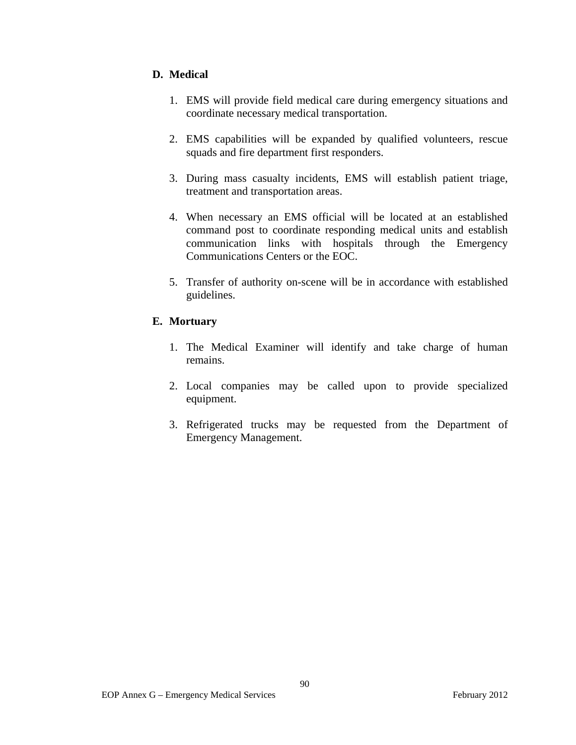# **D. Medical**

- 1. EMS will provide field medical care during emergency situations and coordinate necessary medical transportation.
- 2. EMS capabilities will be expanded by qualified volunteers, rescue squads and fire department first responders.
- 3. During mass casualty incidents, EMS will establish patient triage, treatment and transportation areas.
- 4. When necessary an EMS official will be located at an established command post to coordinate responding medical units and establish communication links with hospitals through the Emergency Communications Centers or the EOC.
- 5. Transfer of authority on-scene will be in accordance with established guidelines.

### **E. Mortuary**

- 1. The Medical Examiner will identify and take charge of human remains.
- 2. Local companies may be called upon to provide specialized equipment.
- 3. Refrigerated trucks may be requested from the Department of Emergency Management.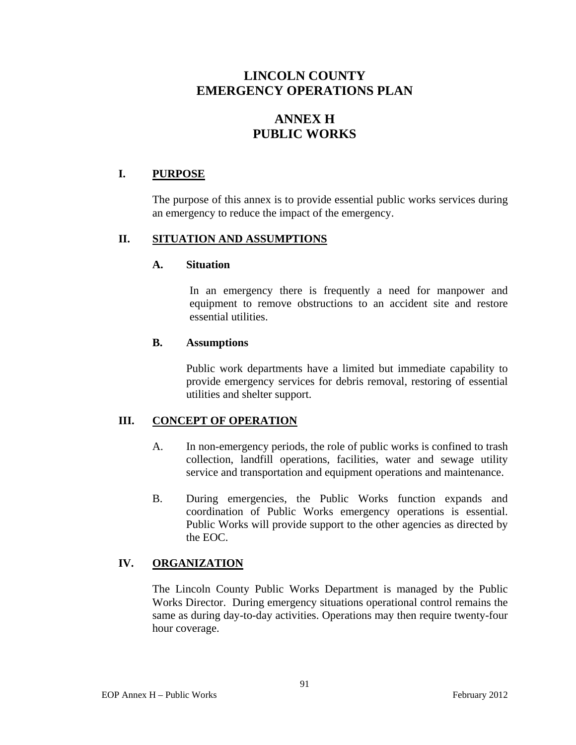# **ANNEX H PUBLIC WORKS**

# **I. PURPOSE**

The purpose of this annex is to provide essential public works services during an emergency to reduce the impact of the emergency.

### **II. SITUATION AND ASSUMPTIONS**

### **A. Situation**

In an emergency there is frequently a need for manpower and equipment to remove obstructions to an accident site and restore essential utilities.

#### **B. Assumptions**

Public work departments have a limited but immediate capability to provide emergency services for debris removal, restoring of essential utilities and shelter support.

### **III. CONCEPT OF OPERATION**

- A. In non-emergency periods, the role of public works is confined to trash collection, landfill operations, facilities, water and sewage utility service and transportation and equipment operations and maintenance.
- B. During emergencies, the Public Works function expands and coordination of Public Works emergency operations is essential. Public Works will provide support to the other agencies as directed by the EOC.

# **IV. ORGANIZATION**

The Lincoln County Public Works Department is managed by the Public Works Director. During emergency situations operational control remains the same as during day-to-day activities. Operations may then require twenty-four hour coverage.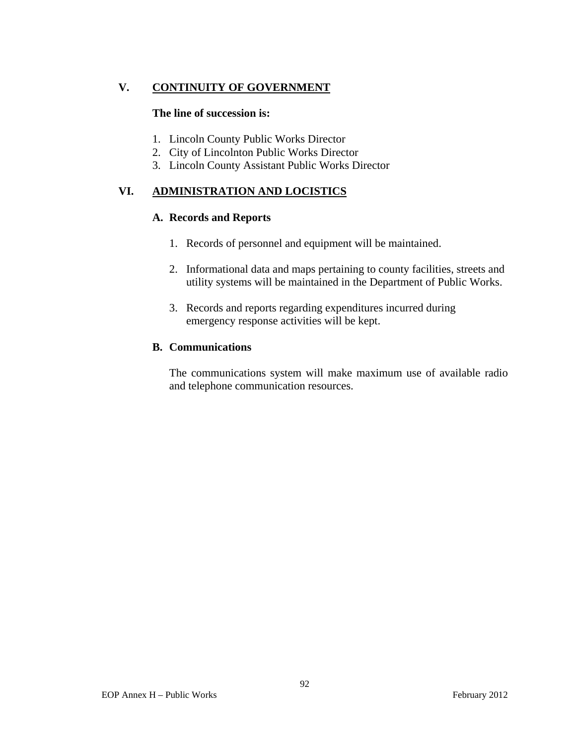# **V. CONTINUITY OF GOVERNMENT**

### **The line of succession is:**

- 1. Lincoln County Public Works Director
- 2. City of Lincolnton Public Works Director
- 3. Lincoln County Assistant Public Works Director

# **VI. ADMINISTRATION AND LOCISTICS**

### **A. Records and Reports**

- 1. Records of personnel and equipment will be maintained.
- 2. Informational data and maps pertaining to county facilities, streets and utility systems will be maintained in the Department of Public Works.
- 3. Records and reports regarding expenditures incurred during emergency response activities will be kept.

#### **B. Communications**

The communications system will make maximum use of available radio and telephone communication resources.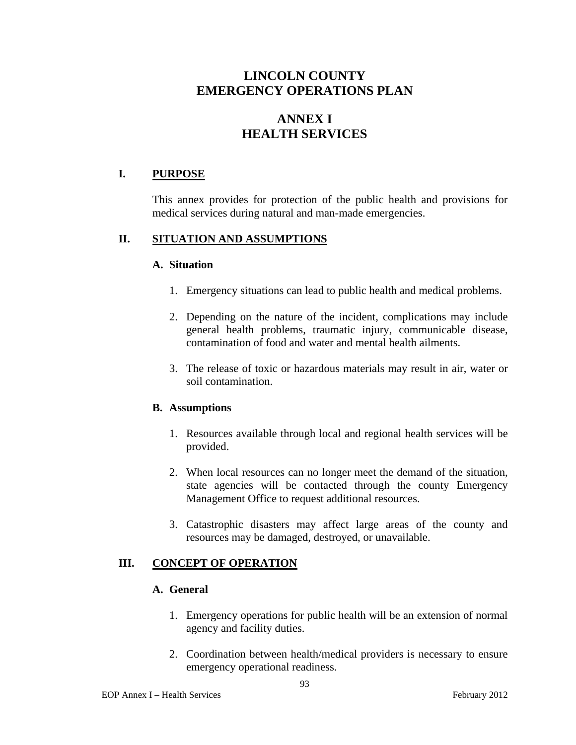# **ANNEX I HEALTH SERVICES**

# **I. PURPOSE**

This annex provides for protection of the public health and provisions for medical services during natural and man-made emergencies.

### **II. SITUATION AND ASSUMPTIONS**

#### **A. Situation**

- 1. Emergency situations can lead to public health and medical problems.
- 2. Depending on the nature of the incident, complications may include general health problems, traumatic injury, communicable disease, contamination of food and water and mental health ailments.
- 3. The release of toxic or hazardous materials may result in air, water or soil contamination.

### **B. Assumptions**

- 1. Resources available through local and regional health services will be provided.
- 2. When local resources can no longer meet the demand of the situation, state agencies will be contacted through the county Emergency Management Office to request additional resources.
- 3. Catastrophic disasters may affect large areas of the county and resources may be damaged, destroyed, or unavailable.

### **III.** CONCEPT OF OPERATION

# **A. General**

- 1. Emergency operations for public health will be an extension of normal agency and facility duties.
- 2. Coordination between health/medical providers is necessary to ensure emergency operational readiness.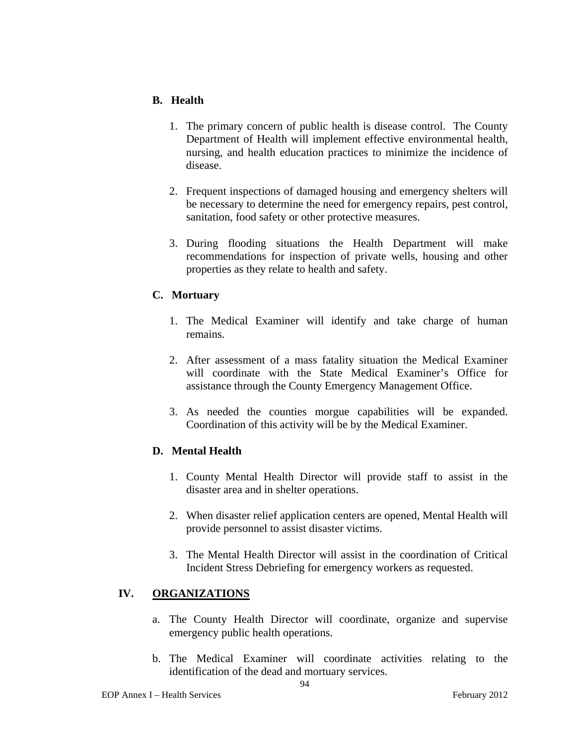### **B. Health**

- 1. The primary concern of public health is disease control. The County Department of Health will implement effective environmental health, nursing, and health education practices to minimize the incidence of disease.
- 2. Frequent inspections of damaged housing and emergency shelters will be necessary to determine the need for emergency repairs, pest control, sanitation, food safety or other protective measures.
- 3. During flooding situations the Health Department will make recommendations for inspection of private wells, housing and other properties as they relate to health and safety.

### **C. Mortuary**

- 1. The Medical Examiner will identify and take charge of human remains.
- 2. After assessment of a mass fatality situation the Medical Examiner will coordinate with the State Medical Examiner's Office for assistance through the County Emergency Management Office.
- 3. As needed the counties morgue capabilities will be expanded. Coordination of this activity will be by the Medical Examiner.

# **D. Mental Health**

- 1. County Mental Health Director will provide staff to assist in the disaster area and in shelter operations.
- 2. When disaster relief application centers are opened, Mental Health will provide personnel to assist disaster victims.
- 3. The Mental Health Director will assist in the coordination of Critical Incident Stress Debriefing for emergency workers as requested.

### **IV. ORGANIZATIONS**

- a. The County Health Director will coordinate, organize and supervise emergency public health operations.
- b. The Medical Examiner will coordinate activities relating to the identification of the dead and mortuary services.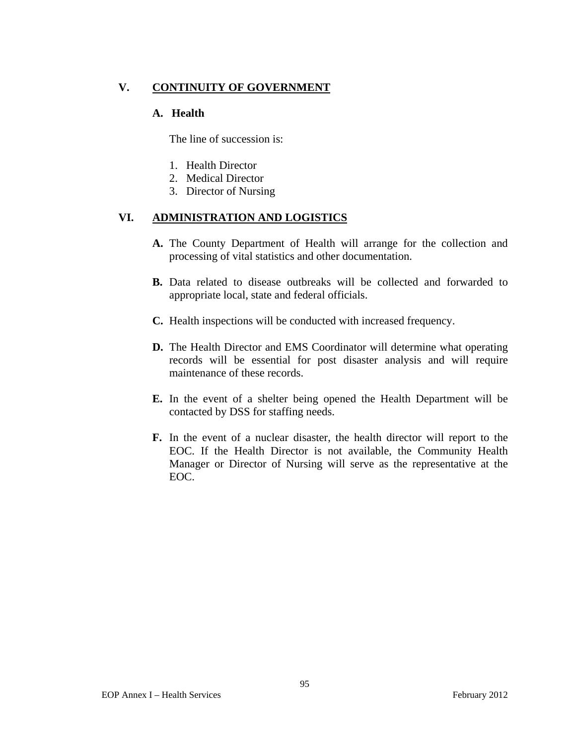# **V. CONTINUITY OF GOVERNMENT**

### **A. Health**

The line of succession is:

- 1. Health Director
- 2. Medical Director
- 3. Director of Nursing

### **VI. ADMINISTRATION AND LOGISTICS**

- **A.** The County Department of Health will arrange for the collection and processing of vital statistics and other documentation.
- **B.** Data related to disease outbreaks will be collected and forwarded to appropriate local, state and federal officials.
- **C.** Health inspections will be conducted with increased frequency.
- **D.** The Health Director and EMS Coordinator will determine what operating records will be essential for post disaster analysis and will require maintenance of these records.
- **E.** In the event of a shelter being opened the Health Department will be contacted by DSS for staffing needs.
- **F.** In the event of a nuclear disaster, the health director will report to the EOC. If the Health Director is not available, the Community Health Manager or Director of Nursing will serve as the representative at the EOC.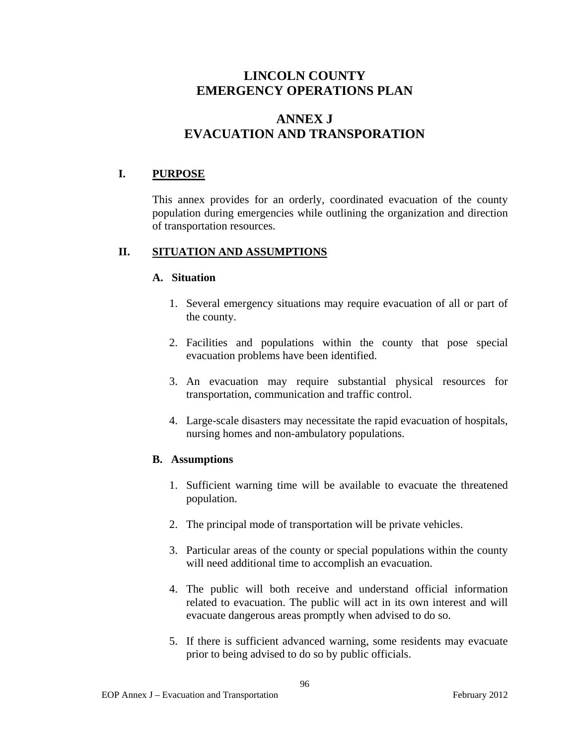# **ANNEX J EVACUATION AND TRANSPORATION**

# **I. PURPOSE**

This annex provides for an orderly, coordinated evacuation of the county population during emergencies while outlining the organization and direction of transportation resources.

# **II. SITUATION AND ASSUMPTIONS**

### **A. Situation**

- 1. Several emergency situations may require evacuation of all or part of the county.
- 2. Facilities and populations within the county that pose special evacuation problems have been identified.
- 3. An evacuation may require substantial physical resources for transportation, communication and traffic control.
- 4. Large-scale disasters may necessitate the rapid evacuation of hospitals, nursing homes and non-ambulatory populations.

# **B. Assumptions**

- 1. Sufficient warning time will be available to evacuate the threatened population.
- 2. The principal mode of transportation will be private vehicles.
- 3. Particular areas of the county or special populations within the county will need additional time to accomplish an evacuation.
- 4. The public will both receive and understand official information related to evacuation. The public will act in its own interest and will evacuate dangerous areas promptly when advised to do so.
- 5. If there is sufficient advanced warning, some residents may evacuate prior to being advised to do so by public officials.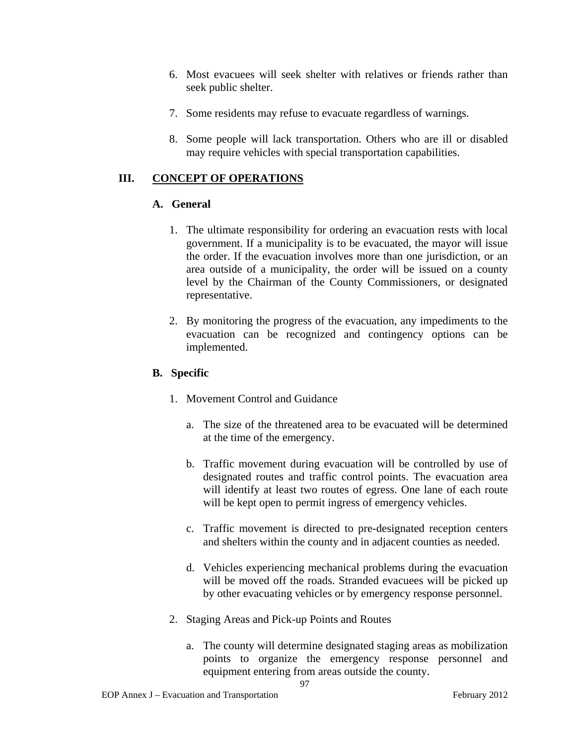- 6. Most evacuees will seek shelter with relatives or friends rather than seek public shelter.
- 7. Some residents may refuse to evacuate regardless of warnings.
- 8. Some people will lack transportation. Others who are ill or disabled may require vehicles with special transportation capabilities.

# **III. CONCEPT OF OPERATIONS**

# **A. General**

- 1. The ultimate responsibility for ordering an evacuation rests with local government. If a municipality is to be evacuated, the mayor will issue the order. If the evacuation involves more than one jurisdiction, or an area outside of a municipality, the order will be issued on a county level by the Chairman of the County Commissioners, or designated representative.
- 2. By monitoring the progress of the evacuation, any impediments to the evacuation can be recognized and contingency options can be implemented.

# **B. Specific**

- 1. Movement Control and Guidance
	- a. The size of the threatened area to be evacuated will be determined at the time of the emergency.
	- b. Traffic movement during evacuation will be controlled by use of designated routes and traffic control points. The evacuation area will identify at least two routes of egress. One lane of each route will be kept open to permit ingress of emergency vehicles.
	- c. Traffic movement is directed to pre-designated reception centers and shelters within the county and in adjacent counties as needed.
	- d. Vehicles experiencing mechanical problems during the evacuation will be moved off the roads. Stranded evacuees will be picked up by other evacuating vehicles or by emergency response personnel.
- 2. Staging Areas and Pick-up Points and Routes
	- a. The county will determine designated staging areas as mobilization points to organize the emergency response personnel and equipment entering from areas outside the county.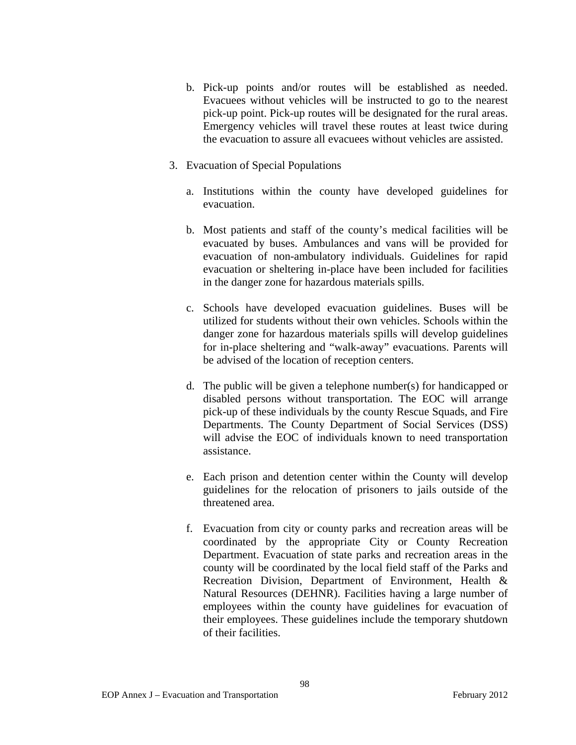- b. Pick-up points and/or routes will be established as needed. Evacuees without vehicles will be instructed to go to the nearest pick-up point. Pick-up routes will be designated for the rural areas. Emergency vehicles will travel these routes at least twice during the evacuation to assure all evacuees without vehicles are assisted.
- 3. Evacuation of Special Populations
	- a. Institutions within the county have developed guidelines for evacuation.
	- b. Most patients and staff of the county's medical facilities will be evacuated by buses. Ambulances and vans will be provided for evacuation of non-ambulatory individuals. Guidelines for rapid evacuation or sheltering in-place have been included for facilities in the danger zone for hazardous materials spills.
	- c. Schools have developed evacuation guidelines. Buses will be utilized for students without their own vehicles. Schools within the danger zone for hazardous materials spills will develop guidelines for in-place sheltering and "walk-away" evacuations. Parents will be advised of the location of reception centers.
	- d. The public will be given a telephone number(s) for handicapped or disabled persons without transportation. The EOC will arrange pick-up of these individuals by the county Rescue Squads, and Fire Departments. The County Department of Social Services (DSS) will advise the EOC of individuals known to need transportation assistance.
	- e. Each prison and detention center within the County will develop guidelines for the relocation of prisoners to jails outside of the threatened area.
	- f. Evacuation from city or county parks and recreation areas will be coordinated by the appropriate City or County Recreation Department. Evacuation of state parks and recreation areas in the county will be coordinated by the local field staff of the Parks and Recreation Division, Department of Environment, Health & Natural Resources (DEHNR). Facilities having a large number of employees within the county have guidelines for evacuation of their employees. These guidelines include the temporary shutdown of their facilities.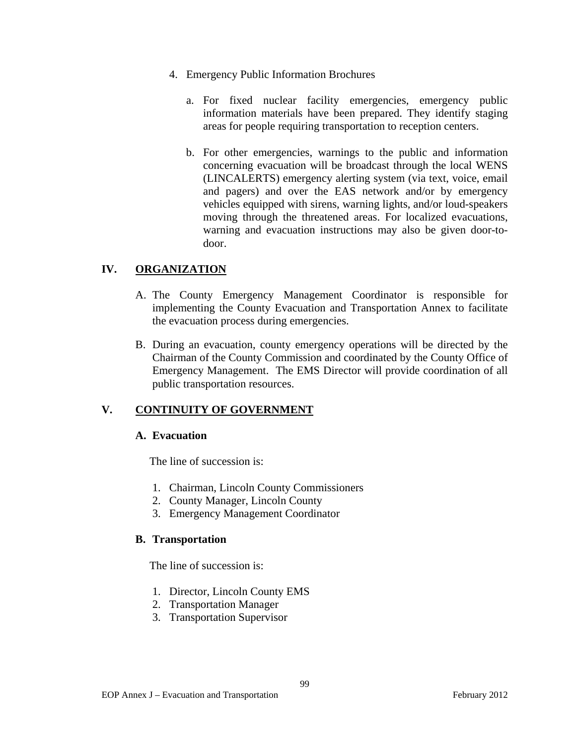- 4. Emergency Public Information Brochures
	- a. For fixed nuclear facility emergencies, emergency public information materials have been prepared. They identify staging areas for people requiring transportation to reception centers.
	- b. For other emergencies, warnings to the public and information concerning evacuation will be broadcast through the local WENS (LINCALERTS) emergency alerting system (via text, voice, email and pagers) and over the EAS network and/or by emergency vehicles equipped with sirens, warning lights, and/or loud-speakers moving through the threatened areas. For localized evacuations, warning and evacuation instructions may also be given door-todoor.

# **IV. ORGANIZATION**

- A. The County Emergency Management Coordinator is responsible for implementing the County Evacuation and Transportation Annex to facilitate the evacuation process during emergencies.
- B. During an evacuation, county emergency operations will be directed by the Chairman of the County Commission and coordinated by the County Office of Emergency Management. The EMS Director will provide coordination of all public transportation resources.

# **V. CONTINUITY OF GOVERNMENT**

### **A. Evacuation**

The line of succession is:

- 1. Chairman, Lincoln County Commissioners
- 2. County Manager, Lincoln County
- 3. Emergency Management Coordinator

# **B. Transportation**

The line of succession is:

- 1. Director, Lincoln County EMS
- 2. Transportation Manager
- 3. Transportation Supervisor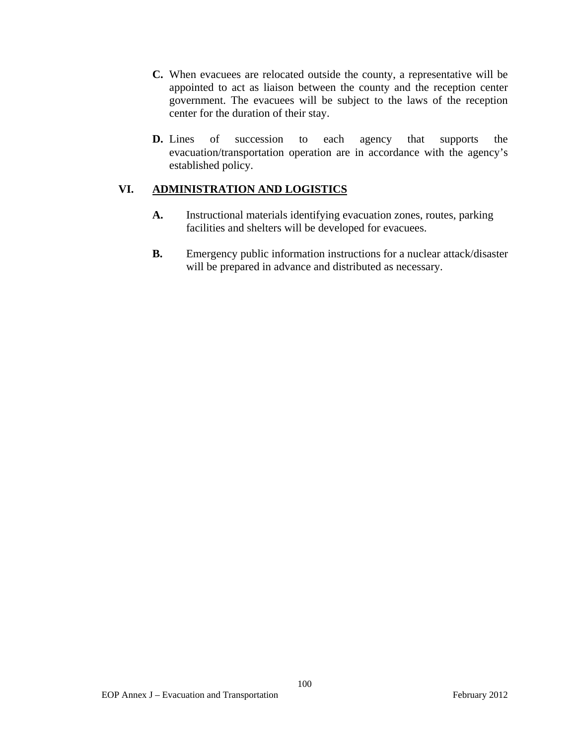- **C.** When evacuees are relocated outside the county, a representative will be appointed to act as liaison between the county and the reception center government. The evacuees will be subject to the laws of the reception center for the duration of their stay.
- **D.** Lines of succession to each agency that supports the evacuation/transportation operation are in accordance with the agency's established policy.

## **VI. ADMINISTRATION AND LOGISTICS**

- **A.** Instructional materials identifying evacuation zones, routes, parking facilities and shelters will be developed for evacuees.
- **B.** Emergency public information instructions for a nuclear attack/disaster will be prepared in advance and distributed as necessary.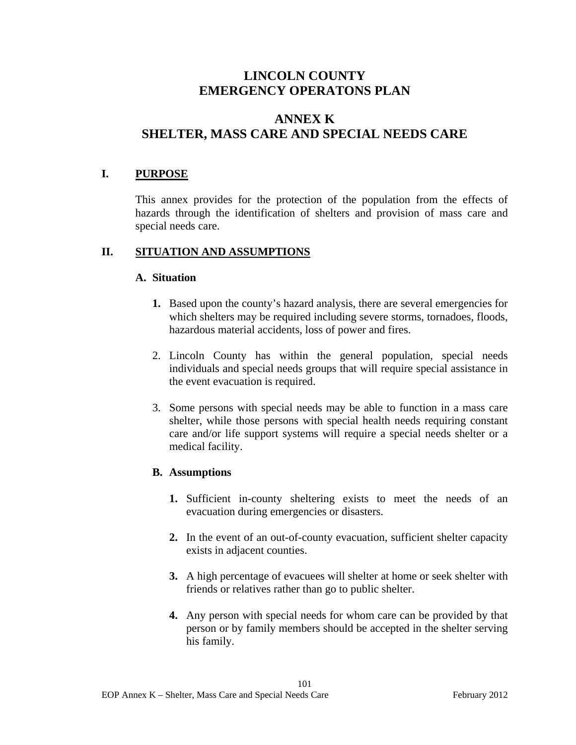# **ANNEX K SHELTER, MASS CARE AND SPECIAL NEEDS CARE**

## **I. PURPOSE**

This annex provides for the protection of the population from the effects of hazards through the identification of shelters and provision of mass care and special needs care.

## **II. SITUATION AND ASSUMPTIONS**

### **A. Situation**

- **1.** Based upon the county's hazard analysis, there are several emergencies for which shelters may be required including severe storms, tornadoes, floods, hazardous material accidents, loss of power and fires.
- 2. Lincoln County has within the general population, special needs individuals and special needs groups that will require special assistance in the event evacuation is required.
- 3. Some persons with special needs may be able to function in a mass care shelter, while those persons with special health needs requiring constant care and/or life support systems will require a special needs shelter or a medical facility.

## **B. Assumptions**

- 1. Sufficient in-county sheltering exists to meet the needs of an evacuation during emergencies or disasters.
- **2.** In the event of an out-of-county evacuation, sufficient shelter capacity exists in adjacent counties.
- **3.** A high percentage of evacuees will shelter at home or seek shelter with friends or relatives rather than go to public shelter.
- **4.** Any person with special needs for whom care can be provided by that person or by family members should be accepted in the shelter serving his family.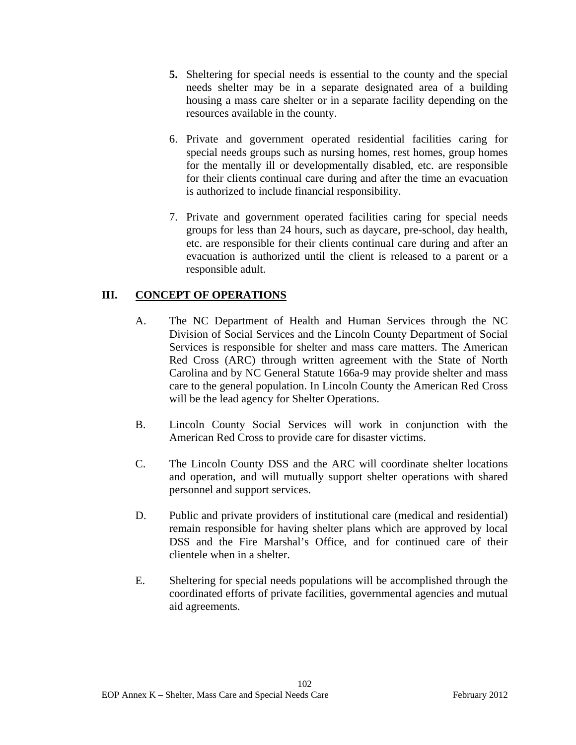- **5.** Sheltering for special needs is essential to the county and the special needs shelter may be in a separate designated area of a building housing a mass care shelter or in a separate facility depending on the resources available in the county.
- 6. Private and government operated residential facilities caring for special needs groups such as nursing homes, rest homes, group homes for the mentally ill or developmentally disabled, etc. are responsible for their clients continual care during and after the time an evacuation is authorized to include financial responsibility.
- 7. Private and government operated facilities caring for special needs groups for less than 24 hours, such as daycare, pre-school, day health, etc. are responsible for their clients continual care during and after an evacuation is authorized until the client is released to a parent or a responsible adult.

# **III. CONCEPT OF OPERATIONS**

- A. The NC Department of Health and Human Services through the NC Division of Social Services and the Lincoln County Department of Social Services is responsible for shelter and mass care matters. The American Red Cross (ARC) through written agreement with the State of North Carolina and by NC General Statute 166a-9 may provide shelter and mass care to the general population. In Lincoln County the American Red Cross will be the lead agency for Shelter Operations.
- B. Lincoln County Social Services will work in conjunction with the American Red Cross to provide care for disaster victims.
- C. The Lincoln County DSS and the ARC will coordinate shelter locations and operation, and will mutually support shelter operations with shared personnel and support services.
- D. Public and private providers of institutional care (medical and residential) remain responsible for having shelter plans which are approved by local DSS and the Fire Marshal's Office, and for continued care of their clientele when in a shelter.
- E. Sheltering for special needs populations will be accomplished through the coordinated efforts of private facilities, governmental agencies and mutual aid agreements.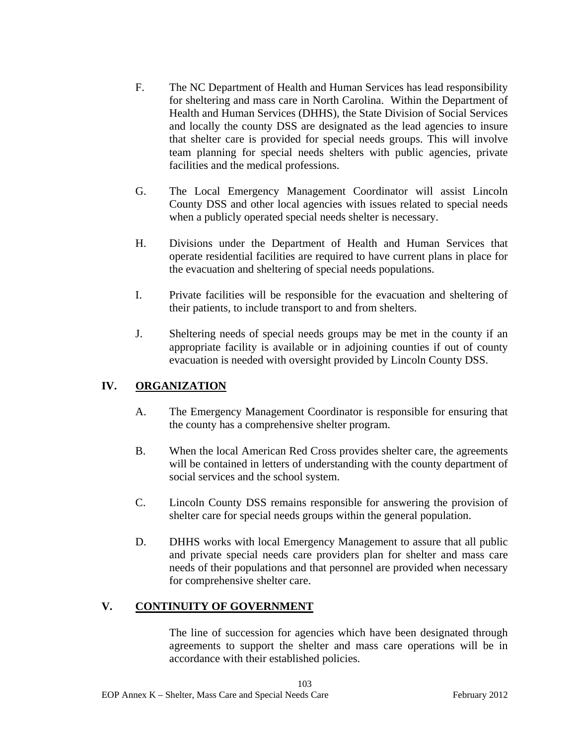- F. The NC Department of Health and Human Services has lead responsibility for sheltering and mass care in North Carolina. Within the Department of Health and Human Services (DHHS), the State Division of Social Services and locally the county DSS are designated as the lead agencies to insure that shelter care is provided for special needs groups. This will involve team planning for special needs shelters with public agencies, private facilities and the medical professions.
- G. The Local Emergency Management Coordinator will assist Lincoln County DSS and other local agencies with issues related to special needs when a publicly operated special needs shelter is necessary.
- H. Divisions under the Department of Health and Human Services that operate residential facilities are required to have current plans in place for the evacuation and sheltering of special needs populations.
- I. Private facilities will be responsible for the evacuation and sheltering of their patients, to include transport to and from shelters.
- J. Sheltering needs of special needs groups may be met in the county if an appropriate facility is available or in adjoining counties if out of county evacuation is needed with oversight provided by Lincoln County DSS.

# **IV. ORGANIZATION**

- A. The Emergency Management Coordinator is responsible for ensuring that the county has a comprehensive shelter program.
- B. When the local American Red Cross provides shelter care, the agreements will be contained in letters of understanding with the county department of social services and the school system.
- C. Lincoln County DSS remains responsible for answering the provision of shelter care for special needs groups within the general population.
- D. DHHS works with local Emergency Management to assure that all public and private special needs care providers plan for shelter and mass care needs of their populations and that personnel are provided when necessary for comprehensive shelter care.

## **V. CONTINUITY OF GOVERNMENT**

The line of succession for agencies which have been designated through agreements to support the shelter and mass care operations will be in accordance with their established policies.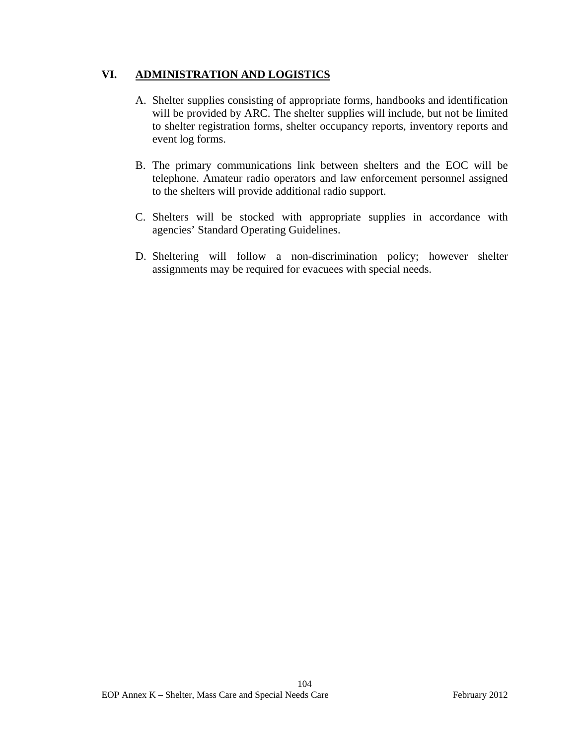# **VI. ADMINISTRATION AND LOGISTICS**

- A. Shelter supplies consisting of appropriate forms, handbooks and identification will be provided by ARC. The shelter supplies will include, but not be limited to shelter registration forms, shelter occupancy reports, inventory reports and event log forms.
- B. The primary communications link between shelters and the EOC will be telephone. Amateur radio operators and law enforcement personnel assigned to the shelters will provide additional radio support.
- C. Shelters will be stocked with appropriate supplies in accordance with agencies' Standard Operating Guidelines.
- D. Sheltering will follow a non-discrimination policy; however shelter assignments may be required for evacuees with special needs.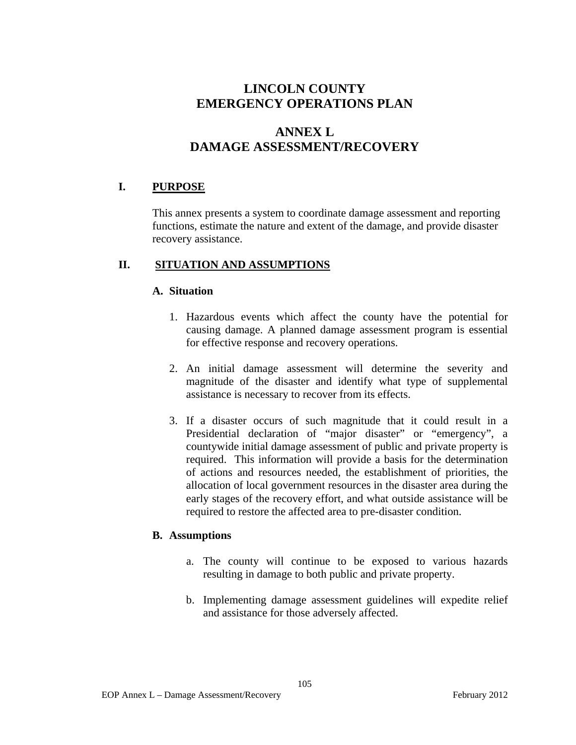# **ANNEX L DAMAGE ASSESSMENT/RECOVERY**

## **I. PURPOSE**

This annex presents a system to coordinate damage assessment and reporting functions, estimate the nature and extent of the damage, and provide disaster recovery assistance.

## **II. SITUATION AND ASSUMPTIONS**

#### **A. Situation**

- 1. Hazardous events which affect the county have the potential for causing damage. A planned damage assessment program is essential for effective response and recovery operations.
- 2. An initial damage assessment will determine the severity and magnitude of the disaster and identify what type of supplemental assistance is necessary to recover from its effects.
- 3. If a disaster occurs of such magnitude that it could result in a Presidential declaration of "major disaster" or "emergency", a countywide initial damage assessment of public and private property is required. This information will provide a basis for the determination of actions and resources needed, the establishment of priorities, the allocation of local government resources in the disaster area during the early stages of the recovery effort, and what outside assistance will be required to restore the affected area to pre-disaster condition.

#### **B. Assumptions**

- a. The county will continue to be exposed to various hazards resulting in damage to both public and private property.
- b. Implementing damage assessment guidelines will expedite relief and assistance for those adversely affected.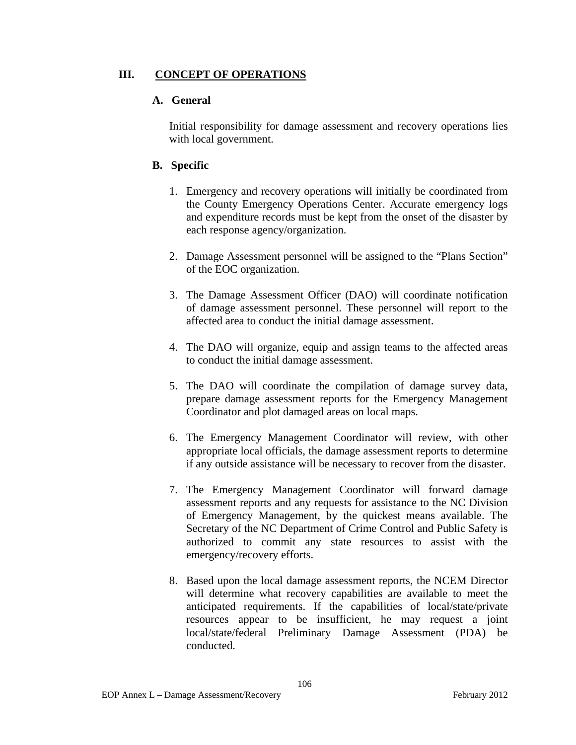# **III. CONCEPT OF OPERATIONS**

# **A. General**

Initial responsibility for damage assessment and recovery operations lies with local government.

# **B. Specific**

- 1. Emergency and recovery operations will initially be coordinated from the County Emergency Operations Center. Accurate emergency logs and expenditure records must be kept from the onset of the disaster by each response agency/organization.
- 2. Damage Assessment personnel will be assigned to the "Plans Section" of the EOC organization.
- 3. The Damage Assessment Officer (DAO) will coordinate notification of damage assessment personnel. These personnel will report to the affected area to conduct the initial damage assessment.
- 4. The DAO will organize, equip and assign teams to the affected areas to conduct the initial damage assessment.
- 5. The DAO will coordinate the compilation of damage survey data, prepare damage assessment reports for the Emergency Management Coordinator and plot damaged areas on local maps.
- 6. The Emergency Management Coordinator will review, with other appropriate local officials, the damage assessment reports to determine if any outside assistance will be necessary to recover from the disaster.
- 7. The Emergency Management Coordinator will forward damage assessment reports and any requests for assistance to the NC Division of Emergency Management, by the quickest means available. The Secretary of the NC Department of Crime Control and Public Safety is authorized to commit any state resources to assist with the emergency/recovery efforts.
- 8. Based upon the local damage assessment reports, the NCEM Director will determine what recovery capabilities are available to meet the anticipated requirements. If the capabilities of local/state/private resources appear to be insufficient, he may request a joint local/state/federal Preliminary Damage Assessment (PDA) be conducted.

106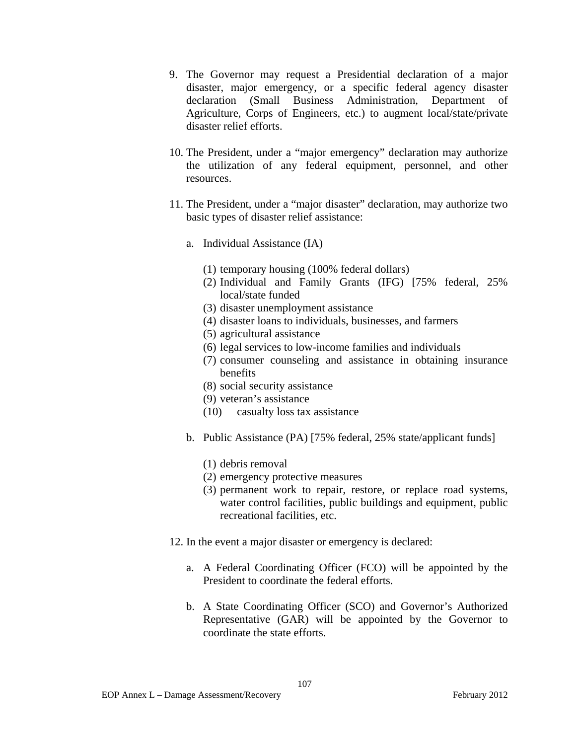- 9. The Governor may request a Presidential declaration of a major disaster, major emergency, or a specific federal agency disaster declaration (Small Business Administration, Department of Agriculture, Corps of Engineers, etc.) to augment local/state/private disaster relief efforts.
- 10. The President, under a "major emergency" declaration may authorize the utilization of any federal equipment, personnel, and other resources.
- 11. The President, under a "major disaster" declaration, may authorize two basic types of disaster relief assistance:
	- a. Individual Assistance (IA)
		- (1) temporary housing (100% federal dollars)
		- (2) Individual and Family Grants (IFG) [75% federal, 25% local/state funded
		- (3) disaster unemployment assistance
		- (4) disaster loans to individuals, businesses, and farmers
		- (5) agricultural assistance
		- (6) legal services to low-income families and individuals
		- (7) consumer counseling and assistance in obtaining insurance benefits
		- (8) social security assistance
		- (9) veteran's assistance
		- (10) casualty loss tax assistance
	- b. Public Assistance (PA) [75% federal, 25% state/applicant funds]
		- (1) debris removal
		- (2) emergency protective measures
		- (3) permanent work to repair, restore, or replace road systems, water control facilities, public buildings and equipment, public recreational facilities, etc.
- 12. In the event a major disaster or emergency is declared:
	- a. A Federal Coordinating Officer (FCO) will be appointed by the President to coordinate the federal efforts.
	- b. A State Coordinating Officer (SCO) and Governor's Authorized Representative (GAR) will be appointed by the Governor to coordinate the state efforts.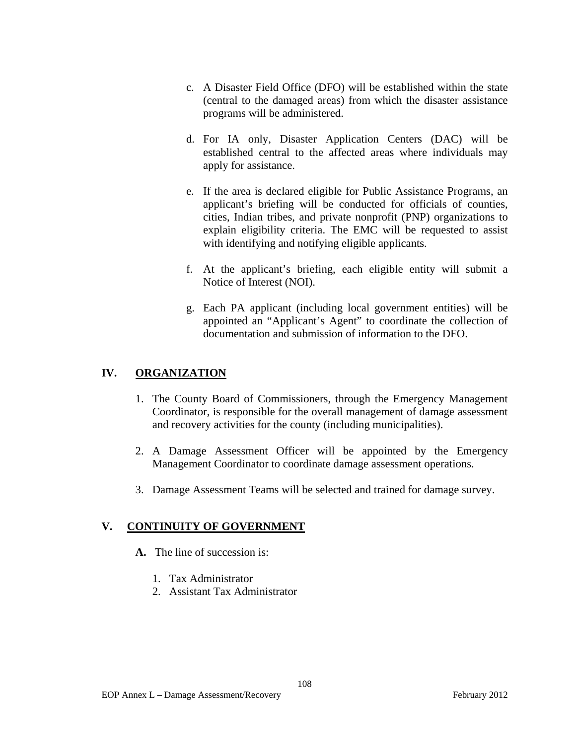- c. A Disaster Field Office (DFO) will be established within the state (central to the damaged areas) from which the disaster assistance programs will be administered.
- d. For IA only, Disaster Application Centers (DAC) will be established central to the affected areas where individuals may apply for assistance.
- e. If the area is declared eligible for Public Assistance Programs, an applicant's briefing will be conducted for officials of counties, cities, Indian tribes, and private nonprofit (PNP) organizations to explain eligibility criteria. The EMC will be requested to assist with identifying and notifying eligible applicants.
- f. At the applicant's briefing, each eligible entity will submit a Notice of Interest (NOI).
- g. Each PA applicant (including local government entities) will be appointed an "Applicant's Agent" to coordinate the collection of documentation and submission of information to the DFO.

# **IV. ORGANIZATION**

- 1. The County Board of Commissioners, through the Emergency Management Coordinator, is responsible for the overall management of damage assessment and recovery activities for the county (including municipalities).
- 2. A Damage Assessment Officer will be appointed by the Emergency Management Coordinator to coordinate damage assessment operations.
- 3. Damage Assessment Teams will be selected and trained for damage survey.

# **V. CONTINUITY OF GOVERNMENT**

- **A.** The line of succession is:
	- 1. Tax Administrator
	- 2. Assistant Tax Administrator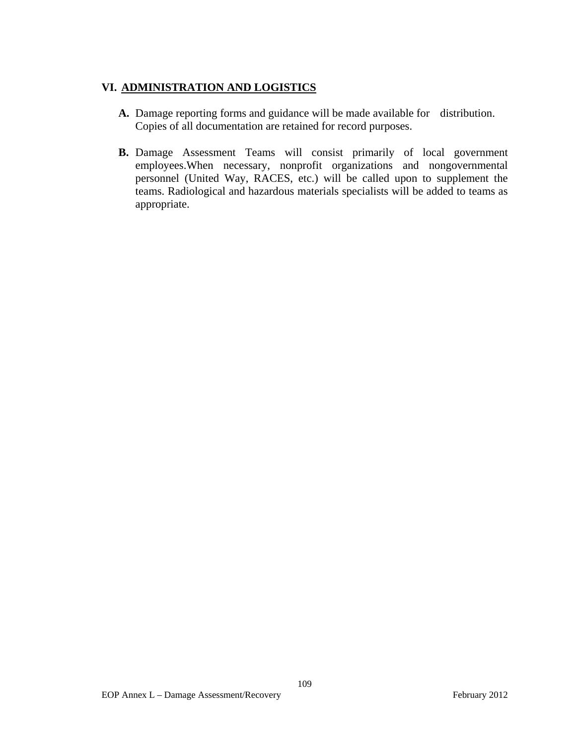# **VI. ADMINISTRATION AND LOGISTICS**

- **A.** Damage reporting forms and guidance will be made available for distribution. Copies of all documentation are retained for record purposes.
- **B.** Damage Assessment Teams will consist primarily of local government employees.When necessary, nonprofit organizations and nongovernmental personnel (United Way, RACES, etc.) will be called upon to supplement the teams. Radiological and hazardous materials specialists will be added to teams as appropriate.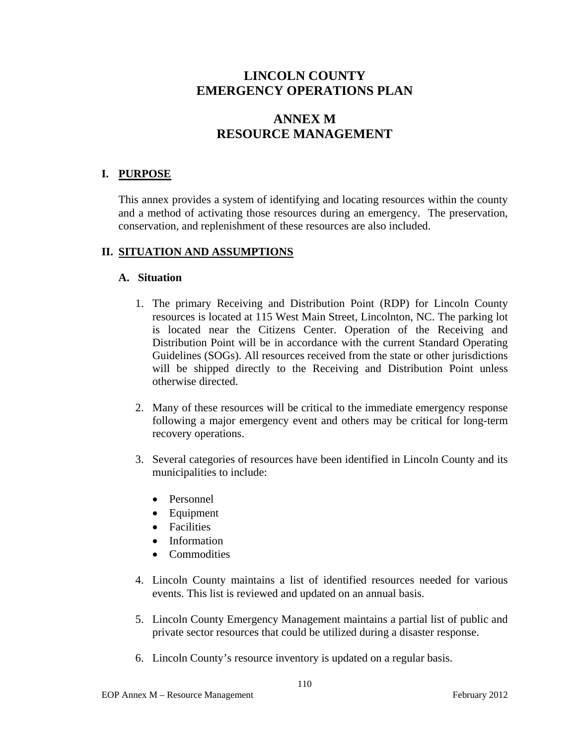# **ANNEX M RESOURCE MANAGEMENT**

# **I. PURPOSE**

This annex provides a system of identifying and locating resources within the county and a method of activating those resources during an emergency. The preservation, conservation, and replenishment of these resources are also included.

## **II. SITUATION AND ASSUMPTIONS**

### **A. Situation**

- 1. The primary Receiving and Distribution Point (RDP) for Lincoln County resources is located at 115 West Main Street, Lincolnton, NC. The parking lot is located near the Citizens Center. Operation of the Receiving and Distribution Point will be in accordance with the current Standard Operating Guidelines (SOGs). All resources received from the state or other jurisdictions will be shipped directly to the Receiving and Distribution Point unless otherwise directed.
- 2. Many of these resources will be critical to the immediate emergency response following a major emergency event and others may be critical for long-term recovery operations.
- 3. Several categories of resources have been identified in Lincoln County and its municipalities to include:
	- Personnel
	- Equipment
	- Facilities
	- Information
	- Commodities
- 4. Lincoln County maintains a list of identified resources needed for various events. This list is reviewed and updated on an annual basis.
- 5. Lincoln County Emergency Management maintains a partial list of public and private sector resources that could be utilized during a disaster response.
- 6. Lincoln County's resource inventory is updated on a regular basis.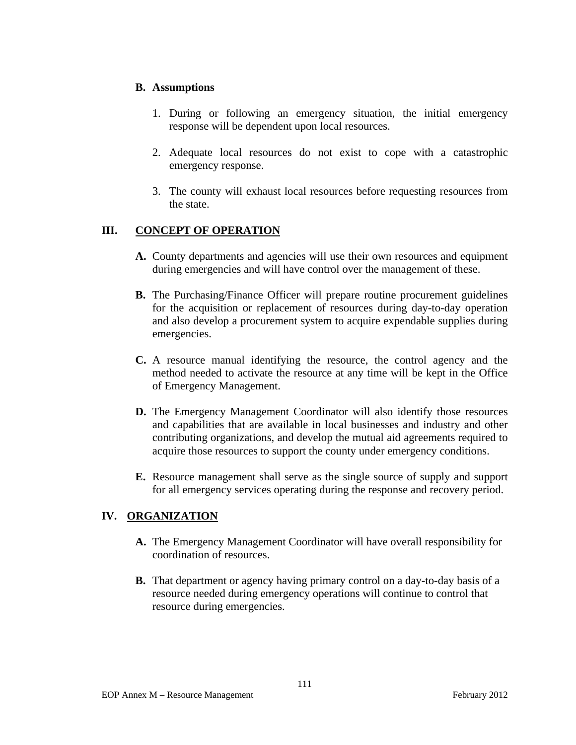### **B. Assumptions**

- 1. During or following an emergency situation, the initial emergency response will be dependent upon local resources.
- 2. Adequate local resources do not exist to cope with a catastrophic emergency response.
- 3. The county will exhaust local resources before requesting resources from the state.

# **III. CONCEPT OF OPERATION**

- **A.** County departments and agencies will use their own resources and equipment during emergencies and will have control over the management of these.
- **B.** The Purchasing/Finance Officer will prepare routine procurement guidelines for the acquisition or replacement of resources during day-to-day operation and also develop a procurement system to acquire expendable supplies during emergencies.
- **C.** A resource manual identifying the resource, the control agency and the method needed to activate the resource at any time will be kept in the Office of Emergency Management.
- **D.** The Emergency Management Coordinator will also identify those resources and capabilities that are available in local businesses and industry and other contributing organizations, and develop the mutual aid agreements required to acquire those resources to support the county under emergency conditions.
- **E.** Resource management shall serve as the single source of supply and support for all emergency services operating during the response and recovery period.

## **IV. ORGANIZATION**

- **A.** The Emergency Management Coordinator will have overall responsibility for coordination of resources.
- **B.** That department or agency having primary control on a day-to-day basis of a resource needed during emergency operations will continue to control that resource during emergencies.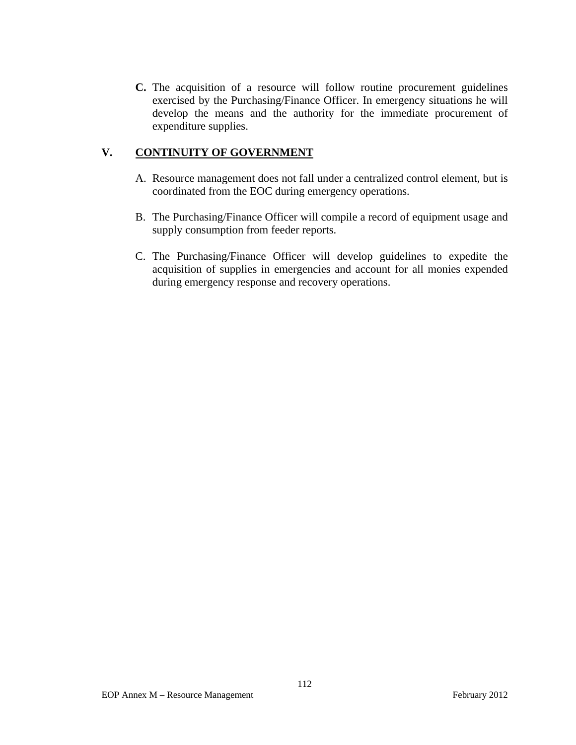**C.** The acquisition of a resource will follow routine procurement guidelines exercised by the Purchasing/Finance Officer. In emergency situations he will develop the means and the authority for the immediate procurement of expenditure supplies.

# **V. CONTINUITY OF GOVERNMENT**

- A. Resource management does not fall under a centralized control element, but is coordinated from the EOC during emergency operations.
- B. The Purchasing/Finance Officer will compile a record of equipment usage and supply consumption from feeder reports.
- C. The Purchasing/Finance Officer will develop guidelines to expedite the acquisition of supplies in emergencies and account for all monies expended during emergency response and recovery operations.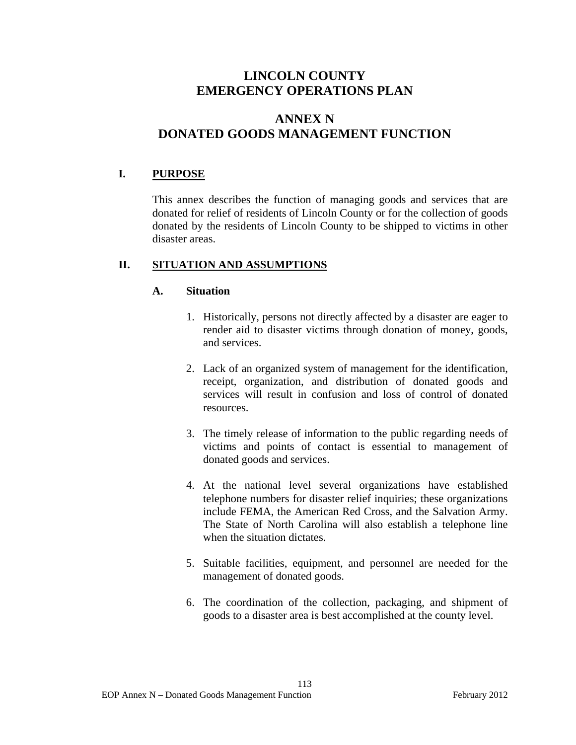# **ANNEX N DONATED GOODS MANAGEMENT FUNCTION**

# **I. PURPOSE**

This annex describes the function of managing goods and services that are donated for relief of residents of Lincoln County or for the collection of goods donated by the residents of Lincoln County to be shipped to victims in other disaster areas.

## **II. SITUATION AND ASSUMPTIONS**

### **A. Situation**

- 1. Historically, persons not directly affected by a disaster are eager to render aid to disaster victims through donation of money, goods, and services.
- 2. Lack of an organized system of management for the identification, receipt, organization, and distribution of donated goods and services will result in confusion and loss of control of donated resources.
- 3. The timely release of information to the public regarding needs of victims and points of contact is essential to management of donated goods and services.
- 4. At the national level several organizations have established telephone numbers for disaster relief inquiries; these organizations include FEMA, the American Red Cross, and the Salvation Army. The State of North Carolina will also establish a telephone line when the situation dictates.
- 5. Suitable facilities, equipment, and personnel are needed for the management of donated goods.
- 6. The coordination of the collection, packaging, and shipment of goods to a disaster area is best accomplished at the county level.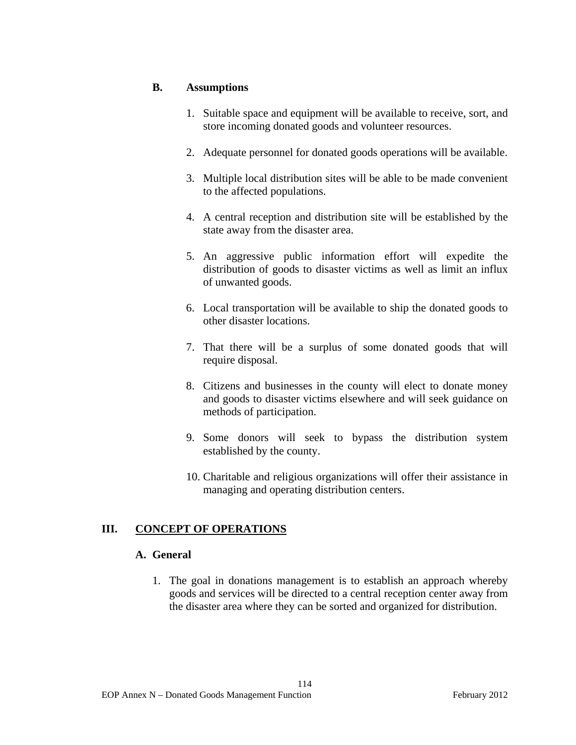### **B. Assumptions**

- 1. Suitable space and equipment will be available to receive, sort, and store incoming donated goods and volunteer resources.
- 2. Adequate personnel for donated goods operations will be available.
- 3. Multiple local distribution sites will be able to be made convenient to the affected populations.
- 4. A central reception and distribution site will be established by the state away from the disaster area.
- 5. An aggressive public information effort will expedite the distribution of goods to disaster victims as well as limit an influx of unwanted goods.
- 6. Local transportation will be available to ship the donated goods to other disaster locations.
- 7. That there will be a surplus of some donated goods that will require disposal.
- 8. Citizens and businesses in the county will elect to donate money and goods to disaster victims elsewhere and will seek guidance on methods of participation.
- 9. Some donors will seek to bypass the distribution system established by the county.
- 10. Charitable and religious organizations will offer their assistance in managing and operating distribution centers.

## **III. CONCEPT OF OPERATIONS**

#### **A. General**

1. The goal in donations management is to establish an approach whereby goods and services will be directed to a central reception center away from the disaster area where they can be sorted and organized for distribution.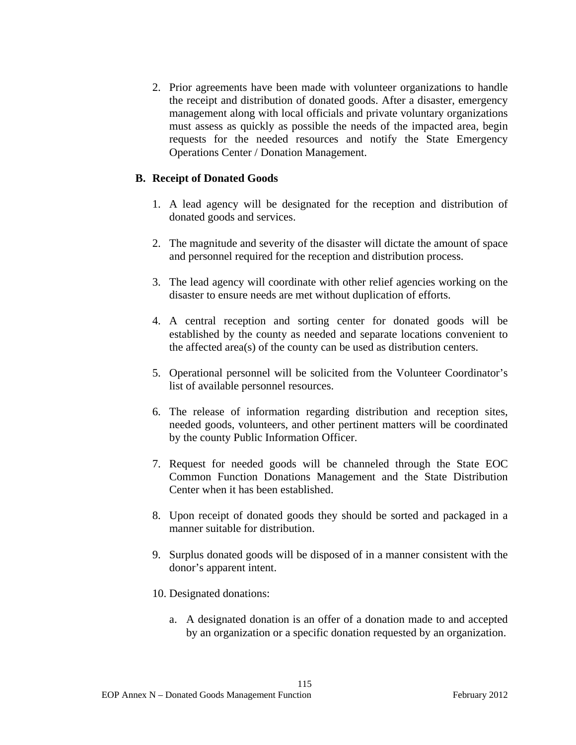2. Prior agreements have been made with volunteer organizations to handle the receipt and distribution of donated goods. After a disaster, emergency management along with local officials and private voluntary organizations must assess as quickly as possible the needs of the impacted area, begin requests for the needed resources and notify the State Emergency Operations Center / Donation Management.

### **B. Receipt of Donated Goods**

- 1. A lead agency will be designated for the reception and distribution of donated goods and services.
- 2. The magnitude and severity of the disaster will dictate the amount of space and personnel required for the reception and distribution process.
- 3. The lead agency will coordinate with other relief agencies working on the disaster to ensure needs are met without duplication of efforts.
- 4. A central reception and sorting center for donated goods will be established by the county as needed and separate locations convenient to the affected area(s) of the county can be used as distribution centers.
- 5. Operational personnel will be solicited from the Volunteer Coordinator's list of available personnel resources.
- 6. The release of information regarding distribution and reception sites, needed goods, volunteers, and other pertinent matters will be coordinated by the county Public Information Officer.
- 7. Request for needed goods will be channeled through the State EOC Common Function Donations Management and the State Distribution Center when it has been established.
- 8. Upon receipt of donated goods they should be sorted and packaged in a manner suitable for distribution.
- 9. Surplus donated goods will be disposed of in a manner consistent with the donor's apparent intent.
- 10. Designated donations:
	- a. A designated donation is an offer of a donation made to and accepted by an organization or a specific donation requested by an organization.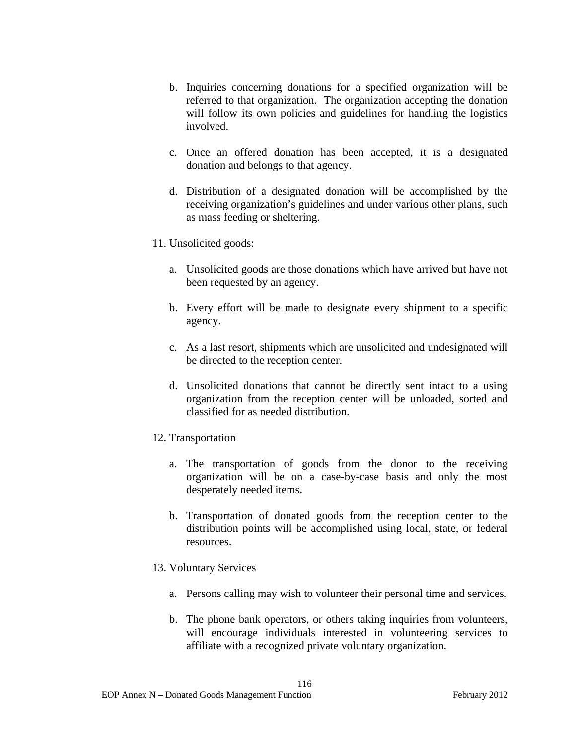- b. Inquiries concerning donations for a specified organization will be referred to that organization. The organization accepting the donation will follow its own policies and guidelines for handling the logistics involved.
- c. Once an offered donation has been accepted, it is a designated donation and belongs to that agency.
- d. Distribution of a designated donation will be accomplished by the receiving organization's guidelines and under various other plans, such as mass feeding or sheltering.
- 11. Unsolicited goods:
	- a. Unsolicited goods are those donations which have arrived but have not been requested by an agency.
	- b. Every effort will be made to designate every shipment to a specific agency.
	- c. As a last resort, shipments which are unsolicited and undesignated will be directed to the reception center.
	- d. Unsolicited donations that cannot be directly sent intact to a using organization from the reception center will be unloaded, sorted and classified for as needed distribution.
- 12. Transportation
	- a. The transportation of goods from the donor to the receiving organization will be on a case-by-case basis and only the most desperately needed items.
	- b. Transportation of donated goods from the reception center to the distribution points will be accomplished using local, state, or federal resources.
- 13. Voluntary Services
	- a. Persons calling may wish to volunteer their personal time and services.
	- b. The phone bank operators, or others taking inquiries from volunteers, will encourage individuals interested in volunteering services to affiliate with a recognized private voluntary organization.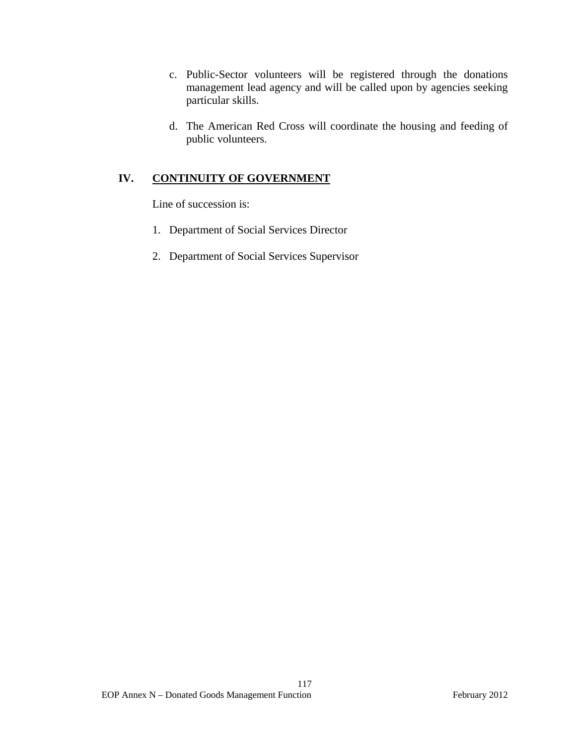- c. Public-Sector volunteers will be registered through the donations management lead agency and will be called upon by agencies seeking particular skills.
- d. The American Red Cross will coordinate the housing and feeding of public volunteers.

# **IV. CONTINUITY OF GOVERNMENT**

Line of succession is:

- 1. Department of Social Services Director
- 2. Department of Social Services Supervisor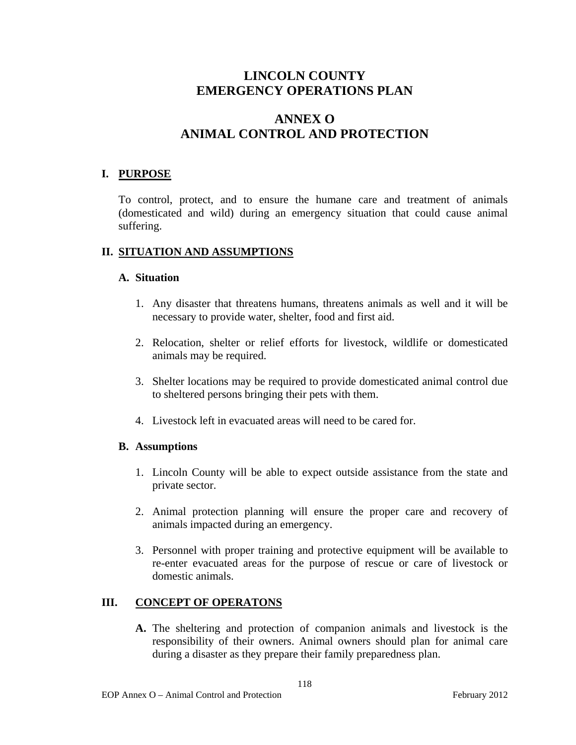# **ANNEX O ANIMAL CONTROL AND PROTECTION**

## **I. PURPOSE**

To control, protect, and to ensure the humane care and treatment of animals (domesticated and wild) during an emergency situation that could cause animal suffering.

## **II. SITUATION AND ASSUMPTIONS**

### **A. Situation**

- 1. Any disaster that threatens humans, threatens animals as well and it will be necessary to provide water, shelter, food and first aid.
- 2. Relocation, shelter or relief efforts for livestock, wildlife or domesticated animals may be required.
- 3. Shelter locations may be required to provide domesticated animal control due to sheltered persons bringing their pets with them.
- 4. Livestock left in evacuated areas will need to be cared for.

## **B. Assumptions**

- 1. Lincoln County will be able to expect outside assistance from the state and private sector.
- 2. Animal protection planning will ensure the proper care and recovery of animals impacted during an emergency.
- 3. Personnel with proper training and protective equipment will be available to re-enter evacuated areas for the purpose of rescue or care of livestock or domestic animals.

## **III. CONCEPT OF OPERATONS**

**A.** The sheltering and protection of companion animals and livestock is the responsibility of their owners. Animal owners should plan for animal care during a disaster as they prepare their family preparedness plan.

118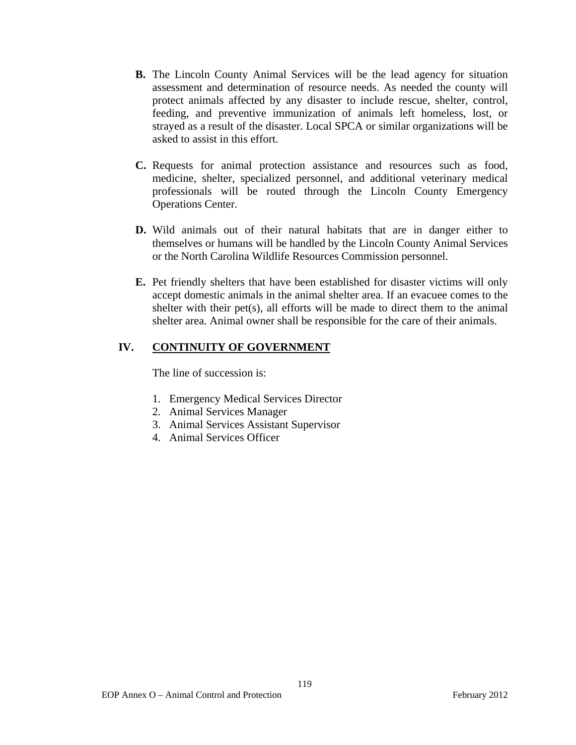- **B.** The Lincoln County Animal Services will be the lead agency for situation assessment and determination of resource needs. As needed the county will protect animals affected by any disaster to include rescue, shelter, control, feeding, and preventive immunization of animals left homeless, lost, or strayed as a result of the disaster. Local SPCA or similar organizations will be asked to assist in this effort.
- **C.** Requests for animal protection assistance and resources such as food, medicine, shelter, specialized personnel, and additional veterinary medical professionals will be routed through the Lincoln County Emergency Operations Center.
- **D.** Wild animals out of their natural habitats that are in danger either to themselves or humans will be handled by the Lincoln County Animal Services or the North Carolina Wildlife Resources Commission personnel.
- **E.** Pet friendly shelters that have been established for disaster victims will only accept domestic animals in the animal shelter area. If an evacuee comes to the shelter with their pet(s), all efforts will be made to direct them to the animal shelter area. Animal owner shall be responsible for the care of their animals.

## **IV. CONTINUITY OF GOVERNMENT**

The line of succession is:

- 1. Emergency Medical Services Director
- 2. Animal Services Manager
- 3. Animal Services Assistant Supervisor
- 4. Animal Services Officer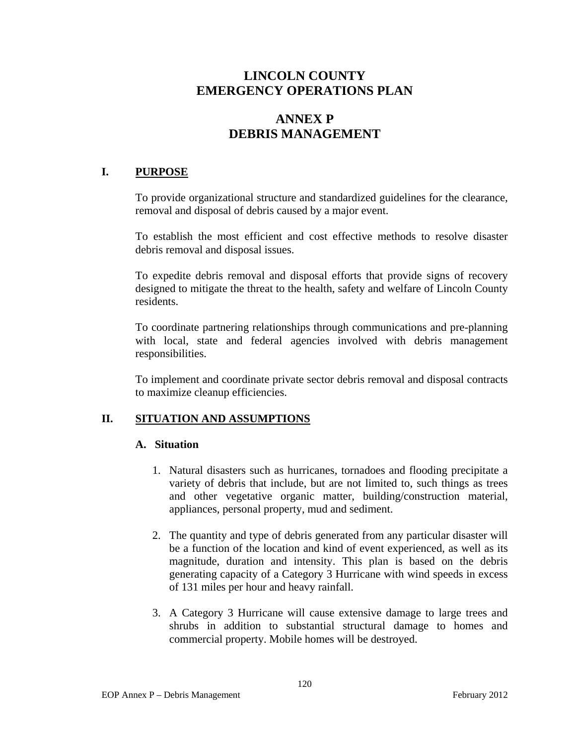# **ANNEX P DEBRIS MANAGEMENT**

## **I. PURPOSE**

To provide organizational structure and standardized guidelines for the clearance, removal and disposal of debris caused by a major event.

To establish the most efficient and cost effective methods to resolve disaster debris removal and disposal issues.

To expedite debris removal and disposal efforts that provide signs of recovery designed to mitigate the threat to the health, safety and welfare of Lincoln County residents.

To coordinate partnering relationships through communications and pre-planning with local, state and federal agencies involved with debris management responsibilities.

To implement and coordinate private sector debris removal and disposal contracts to maximize cleanup efficiencies.

## **II. SITUATION AND ASSUMPTIONS**

#### **A. Situation**

- 1. Natural disasters such as hurricanes, tornadoes and flooding precipitate a variety of debris that include, but are not limited to, such things as trees and other vegetative organic matter, building/construction material, appliances, personal property, mud and sediment.
- 2. The quantity and type of debris generated from any particular disaster will be a function of the location and kind of event experienced, as well as its magnitude, duration and intensity. This plan is based on the debris generating capacity of a Category 3 Hurricane with wind speeds in excess of 131 miles per hour and heavy rainfall.
- 3. A Category 3 Hurricane will cause extensive damage to large trees and shrubs in addition to substantial structural damage to homes and commercial property. Mobile homes will be destroyed.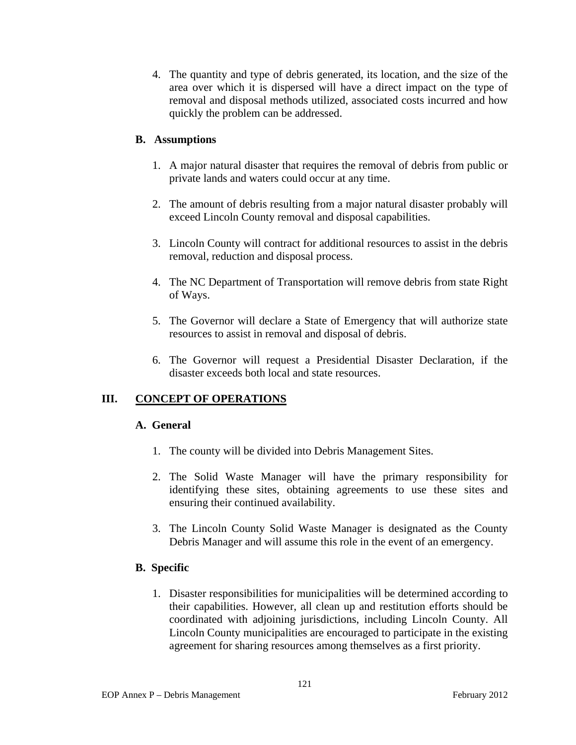4. The quantity and type of debris generated, its location, and the size of the area over which it is dispersed will have a direct impact on the type of removal and disposal methods utilized, associated costs incurred and how quickly the problem can be addressed.

# **B. Assumptions**

- 1. A major natural disaster that requires the removal of debris from public or private lands and waters could occur at any time.
- 2. The amount of debris resulting from a major natural disaster probably will exceed Lincoln County removal and disposal capabilities.
- 3. Lincoln County will contract for additional resources to assist in the debris removal, reduction and disposal process.
- 4. The NC Department of Transportation will remove debris from state Right of Ways.
- 5. The Governor will declare a State of Emergency that will authorize state resources to assist in removal and disposal of debris.
- 6. The Governor will request a Presidential Disaster Declaration, if the disaster exceeds both local and state resources.

# **III. CONCEPT OF OPERATIONS**

## **A. General**

- 1. The county will be divided into Debris Management Sites.
- 2. The Solid Waste Manager will have the primary responsibility for identifying these sites, obtaining agreements to use these sites and ensuring their continued availability.
- 3. The Lincoln County Solid Waste Manager is designated as the County Debris Manager and will assume this role in the event of an emergency.

## **B. Specific**

1. Disaster responsibilities for municipalities will be determined according to their capabilities. However, all clean up and restitution efforts should be coordinated with adjoining jurisdictions, including Lincoln County. All Lincoln County municipalities are encouraged to participate in the existing agreement for sharing resources among themselves as a first priority.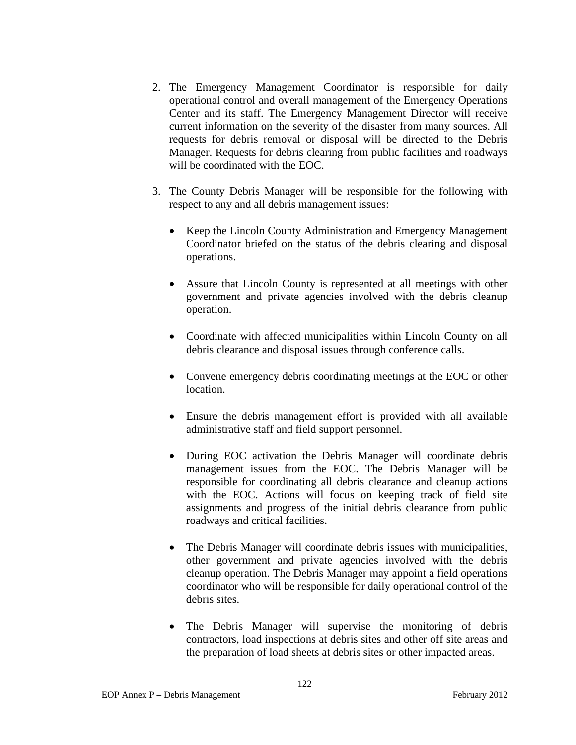- 2. The Emergency Management Coordinator is responsible for daily operational control and overall management of the Emergency Operations Center and its staff. The Emergency Management Director will receive current information on the severity of the disaster from many sources. All requests for debris removal or disposal will be directed to the Debris Manager. Requests for debris clearing from public facilities and roadways will be coordinated with the EOC.
- 3. The County Debris Manager will be responsible for the following with respect to any and all debris management issues:
	- Keep the Lincoln County Administration and Emergency Management Coordinator briefed on the status of the debris clearing and disposal operations.
	- Assure that Lincoln County is represented at all meetings with other government and private agencies involved with the debris cleanup operation.
	- Coordinate with affected municipalities within Lincoln County on all debris clearance and disposal issues through conference calls.
	- Convene emergency debris coordinating meetings at the EOC or other location.
	- Ensure the debris management effort is provided with all available administrative staff and field support personnel.
	- During EOC activation the Debris Manager will coordinate debris management issues from the EOC. The Debris Manager will be responsible for coordinating all debris clearance and cleanup actions with the EOC. Actions will focus on keeping track of field site assignments and progress of the initial debris clearance from public roadways and critical facilities.
	- The Debris Manager will coordinate debris issues with municipalities, other government and private agencies involved with the debris cleanup operation. The Debris Manager may appoint a field operations coordinator who will be responsible for daily operational control of the debris sites.
	- The Debris Manager will supervise the monitoring of debris contractors, load inspections at debris sites and other off site areas and the preparation of load sheets at debris sites or other impacted areas.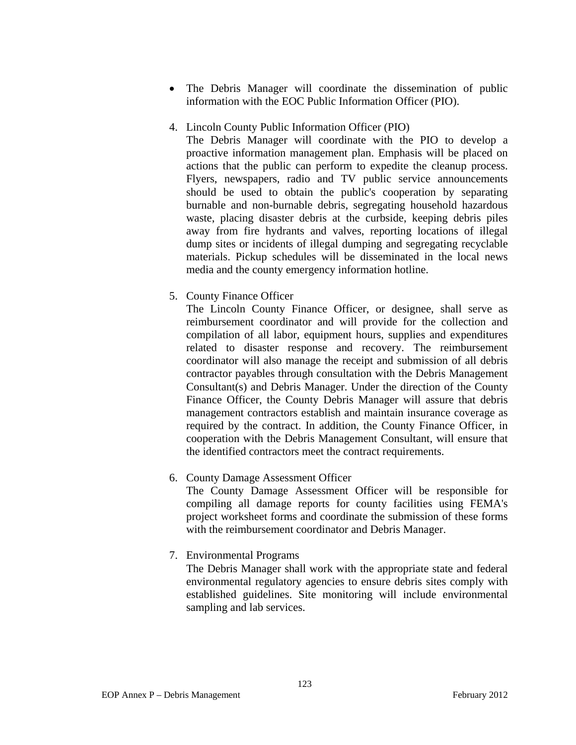- The Debris Manager will coordinate the dissemination of public information with the EOC Public Information Officer (PIO).
- 4. Lincoln County Public Information Officer (PIO)

The Debris Manager will coordinate with the PIO to develop a proactive information management plan. Emphasis will be placed on actions that the public can perform to expedite the cleanup process. Flyers, newspapers, radio and TV public service announcements should be used to obtain the public's cooperation by separating burnable and non-burnable debris, segregating household hazardous waste, placing disaster debris at the curbside, keeping debris piles away from fire hydrants and valves, reporting locations of illegal dump sites or incidents of illegal dumping and segregating recyclable materials. Pickup schedules will be disseminated in the local news media and the county emergency information hotline.

5. County Finance Officer

The Lincoln County Finance Officer, or designee, shall serve as reimbursement coordinator and will provide for the collection and compilation of all labor, equipment hours, supplies and expenditures related to disaster response and recovery. The reimbursement coordinator will also manage the receipt and submission of all debris contractor payables through consultation with the Debris Management Consultant(s) and Debris Manager. Under the direction of the County Finance Officer, the County Debris Manager will assure that debris management contractors establish and maintain insurance coverage as required by the contract. In addition, the County Finance Officer, in cooperation with the Debris Management Consultant, will ensure that the identified contractors meet the contract requirements.

6. County Damage Assessment Officer

The County Damage Assessment Officer will be responsible for compiling all damage reports for county facilities using FEMA's project worksheet forms and coordinate the submission of these forms with the reimbursement coordinator and Debris Manager.

7. Environmental Programs

The Debris Manager shall work with the appropriate state and federal environmental regulatory agencies to ensure debris sites comply with established guidelines. Site monitoring will include environmental sampling and lab services.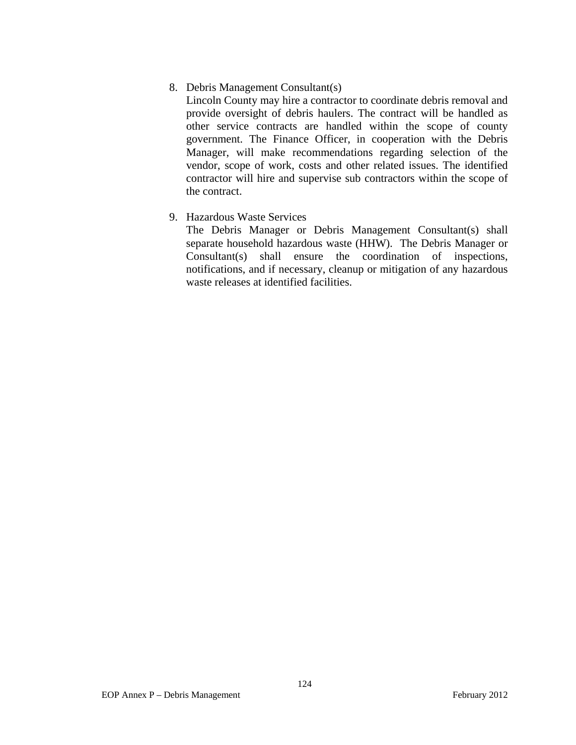### 8. Debris Management Consultant(s)

Lincoln County may hire a contractor to coordinate debris removal and provide oversight of debris haulers. The contract will be handled as other service contracts are handled within the scope of county government. The Finance Officer, in cooperation with the Debris Manager, will make recommendations regarding selection of the vendor, scope of work, costs and other related issues. The identified contractor will hire and supervise sub contractors within the scope of the contract.

## 9. Hazardous Waste Services

The Debris Manager or Debris Management Consultant(s) shall separate household hazardous waste (HHW). The Debris Manager or Consultant(s) shall ensure the coordination of inspections, notifications, and if necessary, cleanup or mitigation of any hazardous waste releases at identified facilities.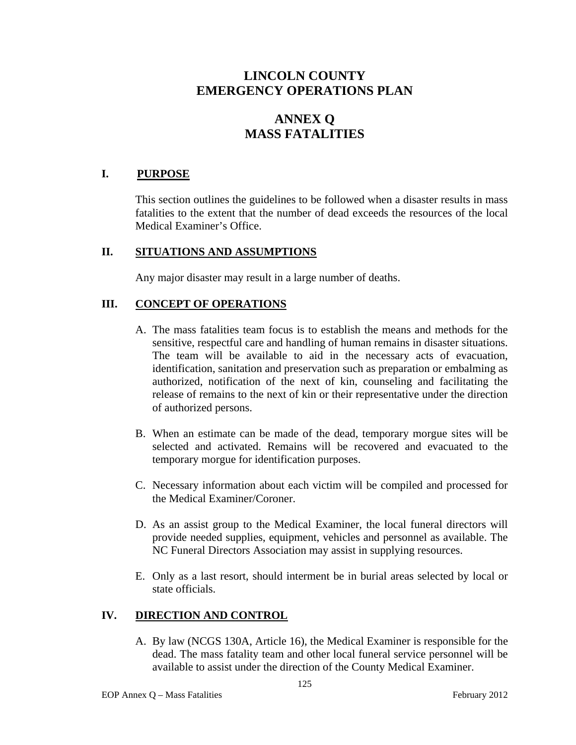# **ANNEX Q MASS FATALITIES**

## **I. PURPOSE**

This section outlines the guidelines to be followed when a disaster results in mass fatalities to the extent that the number of dead exceeds the resources of the local Medical Examiner's Office.

### **II. SITUATIONS AND ASSUMPTIONS**

Any major disaster may result in a large number of deaths.

### **III. CONCEPT OF OPERATIONS**

- A. The mass fatalities team focus is to establish the means and methods for the sensitive, respectful care and handling of human remains in disaster situations. The team will be available to aid in the necessary acts of evacuation, identification, sanitation and preservation such as preparation or embalming as authorized, notification of the next of kin, counseling and facilitating the release of remains to the next of kin or their representative under the direction of authorized persons.
- B. When an estimate can be made of the dead, temporary morgue sites will be selected and activated. Remains will be recovered and evacuated to the temporary morgue for identification purposes.
- C. Necessary information about each victim will be compiled and processed for the Medical Examiner/Coroner.
- D. As an assist group to the Medical Examiner, the local funeral directors will provide needed supplies, equipment, vehicles and personnel as available. The NC Funeral Directors Association may assist in supplying resources.
- E. Only as a last resort, should interment be in burial areas selected by local or state officials.

## **IV. DIRECTION AND CONTROL**

A. By law (NCGS 130A, Article 16), the Medical Examiner is responsible for the dead. The mass fatality team and other local funeral service personnel will be available to assist under the direction of the County Medical Examiner.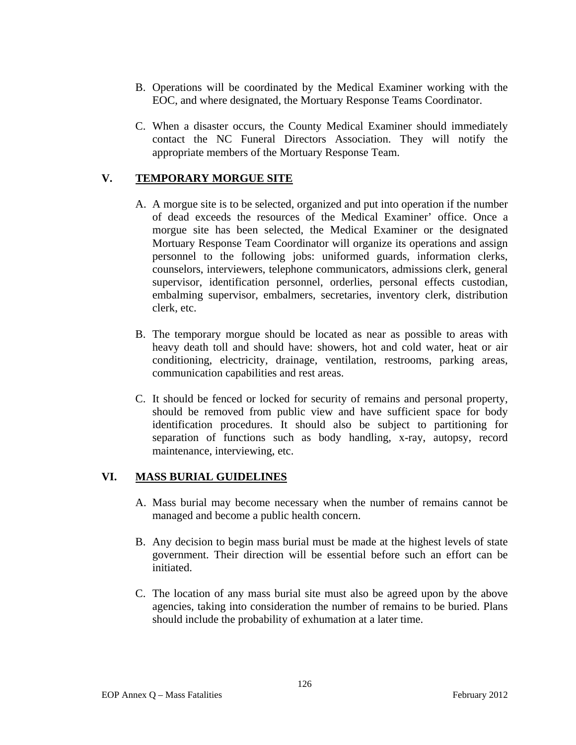- B. Operations will be coordinated by the Medical Examiner working with the EOC, and where designated, the Mortuary Response Teams Coordinator.
- C. When a disaster occurs, the County Medical Examiner should immediately contact the NC Funeral Directors Association. They will notify the appropriate members of the Mortuary Response Team.

# **V. TEMPORARY MORGUE SITE**

- A. A morgue site is to be selected, organized and put into operation if the number of dead exceeds the resources of the Medical Examiner' office. Once a morgue site has been selected, the Medical Examiner or the designated Mortuary Response Team Coordinator will organize its operations and assign personnel to the following jobs: uniformed guards, information clerks, counselors, interviewers, telephone communicators, admissions clerk, general supervisor, identification personnel, orderlies, personal effects custodian, embalming supervisor, embalmers, secretaries, inventory clerk, distribution clerk, etc.
- B. The temporary morgue should be located as near as possible to areas with heavy death toll and should have: showers, hot and cold water, heat or air conditioning, electricity, drainage, ventilation, restrooms, parking areas, communication capabilities and rest areas.
- C. It should be fenced or locked for security of remains and personal property, should be removed from public view and have sufficient space for body identification procedures. It should also be subject to partitioning for separation of functions such as body handling, x-ray, autopsy, record maintenance, interviewing, etc.

## **VI. MASS BURIAL GUIDELINES**

- A. Mass burial may become necessary when the number of remains cannot be managed and become a public health concern.
- B. Any decision to begin mass burial must be made at the highest levels of state government. Their direction will be essential before such an effort can be initiated.
- C. The location of any mass burial site must also be agreed upon by the above agencies, taking into consideration the number of remains to be buried. Plans should include the probability of exhumation at a later time.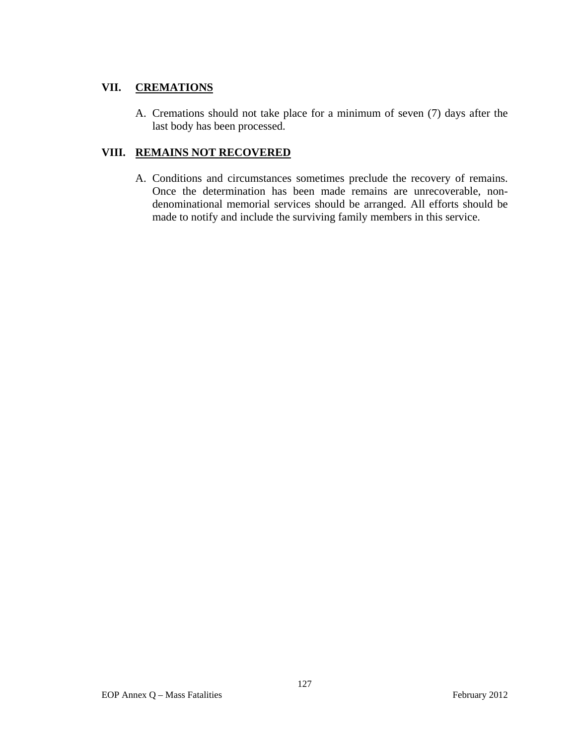# **VII. CREMATIONS**

A. Cremations should not take place for a minimum of seven (7) days after the last body has been processed.

## **VIII. REMAINS NOT RECOVERED**

A. Conditions and circumstances sometimes preclude the recovery of remains. Once the determination has been made remains are unrecoverable, nondenominational memorial services should be arranged. All efforts should be made to notify and include the surviving family members in this service.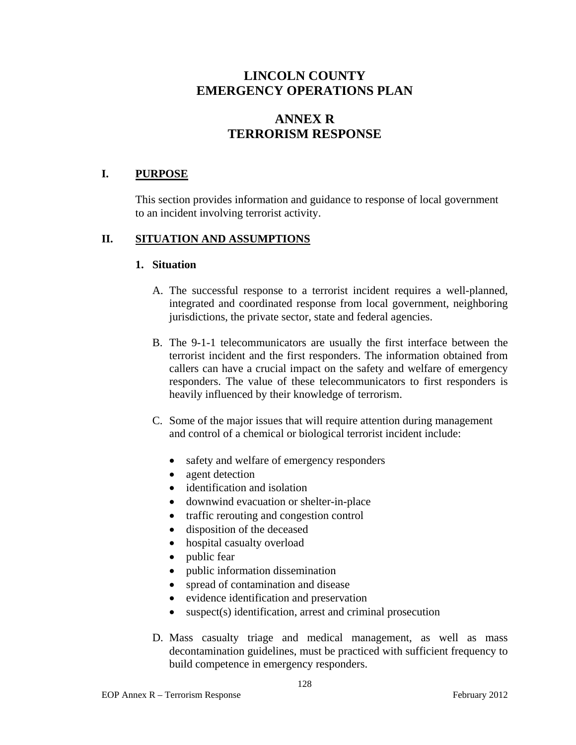# **ANNEX R TERRORISM RESPONSE**

## **I. PURPOSE**

This section provides information and guidance to response of local government to an incident involving terrorist activity.

### **II. SITUATION AND ASSUMPTIONS**

#### **1. Situation**

- A. The successful response to a terrorist incident requires a well-planned, integrated and coordinated response from local government, neighboring jurisdictions, the private sector, state and federal agencies.
- B. The 9-1-1 telecommunicators are usually the first interface between the terrorist incident and the first responders. The information obtained from callers can have a crucial impact on the safety and welfare of emergency responders. The value of these telecommunicators to first responders is heavily influenced by their knowledge of terrorism.
- C. Some of the major issues that will require attention during management and control of a chemical or biological terrorist incident include:
	- safety and welfare of emergency responders
	- agent detection
	- identification and isolation
	- downwind evacuation or shelter-in-place
	- traffic rerouting and congestion control
	- disposition of the deceased
	- hospital casualty overload
	- public fear
	- public information dissemination
	- spread of contamination and disease
	- evidence identification and preservation
	- suspect(s) identification, arrest and criminal prosecution
- D. Mass casualty triage and medical management, as well as mass decontamination guidelines, must be practiced with sufficient frequency to build competence in emergency responders.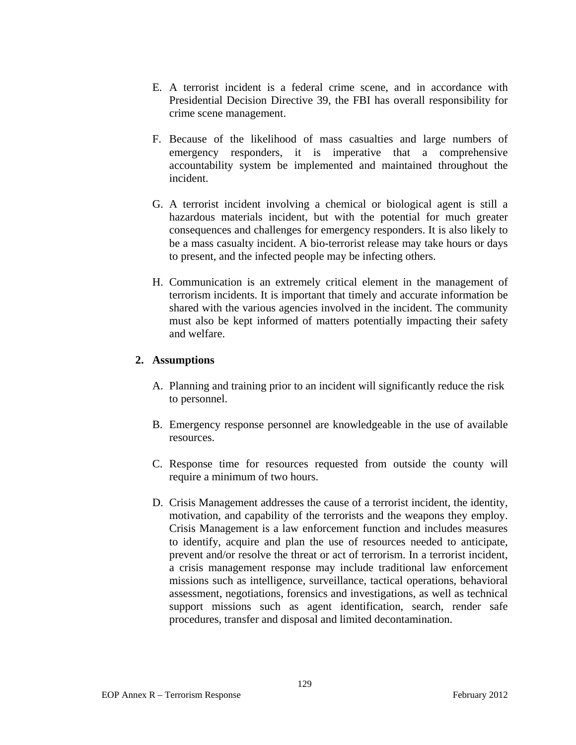- E. A terrorist incident is a federal crime scene, and in accordance with Presidential Decision Directive 39, the FBI has overall responsibility for crime scene management.
- F. Because of the likelihood of mass casualties and large numbers of emergency responders, it is imperative that a comprehensive accountability system be implemented and maintained throughout the incident.
- G. A terrorist incident involving a chemical or biological agent is still a hazardous materials incident, but with the potential for much greater consequences and challenges for emergency responders. It is also likely to be a mass casualty incident. A bio-terrorist release may take hours or days to present, and the infected people may be infecting others.
- H. Communication is an extremely critical element in the management of terrorism incidents. It is important that timely and accurate information be shared with the various agencies involved in the incident. The community must also be kept informed of matters potentially impacting their safety and welfare.

### **2. Assumptions**

- A. Planning and training prior to an incident will significantly reduce the risk to personnel.
- B. Emergency response personnel are knowledgeable in the use of available resources.
- C. Response time for resources requested from outside the county will require a minimum of two hours.
- D. Crisis Management addresses the cause of a terrorist incident, the identity, motivation, and capability of the terrorists and the weapons they employ. Crisis Management is a law enforcement function and includes measures to identify, acquire and plan the use of resources needed to anticipate, prevent and/or resolve the threat or act of terrorism. In a terrorist incident, a crisis management response may include traditional law enforcement missions such as intelligence, surveillance, tactical operations, behavioral assessment, negotiations, forensics and investigations, as well as technical support missions such as agent identification, search, render safe procedures, transfer and disposal and limited decontamination.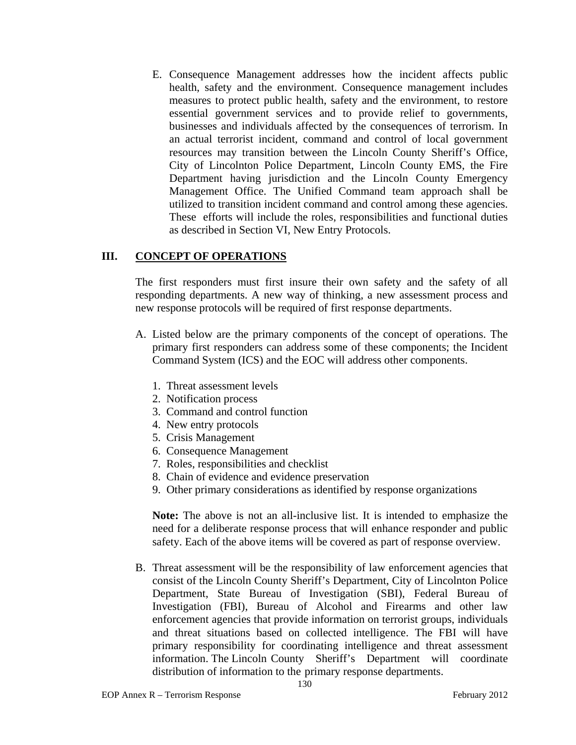E. Consequence Management addresses how the incident affects public health, safety and the environment. Consequence management includes measures to protect public health, safety and the environment, to restore essential government services and to provide relief to governments, businesses and individuals affected by the consequences of terrorism. In an actual terrorist incident, command and control of local government resources may transition between the Lincoln County Sheriff's Office, City of Lincolnton Police Department, Lincoln County EMS, the Fire Department having jurisdiction and the Lincoln County Emergency Management Office. The Unified Command team approach shall be utilized to transition incident command and control among these agencies. These efforts will include the roles, responsibilities and functional duties as described in Section VI, New Entry Protocols.

### **III. CONCEPT OF OPERATIONS**

The first responders must first insure their own safety and the safety of all responding departments. A new way of thinking, a new assessment process and new response protocols will be required of first response departments.

- A. Listed below are the primary components of the concept of operations. The primary first responders can address some of these components; the Incident Command System (ICS) and the EOC will address other components.
	- 1. Threat assessment levels
	- 2. Notification process
	- 3. Command and control function
	- 4. New entry protocols
	- 5. Crisis Management
	- 6. Consequence Management
	- 7. Roles, responsibilities and checklist
	- 8. Chain of evidence and evidence preservation
	- 9. Other primary considerations as identified by response organizations

**Note:** The above is not an all-inclusive list. It is intended to emphasize the need for a deliberate response process that will enhance responder and public safety. Each of the above items will be covered as part of response overview.

B. Threat assessment will be the responsibility of law enforcement agencies that consist of the Lincoln County Sheriff's Department, City of Lincolnton Police Department, State Bureau of Investigation (SBI), Federal Bureau of Investigation (FBI), Bureau of Alcohol and Firearms and other law enforcement agencies that provide information on terrorist groups, individuals and threat situations based on collected intelligence. The FBI will have primary responsibility for coordinating intelligence and threat assessment information. The Lincoln County Sheriff's Department will coordinate distribution of information to the primary response departments.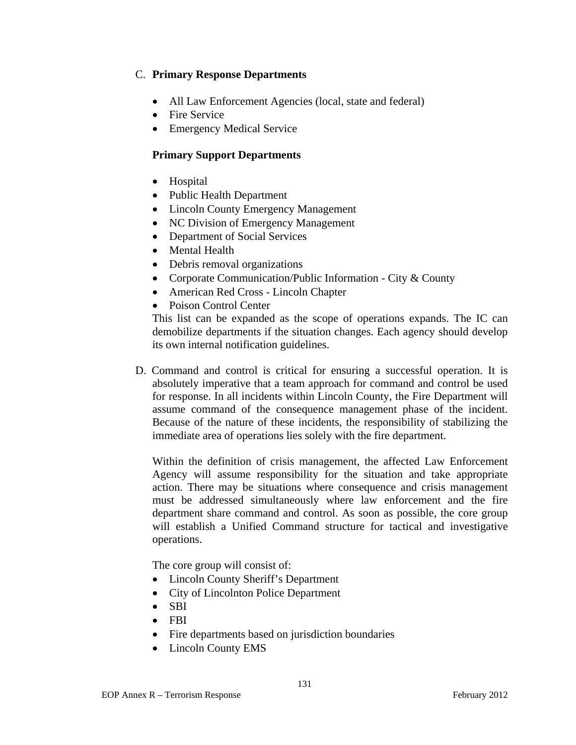## C. **Primary Response Departments**

- All Law Enforcement Agencies (local, state and federal)
- Fire Service
- Emergency Medical Service

# **Primary Support Departments**

- Hospital
- Public Health Department
- Lincoln County Emergency Management
- NC Division of Emergency Management
- Department of Social Services
- Mental Health
- Debris removal organizations
- Corporate Communication/Public Information City & County
- American Red Cross Lincoln Chapter
- Poison Control Center

This list can be expanded as the scope of operations expands. The IC can demobilize departments if the situation changes. Each agency should develop its own internal notification guidelines.

D. Command and control is critical for ensuring a successful operation. It is absolutely imperative that a team approach for command and control be used for response. In all incidents within Lincoln County, the Fire Department will assume command of the consequence management phase of the incident. Because of the nature of these incidents, the responsibility of stabilizing the immediate area of operations lies solely with the fire department.

Within the definition of crisis management, the affected Law Enforcement Agency will assume responsibility for the situation and take appropriate action. There may be situations where consequence and crisis management must be addressed simultaneously where law enforcement and the fire department share command and control. As soon as possible, the core group will establish a Unified Command structure for tactical and investigative operations.

The core group will consist of:

- Lincoln County Sheriff's Department
- City of Lincolnton Police Department
- $\bullet$  SBI
- FBI
- Fire departments based on jurisdiction boundaries
- Lincoln County EMS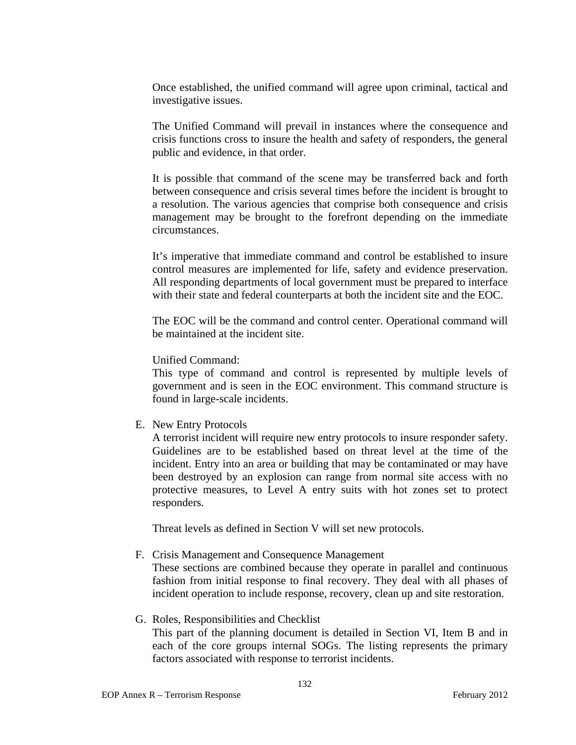Once established, the unified command will agree upon criminal, tactical and investigative issues.

The Unified Command will prevail in instances where the consequence and crisis functions cross to insure the health and safety of responders, the general public and evidence, in that order.

It is possible that command of the scene may be transferred back and forth between consequence and crisis several times before the incident is brought to a resolution. The various agencies that comprise both consequence and crisis management may be brought to the forefront depending on the immediate circumstances.

It's imperative that immediate command and control be established to insure control measures are implemented for life, safety and evidence preservation. All responding departments of local government must be prepared to interface with their state and federal counterparts at both the incident site and the EOC.

The EOC will be the command and control center. Operational command will be maintained at the incident site.

#### Unified Command:

This type of command and control is represented by multiple levels of government and is seen in the EOC environment. This command structure is found in large-scale incidents.

E. New Entry Protocols

A terrorist incident will require new entry protocols to insure responder safety. Guidelines are to be established based on threat level at the time of the incident. Entry into an area or building that may be contaminated or may have been destroyed by an explosion can range from normal site access with no protective measures, to Level A entry suits with hot zones set to protect responders.

Threat levels as defined in Section V will set new protocols.

F. Crisis Management and Consequence Management

These sections are combined because they operate in parallel and continuous fashion from initial response to final recovery. They deal with all phases of incident operation to include response, recovery, clean up and site restoration.

## G. Roles, Responsibilities and Checklist

This part of the planning document is detailed in Section VI, Item B and in each of the core groups internal SOGs. The listing represents the primary factors associated with response to terrorist incidents.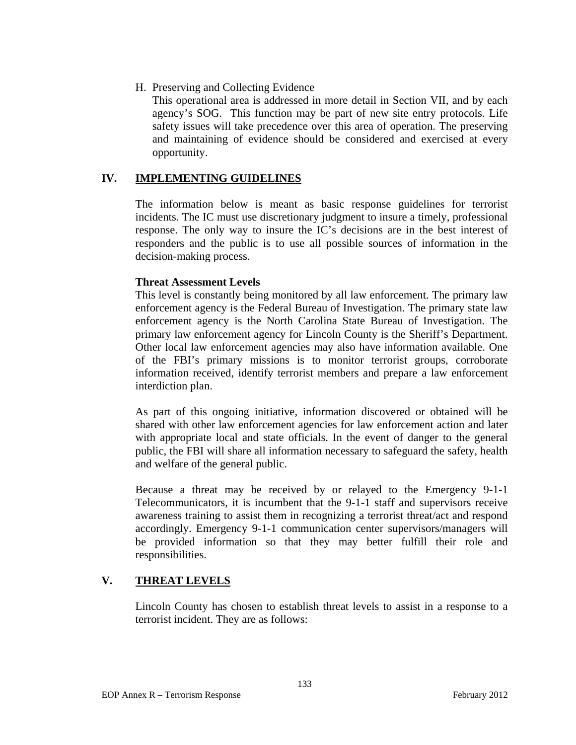### H. Preserving and Collecting Evidence

This operational area is addressed in more detail in Section VII, and by each agency's SOG. This function may be part of new site entry protocols. Life safety issues will take precedence over this area of operation. The preserving and maintaining of evidence should be considered and exercised at every opportunity.

# **IV. IMPLEMENTING GUIDELINES**

The information below is meant as basic response guidelines for terrorist incidents. The IC must use discretionary judgment to insure a timely, professional response. The only way to insure the IC's decisions are in the best interest of responders and the public is to use all possible sources of information in the decision-making process.

### **Threat Assessment Levels**

This level is constantly being monitored by all law enforcement. The primary law enforcement agency is the Federal Bureau of Investigation. The primary state law enforcement agency is the North Carolina State Bureau of Investigation. The primary law enforcement agency for Lincoln County is the Sheriff's Department. Other local law enforcement agencies may also have information available. One of the FBI's primary missions is to monitor terrorist groups, corroborate information received, identify terrorist members and prepare a law enforcement interdiction plan.

As part of this ongoing initiative, information discovered or obtained will be shared with other law enforcement agencies for law enforcement action and later with appropriate local and state officials. In the event of danger to the general public, the FBI will share all information necessary to safeguard the safety, health and welfare of the general public.

Because a threat may be received by or relayed to the Emergency 9-1-1 Telecommunicators, it is incumbent that the 9-1-1 staff and supervisors receive awareness training to assist them in recognizing a terrorist threat/act and respond accordingly. Emergency 9-1-1 communication center supervisors/managers will be provided information so that they may better fulfill their role and responsibilities.

# **V. THREAT LEVELS**

 Lincoln County has chosen to establish threat levels to assist in a response to a terrorist incident. They are as follows: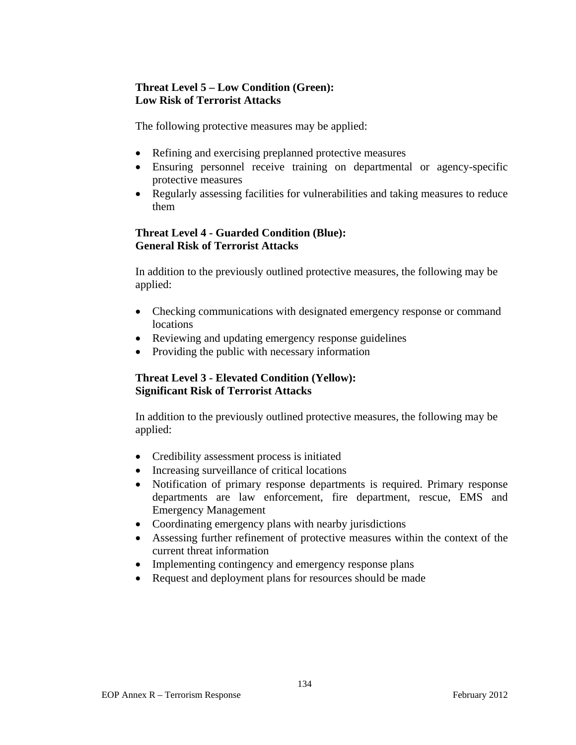# **Threat Level 5 – Low Condition (Green): Low Risk of Terrorist Attacks**

The following protective measures may be applied:

- Refining and exercising preplanned protective measures
- Ensuring personnel receive training on departmental or agency-specific protective measures
- Regularly assessing facilities for vulnerabilities and taking measures to reduce them

# **Threat Level 4 - Guarded Condition (Blue): General Risk of Terrorist Attacks**

In addition to the previously outlined protective measures, the following may be applied:

- Checking communications with designated emergency response or command locations
- Reviewing and updating emergency response guidelines
- Providing the public with necessary information

# **Threat Level 3 - Elevated Condition (Yellow): Significant Risk of Terrorist Attacks**

In addition to the previously outlined protective measures, the following may be applied:

- Credibility assessment process is initiated
- Increasing surveillance of critical locations
- Notification of primary response departments is required. Primary response departments are law enforcement, fire department, rescue, EMS and Emergency Management
- Coordinating emergency plans with nearby jurisdictions
- Assessing further refinement of protective measures within the context of the current threat information
- Implementing contingency and emergency response plans
- Request and deployment plans for resources should be made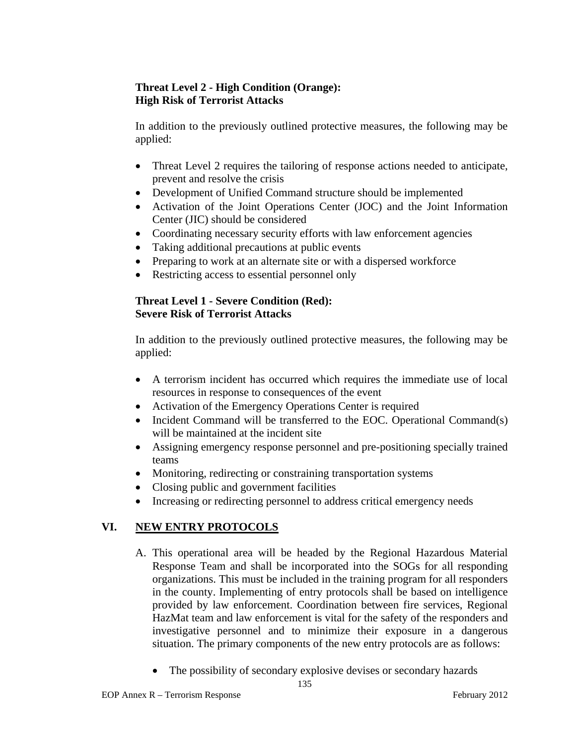# **Threat Level 2 - High Condition (Orange): High Risk of Terrorist Attacks**

In addition to the previously outlined protective measures, the following may be applied:

- Threat Level 2 requires the tailoring of response actions needed to anticipate, prevent and resolve the crisis
- Development of Unified Command structure should be implemented
- Activation of the Joint Operations Center (JOC) and the Joint Information Center (JIC) should be considered
- Coordinating necessary security efforts with law enforcement agencies
- Taking additional precautions at public events
- Preparing to work at an alternate site or with a dispersed workforce
- Restricting access to essential personnel only

## **Threat Level 1 - Severe Condition (Red): Severe Risk of Terrorist Attacks**

In addition to the previously outlined protective measures, the following may be applied:

- A terrorism incident has occurred which requires the immediate use of local resources in response to consequences of the event
- Activation of the Emergency Operations Center is required
- Incident Command will be transferred to the EOC. Operational Command(s) will be maintained at the incident site
- Assigning emergency response personnel and pre-positioning specially trained teams
- Monitoring, redirecting or constraining transportation systems
- Closing public and government facilities
- Increasing or redirecting personnel to address critical emergency needs

# **VI. NEW ENTRY PROTOCOLS**

- A. This operational area will be headed by the Regional Hazardous Material Response Team and shall be incorporated into the SOGs for all responding organizations. This must be included in the training program for all responders in the county. Implementing of entry protocols shall be based on intelligence provided by law enforcement. Coordination between fire services, Regional HazMat team and law enforcement is vital for the safety of the responders and investigative personnel and to minimize their exposure in a dangerous situation. The primary components of the new entry protocols are as follows:
	- The possibility of secondary explosive devises or secondary hazards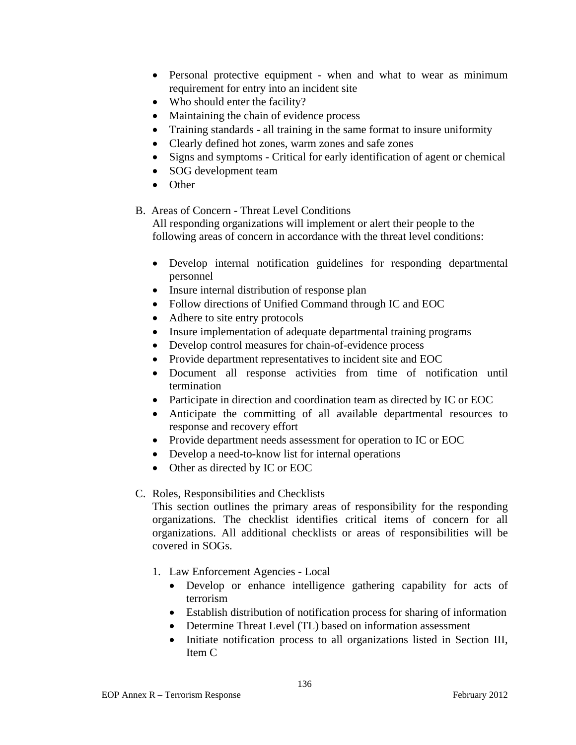- Personal protective equipment when and what to wear as minimum requirement for entry into an incident site
- Who should enter the facility?
- Maintaining the chain of evidence process
- Training standards all training in the same format to insure uniformity
- Clearly defined hot zones, warm zones and safe zones
- Signs and symptoms Critical for early identification of agent or chemical
- SOG development team
- Other

## B. Areas of Concern - Threat Level Conditions

 All responding organizations will implement or alert their people to the following areas of concern in accordance with the threat level conditions:

- Develop internal notification guidelines for responding departmental personnel
- Insure internal distribution of response plan
- Follow directions of Unified Command through IC and EOC
- Adhere to site entry protocols
- Insure implementation of adequate departmental training programs
- Develop control measures for chain-of-evidence process
- Provide department representatives to incident site and EOC
- Document all response activities from time of notification until termination
- Participate in direction and coordination team as directed by IC or EOC
- Anticipate the committing of all available departmental resources to response and recovery effort
- Provide department needs assessment for operation to IC or EOC
- Develop a need-to-know list for internal operations
- Other as directed by IC or EOC

# C. Roles, Responsibilities and Checklists

This section outlines the primary areas of responsibility for the responding organizations. The checklist identifies critical items of concern for all organizations. All additional checklists or areas of responsibilities will be covered in SOGs.

- 1. Law Enforcement Agencies Local
	- Develop or enhance intelligence gathering capability for acts of terrorism
	- Establish distribution of notification process for sharing of information
	- Determine Threat Level (TL) based on information assessment
	- Initiate notification process to all organizations listed in Section III, Item C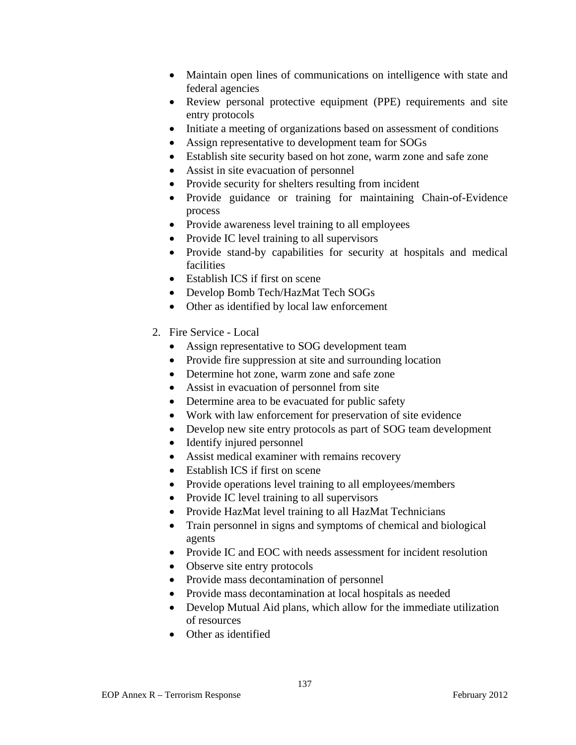- Maintain open lines of communications on intelligence with state and federal agencies
- Review personal protective equipment (PPE) requirements and site entry protocols
- Initiate a meeting of organizations based on assessment of conditions
- Assign representative to development team for SOGs
- Establish site security based on hot zone, warm zone and safe zone
- Assist in site evacuation of personnel
- Provide security for shelters resulting from incident
- Provide guidance or training for maintaining Chain-of-Evidence process
- Provide awareness level training to all employees
- Provide IC level training to all supervisors
- Provide stand-by capabilities for security at hospitals and medical facilities
- Establish ICS if first on scene
- Develop Bomb Tech/HazMat Tech SOGs
- Other as identified by local law enforcement
- 2. Fire Service Local
	- Assign representative to SOG development team
	- Provide fire suppression at site and surrounding location
	- Determine hot zone, warm zone and safe zone
	- Assist in evacuation of personnel from site
	- Determine area to be evacuated for public safety
	- Work with law enforcement for preservation of site evidence
	- Develop new site entry protocols as part of SOG team development
	- Identify injured personnel
	- Assist medical examiner with remains recovery
	- Establish ICS if first on scene
	- Provide operations level training to all employees/members
	- Provide IC level training to all supervisors
	- Provide HazMat level training to all HazMat Technicians
	- Train personnel in signs and symptoms of chemical and biological agents
	- Provide IC and EOC with needs assessment for incident resolution
	- Observe site entry protocols
	- Provide mass decontamination of personnel
	- Provide mass decontamination at local hospitals as needed
	- Develop Mutual Aid plans, which allow for the immediate utilization of resources
	- Other as identified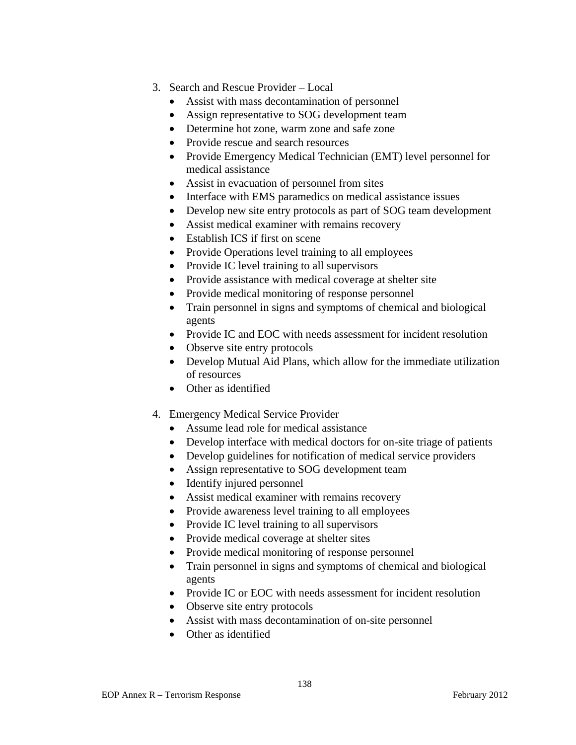- 3. Search and Rescue Provider Local
	- Assist with mass decontamination of personnel
	- Assign representative to SOG development team
	- Determine hot zone, warm zone and safe zone
	- Provide rescue and search resources
	- Provide Emergency Medical Technician (EMT) level personnel for medical assistance
	- Assist in evacuation of personnel from sites
	- Interface with EMS paramedics on medical assistance issues
	- Develop new site entry protocols as part of SOG team development
	- Assist medical examiner with remains recovery
	- Establish ICS if first on scene
	- Provide Operations level training to all employees
	- Provide IC level training to all supervisors
	- Provide assistance with medical coverage at shelter site
	- Provide medical monitoring of response personnel
	- Train personnel in signs and symptoms of chemical and biological agents
	- Provide IC and EOC with needs assessment for incident resolution
	- Observe site entry protocols
	- Develop Mutual Aid Plans, which allow for the immediate utilization of resources
	- Other as identified
- 4. Emergency Medical Service Provider
	- Assume lead role for medical assistance
	- Develop interface with medical doctors for on-site triage of patients
	- Develop guidelines for notification of medical service providers
	- Assign representative to SOG development team
	- Identify injured personnel
	- Assist medical examiner with remains recovery
	- Provide awareness level training to all employees
	- Provide IC level training to all supervisors
	- Provide medical coverage at shelter sites
	- Provide medical monitoring of response personnel
	- Train personnel in signs and symptoms of chemical and biological agents
	- Provide IC or EOC with needs assessment for incident resolution
	- Observe site entry protocols
	- Assist with mass decontamination of on-site personnel
	- Other as identified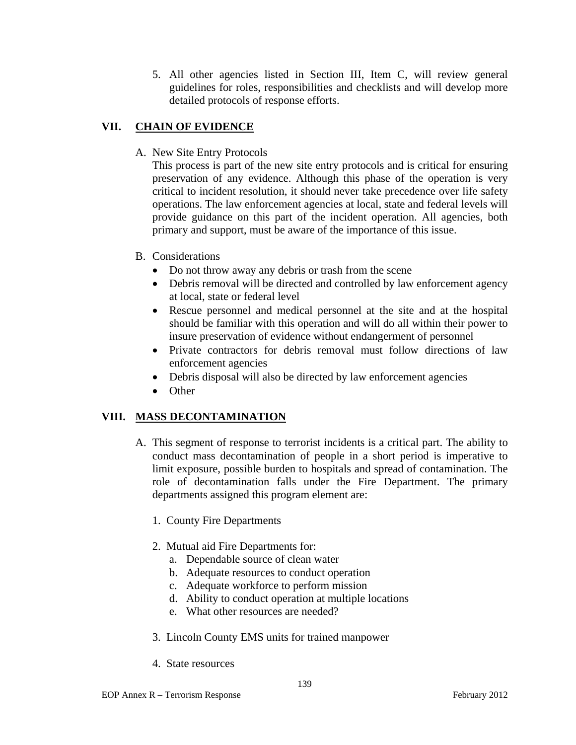5. All other agencies listed in Section III, Item C, will review general guidelines for roles, responsibilities and checklists and will develop more detailed protocols of response efforts.

# **VII. CHAIN OF EVIDENCE**

A. New Site Entry Protocols

This process is part of the new site entry protocols and is critical for ensuring preservation of any evidence. Although this phase of the operation is very critical to incident resolution, it should never take precedence over life safety operations. The law enforcement agencies at local, state and federal levels will provide guidance on this part of the incident operation. All agencies, both primary and support, must be aware of the importance of this issue.

- B. Considerations
	- Do not throw away any debris or trash from the scene
	- Debris removal will be directed and controlled by law enforcement agency at local, state or federal level
	- Rescue personnel and medical personnel at the site and at the hospital should be familiar with this operation and will do all within their power to insure preservation of evidence without endangerment of personnel
	- Private contractors for debris removal must follow directions of law enforcement agencies
	- Debris disposal will also be directed by law enforcement agencies
	- Other

# **VIII. MASS DECONTAMINATION**

- A. This segment of response to terrorist incidents is a critical part. The ability to conduct mass decontamination of people in a short period is imperative to limit exposure, possible burden to hospitals and spread of contamination. The role of decontamination falls under the Fire Department. The primary departments assigned this program element are:
	- 1. County Fire Departments
	- 2. Mutual aid Fire Departments for:
		- a. Dependable source of clean water
		- b. Adequate resources to conduct operation
		- c. Adequate workforce to perform mission
		- d. Ability to conduct operation at multiple locations
		- e. What other resources are needed?
	- 3. Lincoln County EMS units for trained manpower
	- 4. State resources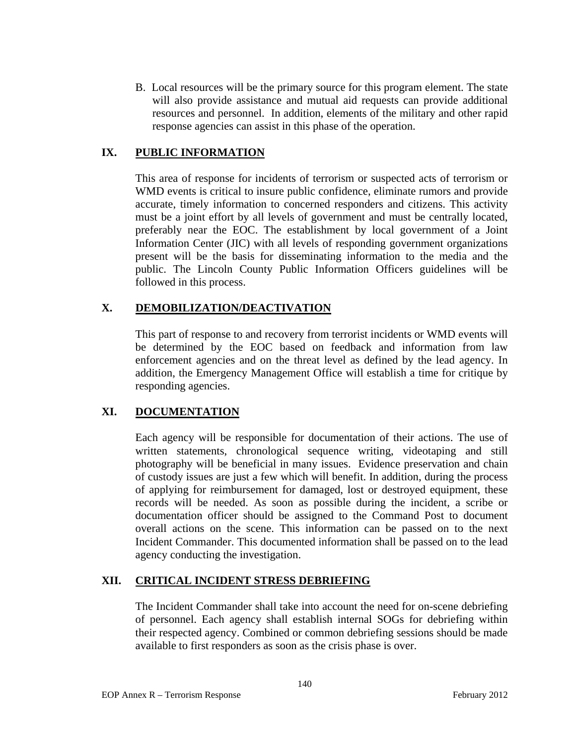B. Local resources will be the primary source for this program element. The state will also provide assistance and mutual aid requests can provide additional resources and personnel. In addition, elements of the military and other rapid response agencies can assist in this phase of the operation.

## **IX. PUBLIC INFORMATION**

This area of response for incidents of terrorism or suspected acts of terrorism or WMD events is critical to insure public confidence, eliminate rumors and provide accurate, timely information to concerned responders and citizens. This activity must be a joint effort by all levels of government and must be centrally located, preferably near the EOC. The establishment by local government of a Joint Information Center (JIC) with all levels of responding government organizations present will be the basis for disseminating information to the media and the public. The Lincoln County Public Information Officers guidelines will be followed in this process.

## **X. DEMOBILIZATION/DEACTIVATION**

This part of response to and recovery from terrorist incidents or WMD events will be determined by the EOC based on feedback and information from law enforcement agencies and on the threat level as defined by the lead agency. In addition, the Emergency Management Office will establish a time for critique by responding agencies.

## **XI. DOCUMENTATION**

Each agency will be responsible for documentation of their actions. The use of written statements, chronological sequence writing, videotaping and still photography will be beneficial in many issues. Evidence preservation and chain of custody issues are just a few which will benefit. In addition, during the process of applying for reimbursement for damaged, lost or destroyed equipment, these records will be needed. As soon as possible during the incident, a scribe or documentation officer should be assigned to the Command Post to document overall actions on the scene. This information can be passed on to the next Incident Commander. This documented information shall be passed on to the lead agency conducting the investigation.

## **XII. CRITICAL INCIDENT STRESS DEBRIEFING**

The Incident Commander shall take into account the need for on-scene debriefing of personnel. Each agency shall establish internal SOGs for debriefing within their respected agency. Combined or common debriefing sessions should be made available to first responders as soon as the crisis phase is over.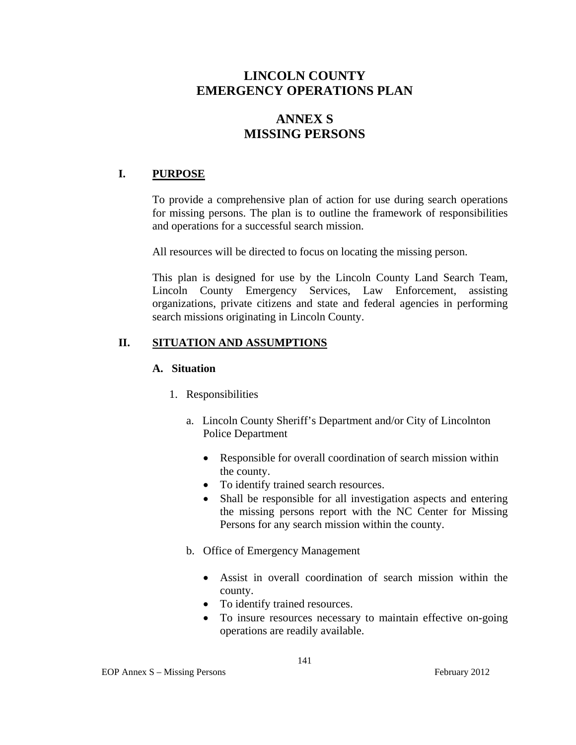# **LINCOLN COUNTY EMERGENCY OPERATIONS PLAN**

# **ANNEX S MISSING PERSONS**

# **I. PURPOSE**

To provide a comprehensive plan of action for use during search operations for missing persons. The plan is to outline the framework of responsibilities and operations for a successful search mission.

All resources will be directed to focus on locating the missing person.

This plan is designed for use by the Lincoln County Land Search Team, Lincoln County Emergency Services, Law Enforcement, assisting organizations, private citizens and state and federal agencies in performing search missions originating in Lincoln County.

## **II. SITUATION AND ASSUMPTIONS**

#### **A. Situation**

- 1. Responsibilities
	- a. Lincoln County Sheriff's Department and/or City of Lincolnton Police Department
		- Responsible for overall coordination of search mission within the county.
		- To identify trained search resources.
		- Shall be responsible for all investigation aspects and entering the missing persons report with the NC Center for Missing Persons for any search mission within the county.
	- b. Office of Emergency Management
		- Assist in overall coordination of search mission within the county.
		- To identify trained resources.
		- To insure resources necessary to maintain effective on-going operations are readily available.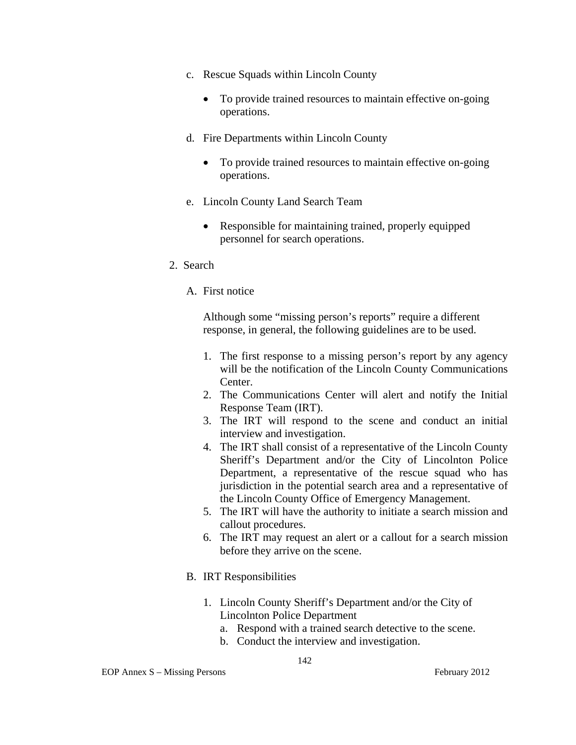- c. Rescue Squads within Lincoln County
	- To provide trained resources to maintain effective on-going operations.
- d. Fire Departments within Lincoln County
	- To provide trained resources to maintain effective on-going operations.
- e. Lincoln County Land Search Team
	- Responsible for maintaining trained, properly equipped personnel for search operations.
- 2. Search
	- A. First notice

Although some "missing person's reports" require a different response, in general, the following guidelines are to be used.

- 1. The first response to a missing person's report by any agency will be the notification of the Lincoln County Communications Center.
- 2. The Communications Center will alert and notify the Initial Response Team (IRT).
- 3. The IRT will respond to the scene and conduct an initial interview and investigation.
- 4. The IRT shall consist of a representative of the Lincoln County Sheriff's Department and/or the City of Lincolnton Police Department, a representative of the rescue squad who has jurisdiction in the potential search area and a representative of the Lincoln County Office of Emergency Management.
- 5. The IRT will have the authority to initiate a search mission and callout procedures.
- 6. The IRT may request an alert or a callout for a search mission before they arrive on the scene.
- B. IRT Responsibilities
	- 1. Lincoln County Sheriff's Department and/or the City of Lincolnton Police Department
		- a. Respond with a trained search detective to the scene.
		- b. Conduct the interview and investigation.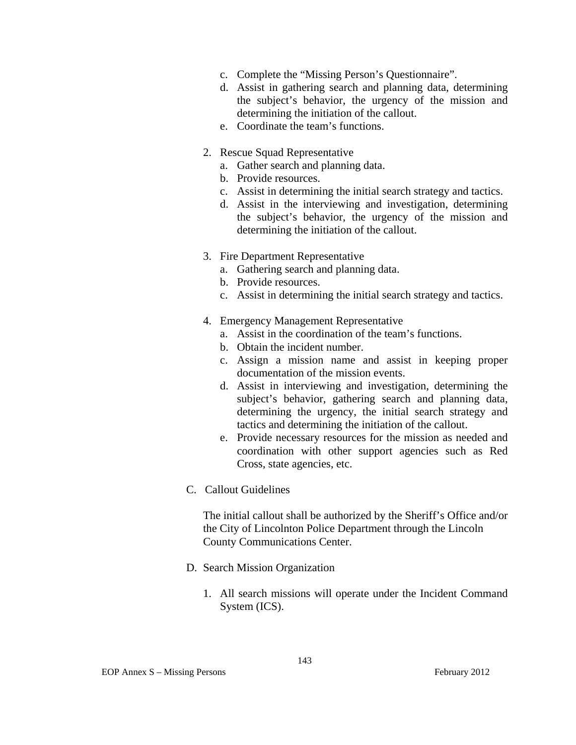- c. Complete the "Missing Person's Questionnaire".
- d. Assist in gathering search and planning data, determining the subject's behavior, the urgency of the mission and determining the initiation of the callout.
- e. Coordinate the team's functions.
- 2. Rescue Squad Representative
	- a. Gather search and planning data.
	- b. Provide resources.
	- c. Assist in determining the initial search strategy and tactics.
	- d. Assist in the interviewing and investigation, determining the subject's behavior, the urgency of the mission and determining the initiation of the callout.
- 3. Fire Department Representative
	- a. Gathering search and planning data.
	- b. Provide resources.
	- c. Assist in determining the initial search strategy and tactics.
- 4. Emergency Management Representative
	- a. Assist in the coordination of the team's functions.
	- b. Obtain the incident number.
	- c. Assign a mission name and assist in keeping proper documentation of the mission events.
	- d. Assist in interviewing and investigation, determining the subject's behavior, gathering search and planning data, determining the urgency, the initial search strategy and tactics and determining the initiation of the callout.
	- e. Provide necessary resources for the mission as needed and coordination with other support agencies such as Red Cross, state agencies, etc.
- C. Callout Guidelines

The initial callout shall be authorized by the Sheriff's Office and/or the City of Lincolnton Police Department through the Lincoln County Communications Center.

- D. Search Mission Organization
	- 1. All search missions will operate under the Incident Command System (ICS).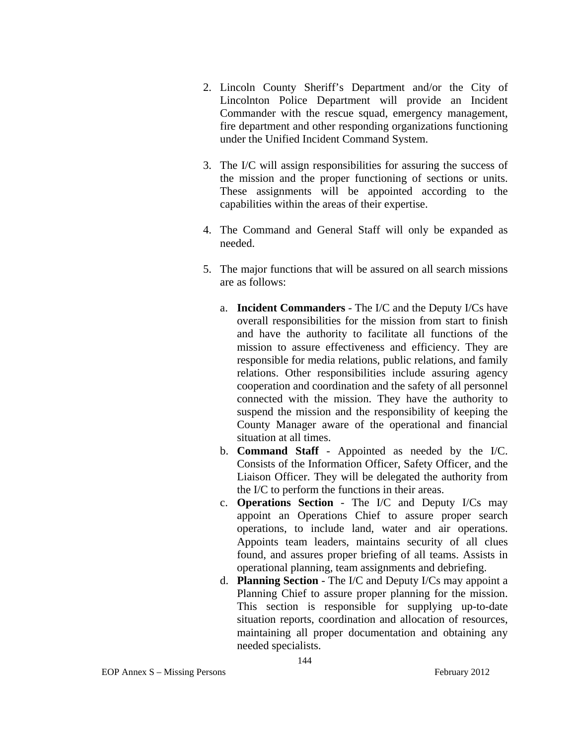- 2. Lincoln County Sheriff's Department and/or the City of Lincolnton Police Department will provide an Incident Commander with the rescue squad, emergency management, fire department and other responding organizations functioning under the Unified Incident Command System.
- 3. The I/C will assign responsibilities for assuring the success of the mission and the proper functioning of sections or units. These assignments will be appointed according to the capabilities within the areas of their expertise.
- 4. The Command and General Staff will only be expanded as needed.
- 5. The major functions that will be assured on all search missions are as follows:
	- a. **Incident Commanders**  The I/C and the Deputy I/Cs have overall responsibilities for the mission from start to finish and have the authority to facilitate all functions of the mission to assure effectiveness and efficiency. They are responsible for media relations, public relations, and family relations. Other responsibilities include assuring agency cooperation and coordination and the safety of all personnel connected with the mission. They have the authority to suspend the mission and the responsibility of keeping the County Manager aware of the operational and financial situation at all times.
	- b. **Command Staff**  Appointed as needed by the I/C. Consists of the Information Officer, Safety Officer, and the Liaison Officer. They will be delegated the authority from the I/C to perform the functions in their areas.
	- c. **Operations Section** The I/C and Deputy I/Cs may appoint an Operations Chief to assure proper search operations, to include land, water and air operations. Appoints team leaders, maintains security of all clues found, and assures proper briefing of all teams. Assists in operational planning, team assignments and debriefing.
	- d. **Planning Section** The I/C and Deputy I/Cs may appoint a Planning Chief to assure proper planning for the mission. This section is responsible for supplying up-to-date situation reports, coordination and allocation of resources, maintaining all proper documentation and obtaining any needed specialists.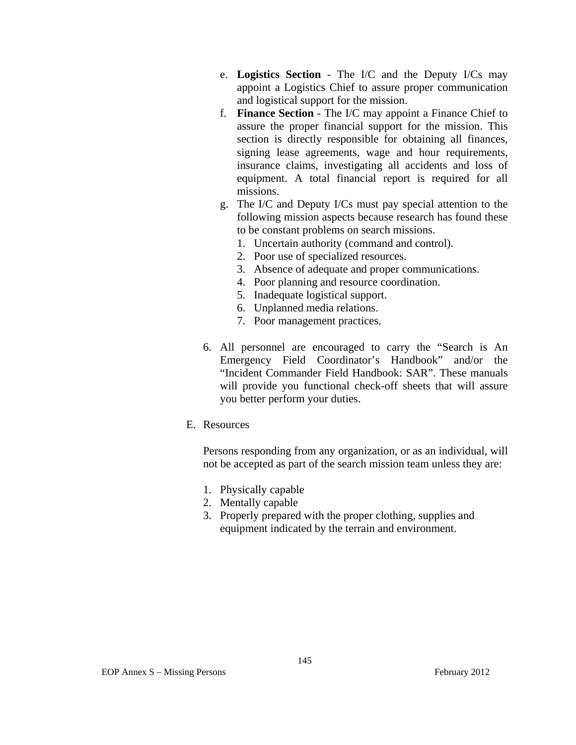- e. **Logistics Section** The I/C and the Deputy I/Cs may appoint a Logistics Chief to assure proper communication and logistical support for the mission.
- f. **Finance Section** The I/C may appoint a Finance Chief to assure the proper financial support for the mission. This section is directly responsible for obtaining all finances, signing lease agreements, wage and hour requirements, insurance claims, investigating all accidents and loss of equipment. A total financial report is required for all missions.
- g. The I/C and Deputy I/Cs must pay special attention to the following mission aspects because research has found these to be constant problems on search missions.
	- 1. Uncertain authority (command and control).
	- 2. Poor use of specialized resources.
	- 3. Absence of adequate and proper communications.
	- 4. Poor planning and resource coordination.
	- 5. Inadequate logistical support.
	- 6. Unplanned media relations.
	- 7. Poor management practices.
- 6. All personnel are encouraged to carry the "Search is An Emergency Field Coordinator's Handbook" and/or the "Incident Commander Field Handbook: SAR". These manuals will provide you functional check-off sheets that will assure you better perform your duties.
- E. Resources

Persons responding from any organization, or as an individual, will not be accepted as part of the search mission team unless they are:

- 1. Physically capable
- 2. Mentally capable
- 3. Properly prepared with the proper clothing, supplies and equipment indicated by the terrain and environment.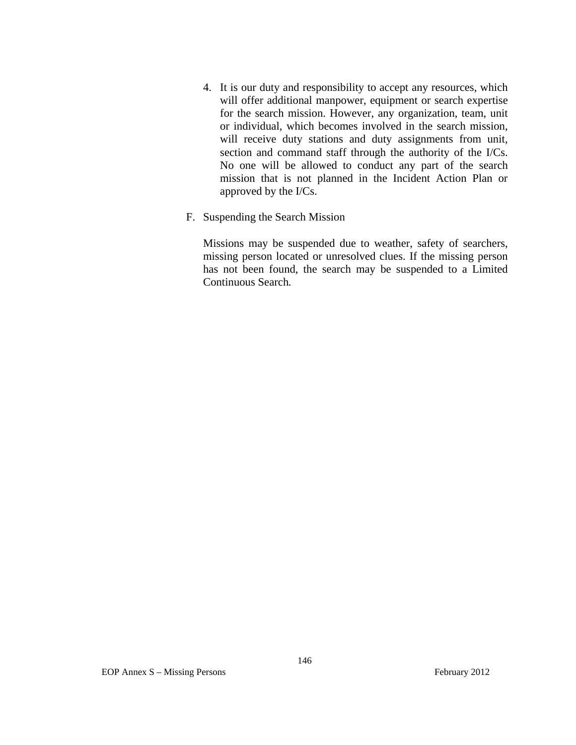- 4. It is our duty and responsibility to accept any resources, which will offer additional manpower, equipment or search expertise for the search mission. However, any organization, team, unit or individual, which becomes involved in the search mission, will receive duty stations and duty assignments from unit, section and command staff through the authority of the I/Cs. No one will be allowed to conduct any part of the search mission that is not planned in the Incident Action Plan or approved by the I/Cs.
- F. Suspending the Search Mission

Missions may be suspended due to weather, safety of searchers, missing person located or unresolved clues. If the missing person has not been found, the search may be suspended to a Limited Continuous Search*.*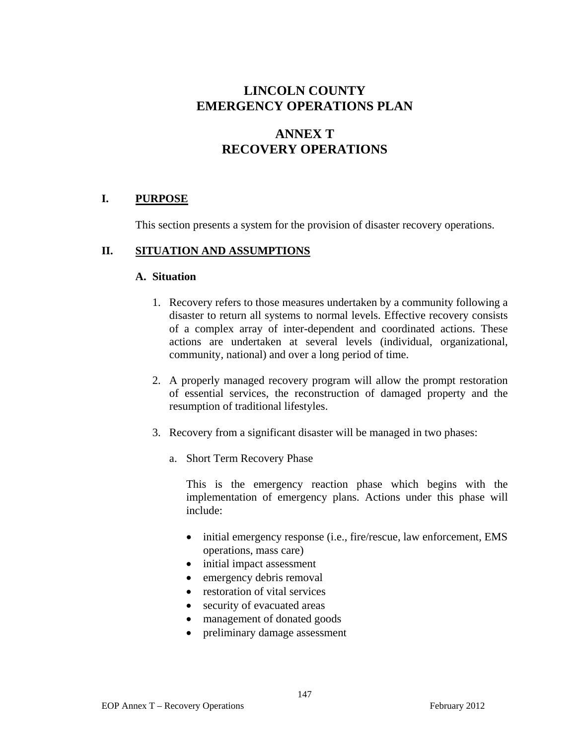# **LINCOLN COUNTY EMERGENCY OPERATIONS PLAN**

# **ANNEX T RECOVERY OPERATIONS**

## **I. PURPOSE**

This section presents a system for the provision of disaster recovery operations.

#### **II. SITUATION AND ASSUMPTIONS**

#### **A. Situation**

- 1. Recovery refers to those measures undertaken by a community following a disaster to return all systems to normal levels. Effective recovery consists of a complex array of inter-dependent and coordinated actions. These actions are undertaken at several levels (individual, organizational, community, national) and over a long period of time.
- 2. A properly managed recovery program will allow the prompt restoration of essential services, the reconstruction of damaged property and the resumption of traditional lifestyles.
- 3. Recovery from a significant disaster will be managed in two phases:
	- a. Short Term Recovery Phase

This is the emergency reaction phase which begins with the implementation of emergency plans. Actions under this phase will include:

- initial emergency response (i.e., fire/rescue, law enforcement, EMS operations, mass care)
- initial impact assessment
- emergency debris removal
- restoration of vital services
- security of evacuated areas
- management of donated goods
- preliminary damage assessment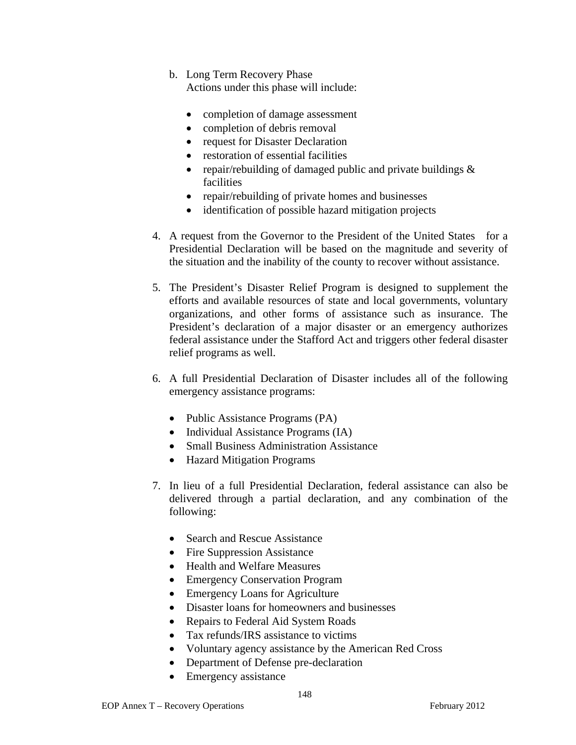- b. Long Term Recovery Phase Actions under this phase will include:
	- completion of damage assessment
	- completion of debris removal
	- request for Disaster Declaration
	- restoration of essential facilities
	- repair/rebuilding of damaged public and private buildings  $\&$ facilities
	- repair/rebuilding of private homes and businesses
	- identification of possible hazard mitigation projects
- 4. A request from the Governor to the President of the United States for a Presidential Declaration will be based on the magnitude and severity of the situation and the inability of the county to recover without assistance.
- 5. The President's Disaster Relief Program is designed to supplement the efforts and available resources of state and local governments, voluntary organizations, and other forms of assistance such as insurance. The President's declaration of a major disaster or an emergency authorizes federal assistance under the Stafford Act and triggers other federal disaster relief programs as well.
- 6. A full Presidential Declaration of Disaster includes all of the following emergency assistance programs:
	- Public Assistance Programs (PA)
	- Individual Assistance Programs (IA)
	- Small Business Administration Assistance
	- Hazard Mitigation Programs
- 7. In lieu of a full Presidential Declaration, federal assistance can also be delivered through a partial declaration, and any combination of the following:
	- Search and Rescue Assistance
	- Fire Suppression Assistance
	- Health and Welfare Measures
	- Emergency Conservation Program
	- Emergency Loans for Agriculture
	- Disaster loans for homeowners and businesses
	- Repairs to Federal Aid System Roads
	- Tax refunds/IRS assistance to victims
	- Voluntary agency assistance by the American Red Cross
	- Department of Defense pre-declaration
	- Emergency assistance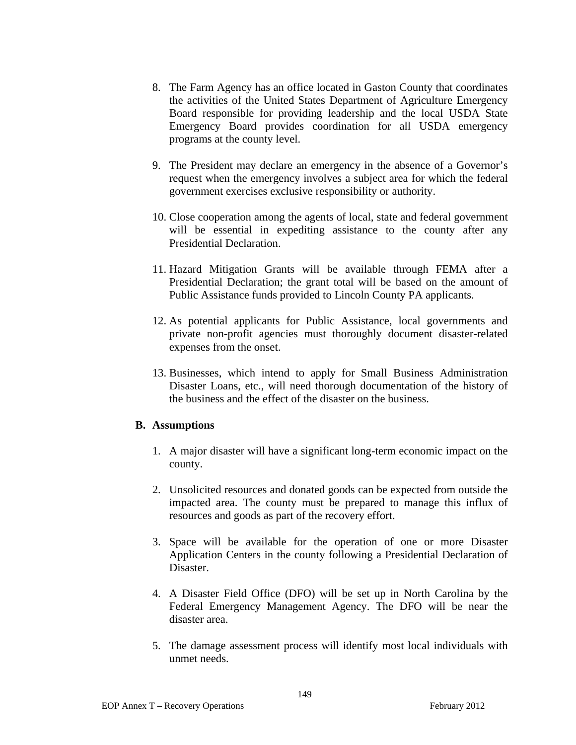- 8. The Farm Agency has an office located in Gaston County that coordinates the activities of the United States Department of Agriculture Emergency Board responsible for providing leadership and the local USDA State Emergency Board provides coordination for all USDA emergency programs at the county level.
- 9. The President may declare an emergency in the absence of a Governor's request when the emergency involves a subject area for which the federal government exercises exclusive responsibility or authority.
- 10. Close cooperation among the agents of local, state and federal government will be essential in expediting assistance to the county after any Presidential Declaration.
- 11. Hazard Mitigation Grants will be available through FEMA after a Presidential Declaration; the grant total will be based on the amount of Public Assistance funds provided to Lincoln County PA applicants.
- 12. As potential applicants for Public Assistance, local governments and private non-profit agencies must thoroughly document disaster-related expenses from the onset.
- 13. Businesses, which intend to apply for Small Business Administration Disaster Loans, etc., will need thorough documentation of the history of the business and the effect of the disaster on the business.

## **B. Assumptions**

- 1. A major disaster will have a significant long-term economic impact on the county.
- 2. Unsolicited resources and donated goods can be expected from outside the impacted area. The county must be prepared to manage this influx of resources and goods as part of the recovery effort.
- 3. Space will be available for the operation of one or more Disaster Application Centers in the county following a Presidential Declaration of Disaster.
- 4. A Disaster Field Office (DFO) will be set up in North Carolina by the Federal Emergency Management Agency. The DFO will be near the disaster area.
- 5. The damage assessment process will identify most local individuals with unmet needs.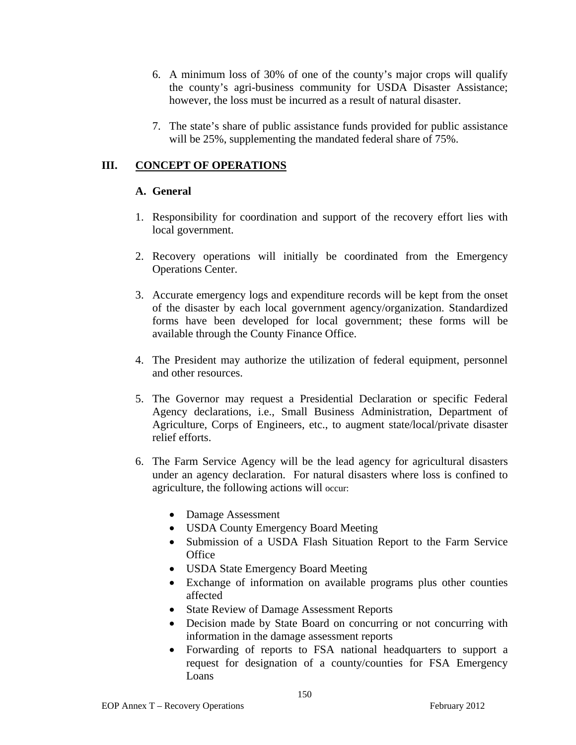- 6. A minimum loss of 30% of one of the county's major crops will qualify the county's agri-business community for USDA Disaster Assistance; however, the loss must be incurred as a result of natural disaster.
- 7. The state's share of public assistance funds provided for public assistance will be 25%, supplementing the mandated federal share of 75%.

# **III. CONCEPT OF OPERATIONS**

## **A. General**

- 1. Responsibility for coordination and support of the recovery effort lies with local government.
- 2. Recovery operations will initially be coordinated from the Emergency Operations Center.
- 3. Accurate emergency logs and expenditure records will be kept from the onset of the disaster by each local government agency/organization. Standardized forms have been developed for local government; these forms will be available through the County Finance Office.
- 4. The President may authorize the utilization of federal equipment, personnel and other resources.
- 5. The Governor may request a Presidential Declaration or specific Federal Agency declarations, i.e., Small Business Administration, Department of Agriculture, Corps of Engineers, etc., to augment state/local/private disaster relief efforts.
- 6. The Farm Service Agency will be the lead agency for agricultural disasters under an agency declaration. For natural disasters where loss is confined to agriculture, the following actions will occur:
	- Damage Assessment
	- USDA County Emergency Board Meeting
	- Submission of a USDA Flash Situation Report to the Farm Service **Office**
	- USDA State Emergency Board Meeting
	- Exchange of information on available programs plus other counties affected
	- State Review of Damage Assessment Reports
	- Decision made by State Board on concurring or not concurring with information in the damage assessment reports
	- Forwarding of reports to FSA national headquarters to support a request for designation of a county/counties for FSA Emergency Loans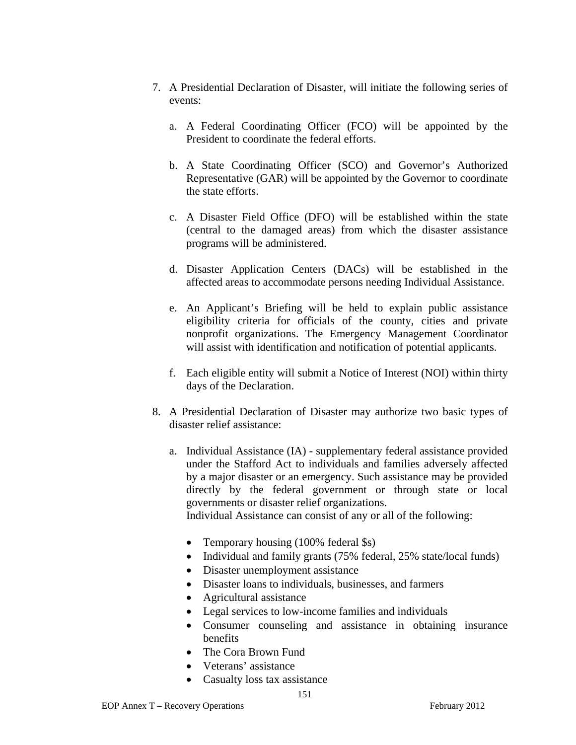- 7. A Presidential Declaration of Disaster, will initiate the following series of events:
	- a. A Federal Coordinating Officer (FCO) will be appointed by the President to coordinate the federal efforts.
	- b. A State Coordinating Officer (SCO) and Governor's Authorized Representative (GAR) will be appointed by the Governor to coordinate the state efforts.
	- c. A Disaster Field Office (DFO) will be established within the state (central to the damaged areas) from which the disaster assistance programs will be administered.
	- d. Disaster Application Centers (DACs) will be established in the affected areas to accommodate persons needing Individual Assistance.
	- e. An Applicant's Briefing will be held to explain public assistance eligibility criteria for officials of the county, cities and private nonprofit organizations. The Emergency Management Coordinator will assist with identification and notification of potential applicants.
	- f. Each eligible entity will submit a Notice of Interest (NOI) within thirty days of the Declaration.
- 8. A Presidential Declaration of Disaster may authorize two basic types of disaster relief assistance:
	- a. Individual Assistance (IA) supplementary federal assistance provided under the Stafford Act to individuals and families adversely affected by a major disaster or an emergency. Such assistance may be provided directly by the federal government or through state or local governments or disaster relief organizations.

Individual Assistance can consist of any or all of the following:

- Temporary housing (100% federal \$s)
- Individual and family grants (75% federal, 25% state/local funds)
- Disaster unemployment assistance
- Disaster loans to individuals, businesses, and farmers
- Agricultural assistance
- Legal services to low-income families and individuals
- Consumer counseling and assistance in obtaining insurance benefits
- The Cora Brown Fund
- Veterans' assistance
- Casualty loss tax assistance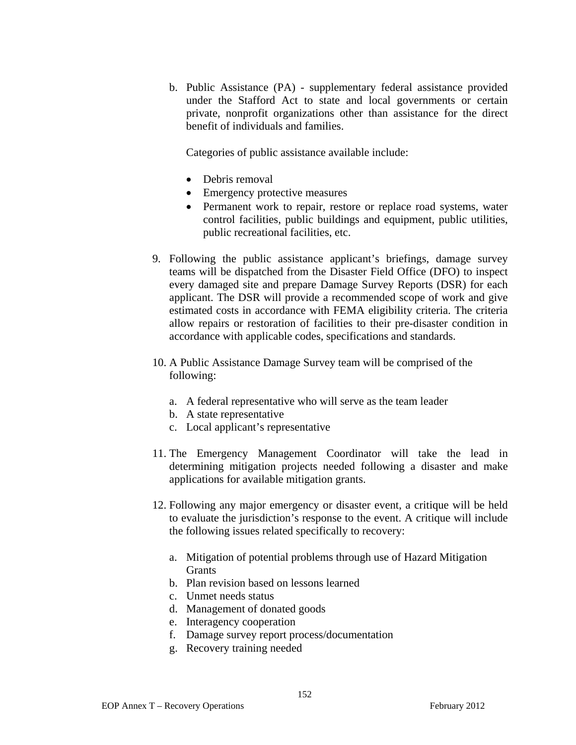b. Public Assistance (PA) - supplementary federal assistance provided under the Stafford Act to state and local governments or certain private, nonprofit organizations other than assistance for the direct benefit of individuals and families.

Categories of public assistance available include:

- Debris removal
- Emergency protective measures
- Permanent work to repair, restore or replace road systems, water control facilities, public buildings and equipment, public utilities, public recreational facilities, etc.
- 9. Following the public assistance applicant's briefings, damage survey teams will be dispatched from the Disaster Field Office (DFO) to inspect every damaged site and prepare Damage Survey Reports (DSR) for each applicant. The DSR will provide a recommended scope of work and give estimated costs in accordance with FEMA eligibility criteria. The criteria allow repairs or restoration of facilities to their pre-disaster condition in accordance with applicable codes, specifications and standards.
- 10. A Public Assistance Damage Survey team will be comprised of the following:
	- a. A federal representative who will serve as the team leader
	- b. A state representative
	- c. Local applicant's representative
- 11. The Emergency Management Coordinator will take the lead in determining mitigation projects needed following a disaster and make applications for available mitigation grants.
- 12. Following any major emergency or disaster event, a critique will be held to evaluate the jurisdiction's response to the event. A critique will include the following issues related specifically to recovery:
	- a. Mitigation of potential problems through use of Hazard Mitigation **Grants**
	- b. Plan revision based on lessons learned
	- c. Unmet needs status
	- d. Management of donated goods
	- e. Interagency cooperation
	- f. Damage survey report process/documentation
	- g. Recovery training needed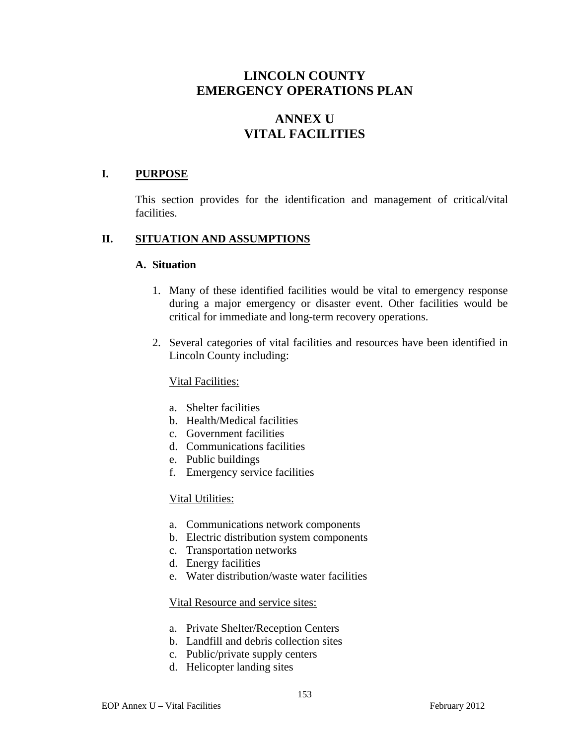# **LINCOLN COUNTY EMERGENCY OPERATIONS PLAN**

# **ANNEX U VITAL FACILITIES**

#### **I. PURPOSE**

This section provides for the identification and management of critical/vital facilities.

#### **II. SITUATION AND ASSUMPTIONS**

#### **A. Situation**

- 1. Many of these identified facilities would be vital to emergency response during a major emergency or disaster event. Other facilities would be critical for immediate and long-term recovery operations.
- 2. Several categories of vital facilities and resources have been identified in Lincoln County including:

#### Vital Facilities:

- a. Shelter facilities
- b. Health/Medical facilities
- c. Government facilities
- d. Communications facilities
- e. Public buildings
- f. Emergency service facilities

#### Vital Utilities:

- a. Communications network components
- b. Electric distribution system components
- c. Transportation networks
- d. Energy facilities
- e. Water distribution/waste water facilities

#### Vital Resource and service sites:

- a. Private Shelter/Reception Centers
- b. Landfill and debris collection sites
- c. Public/private supply centers
- d. Helicopter landing sites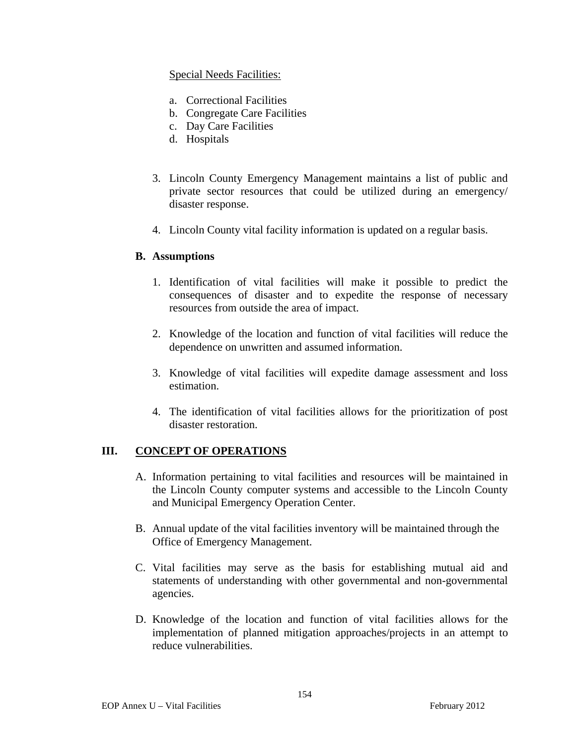## Special Needs Facilities:

- a. Correctional Facilities
- b. Congregate Care Facilities
- c. Day Care Facilities
- d. Hospitals
- 3. Lincoln County Emergency Management maintains a list of public and private sector resources that could be utilized during an emergency/ disaster response.
- 4. Lincoln County vital facility information is updated on a regular basis.

#### **B. Assumptions**

- 1. Identification of vital facilities will make it possible to predict the consequences of disaster and to expedite the response of necessary resources from outside the area of impact.
- 2. Knowledge of the location and function of vital facilities will reduce the dependence on unwritten and assumed information.
- 3. Knowledge of vital facilities will expedite damage assessment and loss estimation.
- 4. The identification of vital facilities allows for the prioritization of post disaster restoration.

## **III. CONCEPT OF OPERATIONS**

- A. Information pertaining to vital facilities and resources will be maintained in the Lincoln County computer systems and accessible to the Lincoln County and Municipal Emergency Operation Center.
- B. Annual update of the vital facilities inventory will be maintained through the Office of Emergency Management.
- C. Vital facilities may serve as the basis for establishing mutual aid and statements of understanding with other governmental and non-governmental agencies.
- D. Knowledge of the location and function of vital facilities allows for the implementation of planned mitigation approaches/projects in an attempt to reduce vulnerabilities.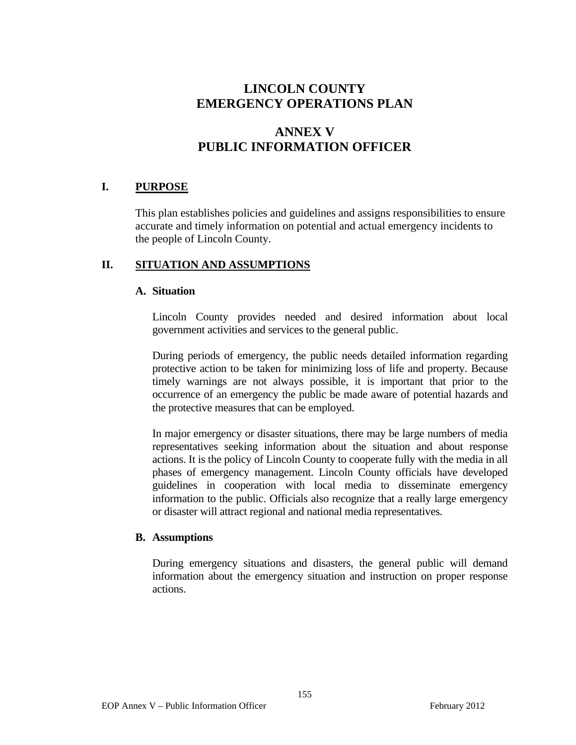# **LINCOLN COUNTY EMERGENCY OPERATIONS PLAN**

# **ANNEX V PUBLIC INFORMATION OFFICER**

# **I. PURPOSE**

This plan establishes policies and guidelines and assigns responsibilities to ensure accurate and timely information on potential and actual emergency incidents to the people of Lincoln County.

#### **II. SITUATION AND ASSUMPTIONS**

#### **A. Situation**

 Lincoln County provides needed and desired information about local government activities and services to the general public.

 During periods of emergency, the public needs detailed information regarding protective action to be taken for minimizing loss of life and property. Because timely warnings are not always possible, it is important that prior to the occurrence of an emergency the public be made aware of potential hazards and the protective measures that can be employed.

 In major emergency or disaster situations, there may be large numbers of media representatives seeking information about the situation and about response actions. It is the policy of Lincoln County to cooperate fully with the media in all phases of emergency management. Lincoln County officials have developed guidelines in cooperation with local media to disseminate emergency information to the public. Officials also recognize that a really large emergency or disaster will attract regional and national media representatives.

#### **B. Assumptions**

 During emergency situations and disasters, the general public will demand information about the emergency situation and instruction on proper response actions.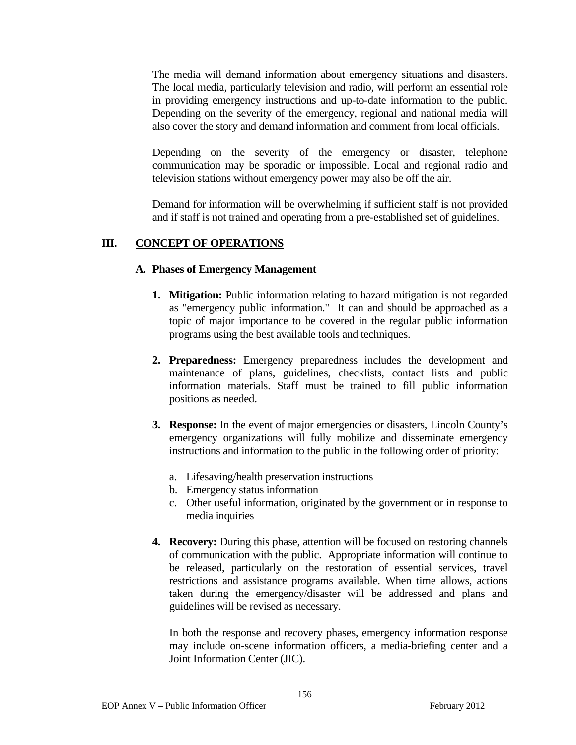The media will demand information about emergency situations and disasters. The local media, particularly television and radio, will perform an essential role in providing emergency instructions and up-to-date information to the public. Depending on the severity of the emergency, regional and national media will also cover the story and demand information and comment from local officials.

 Depending on the severity of the emergency or disaster, telephone communication may be sporadic or impossible. Local and regional radio and television stations without emergency power may also be off the air.

 Demand for information will be overwhelming if sufficient staff is not provided and if staff is not trained and operating from a pre-established set of guidelines.

# **III. CONCEPT OF OPERATIONS**

#### **A. Phases of Emergency Management**

- **1. Mitigation:** Public information relating to hazard mitigation is not regarded as "emergency public information." It can and should be approached as a topic of major importance to be covered in the regular public information programs using the best available tools and techniques.
- **2. Preparedness:** Emergency preparedness includes the development and maintenance of plans, guidelines, checklists, contact lists and public information materials. Staff must be trained to fill public information positions as needed.
- **3. Response:** In the event of major emergencies or disasters, Lincoln County's emergency organizations will fully mobilize and disseminate emergency instructions and information to the public in the following order of priority:
	- a. Lifesaving/health preservation instructions
	- b. Emergency status information
	- c. Other useful information, originated by the government or in response to media inquiries
- **4. Recovery:** During this phase, attention will be focused on restoring channels of communication with the public. Appropriate information will continue to be released, particularly on the restoration of essential services, travel restrictions and assistance programs available. When time allows, actions taken during the emergency/disaster will be addressed and plans and guidelines will be revised as necessary.

 In both the response and recovery phases, emergency information response may include on-scene information officers, a media-briefing center and a Joint Information Center (JIC).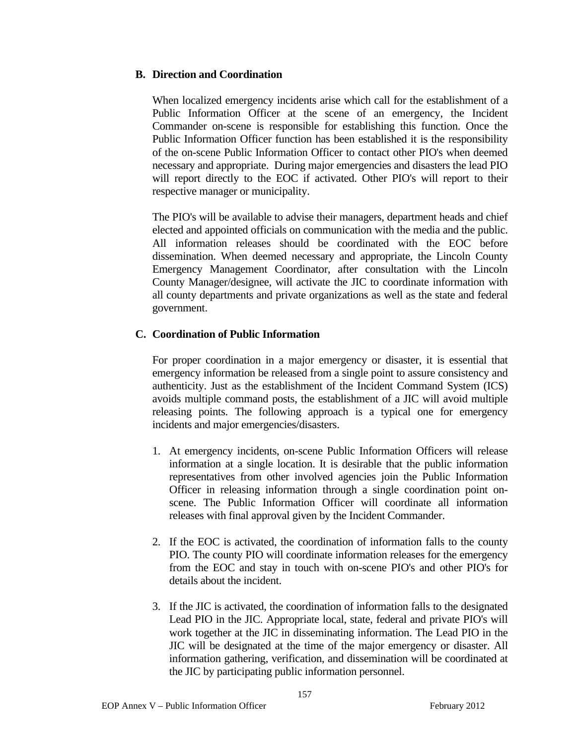## **B. Direction and Coordination**

 When localized emergency incidents arise which call for the establishment of a Public Information Officer at the scene of an emergency, the Incident Commander on-scene is responsible for establishing this function. Once the Public Information Officer function has been established it is the responsibility of the on-scene Public Information Officer to contact other PIO's when deemed necessary and appropriate. During major emergencies and disasters the lead PIO will report directly to the EOC if activated. Other PIO's will report to their respective manager or municipality.

 The PIO's will be available to advise their managers, department heads and chief elected and appointed officials on communication with the media and the public. All information releases should be coordinated with the EOC before dissemination. When deemed necessary and appropriate, the Lincoln County Emergency Management Coordinator, after consultation with the Lincoln County Manager/designee, will activate the JIC to coordinate information with all county departments and private organizations as well as the state and federal government.

## **C. Coordination of Public Information**

 For proper coordination in a major emergency or disaster, it is essential that emergency information be released from a single point to assure consistency and authenticity. Just as the establishment of the Incident Command System (ICS) avoids multiple command posts, the establishment of a JIC will avoid multiple releasing points. The following approach is a typical one for emergency incidents and major emergencies/disasters.

- 1. At emergency incidents, on-scene Public Information Officers will release information at a single location. It is desirable that the public information representatives from other involved agencies join the Public Information Officer in releasing information through a single coordination point onscene. The Public Information Officer will coordinate all information releases with final approval given by the Incident Commander.
- 2. If the EOC is activated, the coordination of information falls to the county PIO. The county PIO will coordinate information releases for the emergency from the EOC and stay in touch with on-scene PIO's and other PIO's for details about the incident.
- 3. If the JIC is activated, the coordination of information falls to the designated Lead PIO in the JIC. Appropriate local, state, federal and private PIO's will work together at the JIC in disseminating information. The Lead PIO in the JIC will be designated at the time of the major emergency or disaster. All information gathering, verification, and dissemination will be coordinated at the JIC by participating public information personnel.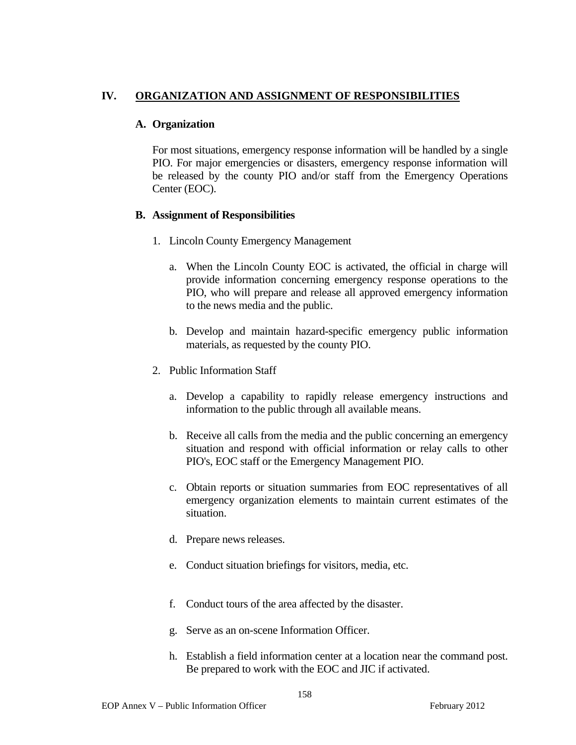## **IV. ORGANIZATION AND ASSIGNMENT OF RESPONSIBILITIES**

## **A. Organization**

 For most situations, emergency response information will be handled by a single PIO. For major emergencies or disasters, emergency response information will be released by the county PIO and/or staff from the Emergency Operations Center (EOC).

#### **B. Assignment of Responsibilities**

- 1. Lincoln County Emergency Management
	- a. When the Lincoln County EOC is activated, the official in charge will provide information concerning emergency response operations to the PIO, who will prepare and release all approved emergency information to the news media and the public.
	- b. Develop and maintain hazard-specific emergency public information materials, as requested by the county PIO.
- 2. Public Information Staff
	- a. Develop a capability to rapidly release emergency instructions and information to the public through all available means.
	- b. Receive all calls from the media and the public concerning an emergency situation and respond with official information or relay calls to other PIO's, EOC staff or the Emergency Management PIO.
	- c. Obtain reports or situation summaries from EOC representatives of all emergency organization elements to maintain current estimates of the situation.
	- d. Prepare news releases.
	- e. Conduct situation briefings for visitors, media, etc.
	- f. Conduct tours of the area affected by the disaster.
	- g. Serve as an on-scene Information Officer.
	- h. Establish a field information center at a location near the command post. Be prepared to work with the EOC and JIC if activated.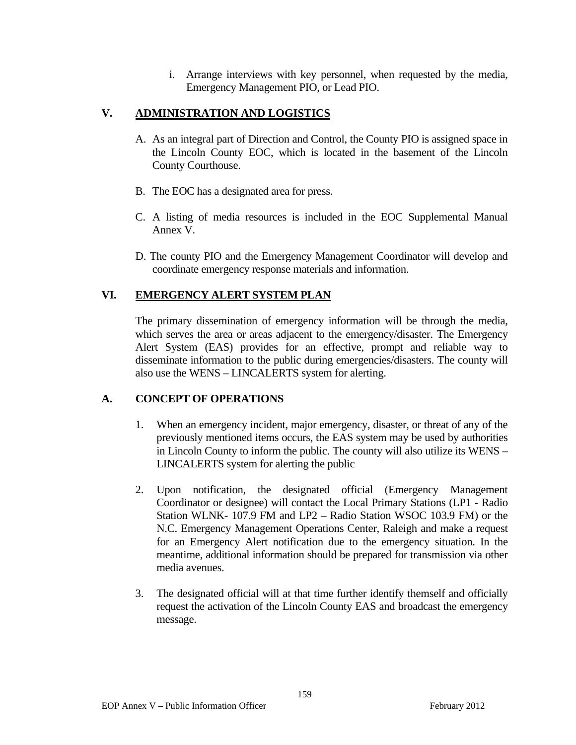i. Arrange interviews with key personnel, when requested by the media, Emergency Management PIO, or Lead PIO.

# **V. ADMINISTRATION AND LOGISTICS**

- A. As an integral part of Direction and Control, the County PIO is assigned space in the Lincoln County EOC, which is located in the basement of the Lincoln County Courthouse.
- B. The EOC has a designated area for press.
- C. A listing of media resources is included in the EOC Supplemental Manual Annex V.
- D. The county PIO and the Emergency Management Coordinator will develop and coordinate emergency response materials and information.

# **VI. EMERGENCY ALERT SYSTEM PLAN**

The primary dissemination of emergency information will be through the media, which serves the area or areas adjacent to the emergency/disaster. The Emergency Alert System (EAS) provides for an effective, prompt and reliable way to disseminate information to the public during emergencies/disasters. The county will also use the WENS – LINCALERTS system for alerting.

## **A. CONCEPT OF OPERATIONS**

- 1. When an emergency incident, major emergency, disaster, or threat of any of the previously mentioned items occurs, the EAS system may be used by authorities in Lincoln County to inform the public. The county will also utilize its WENS – LINCALERTS system for alerting the public
- 2. Upon notification, the designated official (Emergency Management Coordinator or designee) will contact the Local Primary Stations (LP1 - Radio Station WLNK- 107.9 FM and LP2 – Radio Station WSOC 103.9 FM) or the N.C. Emergency Management Operations Center, Raleigh and make a request for an Emergency Alert notification due to the emergency situation. In the meantime, additional information should be prepared for transmission via other media avenues.
- 3. The designated official will at that time further identify themself and officially request the activation of the Lincoln County EAS and broadcast the emergency message.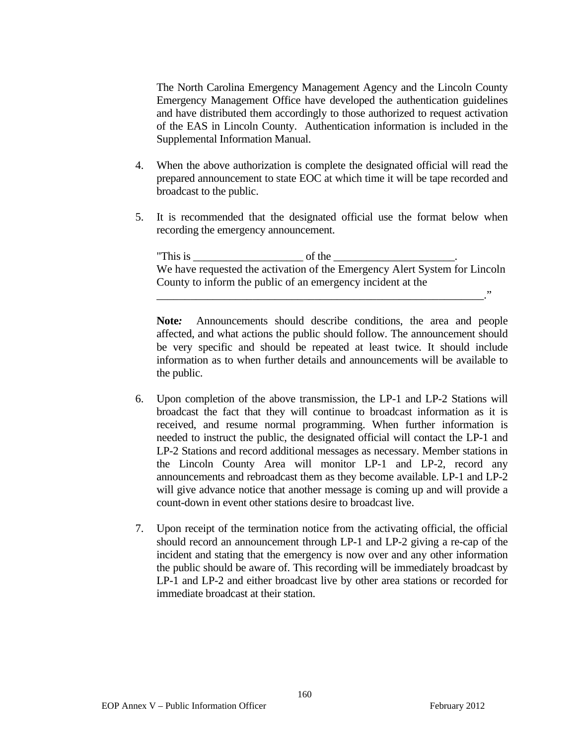The North Carolina Emergency Management Agency and the Lincoln County Emergency Management Office have developed the authentication guidelines and have distributed them accordingly to those authorized to request activation of the EAS in Lincoln County. Authentication information is included in the Supplemental Information Manual.

- 4. When the above authorization is complete the designated official will read the prepared announcement to state EOC at which time it will be tape recorded and broadcast to the public.
- 5. It is recommended that the designated official use the format below when recording the emergency announcement.

"This is of the We have requested the activation of the Emergency Alert System for Lincoln County to inform the public of an emergency incident at the

\_\_\_\_\_\_\_\_\_\_\_\_\_\_\_\_\_\_\_\_\_\_\_\_\_\_\_\_\_\_\_\_\_\_\_\_\_\_\_\_\_\_\_\_\_\_\_\_\_\_\_\_\_\_\_\_\_\_."

**Note***:* Announcements should describe conditions, the area and people affected, and what actions the public should follow. The announcement should be very specific and should be repeated at least twice. It should include information as to when further details and announcements will be available to the public.

- 6. Upon completion of the above transmission, the LP-1 and LP-2 Stations will broadcast the fact that they will continue to broadcast information as it is received, and resume normal programming. When further information is needed to instruct the public, the designated official will contact the LP-1 and LP-2 Stations and record additional messages as necessary. Member stations in the Lincoln County Area will monitor LP-1 and LP-2, record any announcements and rebroadcast them as they become available. LP-1 and LP-2 will give advance notice that another message is coming up and will provide a count-down in event other stations desire to broadcast live.
- 7. Upon receipt of the termination notice from the activating official, the official should record an announcement through LP-1 and LP-2 giving a re-cap of the incident and stating that the emergency is now over and any other information the public should be aware of. This recording will be immediately broadcast by LP-1 and LP-2 and either broadcast live by other area stations or recorded for immediate broadcast at their station.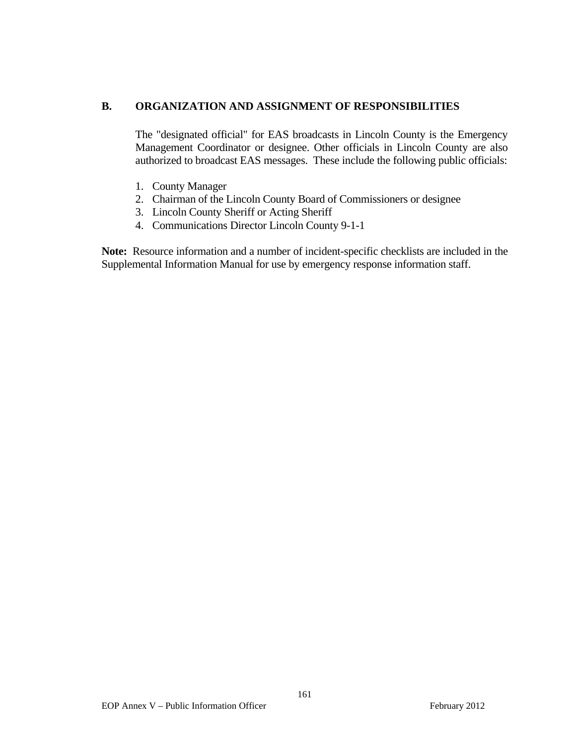#### **B. ORGANIZATION AND ASSIGNMENT OF RESPONSIBILITIES**

The "designated official" for EAS broadcasts in Lincoln County is the Emergency Management Coordinator or designee. Other officials in Lincoln County are also authorized to broadcast EAS messages. These include the following public officials:

- 1. County Manager
- 2. Chairman of the Lincoln County Board of Commissioners or designee
- 3. Lincoln County Sheriff or Acting Sheriff
- 4. Communications Director Lincoln County 9-1-1

**Note:**Resource information and a number of incident-specific checklists are included in the Supplemental Information Manual for use by emergency response information staff.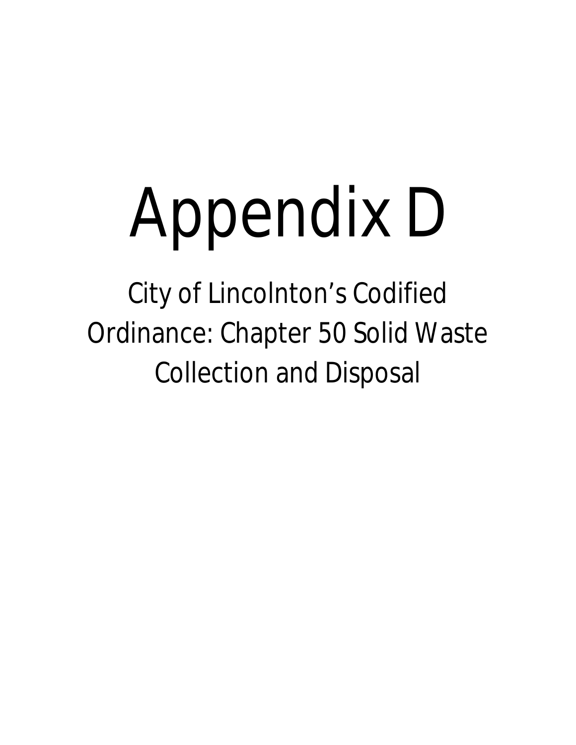# Appendix D

City of Lincolnton's Codified Ordinance: Chapter 50 Solid Waste Collection and Disposal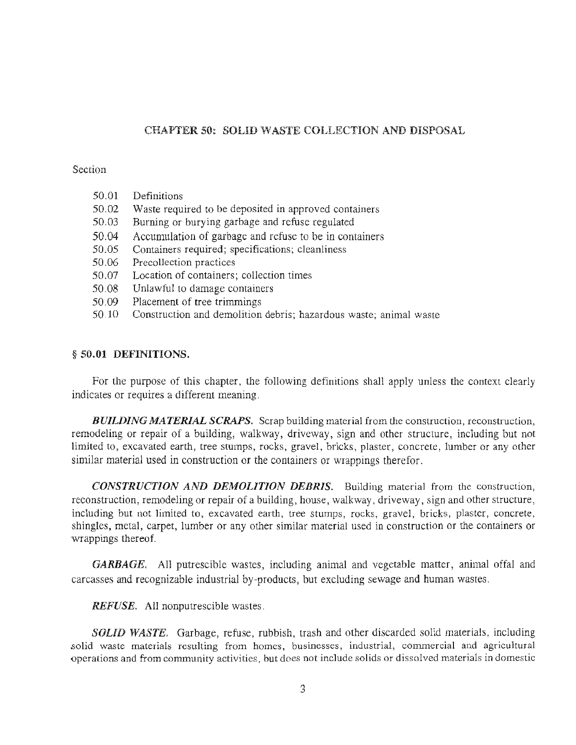#### **CHAPTER 50: SOLID WASTE COLLECTION AND DISPOSAL**

#### Section

- 50.02 Waste required to be deposited in approved containers
- 50.03 Burning or burying garbage and refuse regulated
- 50.04 Accumulation of garbage and refuse to be in containers
- 50.05 Containers required; specifications; cleanliness
- 50.06 Precollection practices
- 50.07 Location of containers; collection times
- 50.08 Unlawful to damage containers
- 50.09 Placement of tree trimmings
- Construction and demolition debris; hazardous waste; animal waste 50.10

#### § 50.01 DEFINITIONS.

For the purpose of this chapter, the following definitions shall apply unless the context clearly indicates or requires a different meaning.

**BUILDING MATERIAL SCRAPS.** Scrap building material from the construction, reconstruction, remodeling or repair of a building, walkway, driveway, sign and other structure, including but not limited to, excavated earth, tree stumps, rocks, gravel, bricks, plaster, concrete, lumber or any other similar material used in construction or the containers or wrappings therefor.

**CONSTRUCTION AND DEMOLITION DEBRIS.** Building material from the construction, reconstruction, remodeling or repair of a building, house, walkway, driveway, sign and other structure, including but not limited to, excavated earth, tree stumps, rocks, gravel, bricks, plaster, concrete, shingles, metal, carpet, lumber or any other similar material used in construction or the containers or wrappings thereof.

**GARBAGE.** All putrescible wastes, including animal and vegetable matter, animal offal and carcasses and recognizable industrial by-products, but excluding sewage and human wastes.

**REFUSE.** All nonputrescible wastes.

**SOLID WASTE.** Garbage, refuse, rubbish, trash and other discarded solid materials, including solid waste materials resulting from homes, businesses, industrial, commercial and agricultural operations and from community activities, but does not include solids or dissolved materials in domestic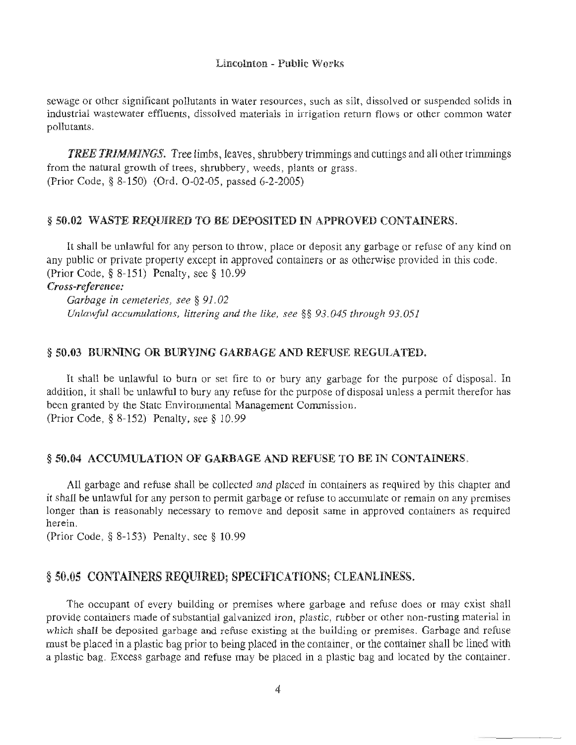#### Lincolnton - Public Works

sewage or other significant pollutants in water resources, such as silt, dissolved or suspended solids in industrial wastewater effluents, dissolved materials in irrigation return flows or other common water pollutants.

**TREE TRIMMINGS.** Tree limbs, leaves, shrubbery trimmings and cuttings and all other trimmings from the natural growth of trees, shrubbery, weeds, plants or grass. (Prior Code, § 8-150) (Ord. O-02-05, passed 6-2-2005)

#### § 50.02 WASTE REQUIRED TO BE DEPOSITED IN APPROVED CONTAINERS.

It shall be unlawful for any person to throw, place or deposit any garbage or refuse of any kind on any public or private property except in approved containers or as otherwise provided in this code. (Prior Code, § 8-151) Penalty, see § 10.99

Cross-reference:

Garbage in cemeteries, see § 91.02 Unlawful accumulations, littering and the like, see §§ 93.045 through 93.051

#### § 50.03 BURNING OR BURYING GARBAGE AND REFUSE REGULATED.

It shall be unlawful to burn or set fire to or bury any garbage for the purpose of disposal. In addition, it shall be unlawful to bury any refuse for the purpose of disposal unless a permit therefor has been granted by the State Environmental Management Commission. (Prior Code,  $\S$  8-152) Penalty, see  $\S$  10.99

#### § 50.04 ACCUMULATION OF GARBAGE AND REFUSE TO BE IN CONTAINERS.

All garbage and refuse shall be collected and placed in containers as required by this chapter and it shall be unlawful for any person to permit garbage or refuse to accumulate or remain on any premises longer than is reasonably necessary to remove and deposit same in approved containers as required herein.

(Prior Code,  $\S$  8-153) Penalty, see  $\S$  10.99

#### § 50.05 CONTAINERS REQUIRED; SPECIFICATIONS; CLEANLINESS.

The occupant of every building or premises where garbage and refuse does or may exist shall provide containers made of substantial galvanized iron, plastic, rubber or other non-rusting material in which shall be deposited garbage and refuse existing at the building or premises. Garbage and refuse must be placed in a plastic bag prior to being placed in the container, or the container shall be lined with a plastic bag. Excess garbage and refuse may be placed in a plastic bag and located by the container.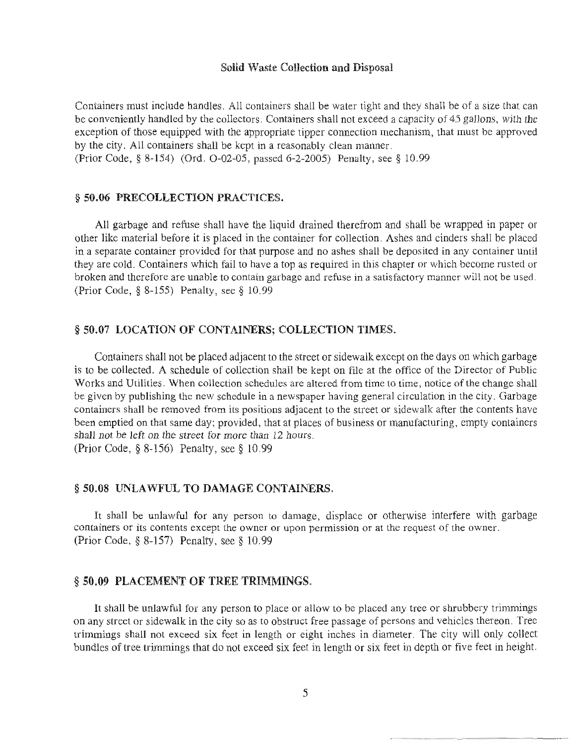#### Solid Waste Collection and Disposal

Containers must include handles. All containers shall be water tight and they shall be of a size that can be conveniently handled by the collectors. Containers shall not exceed a capacity of 45 gallons, with the exception of those equipped with the appropriate tipper connection mechanism, that must be approved by the city. All containers shall be kept in a reasonably clean manner.

(Prior Code, § 8-154) (Ord. O-02-05, passed 6-2-2005) Penalty, see § 10.99

#### § 50.06 PRECOLLECTION PRACTICES.

All garbage and refuse shall have the liquid drained therefrom and shall be wrapped in paper or other like material before it is placed in the container for collection. Ashes and cinders shall be placed in a separate container provided for that purpose and no ashes shall be deposited in any container until they are cold. Containers which fail to have a top as required in this chapter or which become rusted or broken and therefore are unable to contain garbage and refuse in a satisfactory manner will not be used. (Prior Code, § 8-155) Penalty, see § 10.99

#### § 50.07 LOCATION OF CONTAINERS; COLLECTION TIMES.

Containers shall not be placed adjacent to the street or sidewalk except on the days on which garbage is to be collected. A schedule of collection shall be kept on file at the office of the Director of Public Works and Utilities. When collection schedules are altered from time to time, notice of the change shall be given by publishing the new schedule in a newspaper having general circulation in the city. Garbage containers shall be removed from its positions adjacent to the street or sidewalk after the contents have been emptied on that same day: provided, that at places of business or manufacturing, empty containers shall not be left on the street for more than 12 hours. (Prior Code, § 8-156) Penalty, see § 10.99

#### § 50.08 UNLAWFUL TO DAMAGE CONTAINERS.

It shall be unlawful for any person to damage, displace or otherwise interfere with garbage containers or its contents except the owner or upon permission or at the request of the owner. (Prior Code,  $\S$  8-157) Penalty, see  $\S$  10.99

#### § 50.09 PLACEMENT OF TREE TRIMMINGS.

It shall be unlawful for any person to place or allow to be placed any tree or shrubbery trimmings on any street or sidewalk in the city so as to obstruct free passage of persons and vehicles thereon. Tree trimmings shall not exceed six feet in length or eight inches in diameter. The city will only collect bundles of tree trimmings that do not exceed six feet in length or six feet in depth or five feet in height.